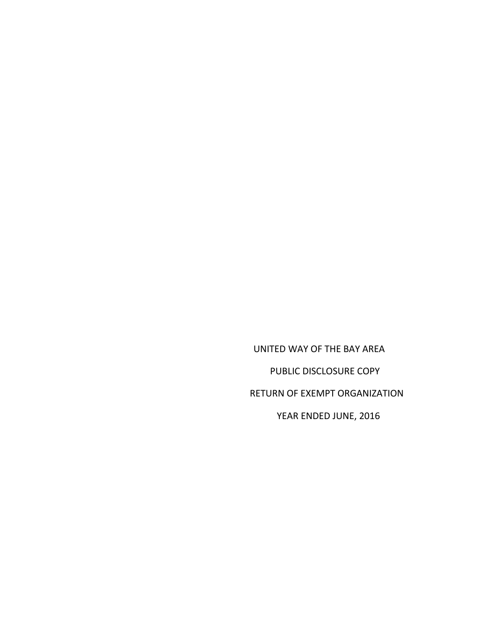UNITED WAY OF THE BAY AREA PUBLIC DISCLOSURE COPY RETURN OF EXEMPT ORGANIZATION YEAR ENDED JUNE, 2016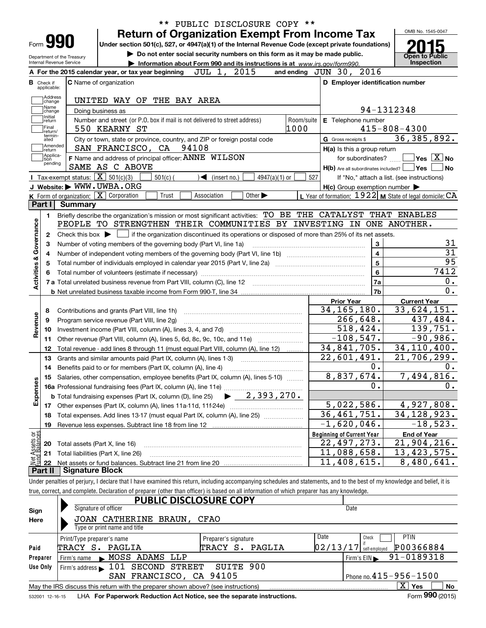|                           |                             |                            | PUBLIC DISCLOSURE COPY **<br><b>Return of Organization Exempt From Income Tax</b>                                                                                          |            |                                                                       | OMB No. 1545-0047                                         |
|---------------------------|-----------------------------|----------------------------|----------------------------------------------------------------------------------------------------------------------------------------------------------------------------|------------|-----------------------------------------------------------------------|-----------------------------------------------------------|
|                           | Form <b>990</b>             |                            | Under section 501(c), 527, or 4947(a)(1) of the Internal Revenue Code (except private foundations)                                                                         |            |                                                                       |                                                           |
|                           |                             | Department of the Treasury | Do not enter social security numbers on this form as it may be made public.                                                                                                |            |                                                                       | Open to Public                                            |
|                           | Internal Revenue Service    |                            | Information about Form 990 and its instructions is at www.irs.gov/form990.                                                                                                 |            |                                                                       | Inspection                                                |
|                           |                             |                            | 2015<br>JUL 1,<br>A For the 2015 calendar year, or tax year beginning                                                                                                      |            | and ending JUN 30, 2016                                               |                                                           |
| <b>B</b> Check if         | applicable:                 |                            | <b>C</b> Name of organization                                                                                                                                              |            | D Employer identification number                                      |                                                           |
|                           | Address<br>change           |                            | UNITED WAY OF THE BAY AREA                                                                                                                                                 |            |                                                                       |                                                           |
|                           | Name<br>change              |                            | Doing business as                                                                                                                                                          |            |                                                                       | 94-1312348                                                |
|                           | Initial<br>return           |                            | Number and street (or P.O. box if mail is not delivered to street address)                                                                                                 | Room/suite | E Telephone number                                                    |                                                           |
|                           | Final<br>return/<br>termin- |                            | 1000<br>550 KEARNY ST                                                                                                                                                      |            |                                                                       | $415 - 808 - 4300$                                        |
|                           | ated<br>Amended             |                            | City or town, state or province, country, and ZIP or foreign postal code                                                                                                   |            | G Gross receipts \$                                                   | 36, 385, 892.                                             |
|                           | ∣return<br> Applica-        |                            | SAN FRANCISCO, CA 94108                                                                                                                                                    |            | $H(a)$ is this a group return                                         |                                                           |
|                           | tion<br>pending             |                            | F Name and address of principal officer: ANNE WILSON<br>SAME AS C ABOVE                                                                                                    |            | for subordinates?<br>$H(b)$ Are all subordinates included? $\Box$ Yes | $\blacksquare$ Yes $\boxed{\text{X}}$ No<br>No            |
|                           |                             |                            | Tax-exempt status: $\boxed{\mathbf{X}}$ 501(c)(3)<br>$4947(a)(1)$ or<br>$501(c)$ (<br>$\blacktriangleleft$ (insert no.)                                                    | 527        |                                                                       | If "No," attach a list. (see instructions)                |
|                           |                             |                            | J Website: WWW.UWBA.ORG                                                                                                                                                    |            | $H(c)$ Group exemption number $\blacktriangleright$                   |                                                           |
|                           |                             |                            | K Form of organization: X Corporation<br>Other $\blacktriangleright$<br>Trust<br>Association                                                                               |            |                                                                       | L Year of formation: $1922$ M State of legal domicile: CA |
| Part I                    |                             | Summary                    |                                                                                                                                                                            |            |                                                                       |                                                           |
|                           | 1.                          |                            | Briefly describe the organization's mission or most significant activities: TO BE THE CATALYST THAT ENABLES                                                                |            |                                                                       |                                                           |
|                           |                             |                            | PEOPLE TO STRENGTHEN THEIR COMMUNITIES BY INVESTING IN ONE ANOTHER.                                                                                                        |            |                                                                       |                                                           |
| Activities & Governance   | 2                           |                            | Check this box $\blacktriangleright$ $\blacksquare$ if the organization discontinued its operations or disposed of more than 25% of its net assets.                        |            |                                                                       |                                                           |
|                           | З                           |                            | Number of voting members of the governing body (Part VI, line 1a)                                                                                                          |            | 3                                                                     | 31                                                        |
|                           | 4                           |                            |                                                                                                                                                                            |            | 4                                                                     | $\overline{31}$                                           |
|                           | 5                           |                            |                                                                                                                                                                            |            | 5                                                                     | 95                                                        |
|                           |                             |                            |                                                                                                                                                                            |            | 6                                                                     | 7412                                                      |
|                           |                             |                            |                                                                                                                                                                            |            | 7a                                                                    | 0.                                                        |
|                           |                             |                            |                                                                                                                                                                            |            | 7b                                                                    | 0.                                                        |
|                           |                             |                            |                                                                                                                                                                            |            | <b>Prior Year</b>                                                     | <b>Current Year</b>                                       |
|                           | 8                           |                            | Contributions and grants (Part VIII, line 1h)                                                                                                                              |            | 34, 165, 180.                                                         | 33,624,151.                                               |
| Revenue                   | 9                           |                            | Program service revenue (Part VIII, line 2g)                                                                                                                               |            | $\overline{266}$ , 648.                                               | 437,484.                                                  |
|                           | 10                          |                            |                                                                                                                                                                            |            | 518,424.                                                              | 139,751.                                                  |
|                           | 11                          |                            | Other revenue (Part VIII, column (A), lines 5, 6d, 8c, 9c, 10c, and 11e)                                                                                                   |            | $-108,547.$                                                           | $-90,986.$                                                |
|                           | 12                          |                            | Total revenue - add lines 8 through 11 (must equal Part VIII, column (A), line 12)                                                                                         |            | 34,841,705.                                                           | 34, 110, 400.                                             |
|                           | 13                          |                            | Grants and similar amounts paid (Part IX, column (A), lines 1-3)                                                                                                           |            | $\overline{22}$ , 601, 491.                                           | 21,706,299.                                               |
|                           | 14                          |                            |                                                                                                                                                                            |            | 0.                                                                    | 0.                                                        |
|                           |                             |                            | 15 Salaries, other compensation, employee benefits (Part IX, column (A), lines 5-10)                                                                                       |            | 8,837,674.                                                            | 7,494,816.                                                |
| Expenses                  |                             |                            |                                                                                                                                                                            |            | 0.                                                                    | 0.                                                        |
|                           |                             |                            | $\blacktriangleright$ 2,393,270.<br><b>b</b> Total fundraising expenses (Part IX, column (D), line 25)                                                                     |            |                                                                       |                                                           |
|                           | 17                          |                            |                                                                                                                                                                            |            | 5,022,586.                                                            | 4,927,808.                                                |
|                           | 18                          |                            | Total expenses. Add lines 13-17 (must equal Part IX, column (A), line 25)                                                                                                  |            | $\overline{36,461,751}$ .                                             | 34, 128, 923.                                             |
|                           | 19                          |                            | Revenue less expenses. Subtract line 18 from line 12                                                                                                                       |            | $-1,620,046$ .                                                        | $-18,523.$                                                |
| t Assets or<br>d Balances |                             |                            |                                                                                                                                                                            |            | <b>Beginning of Current Year</b><br>22,497,273.                       | <b>End of Year</b><br>21,904,216.                         |
|                           | 20                          |                            | Total assets (Part X, line 16)                                                                                                                                             |            | 11,088,658.                                                           | 13,423,575.                                               |
|                           | 21                          |                            | Total liabilities (Part X, line 26)                                                                                                                                        |            | 11,408,615.                                                           | 8,480,641.                                                |
| Part II                   | -22                         | <b>Signature Block</b>     |                                                                                                                                                                            |            |                                                                       |                                                           |
|                           |                             |                            | Under penalties of perjury, I declare that I have examined this return, including accompanying schedules and statements, and to the best of my knowledge and belief, it is |            |                                                                       |                                                           |
|                           |                             |                            | true, correct, and complete. Declaration of preparer (other than officer) is based on all information of which preparer has any knowledge.                                 |            |                                                                       |                                                           |
|                           |                             |                            | <b>PUBLIC DISCLOSURE COPY</b>                                                                                                                                              |            |                                                                       |                                                           |
| Sign                      |                             |                            | Signature of officer                                                                                                                                                       |            | Date                                                                  |                                                           |
| Here                      |                             |                            | JOAN CATHERINE BRAUN, CFAO                                                                                                                                                 |            |                                                                       |                                                           |

|          | Type or print name and title                                                      |                                  |                                                                  |
|----------|-----------------------------------------------------------------------------------|----------------------------------|------------------------------------------------------------------|
|          | Print/Type preparer's name                                                        | Preparer's signature             | Date<br><b>PTIN</b><br>Check                                     |
| Paid     | TRACY S. PAGLIA                                                                   | PAGLIA<br>TRACY<br>$S_{\bullet}$ | P00366884<br>$\left[0\,2\,/\,1\,3\,/\,1\,7\right]$ self-employed |
| Preparer | Firm's name MOSS ADAMS LLP                                                        |                                  | $1$ Firm's EIN $\triangleright$ 91-0189318                       |
| Use Only | Firm's address 101 SECOND STREET SUITE 900                                        |                                  |                                                                  |
|          | SAN FRANCISCO, CA 94105                                                           |                                  | $'$ Phone no. $415 - 956 - 1500$                                 |
|          | May the IRS discuss this return with the preparer shown above? (see instructions) |                                  | x<br>Yes<br>No                                                   |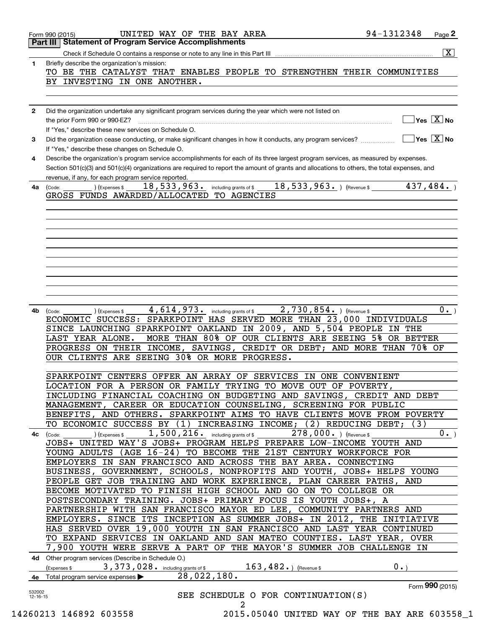| 1.           | $\overline{\mathbf{x}}$<br>Briefly describe the organization's mission:                                                                                                                                                                              |
|--------------|------------------------------------------------------------------------------------------------------------------------------------------------------------------------------------------------------------------------------------------------------|
|              | TO BE THE CATALYST THAT ENABLES PEOPLE TO STRENGTHEN THEIR COMMUNITIES                                                                                                                                                                               |
|              | BY INVESTING IN ONE ANOTHER.                                                                                                                                                                                                                         |
|              |                                                                                                                                                                                                                                                      |
|              |                                                                                                                                                                                                                                                      |
| $\mathbf{2}$ | Did the organization undertake any significant program services during the year which were not listed on                                                                                                                                             |
|              | $\boxed{\phantom{1}}$ Yes $\boxed{\text{X}}$ No<br>the prior Form 990 or 990-EZ?                                                                                                                                                                     |
|              | If "Yes," describe these new services on Schedule O.                                                                                                                                                                                                 |
| 3            | $\sqrt{Y}$ Yes $\sqrt{X}$ No<br>Did the organization cease conducting, or make significant changes in how it conducts, any program services?<br>If "Yes," describe these changes on Schedule O.                                                      |
| 4            | Describe the organization's program service accomplishments for each of its three largest program services, as measured by expenses.                                                                                                                 |
|              | Section 501(c)(3) and 501(c)(4) organizations are required to report the amount of grants and allocations to others, the total expenses, and                                                                                                         |
|              | revenue, if any, for each program service reported.                                                                                                                                                                                                  |
| 4a           | ) (Expenses \$ $18$ , $533$ , $963$ . $\,$ including grants of \$ $18$ , $533$ , $963$ . $\,$ ) (Revenue \$ $437$ , $484$ . $\,$ )<br>(Code:                                                                                                         |
|              | GROSS FUNDS AWARDED/ALLOCATED TO AGENCIES                                                                                                                                                                                                            |
|              |                                                                                                                                                                                                                                                      |
|              |                                                                                                                                                                                                                                                      |
|              |                                                                                                                                                                                                                                                      |
|              |                                                                                                                                                                                                                                                      |
|              |                                                                                                                                                                                                                                                      |
|              |                                                                                                                                                                                                                                                      |
|              |                                                                                                                                                                                                                                                      |
|              |                                                                                                                                                                                                                                                      |
|              |                                                                                                                                                                                                                                                      |
|              |                                                                                                                                                                                                                                                      |
| 4b           | $4$ , $614$ , $973$ . $\hbox{\scriptsize\begin{array}{c} \quad \text{including grants of $\$$} \end{array}}\,$ $2$ , $730$ , $854$ . $\hbox{\scriptsize\begin{array}{c} \text{ (Revenue $\$$} \end{array}}\,$<br>$0 \cdot$<br>(Expenses \$<br>(Code: |
|              | ECONOMIC SUCCESS: SPARKPOINT HAS SERVED MORE THAN 23,000 INDIVIDUALS                                                                                                                                                                                 |
|              | SINCE LAUNCHING SPARKPOINT OAKLAND IN 2009, AND 5,504 PEOPLE IN THE                                                                                                                                                                                  |
|              | MORE THAN 80% OF OUR CLIENTS ARE SEEING 5% OR BETTER<br>LAST YEAR ALONE.                                                                                                                                                                             |
|              | PROGRESS ON THEIR INCOME, SAVINGS, CREDIT OR DEBT; AND MORE THAN 70% OF                                                                                                                                                                              |
|              | OUR CLIENTS ARE SEEING 30% OR MORE PROGRESS.                                                                                                                                                                                                         |
|              |                                                                                                                                                                                                                                                      |
|              |                                                                                                                                                                                                                                                      |
|              | SPARKPOINT CENTERS OFFER AN ARRAY OF SERVICES IN ONE CONVENIENT                                                                                                                                                                                      |
|              | LOCATION FOR A PERSON OR FAMILY TRYING TO MOVE OUT OF POVERTY,                                                                                                                                                                                       |
|              | INCLUDING FINANCIAL COACHING ON BUDGETING AND SAVINGS, CREDIT AND DEBT                                                                                                                                                                               |
|              | MANAGEMENT, CAREER OR EDUCATION COUNSELING, SCREENING FOR PUBLIC                                                                                                                                                                                     |
|              | BENEFITS, AND OTHERS. SPARKPOINT AIMS TO HAVE CLIENTS MOVE FROM POVERTY                                                                                                                                                                              |
|              | TO ECONOMIC SUCCESS BY (1) INCREASING INCOME; (2) REDUCING DEBT;<br>(3)                                                                                                                                                                              |
|              | $1,500,216$ and including grants of \$<br>$278,000.$ ) (Revenue \$<br>$0 \cdot$<br>(Expenses \$<br>4c (Code:                                                                                                                                         |
|              | JOBS+ UNITED WAY'S JOBS+ PROGRAM HELPS PREPARE LOW-INCOME YOUTH AND                                                                                                                                                                                  |
|              | YOUNG ADULTS (AGE 16-24) TO BECOME THE 21ST CENTURY WORKFORCE FOR                                                                                                                                                                                    |
|              | EMPLOYERS IN SAN FRANCISCO AND ACROSS THE BAY AREA. CONNECTING                                                                                                                                                                                       |
|              | BUSINESS, GOVERNMENT, SCHOOLS, NONPROFITS AND YOUTH, JOBS+ HELPS YOUNG                                                                                                                                                                               |
|              | PEOPLE GET JOB TRAINING AND WORK EXPERIENCE, PLAN CAREER PATHS, AND                                                                                                                                                                                  |
|              | BECOME MOTIVATED TO FINISH HIGH SCHOOL AND GO ON TO COLLEGE OR                                                                                                                                                                                       |
|              | POSTSECONDARY TRAINING. JOBS+ PRIMARY FOCUS IS YOUTH JOBS+, A                                                                                                                                                                                        |
|              | PARTNERSHIP WITH SAN FRANCISCO MAYOR ED LEE, COMMUNITY PARTNERS AND                                                                                                                                                                                  |
|              | EMPLOYERS. SINCE ITS INCEPTION AS SUMMER JOBS+ IN 2012, THE INITIATIVE                                                                                                                                                                               |
|              | HAS SERVED OVER 19,000 YOUTH IN SAN FRANCISCO AND LAST YEAR CONTINUED                                                                                                                                                                                |
|              | TO EXPAND SERVICES IN OAKLAND AND SAN MATEO COUNTIES. LAST YEAR, OVER                                                                                                                                                                                |
|              | 7,900 YOUTH WERE SERVE A PART OF THE MAYOR'S SUMMER JOB CHALLENGE IN                                                                                                                                                                                 |
|              | 4d Other program services (Describe in Schedule O.)                                                                                                                                                                                                  |
|              | 163, 482. ) (Revenue \$<br>0.1<br>3, 373, 028. including grants of \$<br>(Expenses \$                                                                                                                                                                |
|              | 28,022,180.<br>Total program service expenses<br>Form 990 (2015)                                                                                                                                                                                     |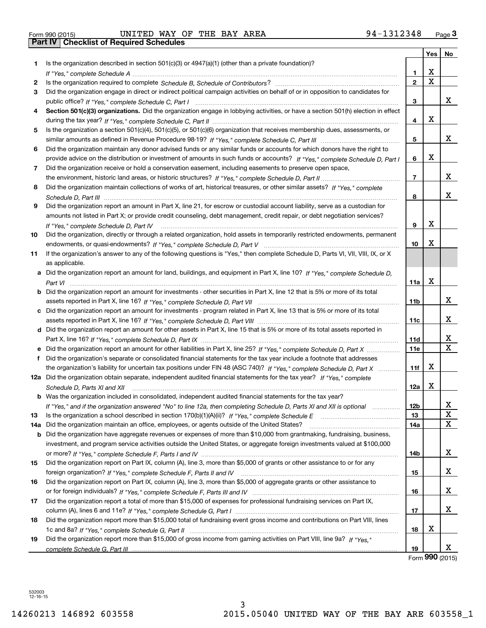| Form 990 (2015) |  |  |
|-----------------|--|--|

|     |                                                                                                                                                    |                | Yes                   | No                           |
|-----|----------------------------------------------------------------------------------------------------------------------------------------------------|----------------|-----------------------|------------------------------|
| 1.  | Is the organization described in section $501(c)(3)$ or $4947(a)(1)$ (other than a private foundation)?                                            |                |                       |                              |
|     |                                                                                                                                                    | 1.             | х                     |                              |
| 2   |                                                                                                                                                    | $\mathbf{2}$   | $\overline{\text{x}}$ |                              |
| 3   | Did the organization engage in direct or indirect political campaign activities on behalf of or in opposition to candidates for                    |                |                       |                              |
|     |                                                                                                                                                    | 3              |                       | x                            |
| 4   | Section 501(c)(3) organizations. Did the organization engage in lobbying activities, or have a section 501(h) election in effect                   |                |                       |                              |
|     |                                                                                                                                                    | 4              | X                     |                              |
| 5   | Is the organization a section 501(c)(4), 501(c)(5), or 501(c)(6) organization that receives membership dues, assessments, or                       |                |                       |                              |
|     |                                                                                                                                                    | 5              |                       | X                            |
| 6   | Did the organization maintain any donor advised funds or any similar funds or accounts for which donors have the right to                          |                |                       |                              |
|     | provide advice on the distribution or investment of amounts in such funds or accounts? If "Yes," complete Schedule D, Part I                       | 6              | X                     |                              |
| 7   | Did the organization receive or hold a conservation easement, including easements to preserve open space,                                          |                |                       |                              |
|     |                                                                                                                                                    | $\overline{7}$ |                       | x                            |
| 8   | Did the organization maintain collections of works of art, historical treasures, or other similar assets? If "Yes," complete                       |                |                       |                              |
|     |                                                                                                                                                    | 8              |                       | x                            |
| 9   | Did the organization report an amount in Part X, line 21, for escrow or custodial account liability, serve as a custodian for                      |                |                       |                              |
|     | amounts not listed in Part X; or provide credit counseling, debt management, credit repair, or debt negotiation services?                          |                |                       |                              |
|     | If "Yes," complete Schedule D, Part IV                                                                                                             | 9              | X                     |                              |
| 10  | Did the organization, directly or through a related organization, hold assets in temporarily restricted endowments, permanent                      |                |                       |                              |
|     |                                                                                                                                                    | 10             | X                     |                              |
| 11  | If the organization's answer to any of the following questions is "Yes," then complete Schedule D, Parts VI, VIII, VIII, IX, or X                  |                |                       |                              |
|     | as applicable.                                                                                                                                     |                |                       |                              |
|     | a Did the organization report an amount for land, buildings, and equipment in Part X, line 10? If "Yes," complete Schedule D,                      |                |                       |                              |
|     |                                                                                                                                                    | 11a            | X                     |                              |
|     | <b>b</b> Did the organization report an amount for investments - other securities in Part X, line 12 that is 5% or more of its total               |                |                       |                              |
|     |                                                                                                                                                    | 11b            |                       | x                            |
|     | c Did the organization report an amount for investments - program related in Part X, line 13 that is 5% or more of its total                       |                |                       |                              |
|     |                                                                                                                                                    | 11c            |                       | x                            |
|     | d Did the organization report an amount for other assets in Part X, line 15 that is 5% or more of its total assets reported in                     |                |                       |                              |
|     |                                                                                                                                                    | 11d            |                       | X<br>$\overline{\mathtt{x}}$ |
|     | e Did the organization report an amount for other liabilities in Part X, line 25? If "Yes," complete Schedule D, Part X                            | <b>11e</b>     |                       |                              |
| f   | Did the organization's separate or consolidated financial statements for the tax year include a footnote that addresses                            |                | х                     |                              |
|     | the organization's liability for uncertain tax positions under FIN 48 (ASC 740)? If "Yes," complete Schedule D, Part X                             | 11f            |                       |                              |
|     | 12a Did the organization obtain separate, independent audited financial statements for the tax year? If "Yes," complete                            | 12a            | X                     |                              |
|     | Schedule D, Parts XI and XII<br><b>b</b> Was the organization included in consolidated, independent audited financial statements for the tax year? |                |                       |                              |
|     | If "Yes," and if the organization answered "No" to line 12a, then completing Schedule D, Parts XI and XII is optional                              | 12b            |                       | X,                           |
| 13  |                                                                                                                                                    | 13             |                       | $\mathbf X$                  |
| 14a | Did the organization maintain an office, employees, or agents outside of the United States?                                                        | 14a            |                       | $\overline{\mathbf{x}}$      |
|     | b Did the organization have aggregate revenues or expenses of more than \$10,000 from grantmaking, fundraising, business,                          |                |                       |                              |
|     | investment, and program service activities outside the United States, or aggregate foreign investments valued at \$100,000                         |                |                       |                              |
|     |                                                                                                                                                    | 14b            |                       | x                            |
| 15  | Did the organization report on Part IX, column (A), line 3, more than \$5,000 of grants or other assistance to or for any                          |                |                       |                              |
|     |                                                                                                                                                    | 15             |                       | x                            |
| 16  | Did the organization report on Part IX, column (A), line 3, more than \$5,000 of aggregate grants or other assistance to                           |                |                       |                              |
|     |                                                                                                                                                    | 16             |                       | x                            |
| 17  | Did the organization report a total of more than \$15,000 of expenses for professional fundraising services on Part IX,                            |                |                       |                              |
|     |                                                                                                                                                    | 17             |                       | x                            |
| 18  | Did the organization report more than \$15,000 total of fundraising event gross income and contributions on Part VIII, lines                       |                |                       |                              |
|     |                                                                                                                                                    | 18             | х                     |                              |
| 19  | Did the organization report more than \$15,000 of gross income from gaming activities on Part VIII, line 9a? If "Yes."                             |                |                       |                              |
|     |                                                                                                                                                    | 19             |                       | x                            |

Form (2015) **990**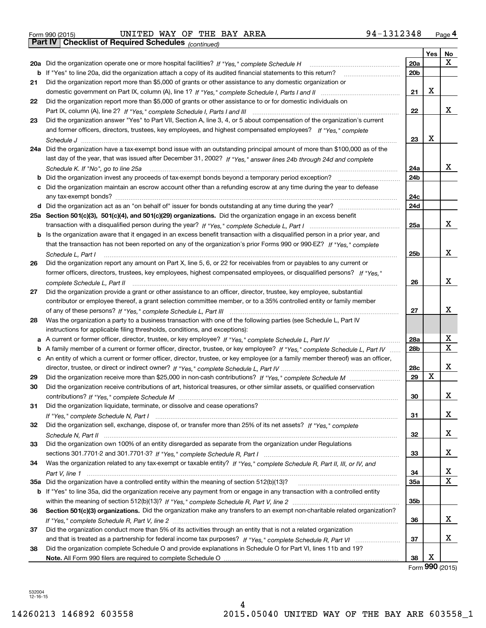|  | Form 990 (2015) |
|--|-----------------|

Form 990 (2015) Page **4Part IV Checklist of Required Schedules** UNITED WAY OF THE BAY AREA 94‐1312348

*(continued)*

|    |                                                                                                                                     |                 | Yes | No          |
|----|-------------------------------------------------------------------------------------------------------------------------------------|-----------------|-----|-------------|
|    | 20a Did the organization operate one or more hospital facilities? If "Yes," complete Schedule H                                     | <b>20a</b>      |     | Χ           |
|    | b If "Yes" to line 20a, did the organization attach a copy of its audited financial statements to this return?                      | 20 <sub>b</sub> |     |             |
| 21 | Did the organization report more than \$5,000 of grants or other assistance to any domestic organization or                         |                 |     |             |
|    |                                                                                                                                     | 21              | X   |             |
| 22 | Did the organization report more than \$5,000 of grants or other assistance to or for domestic individuals on                       |                 |     |             |
|    |                                                                                                                                     | 22              |     | х           |
| 23 | Did the organization answer "Yes" to Part VII, Section A, line 3, 4, or 5 about compensation of the organization's current          |                 |     |             |
|    | and former officers, directors, trustees, key employees, and highest compensated employees? If "Yes," complete                      |                 |     |             |
|    |                                                                                                                                     | 23              | х   |             |
|    | 24a Did the organization have a tax-exempt bond issue with an outstanding principal amount of more than \$100,000 as of the         |                 |     |             |
|    | last day of the year, that was issued after December 31, 2002? If "Yes," answer lines 24b through 24d and complete                  |                 |     |             |
|    | Schedule K. If "No", go to line 25a                                                                                                 | 24a             |     | х           |
|    | Did the organization invest any proceeds of tax-exempt bonds beyond a temporary period exception?                                   | 24b             |     |             |
|    | Did the organization maintain an escrow account other than a refunding escrow at any time during the year to defease                |                 |     |             |
|    |                                                                                                                                     | 24c             |     |             |
|    |                                                                                                                                     | 24d             |     |             |
|    | 25a Section 501(c)(3), 501(c)(4), and 501(c)(29) organizations. Did the organization engage in an excess benefit                    |                 |     |             |
|    |                                                                                                                                     | 25a             |     | х           |
|    | <b>b</b> Is the organization aware that it engaged in an excess benefit transaction with a disqualified person in a prior year, and |                 |     |             |
|    | that the transaction has not been reported on any of the organization's prior Forms 990 or 990-EZ? If "Yes," complete               |                 |     |             |
|    | Schedule L, Part I                                                                                                                  | 25b             |     | х           |
| 26 | Did the organization report any amount on Part X, line 5, 6, or 22 for receivables from or payables to any current or               |                 |     |             |
|    | former officers, directors, trustees, key employees, highest compensated employees, or disqualified persons? If "Yes."              |                 |     |             |
|    |                                                                                                                                     | 26              |     | х           |
| 27 | Did the organization provide a grant or other assistance to an officer, director, trustee, key employee, substantial                |                 |     |             |
|    | contributor or employee thereof, a grant selection committee member, or to a 35% controlled entity or family member                 |                 |     |             |
|    |                                                                                                                                     | 27              |     | х           |
| 28 | Was the organization a party to a business transaction with one of the following parties (see Schedule L, Part IV                   |                 |     |             |
|    | instructions for applicable filing thresholds, conditions, and exceptions):                                                         |                 |     |             |
| а  |                                                                                                                                     | 28a             |     | х           |
| b  | A family member of a current or former officer, director, trustee, or key employee? If "Yes," complete Schedule L, Part IV          | 28b             |     | $\mathbf X$ |
|    | c An entity of which a current or former officer, director, trustee, or key employee (or a family member thereof) was an officer,   |                 |     |             |
|    |                                                                                                                                     | 28c             |     | х           |
| 29 |                                                                                                                                     | 29              | X   |             |
| 30 | Did the organization receive contributions of art, historical treasures, or other similar assets, or qualified conservation         |                 |     |             |
|    |                                                                                                                                     | 30              |     | х           |
| 31 | Did the organization liquidate, terminate, or dissolve and cease operations?                                                        |                 |     |             |
|    |                                                                                                                                     | 31              |     | х           |
| 32 | Did the organization sell, exchange, dispose of, or transfer more than 25% of its net assets? If "Yes," complete                    |                 |     |             |
|    |                                                                                                                                     | 32              |     | х           |
| 33 | Did the organization own 100% of an entity disregarded as separate from the organization under Regulations                          |                 |     |             |
|    |                                                                                                                                     | 33              |     | x           |
| 34 | Was the organization related to any tax-exempt or taxable entity? If "Yes," complete Schedule R, Part II, III, or IV, and           |                 |     |             |
|    |                                                                                                                                     | 34              |     | х           |
|    | 35a Did the organization have a controlled entity within the meaning of section 512(b)(13)?                                         | 35a             |     | X           |
|    | b If "Yes" to line 35a, did the organization receive any payment from or engage in any transaction with a controlled entity         |                 |     |             |
|    |                                                                                                                                     | 35b             |     |             |
| 36 | Section 501(c)(3) organizations. Did the organization make any transfers to an exempt non-charitable related organization?          |                 |     |             |
|    |                                                                                                                                     | 36              |     | x           |
| 37 | Did the organization conduct more than 5% of its activities through an entity that is not a related organization                    |                 |     |             |
|    |                                                                                                                                     | 37              |     | x           |
| 38 | Did the organization complete Schedule O and provide explanations in Schedule O for Part VI, lines 11b and 19?                      |                 |     |             |
|    |                                                                                                                                     | 38              | х   |             |

Form (2015) **990**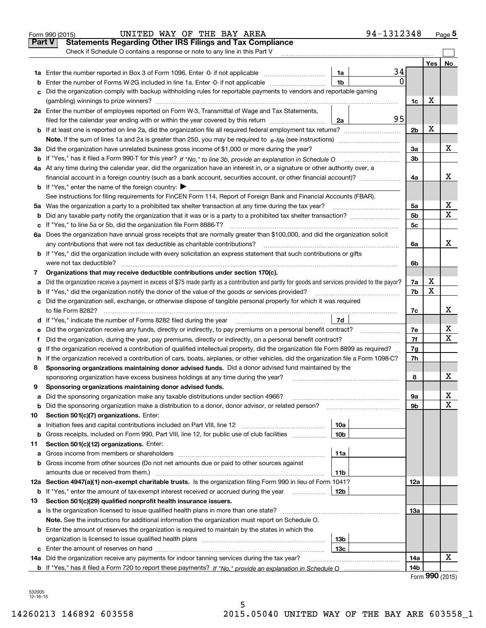|               | 94-1312348<br>UNITED WAY OF THE BAY AREA<br>Form 990 (2015)                                                                                                                                                                     |                |              | Page $5$ |
|---------------|---------------------------------------------------------------------------------------------------------------------------------------------------------------------------------------------------------------------------------|----------------|--------------|----------|
| <b>Part V</b> | <b>Statements Regarding Other IRS Filings and Tax Compliance</b>                                                                                                                                                                |                |              |          |
|               | Check if Schedule O contains a response or note to any line in this Part V                                                                                                                                                      |                |              |          |
|               |                                                                                                                                                                                                                                 |                | Yes          | No       |
|               | 34<br>1a                                                                                                                                                                                                                        |                |              |          |
| b             | $\mathbf{0}$<br>1 <sub>b</sub><br>Enter the number of Forms W-2G included in line 1a. Enter -0- if not applicable                                                                                                               |                |              |          |
| c             | Did the organization comply with backup withholding rules for reportable payments to vendors and reportable gaming                                                                                                              |                |              |          |
|               |                                                                                                                                                                                                                                 | 1c             | х            |          |
|               | 2a Enter the number of employees reported on Form W-3, Transmittal of Wage and Tax Statements,                                                                                                                                  |                |              |          |
|               | 95<br>filed for the calendar year ending with or within the year covered by this return<br>2a                                                                                                                                   |                |              |          |
|               |                                                                                                                                                                                                                                 | 2 <sub>b</sub> | х            |          |
|               |                                                                                                                                                                                                                                 |                |              |          |
|               | 3a Did the organization have unrelated business gross income of \$1,000 or more during the year?                                                                                                                                | За             |              | х        |
|               |                                                                                                                                                                                                                                 | 3b             |              |          |
|               | 4a At any time during the calendar year, did the organization have an interest in, or a signature or other authority over, a                                                                                                    |                |              |          |
|               | financial account in a foreign country (such as a bank account, securities account, or other financial account)?                                                                                                                | 4a             |              | x        |
|               | <b>b</b> If "Yes," enter the name of the foreign country: $\blacktriangleright$                                                                                                                                                 |                |              |          |
|               | See instructions for filing requirements for FinCEN Form 114, Report of Foreign Bank and Financial Accounts (FBAR).                                                                                                             |                |              |          |
|               |                                                                                                                                                                                                                                 | 5a             |              | х<br>х   |
| b             |                                                                                                                                                                                                                                 | 5 <sub>b</sub> |              |          |
| c             |                                                                                                                                                                                                                                 | 5c             |              |          |
|               | 6a Does the organization have annual gross receipts that are normally greater than \$100,000, and did the organization solicit                                                                                                  |                |              | x        |
|               | any contributions that were not tax deductible as charitable contributions?                                                                                                                                                     | 6a             |              |          |
|               | <b>b</b> If "Yes," did the organization include with every solicitation an express statement that such contributions or gifts                                                                                                   |                |              |          |
|               | were not tax deductible?                                                                                                                                                                                                        | 6b             |              |          |
| 7             | Organizations that may receive deductible contributions under section 170(c).                                                                                                                                                   |                | х            |          |
| a             | Did the organization receive a payment in excess of \$75 made partly as a contribution and partly for goods and services provided to the payor?                                                                                 | 7a<br>7b       | X            |          |
|               | <b>b</b> If "Yes," did the organization notify the donor of the value of the goods or services provided?<br>c Did the organization sell, exchange, or otherwise dispose of tangible personal property for which it was required |                |              |          |
|               |                                                                                                                                                                                                                                 |                |              | x        |
|               | 7d                                                                                                                                                                                                                              | 7c             |              |          |
|               | Did the organization receive any funds, directly or indirectly, to pay premiums on a personal benefit contract?                                                                                                                 | 7e             |              | х        |
| е             | Did the organization, during the year, pay premiums, directly or indirectly, on a personal benefit contract?                                                                                                                    | 7f             |              | X        |
| f             | If the organization received a contribution of qualified intellectual property, did the organization file Form 8899 as required?                                                                                                | 7g             |              |          |
| g<br>h.       | If the organization received a contribution of cars, boats, airplanes, or other vehicles, did the organization file a Form 1098-C?                                                                                              | 7h             |              |          |
| 8             | Sponsoring organizations maintaining donor advised funds. Did a donor advised fund maintained by the                                                                                                                            |                |              |          |
|               | sponsoring organization have excess business holdings at any time during the year?                                                                                                                                              | 8              |              | X        |
|               | Sponsoring organizations maintaining donor advised funds.                                                                                                                                                                       |                |              |          |
| a             | Did the sponsoring organization make any taxable distributions under section 4966?                                                                                                                                              | 9a             |              | x        |
| b             | Did the sponsoring organization make a distribution to a donor, donor advisor, or related person?                                                                                                                               | 9b             |              | X        |
| 10            | Section 501(c)(7) organizations. Enter:                                                                                                                                                                                         |                |              |          |
| а             | 10a<br>Initiation fees and capital contributions included on Part VIII, line 12 <i>manuarrouus</i> manuations and capital contributions included on Part VIII, line 12                                                          |                |              |          |
| b             | 10 <sub>b</sub><br>Gross receipts, included on Form 990, Part VIII, line 12, for public use of club facilities                                                                                                                  |                |              |          |
| 11            | Section 501(c)(12) organizations. Enter:                                                                                                                                                                                        |                |              |          |
| a             | 11a<br>Gross income from members or shareholders                                                                                                                                                                                |                |              |          |
| b             | Gross income from other sources (Do not net amounts due or paid to other sources against                                                                                                                                        |                |              |          |
|               | amounts due or received from them.)<br>11b                                                                                                                                                                                      |                |              |          |
|               | 12a Section 4947(a)(1) non-exempt charitable trusts. Is the organization filing Form 990 in lieu of Form 1041?                                                                                                                  | 12a            |              |          |
| b             | If "Yes," enter the amount of tax-exempt interest received or accrued during the year <i>manuming</i><br>12b                                                                                                                    |                |              |          |
| 13            | Section 501(c)(29) qualified nonprofit health insurance issuers.                                                                                                                                                                |                |              |          |
| a             | Is the organization licensed to issue qualified health plans in more than one state?                                                                                                                                            | 13а            |              |          |
|               | Note. See the instructions for additional information the organization must report on Schedule O.                                                                                                                               |                |              |          |
|               | <b>b</b> Enter the amount of reserves the organization is required to maintain by the states in which the                                                                                                                       |                |              |          |
|               | 13b                                                                                                                                                                                                                             |                |              |          |
|               | 13с                                                                                                                                                                                                                             |                |              |          |
|               | 14a Did the organization receive any payments for indoor tanning services during the tax year?                                                                                                                                  | 14a            |              | x        |
|               |                                                                                                                                                                                                                                 | 14b            |              |          |
|               |                                                                                                                                                                                                                                 |                | <u>nnn …</u> |          |

| Form 990 (2015) |  |
|-----------------|--|
|-----------------|--|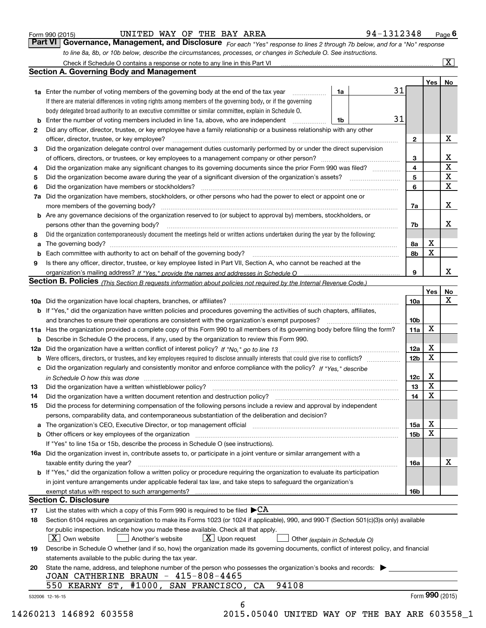| Form 990 (2015) |  |  |
|-----------------|--|--|
|                 |  |  |

UNITED WAY OF THE BAY AREA 94-1312348

| Form 990 (2015) | UNITED WAY OF THE BAY AREA |  |  |  | 94-1312348                                                                                                                         | $P$ aqe $6$ |
|-----------------|----------------------------|--|--|--|------------------------------------------------------------------------------------------------------------------------------------|-------------|
|                 |                            |  |  |  | <b>Part VI</b> Governance, Management, and Disclosure For each "Yes" response to lines 2 through 7b below, and for a "No" response |             |

*For each "Yes" response to lines 2 through 7b below, and for a "No" response to line 8a, 8b, or 10b below, describe the circumstances, processes, or changes in Schedule O. See instructions.*

|    |                                                                                                                                                                               |    |    |                         | Yes             | No                      |
|----|-------------------------------------------------------------------------------------------------------------------------------------------------------------------------------|----|----|-------------------------|-----------------|-------------------------|
|    | <b>1a</b> Enter the number of voting members of the governing body at the end of the tax year                                                                                 | 1a | 31 |                         |                 |                         |
|    | If there are material differences in voting rights among members of the governing body, or if the governing                                                                   |    |    |                         |                 |                         |
|    | body delegated broad authority to an executive committee or similar committee, explain in Schedule O.                                                                         |    |    |                         |                 |                         |
|    | <b>b</b> Enter the number of voting members included in line 1a, above, who are independent <i>manumum</i>                                                                    | 1b | 31 |                         |                 |                         |
| 2  | Did any officer, director, trustee, or key employee have a family relationship or a business relationship with any other                                                      |    |    |                         |                 |                         |
|    | officer, director, trustee, or key employee?                                                                                                                                  |    |    | $\mathbf{2}$            |                 | X                       |
| 3  | Did the organization delegate control over management duties customarily performed by or under the direct supervision                                                         |    |    |                         |                 |                         |
|    |                                                                                                                                                                               |    |    | 3                       |                 | X                       |
| 4  | Did the organization make any significant changes to its governing documents since the prior Form 990 was filed?                                                              |    |    | $\overline{\mathbf{4}}$ |                 | $\overline{\textbf{X}}$ |
| 5  | Did the organization become aware during the year of a significant diversion of the organization's assets? <i>marrouum</i> match                                              |    |    | 5                       |                 | $\mathbf X$             |
| 6  |                                                                                                                                                                               |    |    | 6                       |                 | $\mathbf x$             |
|    | 7a Did the organization have members, stockholders, or other persons who had the power to elect or appoint one or                                                             |    |    |                         |                 |                         |
|    |                                                                                                                                                                               |    |    | 7a                      |                 | x                       |
|    | <b>b</b> Are any governance decisions of the organization reserved to (or subject to approval by) members, stockholders, or                                                   |    |    |                         |                 |                         |
|    | persons other than the governing body?                                                                                                                                        |    |    | 7b                      |                 | х                       |
| 8  | Did the organization contemporaneously document the meetings held or written actions undertaken during the year by the following:                                             |    |    |                         |                 |                         |
| a  |                                                                                                                                                                               |    |    | 8a                      | X               |                         |
|    |                                                                                                                                                                               |    |    | 8b                      | X               |                         |
| 9  | Is there any officer, director, trustee, or key employee listed in Part VII, Section A, who cannot be reached at the                                                          |    |    |                         |                 |                         |
|    |                                                                                                                                                                               |    |    | 9                       |                 | х                       |
|    | Section B. Policies (This Section B requests information about policies not required by the Internal Revenue Code.)                                                           |    |    |                         |                 |                         |
|    |                                                                                                                                                                               |    |    |                         | Yes             | No                      |
|    |                                                                                                                                                                               |    |    | 10a                     |                 | X                       |
|    | <b>b</b> If "Yes," did the organization have written policies and procedures governing the activities of such chapters, affiliates,                                           |    |    |                         |                 |                         |
|    |                                                                                                                                                                               |    |    | 10 <sub>b</sub>         |                 |                         |
|    | 11a Has the organization provided a complete copy of this Form 990 to all members of its governing body before filing the form?                                               |    |    | 11a                     | X               |                         |
|    | <b>b</b> Describe in Schedule O the process, if any, used by the organization to review this Form 990.                                                                        |    |    |                         |                 |                         |
|    |                                                                                                                                                                               |    |    | 12a                     | X               |                         |
| b  |                                                                                                                                                                               |    |    | 12b                     | X               |                         |
|    | c Did the organization regularly and consistently monitor and enforce compliance with the policy? If "Yes," describe                                                          |    |    |                         |                 |                         |
|    | in Schedule O how this was done manufactured and continuum control of the Schedule O how this was done manufactured and continuum control of the Schedule O how this was done |    |    | 12c                     | х               |                         |
| 13 |                                                                                                                                                                               |    |    | 13                      | X               |                         |
| 14 | Did the organization have a written document retention and destruction policy? manufactured and the organization have a written document retention and destruction policy?    |    |    | 14                      | X               |                         |
| 15 | Did the process for determining compensation of the following persons include a review and approval by independent                                                            |    |    |                         |                 |                         |
|    | persons, comparability data, and contemporaneous substantiation of the deliberation and decision?                                                                             |    |    |                         |                 |                         |
|    |                                                                                                                                                                               |    |    | 15a                     | X               |                         |
|    |                                                                                                                                                                               |    |    | 15b                     | X               |                         |
|    | If "Yes" to line 15a or 15b, describe the process in Schedule O (see instructions).                                                                                           |    |    |                         |                 |                         |
|    | 16a Did the organization invest in, contribute assets to, or participate in a joint venture or similar arrangement with a                                                     |    |    |                         |                 |                         |
|    | taxable entity during the year?                                                                                                                                               |    |    | 16a                     |                 | X                       |
|    | <b>b</b> If "Yes," did the organization follow a written policy or procedure requiring the organization to evaluate its participation                                         |    |    |                         |                 |                         |
|    | in joint venture arrangements under applicable federal tax law, and take steps to safeguard the organization's                                                                |    |    |                         |                 |                         |
|    | exempt status with respect to such arrangements?                                                                                                                              |    |    | 16b                     |                 |                         |
|    | <b>Section C. Disclosure</b>                                                                                                                                                  |    |    |                         |                 |                         |
| 17 | List the states with which a copy of this Form 990 is required to be filed $\blacktriangleright$ CA                                                                           |    |    |                         |                 |                         |
| 18 | Section 6104 requires an organization to make its Forms 1023 (or 1024 if applicable), 990, and 990-T (Section 501(c)(3)s only) available                                      |    |    |                         |                 |                         |
|    | for public inspection. Indicate how you made these available. Check all that apply.                                                                                           |    |    |                         |                 |                         |
|    | $\lfloor X \rfloor$ Own website<br>$X$ Upon request<br>Another's website<br>Other (explain in Schedule O)                                                                     |    |    |                         |                 |                         |
| 19 | Describe in Schedule O whether (and if so, how) the organization made its governing documents, conflict of interest policy, and financial                                     |    |    |                         |                 |                         |
|    | statements available to the public during the tax year.                                                                                                                       |    |    |                         |                 |                         |
| 20 | State the name, address, and telephone number of the person who possesses the organization's books and records:                                                               |    |    |                         |                 |                         |
|    | JOAN CATHERINE BRAUN - 415-808-4465                                                                                                                                           |    |    |                         |                 |                         |
|    | 94108<br>550 KEARNY ST, #1000, SAN FRANCISCO, CA                                                                                                                              |    |    |                         |                 |                         |
|    | 532006 12-16-15                                                                                                                                                               |    |    |                         | Form 990 (2015) |                         |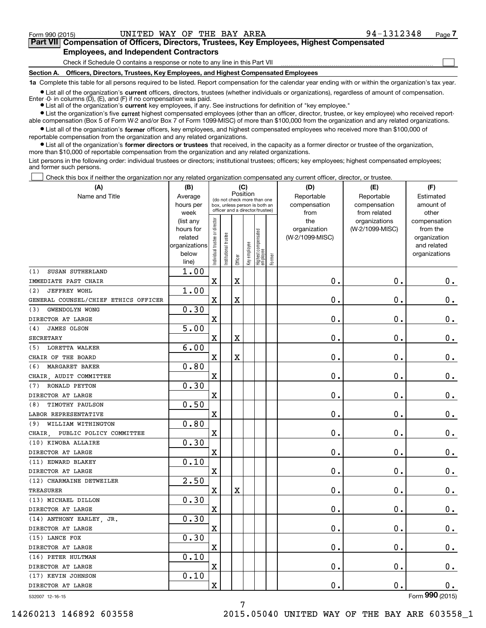**(A)**

 $\mathcal{L}^{\text{max}}$ 

# **7Part VII Compensation of Officers, Directors, Trustees, Key Employees, Highest Compensated Employees, and Independent Contractors**

Check if Schedule O contains a response or note to any line in this Part VII

**Section A. Officers, Directors, Trustees, Key Employees, and Highest Compensated Employees**

**1a**  Complete this table for all persons required to be listed. Report compensation for the calendar year ending with or within the organization's tax year.

**•** List all of the organization's current officers, directors, trustees (whether individuals or organizations), regardless of amount of compensation.

● List all of the organization's **current** key employees, if any. See instructions for definition of "key employee." Enter -0- in columns  $(D)$ ,  $(E)$ , and  $(F)$  if no compensation was paid.

**•** List the organization's five current highest compensated employees (other than an officer, director, trustee, or key employee) who received report-

 $\bullet$  List all of the organization's **former** officers, key employees, and highest compensated employees who received more than \$100,000 of able compensation (Box 5 of Form W-2 and/or Box 7 of Form 1099-MISC) of more than \$100,000 from the organization and any related organizations. reportable compensation from the organization and any related organizations.

**•** List all of the organization's former directors or trustees that received, in the capacity as a former director or trustee of the organization, more than \$10,000 of reportable compensation from the organization and any related organizations.

List persons in the following order: individual trustees or directors; institutional trustees; officers; key employees; highest compensated employees; and former such persons.

Check this box if neither the organization nor any related organization compensated any current officer, director, or trustee.  $\mathcal{L}^{\text{max}}$ 

| (A)                                  | (B)<br>(C)<br>Position                                               |                                                                                                 |                      |                         |              |                                  |                                    | (D)                                        | (E)                              | (F)                                                                      |
|--------------------------------------|----------------------------------------------------------------------|-------------------------------------------------------------------------------------------------|----------------------|-------------------------|--------------|----------------------------------|------------------------------------|--------------------------------------------|----------------------------------|--------------------------------------------------------------------------|
| Name and Title                       | Average<br>hours per<br>week                                         | (do not check more than one<br>box, unless person is both an<br>officer and a director/trustee) |                      |                         |              |                                  | Reportable<br>compensation<br>from | Reportable<br>compensation<br>from related | Estimated<br>amount of<br>other  |                                                                          |
|                                      | (list any<br>hours for<br>related<br>organizations<br>below<br>line) | ndividual trustee or director                                                                   | nstitutional trustee | Officer                 | Key employee | Highest compensated<br> employee | Former                             | the<br>organization<br>(W-2/1099-MISC)     | organizations<br>(W-2/1099-MISC) | compensation<br>from the<br>organization<br>and related<br>organizations |
| SUSAN SUTHERLAND<br>(1)              | 1.00                                                                 |                                                                                                 |                      |                         |              |                                  |                                    |                                            |                                  |                                                                          |
| IMMEDIATE PAST CHAIR                 |                                                                      | $\mathbf X$                                                                                     |                      | X                       |              |                                  |                                    | 0.                                         | $\mathbf 0$ .                    | 0.                                                                       |
| (2)<br><b>JEFFREY WOHL</b>           | 1.00                                                                 |                                                                                                 |                      |                         |              |                                  |                                    |                                            |                                  |                                                                          |
| GENERAL COUNSEL/CHIEF ETHICS OFFICER |                                                                      | $\mathbf x$                                                                                     |                      | $\overline{\mathbf{X}}$ |              |                                  |                                    | 0.                                         | $\mathbf 0$ .                    | $\mathbf 0$ .                                                            |
| GWENDOLYN WONG<br>(3)                | 0.30                                                                 |                                                                                                 |                      |                         |              |                                  |                                    |                                            |                                  |                                                                          |
| DIRECTOR AT LARGE                    |                                                                      | $\mathbf X$                                                                                     |                      |                         |              |                                  |                                    | 0.                                         | $\mathbf 0$ .                    | $\mathbf 0$ .                                                            |
| JAMES OLSON<br>(4)                   | 5.00                                                                 |                                                                                                 |                      |                         |              |                                  |                                    |                                            |                                  |                                                                          |
| <b>SECRETARY</b>                     |                                                                      | X                                                                                               |                      | $\overline{\mathbf{X}}$ |              |                                  |                                    | 0.                                         | $\mathbf 0$ .                    | $\mathbf 0$ .                                                            |
| <b>LORETTA WALKER</b><br>(5)         | 6.00                                                                 |                                                                                                 |                      |                         |              |                                  |                                    |                                            |                                  |                                                                          |
| CHAIR OF THE BOARD                   |                                                                      | X                                                                                               |                      | $\overline{\textbf{X}}$ |              |                                  |                                    | 0.                                         | $\mathbf 0$ .                    | $\mathbf 0$ .                                                            |
| MARGARET BAKER<br>(6)                | 0.80                                                                 |                                                                                                 |                      |                         |              |                                  |                                    |                                            |                                  |                                                                          |
| CHAIR, AUDIT COMMITTEE               |                                                                      | X                                                                                               |                      |                         |              |                                  |                                    | 0.                                         | $\mathbf 0$ .                    | $\mathbf 0$ .                                                            |
| RONALD PEYTON<br>(7)                 | 0.30                                                                 |                                                                                                 |                      |                         |              |                                  |                                    |                                            |                                  |                                                                          |
| DIRECTOR AT LARGE                    |                                                                      | X                                                                                               |                      |                         |              |                                  |                                    | 0.                                         | $\mathbf 0$ .                    | $\mathbf 0$ .                                                            |
| TIMOTHY PAULSON<br>(8)               | 0.50                                                                 |                                                                                                 |                      |                         |              |                                  |                                    |                                            |                                  |                                                                          |
| LABOR REPRESENTATIVE                 |                                                                      | $\overline{\text{X}}$                                                                           |                      |                         |              |                                  |                                    | 0.                                         | $\mathbf 0$ .                    | $\mathbf 0$ .                                                            |
| WILLIAM WITHINGTON<br>(9)            | 0.80                                                                 |                                                                                                 |                      |                         |              |                                  |                                    |                                            |                                  |                                                                          |
| PUBLIC POLICY COMMITTEE<br>CHAIR     |                                                                      | $\overline{\text{X}}$                                                                           |                      |                         |              |                                  |                                    | 0.                                         | $\mathbf 0$ .                    | $\mathbf 0$ .                                                            |
| (10) KIWOBA ALLAIRE                  | 0.30                                                                 |                                                                                                 |                      |                         |              |                                  |                                    |                                            |                                  |                                                                          |
| DIRECTOR AT LARGE                    |                                                                      | $\mathbf x$                                                                                     |                      |                         |              |                                  |                                    | $\mathbf 0$ .                              | $\mathbf 0$ .                    | $\mathbf 0$ .                                                            |
| (11) EDWARD BLAKEY                   | 0.10                                                                 |                                                                                                 |                      |                         |              |                                  |                                    |                                            |                                  |                                                                          |
| DIRECTOR AT LARGE                    |                                                                      | X                                                                                               |                      |                         |              |                                  |                                    | 0.                                         | 0.                               | 0.                                                                       |
| (12) CHARMAINE DETWEILER             | 2.50                                                                 |                                                                                                 |                      |                         |              |                                  |                                    |                                            |                                  |                                                                          |
| <b>TREASURER</b>                     |                                                                      | $\mathbf X$                                                                                     |                      | X                       |              |                                  |                                    | 0.                                         | $\mathbf 0$ .                    | 0.                                                                       |
| (13) MICHAEL DILLON                  | 0.30                                                                 |                                                                                                 |                      |                         |              |                                  |                                    |                                            |                                  |                                                                          |
| DIRECTOR AT LARGE                    |                                                                      | $\overline{\text{X}}$                                                                           |                      |                         |              |                                  |                                    | 0.                                         | $\mathbf 0$ .                    | 0.                                                                       |
| (14) ANTHONY EARLEY, JR.             | 0.30                                                                 |                                                                                                 |                      |                         |              |                                  |                                    |                                            |                                  |                                                                          |
| DIRECTOR AT LARGE                    |                                                                      | $\overline{\text{X}}$                                                                           |                      |                         |              |                                  |                                    | 0.                                         | $\mathbf 0$ .                    | $\mathbf 0$ .                                                            |
| (15) LANCE FOX                       | 0.30                                                                 |                                                                                                 |                      |                         |              |                                  |                                    |                                            |                                  |                                                                          |
| DIRECTOR AT LARGE                    |                                                                      | $\rm X$                                                                                         |                      |                         |              |                                  |                                    | 0.                                         | $\mathbf 0$ .                    | $\mathbf 0$ .                                                            |
| (16) PETER HULTMAN                   | 0.10                                                                 |                                                                                                 |                      |                         |              |                                  |                                    |                                            |                                  |                                                                          |
| DIRECTOR AT LARGE                    |                                                                      | $\overline{\textbf{X}}$                                                                         |                      |                         |              |                                  |                                    | 0.                                         | $\mathbf 0$ .                    | $\mathbf 0$ .                                                            |
| (17) KEVIN JOHNSON                   | 0.10                                                                 |                                                                                                 |                      |                         |              |                                  |                                    |                                            |                                  |                                                                          |
| DIRECTOR AT LARGE                    |                                                                      | X                                                                                               |                      |                         |              |                                  |                                    | 0.                                         | $\mathbf 0$ .                    | $\mathbf 0$ .                                                            |

7

532007 12-16-15

Form (2015) **990**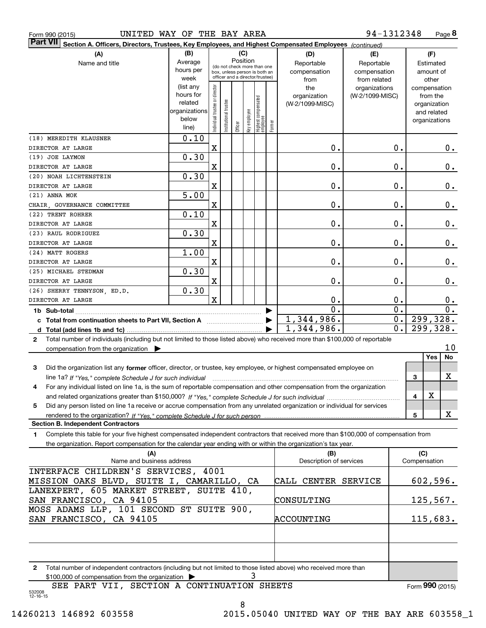| Form 990 (2015) |  |  |
|-----------------|--|--|
|                 |  |  |

# Form 990 (2015) UNITED WAY OF THE BAY AREA 94-1312348 Page

**8** 94‐1312348

| (B)<br>(C)<br>(A)<br>(D)<br>(F)<br>(E)<br>Position<br>Average<br>Name and title<br>Reportable<br>Reportable<br>Estimated<br>(do not check more than one<br>hours per<br>compensation<br>compensation<br>amount of<br>box, unless person is both an<br>officer and a director/trustee)<br>week<br>from related<br>other<br>from<br>(list any<br>Individual trustee or director<br>the<br>organizations<br>compensation<br>hours for<br>organization<br>(W-2/1099-MISC)<br>from the<br>Highest compensated<br> employee<br>Institutional trustee<br>related<br>(W-2/1099-MISC)<br>organization<br>organizations<br>Key employee<br>and related<br>below<br>organizations<br>Former<br>Officer<br>line)<br>0.10<br>(18) MEREDITH KLAUSNER<br>X<br>$\mathbf 0$ .<br>0.<br>$0$ .<br>0.30<br>X<br>$\mathbf 0$ .<br>0.<br>0.<br>0.30<br>X<br>$\mathbf 0$ .<br>0.<br>0.<br>5.00<br>X<br>$\mathbf 0$ .<br>$0$ .<br>0.<br>0.10<br>$\mathbf 0$ .<br>0.<br>X<br>0.<br>DIRECTOR AT LARGE<br>0.30<br>(23) RAUL RODRIGUEZ<br>X<br>$\mathbf 0$ .<br>$0$ .<br>0.<br>DIRECTOR AT LARGE<br>1.00<br>(24) MATT ROGERS<br>X<br>$\mathbf 0$ .<br>0.<br>0.<br>DIRECTOR AT LARGE<br>0.30<br>(25) MICHAEL STEDMAN<br>X<br>$\mathbf 0$ .<br>0.<br>0.<br>DIRECTOR AT LARGE<br>0.30<br>(26) SHERRY TENNYSON, ED.D.<br>$\overline{\mathbf{X}}$<br>0.<br>0.<br>0.<br>$\mathbf 0$ .<br>0.<br>$\overline{0}$ .<br>1b Sub-total<br>1,344,986.<br>299,328.<br>0.<br>299, 328.<br>1,344,986.<br>0.<br>Total number of individuals (including but not limited to those listed above) who received more than \$100,000 of reportable<br>2<br>10<br>compensation from the organization<br>Yes<br>No<br>Did the organization list any former officer, director, or trustee, key employee, or highest compensated employee on<br>3<br>х<br>3<br>line 1a? If "Yes," complete Schedule J for such individual<br>For any individual listed on line 1a, is the sum of reportable compensation and other compensation from the organization<br>4<br>X<br>4<br>Did any person listed on line 1a receive or accrue compensation from any unrelated organization or individual for services<br>5<br>х<br>rendered to the organization? If "Yes." complete Schedule J for such person<br>5<br><b>Section B. Independent Contractors</b><br>Complete this table for your five highest compensated independent contractors that received more than \$100,000 of compensation from<br>1.<br>the organization. Report compensation for the calendar year ending with or within the organization's tax year.<br>(C)<br>(A)<br>(B)<br>Name and business address<br>Description of services<br>Compensation<br>INTERFACE CHILDREN'S SERVICES, 4001<br>602,596.<br>MISSION OAKS BLVD, SUITE I, CAMARILLO, CA<br>CALL CENTER SERVICE<br>LANEXPERT, 605 MARKET STREET, SUITE 410,<br>SAN FRANCISCO, CA 94105<br>125,567.<br>CONSULTING<br>MOSS ADAMS LLP, 101 SECOND ST SUITE 900,<br>ACCOUNTING<br>115,683.<br>Total number of independent contractors (including but not limited to those listed above) who received more than<br>2<br>3<br>\$100,000 of compensation from the organization<br>SEE PART VII, SECTION A CONTINUATION SHEETS<br>Form 990 (2015) | $\vert$ Part VII $\vert$ Section A. Officers, Directors, Trustees, Key Employees, and Highest Compensated Employees (continued) |  |  |  |  |  |  |  |  |  |  |
|-----------------------------------------------------------------------------------------------------------------------------------------------------------------------------------------------------------------------------------------------------------------------------------------------------------------------------------------------------------------------------------------------------------------------------------------------------------------------------------------------------------------------------------------------------------------------------------------------------------------------------------------------------------------------------------------------------------------------------------------------------------------------------------------------------------------------------------------------------------------------------------------------------------------------------------------------------------------------------------------------------------------------------------------------------------------------------------------------------------------------------------------------------------------------------------------------------------------------------------------------------------------------------------------------------------------------------------------------------------------------------------------------------------------------------------------------------------------------------------------------------------------------------------------------------------------------------------------------------------------------------------------------------------------------------------------------------------------------------------------------------------------------------------------------------------------------------------------------------------------------------------------------------------------------------------------------------------------------------------------------------------------------------------------------------------------------------------------------------------------------------------------------------------------------------------------------------------------------------------------------------------------------------------------------------------------------------------------------------------------------------------------------------------------------------------------------------------------------------------------------------------------------------------------------------------------------------------------------------------------------------------------------------------------------------------------------------------------------------------------------------------------------------------------------------------------------------------------------------------------------------------------------------------------------------------------------------------------------------------------------------------------------------------------------------------------------------------------------------------------------------------------------------------------------------------------------------|---------------------------------------------------------------------------------------------------------------------------------|--|--|--|--|--|--|--|--|--|--|
|                                                                                                                                                                                                                                                                                                                                                                                                                                                                                                                                                                                                                                                                                                                                                                                                                                                                                                                                                                                                                                                                                                                                                                                                                                                                                                                                                                                                                                                                                                                                                                                                                                                                                                                                                                                                                                                                                                                                                                                                                                                                                                                                                                                                                                                                                                                                                                                                                                                                                                                                                                                                                                                                                                                                                                                                                                                                                                                                                                                                                                                                                                                                                                                                     |                                                                                                                                 |  |  |  |  |  |  |  |  |  |  |
|                                                                                                                                                                                                                                                                                                                                                                                                                                                                                                                                                                                                                                                                                                                                                                                                                                                                                                                                                                                                                                                                                                                                                                                                                                                                                                                                                                                                                                                                                                                                                                                                                                                                                                                                                                                                                                                                                                                                                                                                                                                                                                                                                                                                                                                                                                                                                                                                                                                                                                                                                                                                                                                                                                                                                                                                                                                                                                                                                                                                                                                                                                                                                                                                     |                                                                                                                                 |  |  |  |  |  |  |  |  |  |  |
|                                                                                                                                                                                                                                                                                                                                                                                                                                                                                                                                                                                                                                                                                                                                                                                                                                                                                                                                                                                                                                                                                                                                                                                                                                                                                                                                                                                                                                                                                                                                                                                                                                                                                                                                                                                                                                                                                                                                                                                                                                                                                                                                                                                                                                                                                                                                                                                                                                                                                                                                                                                                                                                                                                                                                                                                                                                                                                                                                                                                                                                                                                                                                                                                     |                                                                                                                                 |  |  |  |  |  |  |  |  |  |  |
|                                                                                                                                                                                                                                                                                                                                                                                                                                                                                                                                                                                                                                                                                                                                                                                                                                                                                                                                                                                                                                                                                                                                                                                                                                                                                                                                                                                                                                                                                                                                                                                                                                                                                                                                                                                                                                                                                                                                                                                                                                                                                                                                                                                                                                                                                                                                                                                                                                                                                                                                                                                                                                                                                                                                                                                                                                                                                                                                                                                                                                                                                                                                                                                                     |                                                                                                                                 |  |  |  |  |  |  |  |  |  |  |
|                                                                                                                                                                                                                                                                                                                                                                                                                                                                                                                                                                                                                                                                                                                                                                                                                                                                                                                                                                                                                                                                                                                                                                                                                                                                                                                                                                                                                                                                                                                                                                                                                                                                                                                                                                                                                                                                                                                                                                                                                                                                                                                                                                                                                                                                                                                                                                                                                                                                                                                                                                                                                                                                                                                                                                                                                                                                                                                                                                                                                                                                                                                                                                                                     |                                                                                                                                 |  |  |  |  |  |  |  |  |  |  |
|                                                                                                                                                                                                                                                                                                                                                                                                                                                                                                                                                                                                                                                                                                                                                                                                                                                                                                                                                                                                                                                                                                                                                                                                                                                                                                                                                                                                                                                                                                                                                                                                                                                                                                                                                                                                                                                                                                                                                                                                                                                                                                                                                                                                                                                                                                                                                                                                                                                                                                                                                                                                                                                                                                                                                                                                                                                                                                                                                                                                                                                                                                                                                                                                     |                                                                                                                                 |  |  |  |  |  |  |  |  |  |  |
|                                                                                                                                                                                                                                                                                                                                                                                                                                                                                                                                                                                                                                                                                                                                                                                                                                                                                                                                                                                                                                                                                                                                                                                                                                                                                                                                                                                                                                                                                                                                                                                                                                                                                                                                                                                                                                                                                                                                                                                                                                                                                                                                                                                                                                                                                                                                                                                                                                                                                                                                                                                                                                                                                                                                                                                                                                                                                                                                                                                                                                                                                                                                                                                                     |                                                                                                                                 |  |  |  |  |  |  |  |  |  |  |
|                                                                                                                                                                                                                                                                                                                                                                                                                                                                                                                                                                                                                                                                                                                                                                                                                                                                                                                                                                                                                                                                                                                                                                                                                                                                                                                                                                                                                                                                                                                                                                                                                                                                                                                                                                                                                                                                                                                                                                                                                                                                                                                                                                                                                                                                                                                                                                                                                                                                                                                                                                                                                                                                                                                                                                                                                                                                                                                                                                                                                                                                                                                                                                                                     |                                                                                                                                 |  |  |  |  |  |  |  |  |  |  |
|                                                                                                                                                                                                                                                                                                                                                                                                                                                                                                                                                                                                                                                                                                                                                                                                                                                                                                                                                                                                                                                                                                                                                                                                                                                                                                                                                                                                                                                                                                                                                                                                                                                                                                                                                                                                                                                                                                                                                                                                                                                                                                                                                                                                                                                                                                                                                                                                                                                                                                                                                                                                                                                                                                                                                                                                                                                                                                                                                                                                                                                                                                                                                                                                     |                                                                                                                                 |  |  |  |  |  |  |  |  |  |  |
|                                                                                                                                                                                                                                                                                                                                                                                                                                                                                                                                                                                                                                                                                                                                                                                                                                                                                                                                                                                                                                                                                                                                                                                                                                                                                                                                                                                                                                                                                                                                                                                                                                                                                                                                                                                                                                                                                                                                                                                                                                                                                                                                                                                                                                                                                                                                                                                                                                                                                                                                                                                                                                                                                                                                                                                                                                                                                                                                                                                                                                                                                                                                                                                                     |                                                                                                                                 |  |  |  |  |  |  |  |  |  |  |
|                                                                                                                                                                                                                                                                                                                                                                                                                                                                                                                                                                                                                                                                                                                                                                                                                                                                                                                                                                                                                                                                                                                                                                                                                                                                                                                                                                                                                                                                                                                                                                                                                                                                                                                                                                                                                                                                                                                                                                                                                                                                                                                                                                                                                                                                                                                                                                                                                                                                                                                                                                                                                                                                                                                                                                                                                                                                                                                                                                                                                                                                                                                                                                                                     |                                                                                                                                 |  |  |  |  |  |  |  |  |  |  |
|                                                                                                                                                                                                                                                                                                                                                                                                                                                                                                                                                                                                                                                                                                                                                                                                                                                                                                                                                                                                                                                                                                                                                                                                                                                                                                                                                                                                                                                                                                                                                                                                                                                                                                                                                                                                                                                                                                                                                                                                                                                                                                                                                                                                                                                                                                                                                                                                                                                                                                                                                                                                                                                                                                                                                                                                                                                                                                                                                                                                                                                                                                                                                                                                     | DIRECTOR AT LARGE                                                                                                               |  |  |  |  |  |  |  |  |  |  |
|                                                                                                                                                                                                                                                                                                                                                                                                                                                                                                                                                                                                                                                                                                                                                                                                                                                                                                                                                                                                                                                                                                                                                                                                                                                                                                                                                                                                                                                                                                                                                                                                                                                                                                                                                                                                                                                                                                                                                                                                                                                                                                                                                                                                                                                                                                                                                                                                                                                                                                                                                                                                                                                                                                                                                                                                                                                                                                                                                                                                                                                                                                                                                                                                     | (19) JOE LAYMON                                                                                                                 |  |  |  |  |  |  |  |  |  |  |
|                                                                                                                                                                                                                                                                                                                                                                                                                                                                                                                                                                                                                                                                                                                                                                                                                                                                                                                                                                                                                                                                                                                                                                                                                                                                                                                                                                                                                                                                                                                                                                                                                                                                                                                                                                                                                                                                                                                                                                                                                                                                                                                                                                                                                                                                                                                                                                                                                                                                                                                                                                                                                                                                                                                                                                                                                                                                                                                                                                                                                                                                                                                                                                                                     | DIRECTOR AT LARGE                                                                                                               |  |  |  |  |  |  |  |  |  |  |
|                                                                                                                                                                                                                                                                                                                                                                                                                                                                                                                                                                                                                                                                                                                                                                                                                                                                                                                                                                                                                                                                                                                                                                                                                                                                                                                                                                                                                                                                                                                                                                                                                                                                                                                                                                                                                                                                                                                                                                                                                                                                                                                                                                                                                                                                                                                                                                                                                                                                                                                                                                                                                                                                                                                                                                                                                                                                                                                                                                                                                                                                                                                                                                                                     | (20) NOAH LICHTENSTEIN                                                                                                          |  |  |  |  |  |  |  |  |  |  |
|                                                                                                                                                                                                                                                                                                                                                                                                                                                                                                                                                                                                                                                                                                                                                                                                                                                                                                                                                                                                                                                                                                                                                                                                                                                                                                                                                                                                                                                                                                                                                                                                                                                                                                                                                                                                                                                                                                                                                                                                                                                                                                                                                                                                                                                                                                                                                                                                                                                                                                                                                                                                                                                                                                                                                                                                                                                                                                                                                                                                                                                                                                                                                                                                     | DIRECTOR AT LARGE                                                                                                               |  |  |  |  |  |  |  |  |  |  |
|                                                                                                                                                                                                                                                                                                                                                                                                                                                                                                                                                                                                                                                                                                                                                                                                                                                                                                                                                                                                                                                                                                                                                                                                                                                                                                                                                                                                                                                                                                                                                                                                                                                                                                                                                                                                                                                                                                                                                                                                                                                                                                                                                                                                                                                                                                                                                                                                                                                                                                                                                                                                                                                                                                                                                                                                                                                                                                                                                                                                                                                                                                                                                                                                     | (21) ANNA MOK                                                                                                                   |  |  |  |  |  |  |  |  |  |  |
|                                                                                                                                                                                                                                                                                                                                                                                                                                                                                                                                                                                                                                                                                                                                                                                                                                                                                                                                                                                                                                                                                                                                                                                                                                                                                                                                                                                                                                                                                                                                                                                                                                                                                                                                                                                                                                                                                                                                                                                                                                                                                                                                                                                                                                                                                                                                                                                                                                                                                                                                                                                                                                                                                                                                                                                                                                                                                                                                                                                                                                                                                                                                                                                                     | CHAIR, GOVERNANCE COMMITTEE                                                                                                     |  |  |  |  |  |  |  |  |  |  |
|                                                                                                                                                                                                                                                                                                                                                                                                                                                                                                                                                                                                                                                                                                                                                                                                                                                                                                                                                                                                                                                                                                                                                                                                                                                                                                                                                                                                                                                                                                                                                                                                                                                                                                                                                                                                                                                                                                                                                                                                                                                                                                                                                                                                                                                                                                                                                                                                                                                                                                                                                                                                                                                                                                                                                                                                                                                                                                                                                                                                                                                                                                                                                                                                     | (22) TRENT ROHRER                                                                                                               |  |  |  |  |  |  |  |  |  |  |
|                                                                                                                                                                                                                                                                                                                                                                                                                                                                                                                                                                                                                                                                                                                                                                                                                                                                                                                                                                                                                                                                                                                                                                                                                                                                                                                                                                                                                                                                                                                                                                                                                                                                                                                                                                                                                                                                                                                                                                                                                                                                                                                                                                                                                                                                                                                                                                                                                                                                                                                                                                                                                                                                                                                                                                                                                                                                                                                                                                                                                                                                                                                                                                                                     |                                                                                                                                 |  |  |  |  |  |  |  |  |  |  |
|                                                                                                                                                                                                                                                                                                                                                                                                                                                                                                                                                                                                                                                                                                                                                                                                                                                                                                                                                                                                                                                                                                                                                                                                                                                                                                                                                                                                                                                                                                                                                                                                                                                                                                                                                                                                                                                                                                                                                                                                                                                                                                                                                                                                                                                                                                                                                                                                                                                                                                                                                                                                                                                                                                                                                                                                                                                                                                                                                                                                                                                                                                                                                                                                     |                                                                                                                                 |  |  |  |  |  |  |  |  |  |  |
|                                                                                                                                                                                                                                                                                                                                                                                                                                                                                                                                                                                                                                                                                                                                                                                                                                                                                                                                                                                                                                                                                                                                                                                                                                                                                                                                                                                                                                                                                                                                                                                                                                                                                                                                                                                                                                                                                                                                                                                                                                                                                                                                                                                                                                                                                                                                                                                                                                                                                                                                                                                                                                                                                                                                                                                                                                                                                                                                                                                                                                                                                                                                                                                                     |                                                                                                                                 |  |  |  |  |  |  |  |  |  |  |
|                                                                                                                                                                                                                                                                                                                                                                                                                                                                                                                                                                                                                                                                                                                                                                                                                                                                                                                                                                                                                                                                                                                                                                                                                                                                                                                                                                                                                                                                                                                                                                                                                                                                                                                                                                                                                                                                                                                                                                                                                                                                                                                                                                                                                                                                                                                                                                                                                                                                                                                                                                                                                                                                                                                                                                                                                                                                                                                                                                                                                                                                                                                                                                                                     |                                                                                                                                 |  |  |  |  |  |  |  |  |  |  |
|                                                                                                                                                                                                                                                                                                                                                                                                                                                                                                                                                                                                                                                                                                                                                                                                                                                                                                                                                                                                                                                                                                                                                                                                                                                                                                                                                                                                                                                                                                                                                                                                                                                                                                                                                                                                                                                                                                                                                                                                                                                                                                                                                                                                                                                                                                                                                                                                                                                                                                                                                                                                                                                                                                                                                                                                                                                                                                                                                                                                                                                                                                                                                                                                     |                                                                                                                                 |  |  |  |  |  |  |  |  |  |  |
|                                                                                                                                                                                                                                                                                                                                                                                                                                                                                                                                                                                                                                                                                                                                                                                                                                                                                                                                                                                                                                                                                                                                                                                                                                                                                                                                                                                                                                                                                                                                                                                                                                                                                                                                                                                                                                                                                                                                                                                                                                                                                                                                                                                                                                                                                                                                                                                                                                                                                                                                                                                                                                                                                                                                                                                                                                                                                                                                                                                                                                                                                                                                                                                                     |                                                                                                                                 |  |  |  |  |  |  |  |  |  |  |
|                                                                                                                                                                                                                                                                                                                                                                                                                                                                                                                                                                                                                                                                                                                                                                                                                                                                                                                                                                                                                                                                                                                                                                                                                                                                                                                                                                                                                                                                                                                                                                                                                                                                                                                                                                                                                                                                                                                                                                                                                                                                                                                                                                                                                                                                                                                                                                                                                                                                                                                                                                                                                                                                                                                                                                                                                                                                                                                                                                                                                                                                                                                                                                                                     |                                                                                                                                 |  |  |  |  |  |  |  |  |  |  |
|                                                                                                                                                                                                                                                                                                                                                                                                                                                                                                                                                                                                                                                                                                                                                                                                                                                                                                                                                                                                                                                                                                                                                                                                                                                                                                                                                                                                                                                                                                                                                                                                                                                                                                                                                                                                                                                                                                                                                                                                                                                                                                                                                                                                                                                                                                                                                                                                                                                                                                                                                                                                                                                                                                                                                                                                                                                                                                                                                                                                                                                                                                                                                                                                     |                                                                                                                                 |  |  |  |  |  |  |  |  |  |  |
|                                                                                                                                                                                                                                                                                                                                                                                                                                                                                                                                                                                                                                                                                                                                                                                                                                                                                                                                                                                                                                                                                                                                                                                                                                                                                                                                                                                                                                                                                                                                                                                                                                                                                                                                                                                                                                                                                                                                                                                                                                                                                                                                                                                                                                                                                                                                                                                                                                                                                                                                                                                                                                                                                                                                                                                                                                                                                                                                                                                                                                                                                                                                                                                                     |                                                                                                                                 |  |  |  |  |  |  |  |  |  |  |
|                                                                                                                                                                                                                                                                                                                                                                                                                                                                                                                                                                                                                                                                                                                                                                                                                                                                                                                                                                                                                                                                                                                                                                                                                                                                                                                                                                                                                                                                                                                                                                                                                                                                                                                                                                                                                                                                                                                                                                                                                                                                                                                                                                                                                                                                                                                                                                                                                                                                                                                                                                                                                                                                                                                                                                                                                                                                                                                                                                                                                                                                                                                                                                                                     | DIRECTOR AT LARGE                                                                                                               |  |  |  |  |  |  |  |  |  |  |
|                                                                                                                                                                                                                                                                                                                                                                                                                                                                                                                                                                                                                                                                                                                                                                                                                                                                                                                                                                                                                                                                                                                                                                                                                                                                                                                                                                                                                                                                                                                                                                                                                                                                                                                                                                                                                                                                                                                                                                                                                                                                                                                                                                                                                                                                                                                                                                                                                                                                                                                                                                                                                                                                                                                                                                                                                                                                                                                                                                                                                                                                                                                                                                                                     |                                                                                                                                 |  |  |  |  |  |  |  |  |  |  |
|                                                                                                                                                                                                                                                                                                                                                                                                                                                                                                                                                                                                                                                                                                                                                                                                                                                                                                                                                                                                                                                                                                                                                                                                                                                                                                                                                                                                                                                                                                                                                                                                                                                                                                                                                                                                                                                                                                                                                                                                                                                                                                                                                                                                                                                                                                                                                                                                                                                                                                                                                                                                                                                                                                                                                                                                                                                                                                                                                                                                                                                                                                                                                                                                     |                                                                                                                                 |  |  |  |  |  |  |  |  |  |  |
|                                                                                                                                                                                                                                                                                                                                                                                                                                                                                                                                                                                                                                                                                                                                                                                                                                                                                                                                                                                                                                                                                                                                                                                                                                                                                                                                                                                                                                                                                                                                                                                                                                                                                                                                                                                                                                                                                                                                                                                                                                                                                                                                                                                                                                                                                                                                                                                                                                                                                                                                                                                                                                                                                                                                                                                                                                                                                                                                                                                                                                                                                                                                                                                                     |                                                                                                                                 |  |  |  |  |  |  |  |  |  |  |
|                                                                                                                                                                                                                                                                                                                                                                                                                                                                                                                                                                                                                                                                                                                                                                                                                                                                                                                                                                                                                                                                                                                                                                                                                                                                                                                                                                                                                                                                                                                                                                                                                                                                                                                                                                                                                                                                                                                                                                                                                                                                                                                                                                                                                                                                                                                                                                                                                                                                                                                                                                                                                                                                                                                                                                                                                                                                                                                                                                                                                                                                                                                                                                                                     |                                                                                                                                 |  |  |  |  |  |  |  |  |  |  |
|                                                                                                                                                                                                                                                                                                                                                                                                                                                                                                                                                                                                                                                                                                                                                                                                                                                                                                                                                                                                                                                                                                                                                                                                                                                                                                                                                                                                                                                                                                                                                                                                                                                                                                                                                                                                                                                                                                                                                                                                                                                                                                                                                                                                                                                                                                                                                                                                                                                                                                                                                                                                                                                                                                                                                                                                                                                                                                                                                                                                                                                                                                                                                                                                     |                                                                                                                                 |  |  |  |  |  |  |  |  |  |  |
|                                                                                                                                                                                                                                                                                                                                                                                                                                                                                                                                                                                                                                                                                                                                                                                                                                                                                                                                                                                                                                                                                                                                                                                                                                                                                                                                                                                                                                                                                                                                                                                                                                                                                                                                                                                                                                                                                                                                                                                                                                                                                                                                                                                                                                                                                                                                                                                                                                                                                                                                                                                                                                                                                                                                                                                                                                                                                                                                                                                                                                                                                                                                                                                                     |                                                                                                                                 |  |  |  |  |  |  |  |  |  |  |
|                                                                                                                                                                                                                                                                                                                                                                                                                                                                                                                                                                                                                                                                                                                                                                                                                                                                                                                                                                                                                                                                                                                                                                                                                                                                                                                                                                                                                                                                                                                                                                                                                                                                                                                                                                                                                                                                                                                                                                                                                                                                                                                                                                                                                                                                                                                                                                                                                                                                                                                                                                                                                                                                                                                                                                                                                                                                                                                                                                                                                                                                                                                                                                                                     |                                                                                                                                 |  |  |  |  |  |  |  |  |  |  |
|                                                                                                                                                                                                                                                                                                                                                                                                                                                                                                                                                                                                                                                                                                                                                                                                                                                                                                                                                                                                                                                                                                                                                                                                                                                                                                                                                                                                                                                                                                                                                                                                                                                                                                                                                                                                                                                                                                                                                                                                                                                                                                                                                                                                                                                                                                                                                                                                                                                                                                                                                                                                                                                                                                                                                                                                                                                                                                                                                                                                                                                                                                                                                                                                     |                                                                                                                                 |  |  |  |  |  |  |  |  |  |  |
|                                                                                                                                                                                                                                                                                                                                                                                                                                                                                                                                                                                                                                                                                                                                                                                                                                                                                                                                                                                                                                                                                                                                                                                                                                                                                                                                                                                                                                                                                                                                                                                                                                                                                                                                                                                                                                                                                                                                                                                                                                                                                                                                                                                                                                                                                                                                                                                                                                                                                                                                                                                                                                                                                                                                                                                                                                                                                                                                                                                                                                                                                                                                                                                                     |                                                                                                                                 |  |  |  |  |  |  |  |  |  |  |
|                                                                                                                                                                                                                                                                                                                                                                                                                                                                                                                                                                                                                                                                                                                                                                                                                                                                                                                                                                                                                                                                                                                                                                                                                                                                                                                                                                                                                                                                                                                                                                                                                                                                                                                                                                                                                                                                                                                                                                                                                                                                                                                                                                                                                                                                                                                                                                                                                                                                                                                                                                                                                                                                                                                                                                                                                                                                                                                                                                                                                                                                                                                                                                                                     |                                                                                                                                 |  |  |  |  |  |  |  |  |  |  |
|                                                                                                                                                                                                                                                                                                                                                                                                                                                                                                                                                                                                                                                                                                                                                                                                                                                                                                                                                                                                                                                                                                                                                                                                                                                                                                                                                                                                                                                                                                                                                                                                                                                                                                                                                                                                                                                                                                                                                                                                                                                                                                                                                                                                                                                                                                                                                                                                                                                                                                                                                                                                                                                                                                                                                                                                                                                                                                                                                                                                                                                                                                                                                                                                     |                                                                                                                                 |  |  |  |  |  |  |  |  |  |  |
|                                                                                                                                                                                                                                                                                                                                                                                                                                                                                                                                                                                                                                                                                                                                                                                                                                                                                                                                                                                                                                                                                                                                                                                                                                                                                                                                                                                                                                                                                                                                                                                                                                                                                                                                                                                                                                                                                                                                                                                                                                                                                                                                                                                                                                                                                                                                                                                                                                                                                                                                                                                                                                                                                                                                                                                                                                                                                                                                                                                                                                                                                                                                                                                                     |                                                                                                                                 |  |  |  |  |  |  |  |  |  |  |
|                                                                                                                                                                                                                                                                                                                                                                                                                                                                                                                                                                                                                                                                                                                                                                                                                                                                                                                                                                                                                                                                                                                                                                                                                                                                                                                                                                                                                                                                                                                                                                                                                                                                                                                                                                                                                                                                                                                                                                                                                                                                                                                                                                                                                                                                                                                                                                                                                                                                                                                                                                                                                                                                                                                                                                                                                                                                                                                                                                                                                                                                                                                                                                                                     |                                                                                                                                 |  |  |  |  |  |  |  |  |  |  |
|                                                                                                                                                                                                                                                                                                                                                                                                                                                                                                                                                                                                                                                                                                                                                                                                                                                                                                                                                                                                                                                                                                                                                                                                                                                                                                                                                                                                                                                                                                                                                                                                                                                                                                                                                                                                                                                                                                                                                                                                                                                                                                                                                                                                                                                                                                                                                                                                                                                                                                                                                                                                                                                                                                                                                                                                                                                                                                                                                                                                                                                                                                                                                                                                     |                                                                                                                                 |  |  |  |  |  |  |  |  |  |  |
|                                                                                                                                                                                                                                                                                                                                                                                                                                                                                                                                                                                                                                                                                                                                                                                                                                                                                                                                                                                                                                                                                                                                                                                                                                                                                                                                                                                                                                                                                                                                                                                                                                                                                                                                                                                                                                                                                                                                                                                                                                                                                                                                                                                                                                                                                                                                                                                                                                                                                                                                                                                                                                                                                                                                                                                                                                                                                                                                                                                                                                                                                                                                                                                                     |                                                                                                                                 |  |  |  |  |  |  |  |  |  |  |
|                                                                                                                                                                                                                                                                                                                                                                                                                                                                                                                                                                                                                                                                                                                                                                                                                                                                                                                                                                                                                                                                                                                                                                                                                                                                                                                                                                                                                                                                                                                                                                                                                                                                                                                                                                                                                                                                                                                                                                                                                                                                                                                                                                                                                                                                                                                                                                                                                                                                                                                                                                                                                                                                                                                                                                                                                                                                                                                                                                                                                                                                                                                                                                                                     |                                                                                                                                 |  |  |  |  |  |  |  |  |  |  |
|                                                                                                                                                                                                                                                                                                                                                                                                                                                                                                                                                                                                                                                                                                                                                                                                                                                                                                                                                                                                                                                                                                                                                                                                                                                                                                                                                                                                                                                                                                                                                                                                                                                                                                                                                                                                                                                                                                                                                                                                                                                                                                                                                                                                                                                                                                                                                                                                                                                                                                                                                                                                                                                                                                                                                                                                                                                                                                                                                                                                                                                                                                                                                                                                     |                                                                                                                                 |  |  |  |  |  |  |  |  |  |  |
|                                                                                                                                                                                                                                                                                                                                                                                                                                                                                                                                                                                                                                                                                                                                                                                                                                                                                                                                                                                                                                                                                                                                                                                                                                                                                                                                                                                                                                                                                                                                                                                                                                                                                                                                                                                                                                                                                                                                                                                                                                                                                                                                                                                                                                                                                                                                                                                                                                                                                                                                                                                                                                                                                                                                                                                                                                                                                                                                                                                                                                                                                                                                                                                                     |                                                                                                                                 |  |  |  |  |  |  |  |  |  |  |
|                                                                                                                                                                                                                                                                                                                                                                                                                                                                                                                                                                                                                                                                                                                                                                                                                                                                                                                                                                                                                                                                                                                                                                                                                                                                                                                                                                                                                                                                                                                                                                                                                                                                                                                                                                                                                                                                                                                                                                                                                                                                                                                                                                                                                                                                                                                                                                                                                                                                                                                                                                                                                                                                                                                                                                                                                                                                                                                                                                                                                                                                                                                                                                                                     |                                                                                                                                 |  |  |  |  |  |  |  |  |  |  |
|                                                                                                                                                                                                                                                                                                                                                                                                                                                                                                                                                                                                                                                                                                                                                                                                                                                                                                                                                                                                                                                                                                                                                                                                                                                                                                                                                                                                                                                                                                                                                                                                                                                                                                                                                                                                                                                                                                                                                                                                                                                                                                                                                                                                                                                                                                                                                                                                                                                                                                                                                                                                                                                                                                                                                                                                                                                                                                                                                                                                                                                                                                                                                                                                     |                                                                                                                                 |  |  |  |  |  |  |  |  |  |  |
|                                                                                                                                                                                                                                                                                                                                                                                                                                                                                                                                                                                                                                                                                                                                                                                                                                                                                                                                                                                                                                                                                                                                                                                                                                                                                                                                                                                                                                                                                                                                                                                                                                                                                                                                                                                                                                                                                                                                                                                                                                                                                                                                                                                                                                                                                                                                                                                                                                                                                                                                                                                                                                                                                                                                                                                                                                                                                                                                                                                                                                                                                                                                                                                                     |                                                                                                                                 |  |  |  |  |  |  |  |  |  |  |
|                                                                                                                                                                                                                                                                                                                                                                                                                                                                                                                                                                                                                                                                                                                                                                                                                                                                                                                                                                                                                                                                                                                                                                                                                                                                                                                                                                                                                                                                                                                                                                                                                                                                                                                                                                                                                                                                                                                                                                                                                                                                                                                                                                                                                                                                                                                                                                                                                                                                                                                                                                                                                                                                                                                                                                                                                                                                                                                                                                                                                                                                                                                                                                                                     |                                                                                                                                 |  |  |  |  |  |  |  |  |  |  |
|                                                                                                                                                                                                                                                                                                                                                                                                                                                                                                                                                                                                                                                                                                                                                                                                                                                                                                                                                                                                                                                                                                                                                                                                                                                                                                                                                                                                                                                                                                                                                                                                                                                                                                                                                                                                                                                                                                                                                                                                                                                                                                                                                                                                                                                                                                                                                                                                                                                                                                                                                                                                                                                                                                                                                                                                                                                                                                                                                                                                                                                                                                                                                                                                     |                                                                                                                                 |  |  |  |  |  |  |  |  |  |  |
|                                                                                                                                                                                                                                                                                                                                                                                                                                                                                                                                                                                                                                                                                                                                                                                                                                                                                                                                                                                                                                                                                                                                                                                                                                                                                                                                                                                                                                                                                                                                                                                                                                                                                                                                                                                                                                                                                                                                                                                                                                                                                                                                                                                                                                                                                                                                                                                                                                                                                                                                                                                                                                                                                                                                                                                                                                                                                                                                                                                                                                                                                                                                                                                                     | SAN FRANCISCO, CA 94105                                                                                                         |  |  |  |  |  |  |  |  |  |  |
|                                                                                                                                                                                                                                                                                                                                                                                                                                                                                                                                                                                                                                                                                                                                                                                                                                                                                                                                                                                                                                                                                                                                                                                                                                                                                                                                                                                                                                                                                                                                                                                                                                                                                                                                                                                                                                                                                                                                                                                                                                                                                                                                                                                                                                                                                                                                                                                                                                                                                                                                                                                                                                                                                                                                                                                                                                                                                                                                                                                                                                                                                                                                                                                                     |                                                                                                                                 |  |  |  |  |  |  |  |  |  |  |
|                                                                                                                                                                                                                                                                                                                                                                                                                                                                                                                                                                                                                                                                                                                                                                                                                                                                                                                                                                                                                                                                                                                                                                                                                                                                                                                                                                                                                                                                                                                                                                                                                                                                                                                                                                                                                                                                                                                                                                                                                                                                                                                                                                                                                                                                                                                                                                                                                                                                                                                                                                                                                                                                                                                                                                                                                                                                                                                                                                                                                                                                                                                                                                                                     |                                                                                                                                 |  |  |  |  |  |  |  |  |  |  |
|                                                                                                                                                                                                                                                                                                                                                                                                                                                                                                                                                                                                                                                                                                                                                                                                                                                                                                                                                                                                                                                                                                                                                                                                                                                                                                                                                                                                                                                                                                                                                                                                                                                                                                                                                                                                                                                                                                                                                                                                                                                                                                                                                                                                                                                                                                                                                                                                                                                                                                                                                                                                                                                                                                                                                                                                                                                                                                                                                                                                                                                                                                                                                                                                     |                                                                                                                                 |  |  |  |  |  |  |  |  |  |  |
|                                                                                                                                                                                                                                                                                                                                                                                                                                                                                                                                                                                                                                                                                                                                                                                                                                                                                                                                                                                                                                                                                                                                                                                                                                                                                                                                                                                                                                                                                                                                                                                                                                                                                                                                                                                                                                                                                                                                                                                                                                                                                                                                                                                                                                                                                                                                                                                                                                                                                                                                                                                                                                                                                                                                                                                                                                                                                                                                                                                                                                                                                                                                                                                                     |                                                                                                                                 |  |  |  |  |  |  |  |  |  |  |
|                                                                                                                                                                                                                                                                                                                                                                                                                                                                                                                                                                                                                                                                                                                                                                                                                                                                                                                                                                                                                                                                                                                                                                                                                                                                                                                                                                                                                                                                                                                                                                                                                                                                                                                                                                                                                                                                                                                                                                                                                                                                                                                                                                                                                                                                                                                                                                                                                                                                                                                                                                                                                                                                                                                                                                                                                                                                                                                                                                                                                                                                                                                                                                                                     |                                                                                                                                 |  |  |  |  |  |  |  |  |  |  |
|                                                                                                                                                                                                                                                                                                                                                                                                                                                                                                                                                                                                                                                                                                                                                                                                                                                                                                                                                                                                                                                                                                                                                                                                                                                                                                                                                                                                                                                                                                                                                                                                                                                                                                                                                                                                                                                                                                                                                                                                                                                                                                                                                                                                                                                                                                                                                                                                                                                                                                                                                                                                                                                                                                                                                                                                                                                                                                                                                                                                                                                                                                                                                                                                     |                                                                                                                                 |  |  |  |  |  |  |  |  |  |  |
|                                                                                                                                                                                                                                                                                                                                                                                                                                                                                                                                                                                                                                                                                                                                                                                                                                                                                                                                                                                                                                                                                                                                                                                                                                                                                                                                                                                                                                                                                                                                                                                                                                                                                                                                                                                                                                                                                                                                                                                                                                                                                                                                                                                                                                                                                                                                                                                                                                                                                                                                                                                                                                                                                                                                                                                                                                                                                                                                                                                                                                                                                                                                                                                                     |                                                                                                                                 |  |  |  |  |  |  |  |  |  |  |

8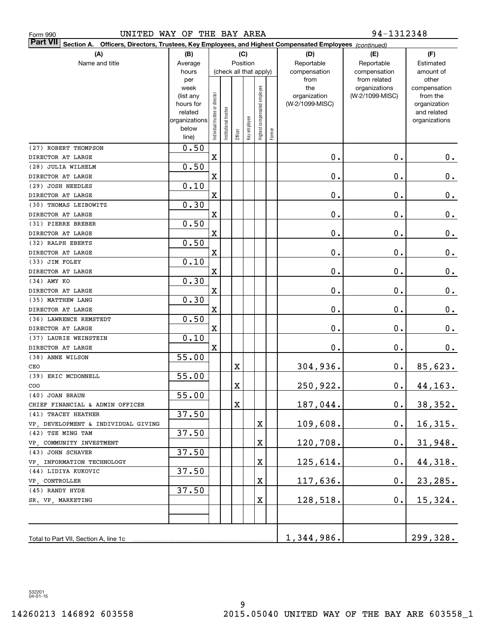| 94-1312348<br>UNITED WAY OF THE BAY AREA<br>Form 990                                                                         |               |                                |                       |             |              |                              |        |                 |                               |                       |  |
|------------------------------------------------------------------------------------------------------------------------------|---------------|--------------------------------|-----------------------|-------------|--------------|------------------------------|--------|-----------------|-------------------------------|-----------------------|--|
| <b>Part VII</b><br>Section A.<br>Officers, Directors, Trustees, Key Employees, and Highest Compensated Employees (continued) |               |                                |                       |             |              |                              |        |                 |                               |                       |  |
| (A)                                                                                                                          | (B)           |                                |                       |             | (C)          |                              |        | (D)             | (E)                           | (F)                   |  |
| Name and title                                                                                                               | Average       |                                |                       | Position    |              |                              |        | Reportable      | Reportable                    | Estimated             |  |
|                                                                                                                              | hours         |                                |                       |             |              | (check all that apply)       |        | compensation    | compensation                  | amount of             |  |
|                                                                                                                              | per<br>week   |                                |                       |             |              |                              |        | from<br>the     | from related<br>organizations | other<br>compensation |  |
|                                                                                                                              | (list any     |                                |                       |             |              |                              |        | organization    | (W-2/1099-MISC)               | from the              |  |
|                                                                                                                              | hours for     |                                |                       |             |              |                              |        | (W-2/1099-MISC) |                               | organization          |  |
|                                                                                                                              | related       |                                |                       |             |              |                              |        |                 |                               | and related           |  |
|                                                                                                                              | organizations | Individual trustee or director | Institutional trustee |             | Key employee | Highest compensated employee |        |                 |                               | organizations         |  |
|                                                                                                                              | below         |                                |                       | Officer     |              |                              | Former |                 |                               |                       |  |
|                                                                                                                              | line)         |                                |                       |             |              |                              |        |                 |                               |                       |  |
| (27) ROBERT THOMPSON                                                                                                         | 0.50          |                                |                       |             |              |                              |        |                 |                               |                       |  |
| DIRECTOR AT LARGE                                                                                                            |               | X                              |                       |             |              |                              |        | $\mathbf 0$ .   | $\mathbf 0$ .                 | 0.                    |  |
| (28) JULIA WILHELM                                                                                                           | 0.50          |                                |                       |             |              |                              |        |                 |                               |                       |  |
| DIRECTOR AT LARGE                                                                                                            |               | X                              |                       |             |              |                              |        | $\mathbf 0$ .   | $\mathbf 0$ .                 | $\mathbf 0$ .         |  |
| (29) JOSH NEEDLES                                                                                                            | 0.10          |                                |                       |             |              |                              |        |                 |                               |                       |  |
| DIRECTOR AT LARGE                                                                                                            |               | X                              |                       |             |              |                              |        | $\mathbf 0$ .   | $\mathbf 0$ .                 | $\mathbf 0$ .         |  |
| (30) THOMAS LEIBOWITZ                                                                                                        | 0.30          |                                |                       |             |              |                              |        |                 |                               |                       |  |
| DIRECTOR AT LARGE                                                                                                            |               | X                              |                       |             |              |                              |        | $\mathbf 0$ .   | $\mathbf 0$ .                 | $\mathbf 0$ .         |  |
| (31) PIERRE BREBER                                                                                                           | 0.50          |                                |                       |             |              |                              |        |                 |                               |                       |  |
| DIRECTOR AT LARGE                                                                                                            |               | X                              |                       |             |              |                              |        | $\mathbf 0$ .   | $\mathbf 0$ .                 | $\mathbf 0$ .         |  |
| (32) RALPH EBERTS                                                                                                            | 0.50          |                                |                       |             |              |                              |        |                 |                               |                       |  |
| DIRECTOR AT LARGE                                                                                                            |               | X                              |                       |             |              |                              |        | $\mathbf 0$ .   | $\mathbf 0$ .                 | $\mathbf 0$ .         |  |
| (33) JIM FOLEY<br>DIRECTOR AT LARGE                                                                                          | 0.10          | X                              |                       |             |              |                              |        | $\mathbf 0$ .   | $\mathbf 0$ .                 | $\mathbf 0$ .         |  |
| (34) AMY KO                                                                                                                  | 0.30          |                                |                       |             |              |                              |        |                 |                               |                       |  |
| DIRECTOR AT LARGE                                                                                                            |               | X                              |                       |             |              |                              |        | $\mathbf 0$ .   | $\mathbf 0$ .                 | $0_{.}$               |  |
| (35) MATTHEW LANG                                                                                                            | 0.30          |                                |                       |             |              |                              |        |                 |                               |                       |  |
| DIRECTOR AT LARGE                                                                                                            |               | X                              |                       |             |              |                              |        | $\mathbf 0$ .   | $\mathbf 0$ .                 | 0.                    |  |
| (36) LAWRENCE REMSTEDT                                                                                                       | 0.50          |                                |                       |             |              |                              |        |                 |                               |                       |  |
| DIRECTOR AT LARGE                                                                                                            |               | X                              |                       |             |              |                              |        | $\mathbf 0$ .   | $\mathbf 0$ .                 | 0.                    |  |
| (37) LAURIE WEINSTEIN                                                                                                        | 0.10          |                                |                       |             |              |                              |        |                 |                               |                       |  |
| DIRECTOR AT LARGE                                                                                                            |               | X                              |                       |             |              |                              |        | $\mathbf 0$ .   | $\mathbf 0$ .                 | 0.                    |  |
| (38) ANNE WILSON                                                                                                             | 55.00         |                                |                       |             |              |                              |        |                 |                               |                       |  |
| CEO                                                                                                                          |               |                                |                       | Χ           |              |                              |        | 304,936.        | 0.                            | 85,623.               |  |
| (39) ERIC MCDONNELL                                                                                                          | 55.00         |                                |                       |             |              |                              |        |                 |                               |                       |  |
| COO                                                                                                                          |               |                                |                       | X           |              |                              |        | 250,922.        | $\mathbf 0$ .                 | 44, 163.              |  |
| (40) JOAN BRAUN                                                                                                              | 55.00         |                                |                       |             |              |                              |        |                 |                               |                       |  |
| CHIEF FINANCIAL & ADMIN OFFICER                                                                                              |               |                                |                       | $\mathbf X$ |              |                              |        | 187,044.        | $\mathbf 0$ .                 | 38, 352.              |  |
| (41) TRACEY HEATHER                                                                                                          | 37.50         |                                |                       |             |              |                              |        |                 |                               |                       |  |
| VP, DEVELOPMENT & INDIVIDUAL GIVING                                                                                          |               |                                |                       |             |              | X                            |        | 109,608.        | $\mathbf 0$ .                 | <u>16,315.</u>        |  |
| (42) TSE MING TAM                                                                                                            | 37.50         |                                |                       |             |              |                              |        |                 |                               |                       |  |
| VP, COMMUNITY INVESTMENT                                                                                                     |               |                                |                       |             |              | X                            |        | 120,708.        | $\mathbf 0$ .                 | 31,948.               |  |
| (43) JOHN SCHAVER                                                                                                            | 37.50         |                                |                       |             |              |                              |        |                 |                               |                       |  |
| VP, INFORMATION TECHNOLOGY                                                                                                   |               |                                |                       |             |              | X                            |        | 125,614.        | $\mathbf 0$ .                 | 44,318.               |  |
| (44) LIDIYA KUKOVIC                                                                                                          | 37.50         |                                |                       |             |              |                              |        |                 |                               |                       |  |
| VP, CONTROLLER                                                                                                               |               |                                |                       |             |              | X                            |        | 117,636.        | $\mathbf 0$ .                 | 23, 285.              |  |
| (45) RANDY HYDE                                                                                                              | 37.50         |                                |                       |             |              |                              |        |                 |                               |                       |  |
| SR. VP, MARKETING                                                                                                            |               |                                |                       |             |              | X                            |        | 128,518.        | $\mathbf 0$ .                 | 15,324.               |  |
|                                                                                                                              |               |                                |                       |             |              |                              |        |                 |                               |                       |  |
|                                                                                                                              |               |                                |                       |             |              |                              |        |                 |                               |                       |  |
| Total to Part VII, Section A, line 1c                                                                                        |               |                                |                       |             |              |                              |        | 1,344,986.      |                               | 299,328.              |  |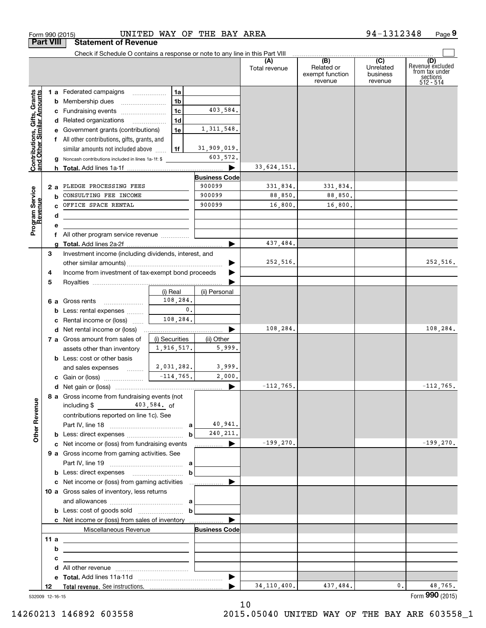| Form 990 (2015)                                           |     |                                                                               |                              | UNITED WAY OF THE BAY AREA |                      |                                                   | 94-1312348                                | Page 9                                    |
|-----------------------------------------------------------|-----|-------------------------------------------------------------------------------|------------------------------|----------------------------|----------------------|---------------------------------------------------|-------------------------------------------|-------------------------------------------|
| <b>Part VIII</b>                                          |     | <b>Statement of Revenue</b>                                                   |                              |                            |                      |                                                   |                                           |                                           |
|                                                           |     | Check if Schedule O contains a response or note to any line in this Part VIII |                              |                            | (A)<br>Total revenue | $\overline{(B)}$<br>Related or<br>exempt function | $\overline{(C)}$<br>Unrelated<br>business | (D)<br>Revenue excluded<br>from tax under |
|                                                           |     |                                                                               |                              |                            |                      | revenue                                           | revenue                                   | $\frac{1}{5}$ sections                    |
|                                                           |     | 1 a Federated campaigns                                                       | 1a                           |                            |                      |                                                   |                                           |                                           |
|                                                           |     | <b>b</b> Membership dues                                                      | 1 <sub>b</sub>               |                            |                      |                                                   |                                           |                                           |
|                                                           |     | c Fundraising events                                                          | 1c                           | 403,584.                   |                      |                                                   |                                           |                                           |
|                                                           |     | d Related organizations                                                       | 1 <sub>d</sub>               |                            |                      |                                                   |                                           |                                           |
|                                                           |     | e Government grants (contributions)                                           | 1e                           | 1, 311, 548.               |                      |                                                   |                                           |                                           |
|                                                           |     | f All other contributions, gifts, grants, and                                 |                              |                            |                      |                                                   |                                           |                                           |
|                                                           |     | similar amounts not included above                                            | 1f                           | 31,909,019.<br>603,572.    |                      |                                                   |                                           |                                           |
| Contributions, Gifts, Grants<br>and Other Similar Amounts | h.  | Noncash contributions included in lines 1a-1f: \$                             |                              |                            | 33,624,151.          |                                                   |                                           |                                           |
|                                                           |     |                                                                               |                              | <b>Business Code</b>       |                      |                                                   |                                           |                                           |
|                                                           | 2 a | PLEDGE PROCESSING FEES                                                        |                              | 900099                     | 331,834.             | 331,834.                                          |                                           |                                           |
|                                                           | b   | CONSULTING FEE INCOME                                                         |                              | 900099                     | 88,850.              | 88,850.                                           |                                           |                                           |
|                                                           | C.  | OFFICE SPACE RENTAL                                                           |                              | 900099                     | 16,800.              | 16,800.                                           |                                           |                                           |
|                                                           | d   |                                                                               |                              |                            |                      |                                                   |                                           |                                           |
| Program Service<br>Revenue                                | е   |                                                                               |                              |                            |                      |                                                   |                                           |                                           |
|                                                           |     | f All other program service revenue                                           |                              |                            |                      |                                                   |                                           |                                           |
|                                                           | a   |                                                                               |                              |                            | 437,484.             |                                                   |                                           |                                           |
| 3                                                         |     | Investment income (including dividends, interest, and                         |                              |                            |                      |                                                   |                                           |                                           |
|                                                           |     |                                                                               |                              |                            | 252,516.             |                                                   |                                           | 252,516.                                  |
| 4                                                         |     | Income from investment of tax-exempt bond proceeds                            |                              |                            |                      |                                                   |                                           |                                           |
| 5                                                         |     |                                                                               |                              |                            |                      |                                                   |                                           |                                           |
|                                                           |     |                                                                               | (i) Real                     | (ii) Personal              |                      |                                                   |                                           |                                           |
|                                                           |     | 6 a Gross rents                                                               | 108,284.                     |                            |                      |                                                   |                                           |                                           |
|                                                           | b   | Less: rental expenses                                                         | $\mathbf{0}$ .               |                            |                      |                                                   |                                           |                                           |
|                                                           | с   | Rental income or (loss)                                                       | 108,284.                     |                            | 108,284.             |                                                   |                                           | 108,284.                                  |
|                                                           | d   | Net rental income or (loss)<br>7 a Gross amount from sales of                 |                              | ▶                          |                      |                                                   |                                           |                                           |
|                                                           |     | assets other than inventory                                                   | (i) Securities<br>1,916,517. | (ii) Other<br>5,999.       |                      |                                                   |                                           |                                           |
|                                                           |     | <b>b</b> Less: cost or other basis                                            |                              |                            |                      |                                                   |                                           |                                           |
|                                                           |     | and sales expenses                                                            | 2,031,282.                   | 3,999.                     |                      |                                                   |                                           |                                           |
|                                                           |     | c Gain or (loss)                                                              | $-114,765.$                  | 2,000.                     |                      |                                                   |                                           |                                           |
|                                                           |     |                                                                               |                              |                            | $-112,765.$          |                                                   |                                           | $-112,765.$                               |
|                                                           |     | 8 a Gross income from fundraising events (not                                 |                              |                            |                      |                                                   |                                           |                                           |
|                                                           |     | $403,584.$ of<br>including \$                                                 |                              |                            |                      |                                                   |                                           |                                           |
|                                                           |     | contributions reported on line 1c). See                                       |                              |                            |                      |                                                   |                                           |                                           |
| <b>Other Revenue</b>                                      |     |                                                                               |                              | 40,941.                    |                      |                                                   |                                           |                                           |
|                                                           |     |                                                                               | $\mathbf b$                  | 240, 211.                  |                      |                                                   |                                           |                                           |
|                                                           |     | c Net income or (loss) from fundraising events                                |                              | <u></u> ▶                  | $-199,270.$          |                                                   |                                           | $-199,270.$                               |
|                                                           |     | 9 a Gross income from gaming activities. See                                  |                              |                            |                      |                                                   |                                           |                                           |
|                                                           |     |                                                                               |                              |                            |                      |                                                   |                                           |                                           |
|                                                           |     |                                                                               | $\mathbf b$                  |                            |                      |                                                   |                                           |                                           |
|                                                           |     |                                                                               |                              |                            |                      |                                                   |                                           |                                           |
|                                                           |     | 10 a Gross sales of inventory, less returns                                   |                              |                            |                      |                                                   |                                           |                                           |
|                                                           |     |                                                                               |                              |                            |                      |                                                   |                                           |                                           |
|                                                           |     |                                                                               | $\mathbf b$                  |                            |                      |                                                   |                                           |                                           |
|                                                           |     | c Net income or (loss) from sales of inventory                                |                              |                            |                      |                                                   |                                           |                                           |
|                                                           |     | Miscellaneous Revenue                                                         |                              | <b>Business Code</b>       |                      |                                                   |                                           |                                           |
| 11a                                                       |     | <u> 1980 - Johann Barbara, martxa alemaniar arg</u>                           |                              |                            |                      |                                                   |                                           |                                           |
|                                                           | b   |                                                                               |                              |                            |                      |                                                   |                                           |                                           |
|                                                           | с   | <u> 1989 - Johann Stein, mars an deus an deus Amerikaanse komme</u>           |                              |                            |                      |                                                   |                                           |                                           |
|                                                           | d   |                                                                               |                              |                            |                      |                                                   |                                           |                                           |
| 12                                                        | е   |                                                                               |                              |                            | 34, 110, 400.        | 437,484.                                          | 0.                                        | 48,765.                                   |
|                                                           |     | 532009 12-16-15                                                               |                              |                            |                      |                                                   |                                           | Form 990 (2015)                           |

532009 12-16-15

10

94‐1312348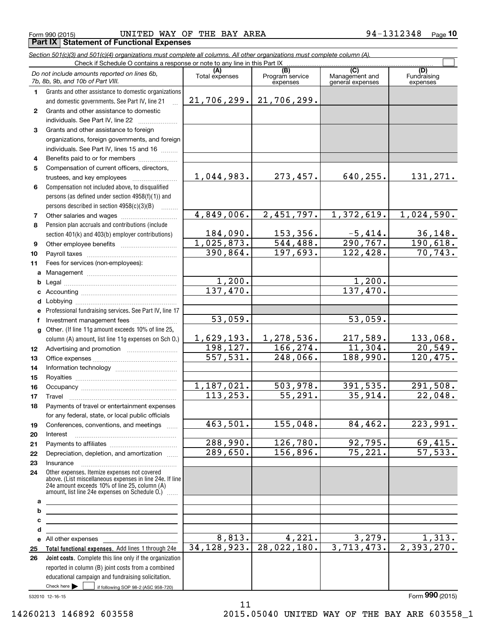Form 990 (2015) UNITED WAY OF THE BAY AREA 94-1312348 <sub>Page</sub> **Part IX | Statement of Functional Expenses** 

*Section 501(c)(3) and 501(c)(4) organizations must complete all columns. All other organizations must complete column (A).*

|              | Check if Schedule O contains a response or note to any line in this Part IX                                                                                                                                                                                                               |                       |                                    |                                           |                                |
|--------------|-------------------------------------------------------------------------------------------------------------------------------------------------------------------------------------------------------------------------------------------------------------------------------------------|-----------------------|------------------------------------|-------------------------------------------|--------------------------------|
|              | Do not include amounts reported on lines 6b,<br>7b, 8b, 9b, and 10b of Part VIII.                                                                                                                                                                                                         | (A)<br>Total expenses | (B)<br>Program service<br>expenses | (C)<br>Management and<br>general expenses | (D)<br>Fundraising<br>expenses |
| 1.           | Grants and other assistance to domestic organizations                                                                                                                                                                                                                                     |                       |                                    |                                           |                                |
|              | and domestic governments. See Part IV, line 21                                                                                                                                                                                                                                            | 21,706,299.           | 21,706,299.                        |                                           |                                |
| $\mathbf{2}$ | Grants and other assistance to domestic                                                                                                                                                                                                                                                   |                       |                                    |                                           |                                |
|              | individuals. See Part IV, line 22                                                                                                                                                                                                                                                         |                       |                                    |                                           |                                |
| 3            | Grants and other assistance to foreign                                                                                                                                                                                                                                                    |                       |                                    |                                           |                                |
|              | organizations, foreign governments, and foreign                                                                                                                                                                                                                                           |                       |                                    |                                           |                                |
|              | individuals. See Part IV, lines 15 and 16                                                                                                                                                                                                                                                 |                       |                                    |                                           |                                |
| 4            | Benefits paid to or for members                                                                                                                                                                                                                                                           |                       |                                    |                                           |                                |
| 5            | Compensation of current officers, directors,                                                                                                                                                                                                                                              |                       |                                    |                                           |                                |
|              | trustees, and key employees                                                                                                                                                                                                                                                               | 1,044,983.            | 273,457.                           | 640, 255.                                 | 131,271.                       |
| 6            | Compensation not included above, to disqualified                                                                                                                                                                                                                                          |                       |                                    |                                           |                                |
|              | persons (as defined under section 4958(f)(1)) and                                                                                                                                                                                                                                         |                       |                                    |                                           |                                |
|              | persons described in section 4958(c)(3)(B)                                                                                                                                                                                                                                                |                       |                                    |                                           |                                |
| 7            |                                                                                                                                                                                                                                                                                           | 4,849,006.            | 2,451,797.                         | 1,372,619.                                | 1,024,590.                     |
| 8            | Pension plan accruals and contributions (include                                                                                                                                                                                                                                          |                       |                                    |                                           |                                |
|              | section 401(k) and 403(b) employer contributions)                                                                                                                                                                                                                                         | 184,090.              | 153,356.                           | $-5,414.$                                 | 36,148.                        |
| 9            |                                                                                                                                                                                                                                                                                           | 1,025,873.            | 544, 488.                          | 290, 767.                                 | 190,618.                       |
| 10           |                                                                                                                                                                                                                                                                                           | 390,864.              | 197,693.                           | 122,428.                                  | 70, 743.                       |
| 11           | Fees for services (non-employees):                                                                                                                                                                                                                                                        |                       |                                    |                                           |                                |
| a            |                                                                                                                                                                                                                                                                                           |                       |                                    |                                           |                                |
| b            |                                                                                                                                                                                                                                                                                           | 1,200.                |                                    | 1,200.                                    |                                |
| c            |                                                                                                                                                                                                                                                                                           | 137,470.              |                                    | 137,470.                                  |                                |
| d            |                                                                                                                                                                                                                                                                                           |                       |                                    |                                           |                                |
| е            | Professional fundraising services. See Part IV, line 17                                                                                                                                                                                                                                   |                       |                                    |                                           |                                |
| f            | Investment management fees                                                                                                                                                                                                                                                                | 53,059.               |                                    | 53,059.                                   |                                |
| g            | Other. (If line 11g amount exceeds 10% of line 25,                                                                                                                                                                                                                                        |                       |                                    |                                           |                                |
|              | column (A) amount, list line 11g expenses on Sch O.)                                                                                                                                                                                                                                      | 1,629,193.            | 1,278,536.                         | 217,589.                                  | 133,068.                       |
| 12           |                                                                                                                                                                                                                                                                                           | 198, 127.             | 166, 274.                          | 11,304.                                   | 20,549.                        |
| 13           |                                                                                                                                                                                                                                                                                           | 557,531.              | 248,066.                           | 188,990.                                  | 120, 475.                      |
| 14           |                                                                                                                                                                                                                                                                                           |                       |                                    |                                           |                                |
| 15           |                                                                                                                                                                                                                                                                                           |                       |                                    |                                           |                                |
| 16           |                                                                                                                                                                                                                                                                                           | 1,187,021.            | 503,978.                           | 391,535.                                  | 291,508.                       |
| 17           |                                                                                                                                                                                                                                                                                           | 113, 253.             | 55, 291.                           | 35,914.                                   | 22,048.                        |
| 18           | Payments of travel or entertainment expenses                                                                                                                                                                                                                                              |                       |                                    |                                           |                                |
|              | for any federal, state, or local public officials                                                                                                                                                                                                                                         |                       |                                    |                                           |                                |
| 19           | Conferences, conventions, and meetings                                                                                                                                                                                                                                                    | 463,501.              | 155,048.                           | 84,462.                                   | 223,991.                       |
| 20           | Interest                                                                                                                                                                                                                                                                                  | 288,990.              | 126,780.                           | 92,795.                                   | 69,415.                        |
| 21           |                                                                                                                                                                                                                                                                                           | 289,650.              | 156,896.                           | 75,221.                                   | $\overline{57,533.}$           |
| 22           | Depreciation, depletion, and amortization                                                                                                                                                                                                                                                 |                       |                                    |                                           |                                |
| 23           | Insurance<br>Other expenses. Itemize expenses not covered                                                                                                                                                                                                                                 |                       |                                    |                                           |                                |
| 24           | above. (List miscellaneous expenses in line 24e. If line<br>24e amount exceeds 10% of line 25, column (A)                                                                                                                                                                                 |                       |                                    |                                           |                                |
|              | amount, list line 24e expenses on Schedule O.) [                                                                                                                                                                                                                                          |                       |                                    |                                           |                                |
| а<br>b       | <u> 1989 - Johann Barbara, martxa alemaniar arg</u>                                                                                                                                                                                                                                       |                       |                                    |                                           |                                |
|              | <u> 1989 - Johann Barbara, martin amerikan basar dan berasal dan berasal dalam basar dalam basar dalam basar dala</u>                                                                                                                                                                     |                       |                                    |                                           |                                |
| с<br>d       | <u> 1989 - Johann Barbara, martin amerikan basar dan berasal dalam basar dalam basar dalam basar dalam basar dala</u>                                                                                                                                                                     |                       |                                    |                                           |                                |
| е            | <u> 1980 - Johann Barbara, martxa alemaniar arg</u><br>All other expenses <b>contained</b> and the set of the set of the set of the set of the set of the set of the set of the set of the set of the set of the set of the set of the set of the set of the set of the set of the set of | 8,813.                | 4,221.                             | 3,279.                                    | 1,313.                         |
| 25           | Total functional expenses. Add lines 1 through 24e                                                                                                                                                                                                                                        | 34, 128, 923.         | 28,022,180.                        | 3,713,473.                                | 2,393,270.                     |
| 26           | Joint costs. Complete this line only if the organization                                                                                                                                                                                                                                  |                       |                                    |                                           |                                |
|              | reported in column (B) joint costs from a combined                                                                                                                                                                                                                                        |                       |                                    |                                           |                                |
|              | educational campaign and fundraising solicitation.                                                                                                                                                                                                                                        |                       |                                    |                                           |                                |
|              | Check here $\blacktriangleright$<br>if following SOP 98-2 (ASC 958-720)                                                                                                                                                                                                                   |                       |                                    |                                           |                                |

11

532010 12-16-15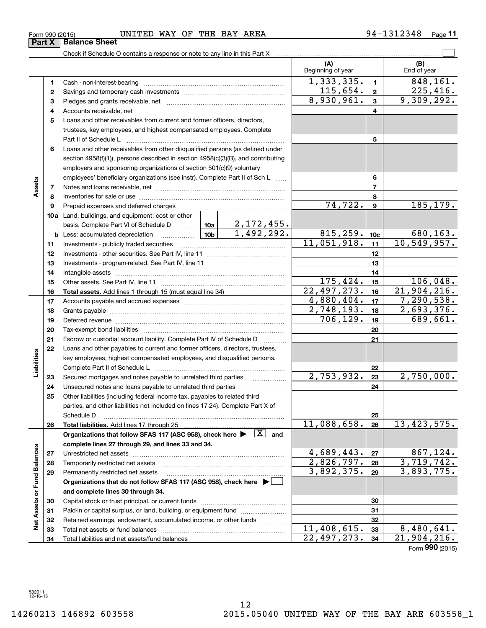|                             |          |                                                                                                                            |                                                                                              | (A)<br>Beginning of year |                 | (B)<br>End of year             |
|-----------------------------|----------|----------------------------------------------------------------------------------------------------------------------------|----------------------------------------------------------------------------------------------|--------------------------|-----------------|--------------------------------|
|                             | 1        |                                                                                                                            |                                                                                              | 1, 333, 335.             | $\mathbf{1}$    | 848, 161.                      |
|                             | 2        |                                                                                                                            |                                                                                              | 115,654.                 | $\overline{2}$  | 225,416.                       |
|                             | З        |                                                                                                                            |                                                                                              | 8,930,961.               | $\mathbf{3}$    | 9,309,292.                     |
|                             | 4        |                                                                                                                            |                                                                                              |                          | 4               |                                |
|                             | 5        | Loans and other receivables from current and former officers, directors,                                                   |                                                                                              |                          |                 |                                |
|                             |          | trustees, key employees, and highest compensated employees. Complete                                                       |                                                                                              |                          |                 |                                |
|                             |          | Part II of Schedule L                                                                                                      |                                                                                              |                          | 5               |                                |
|                             | 6        | Loans and other receivables from other disqualified persons (as defined under                                              |                                                                                              |                          |                 |                                |
|                             |          | section 4958(f)(1)), persons described in section 4958(c)(3)(B), and contributing                                          |                                                                                              |                          |                 |                                |
|                             |          | employers and sponsoring organizations of section 501(c)(9) voluntary                                                      |                                                                                              |                          |                 |                                |
|                             |          | employees' beneficiary organizations (see instr). Complete Part II of Sch L                                                |                                                                                              |                          | 6               |                                |
| Assets                      | 7        |                                                                                                                            |                                                                                              |                          | $\overline{7}$  |                                |
|                             | 8        |                                                                                                                            |                                                                                              |                          | 8               |                                |
|                             | 9        | Prepaid expenses and deferred charges                                                                                      | $\ldots \ldots \ldots \ldots \ldots \ldots \ldots \ldots \ldots \ldots \ldots \ldots \ldots$ | 74,722.                  | 9               | 185, 179.                      |
|                             |          | <b>10a</b> Land, buildings, and equipment: cost or other                                                                   |                                                                                              |                          |                 |                                |
|                             |          | basis. Complete Part VI of Schedule D $\boxed{10a}$ $\boxed{2, 172, 455}$ .                                                | 1,492,292.                                                                                   |                          |                 |                                |
|                             |          | <b>b</b> Less: accumulated depreciation                                                                                    |                                                                                              | 815, 259.<br>11,051,918. | 10 <sub>c</sub> | $\frac{680,163.}{10,549,957.}$ |
|                             | 11       |                                                                                                                            |                                                                                              |                          | 11              |                                |
|                             | 12       |                                                                                                                            |                                                                                              |                          | 12              |                                |
|                             | 13       |                                                                                                                            |                                                                                              |                          | 13              |                                |
|                             | 14       |                                                                                                                            |                                                                                              | 175,424.                 | 14<br>15        | 106,048.                       |
|                             | 15       |                                                                                                                            |                                                                                              | 22, 497, 273.            | 16              | 21,904,216.                    |
|                             | 16       |                                                                                                                            |                                                                                              | 4,880,404.               | 17              | 7, 290, 538.                   |
|                             | 17<br>18 |                                                                                                                            |                                                                                              | 2,748,193.               | 18              | 2,693,376.                     |
|                             | 19       |                                                                                                                            | 706, 129.                                                                                    | 19                       | 689,661.        |                                |
|                             | 20       | Deferred revenue manual contracts and contracts are all the contracts and contracts are contracted and contracts           |                                                                                              | 20                       |                 |                                |
|                             | 21       | Escrow or custodial account liability. Complete Part IV of Schedule D                                                      |                                                                                              | 21                       |                 |                                |
|                             | 22       | Loans and other payables to current and former officers, directors, trustees,                                              |                                                                                              |                          |                 |                                |
|                             |          | key employees, highest compensated employees, and disqualified persons.                                                    |                                                                                              |                          |                 |                                |
| Liabilities                 |          | Complete Part II of Schedule L                                                                                             |                                                                                              |                          | 22              |                                |
|                             | 23       | Secured mortgages and notes payable to unrelated third parties                                                             |                                                                                              | 2,753,932.               | 23              | 2,750,000.                     |
|                             | 24       | Unsecured notes and loans payable to unrelated third parties                                                               |                                                                                              |                          | 24              |                                |
|                             | 25       | Other liabilities (including federal income tax, payables to related third                                                 |                                                                                              |                          |                 |                                |
|                             |          | parties, and other liabilities not included on lines 17-24). Complete Part X of                                            |                                                                                              |                          |                 |                                |
|                             |          | Schedule D                                                                                                                 |                                                                                              |                          | 25              |                                |
|                             | 26       |                                                                                                                            |                                                                                              | 11,088,658.              | 26              | 13, 423, 575.                  |
|                             |          | Organizations that follow SFAS 117 (ASC 958), check here $\blacktriangleright \begin{array}{ c } \hline X \end{array}$ and |                                                                                              |                          |                 |                                |
|                             |          | complete lines 27 through 29, and lines 33 and 34.                                                                         |                                                                                              |                          |                 |                                |
|                             | 27       |                                                                                                                            |                                                                                              | 4,689,443.               | 27              | 867,124.                       |
|                             | 28       | Temporarily restricted net assets                                                                                          |                                                                                              | 2,826,797.               | 28              | 3,719,742.                     |
|                             | 29       | Permanently restricted net assets                                                                                          |                                                                                              | 3,892,375.               | 29              | 3,893,775.                     |
|                             |          | Organizations that do not follow SFAS 117 (ASC 958), check here ▶ □                                                        |                                                                                              |                          |                 |                                |
|                             |          | and complete lines 30 through 34.                                                                                          |                                                                                              |                          |                 |                                |
|                             | 30       |                                                                                                                            |                                                                                              |                          | 30              |                                |
|                             | 31       | Paid-in or capital surplus, or land, building, or equipment fund                                                           |                                                                                              |                          | 31<br>32        |                                |
| Net Assets or Fund Balances | 32<br>33 | Retained earnings, endowment, accumulated income, or other funds<br>Total net assets or fund balances                      | .                                                                                            | 11,408,615.              | 33              | 8,480,641.                     |
|                             | 34       |                                                                                                                            |                                                                                              | 22,497,273.              | 34              | 21,904,216.                    |
|                             |          |                                                                                                                            |                                                                                              |                          |                 | Form $990$ (2015)              |

Form 990 (2015) UNITED WAY OF THE BAY AREA 94-1312348 <sub>Page</sub>

Check if Schedule O contains a response or note to any line in this Part X

**Part X Balance Sheet**

 $\overline{\phantom{0}}$ 

**11**

 $\mathcal{L}^{\text{max}}$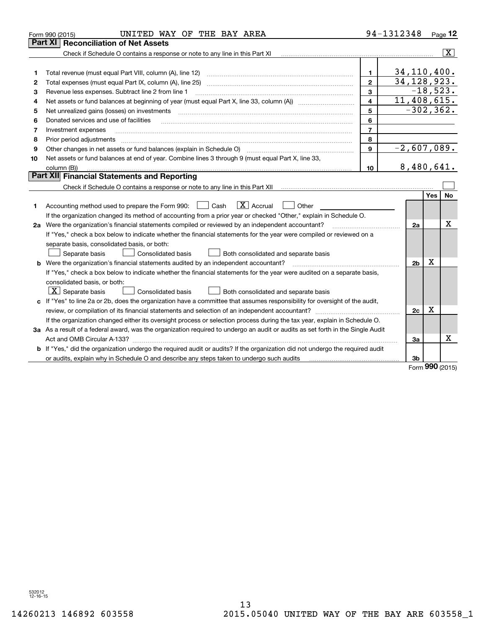|    | UNITED WAY OF THE BAY AREA<br>Form 990 (2015)                                                                                   |                          | 94-1312348     |            | Page $12$          |
|----|---------------------------------------------------------------------------------------------------------------------------------|--------------------------|----------------|------------|--------------------|
|    | <b>Reconciliation of Net Assets</b><br>Part XI                                                                                  |                          |                |            |                    |
|    | Check if Schedule O contains a response or note to any line in this Part XI                                                     |                          |                |            | $\boxed{\text{X}}$ |
|    |                                                                                                                                 |                          |                |            |                    |
| 1  | Total revenue (must equal Part VIII, column (A), line 12)                                                                       | $\mathbf{1}$             | 34, 110, 400.  |            |                    |
| 2  | Total expenses (must equal Part IX, column (A), line 25)                                                                        | $\overline{2}$           | 34, 128, 923.  |            |                    |
| 3  | Revenue less expenses. Subtract line 2 from line 1                                                                              | 3                        |                |            | $-18,523.$         |
| 4  |                                                                                                                                 | 4                        | 11,408,615.    |            |                    |
| 5  | Net unrealized gains (losses) on investments                                                                                    | 5                        | $-302, 362.$   |            |                    |
| 6  | Donated services and use of facilities                                                                                          | 6                        |                |            |                    |
| 7  | Investment expenses                                                                                                             | $\overline{\phantom{a}}$ |                |            |                    |
| 8  | Prior period adjustments                                                                                                        | 8                        |                |            |                    |
| 9  | Other changes in net assets or fund balances (explain in Schedule O)                                                            | $\mathbf{9}$             | $-2,607,089.$  |            |                    |
| 10 | Net assets or fund balances at end of year. Combine lines 3 through 9 (must equal Part X, line 33,                              |                          |                |            |                    |
|    | column (B))                                                                                                                     | 10                       | 8,480,641.     |            |                    |
|    | Part XII Financial Statements and Reporting                                                                                     |                          |                |            |                    |
|    |                                                                                                                                 |                          |                |            |                    |
|    |                                                                                                                                 |                          |                | <b>Yes</b> | No                 |
| 1  | $ X $ Accrual<br>Accounting method used to prepare the Form 990: <u>I</u> Cash<br>Other                                         |                          |                |            |                    |
|    | If the organization changed its method of accounting from a prior year or checked "Other," explain in Schedule O.               |                          |                |            |                    |
|    | 2a Were the organization's financial statements compiled or reviewed by an independent accountant?                              |                          | 2a             |            | х                  |
|    | If "Yes," check a box below to indicate whether the financial statements for the year were compiled or reviewed on a            |                          |                |            |                    |
|    | separate basis, consolidated basis, or both:                                                                                    |                          |                |            |                    |
|    | Separate basis<br>Consolidated basis<br>Both consolidated and separate basis                                                    |                          |                |            |                    |
|    | <b>b</b> Were the organization's financial statements audited by an independent accountant?                                     |                          | 2 <sub>b</sub> | X          |                    |
|    | If "Yes," check a box below to indicate whether the financial statements for the year were audited on a separate basis,         |                          |                |            |                    |
|    | consolidated basis, or both:                                                                                                    |                          |                |            |                    |
|    | $\vert X \vert$ Separate basis<br>Consolidated basis<br>Both consolidated and separate basis                                    |                          |                |            |                    |
|    | c If "Yes" to line 2a or 2b, does the organization have a committee that assumes responsibility for oversight of the audit,     |                          |                |            |                    |
|    |                                                                                                                                 |                          | 2c             | x          |                    |
|    | If the organization changed either its oversight process or selection process during the tax year, explain in Schedule O.       |                          |                |            |                    |
|    | 3a As a result of a federal award, was the organization required to undergo an audit or audits as set forth in the Single Audit |                          |                |            |                    |
|    |                                                                                                                                 |                          | Зa             |            | Χ                  |
|    | b If "Yes," did the organization undergo the required audit or audits? If the organization did not undergo the required audit   |                          |                |            |                    |
|    | or audits, explain why in Schedule O and describe any steps taken to undergo such audits                                        |                          | 3b             | ההח        |                    |

Form (2015) **990**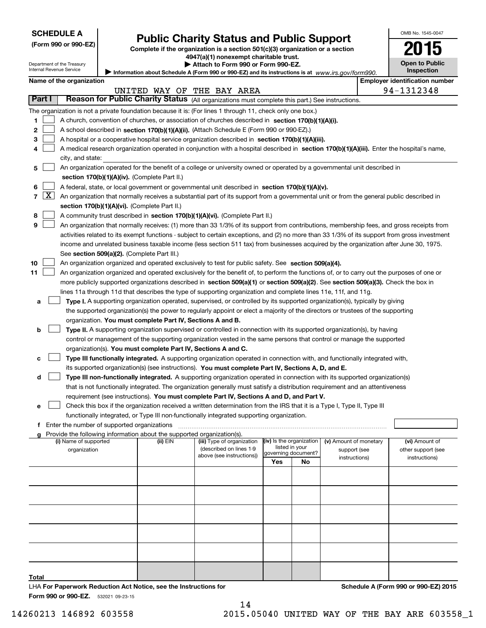| <b>SCHEDULE A</b> |  |
|-------------------|--|
|-------------------|--|

| (Form 990 or 990-EZ) |  |  |  |
|----------------------|--|--|--|
|----------------------|--|--|--|

# **Public Charity Status and Public Support**

**Complete if the organization is a section 501(c)(3) organization or a section 4947(a)(1) nonexempt charitable trust.**

**| Attach to Form 990 or Form 990-EZ.** 

| OMB No. 1545-0047                   |
|-------------------------------------|
|                                     |
| <b>Open to Public</b><br>Inspection |

| Department of the Treasury<br>▶ Attach to Form 990 or Form 990-EZ. |                                                                                                                                |  |                                                                          |                                                                                                                                               |     |                          |                        | <b>Open to Public</b> |                                       |  |  |
|--------------------------------------------------------------------|--------------------------------------------------------------------------------------------------------------------------------|--|--------------------------------------------------------------------------|-----------------------------------------------------------------------------------------------------------------------------------------------|-----|--------------------------|------------------------|-----------------------|---------------------------------------|--|--|
|                                                                    | Internal Revenue Service                                                                                                       |  |                                                                          | Information about Schedule A (Form 990 or 990-EZ) and its instructions is at $www.irs.gov/form990$ .                                          |     |                          |                        |                       | <b>Inspection</b>                     |  |  |
|                                                                    | Name of the organization                                                                                                       |  |                                                                          |                                                                                                                                               |     |                          |                        |                       | <b>Employer identification number</b> |  |  |
|                                                                    |                                                                                                                                |  |                                                                          | UNITED WAY OF THE BAY AREA                                                                                                                    |     |                          |                        |                       | 94-1312348                            |  |  |
| Part I                                                             |                                                                                                                                |  |                                                                          |                                                                                                                                               |     |                          |                        |                       |                                       |  |  |
|                                                                    | Reason for Public Charity Status (All organizations must complete this part.) See instructions.                                |  |                                                                          |                                                                                                                                               |     |                          |                        |                       |                                       |  |  |
|                                                                    | The organization is not a private foundation because it is: (For lines 1 through 11, check only one box.)                      |  |                                                                          |                                                                                                                                               |     |                          |                        |                       |                                       |  |  |
| 1                                                                  | A church, convention of churches, or association of churches described in section 170(b)(1)(A)(i).                             |  |                                                                          |                                                                                                                                               |     |                          |                        |                       |                                       |  |  |
| 2                                                                  | A school described in section 170(b)(1)(A)(ii). (Attach Schedule E (Form 990 or 990-EZ).)                                      |  |                                                                          |                                                                                                                                               |     |                          |                        |                       |                                       |  |  |
| 3                                                                  |                                                                                                                                |  |                                                                          | A hospital or a cooperative hospital service organization described in section 170(b)(1)(A)(iii).                                             |     |                          |                        |                       |                                       |  |  |
| 4                                                                  |                                                                                                                                |  |                                                                          | A medical research organization operated in conjunction with a hospital described in section 170(b)(1)(A)(iii). Enter the hospital's name,    |     |                          |                        |                       |                                       |  |  |
|                                                                    | city, and state:                                                                                                               |  |                                                                          |                                                                                                                                               |     |                          |                        |                       |                                       |  |  |
|                                                                    | An organization operated for the benefit of a college or university owned or operated by a governmental unit described in<br>5 |  |                                                                          |                                                                                                                                               |     |                          |                        |                       |                                       |  |  |
|                                                                    |                                                                                                                                |  |                                                                          |                                                                                                                                               |     |                          |                        |                       |                                       |  |  |
|                                                                    |                                                                                                                                |  | section 170(b)(1)(A)(iv). (Complete Part II.)                            |                                                                                                                                               |     |                          |                        |                       |                                       |  |  |
| 6                                                                  |                                                                                                                                |  |                                                                          | A federal, state, or local government or governmental unit described in section 170(b)(1)(A)(v).                                              |     |                          |                        |                       |                                       |  |  |
| $\mathbf{X}$<br>7                                                  |                                                                                                                                |  |                                                                          | An organization that normally receives a substantial part of its support from a governmental unit or from the general public described in     |     |                          |                        |                       |                                       |  |  |
|                                                                    |                                                                                                                                |  | section 170(b)(1)(A)(vi). (Complete Part II.)                            |                                                                                                                                               |     |                          |                        |                       |                                       |  |  |
| 8                                                                  |                                                                                                                                |  |                                                                          | A community trust described in section 170(b)(1)(A)(vi). (Complete Part II.)                                                                  |     |                          |                        |                       |                                       |  |  |
| 9                                                                  |                                                                                                                                |  |                                                                          | An organization that normally receives: (1) more than 33 1/3% of its support from contributions, membership fees, and gross receipts from     |     |                          |                        |                       |                                       |  |  |
|                                                                    |                                                                                                                                |  |                                                                          | activities related to its exempt functions - subject to certain exceptions, and (2) no more than 33 1/3% of its support from gross investment |     |                          |                        |                       |                                       |  |  |
|                                                                    |                                                                                                                                |  |                                                                          | income and unrelated business taxable income (less section 511 tax) from businesses acquired by the organization after June 30, 1975.         |     |                          |                        |                       |                                       |  |  |
|                                                                    |                                                                                                                                |  | See section 509(a)(2). (Complete Part III.)                              |                                                                                                                                               |     |                          |                        |                       |                                       |  |  |
| 10                                                                 |                                                                                                                                |  |                                                                          |                                                                                                                                               |     |                          |                        |                       |                                       |  |  |
|                                                                    |                                                                                                                                |  |                                                                          | An organization organized and operated exclusively to test for public safety. See section 509(a)(4).                                          |     |                          |                        |                       |                                       |  |  |
| 11                                                                 |                                                                                                                                |  |                                                                          | An organization organized and operated exclusively for the benefit of, to perform the functions of, or to carry out the purposes of one or    |     |                          |                        |                       |                                       |  |  |
|                                                                    |                                                                                                                                |  |                                                                          | more publicly supported organizations described in section 509(a)(1) or section 509(a)(2). See section 509(a)(3). Check the box in            |     |                          |                        |                       |                                       |  |  |
|                                                                    |                                                                                                                                |  |                                                                          | lines 11a through 11d that describes the type of supporting organization and complete lines 11e, 11f, and 11g.                                |     |                          |                        |                       |                                       |  |  |
| а                                                                  |                                                                                                                                |  |                                                                          | Type I. A supporting organization operated, supervised, or controlled by its supported organization(s), typically by giving                   |     |                          |                        |                       |                                       |  |  |
|                                                                    |                                                                                                                                |  |                                                                          | the supported organization(s) the power to regularly appoint or elect a majority of the directors or trustees of the supporting               |     |                          |                        |                       |                                       |  |  |
|                                                                    |                                                                                                                                |  | organization. You must complete Part IV, Sections A and B.               |                                                                                                                                               |     |                          |                        |                       |                                       |  |  |
| b                                                                  |                                                                                                                                |  |                                                                          | Type II. A supporting organization supervised or controlled in connection with its supported organization(s), by having                       |     |                          |                        |                       |                                       |  |  |
|                                                                    |                                                                                                                                |  |                                                                          | control or management of the supporting organization vested in the same persons that control or manage the supported                          |     |                          |                        |                       |                                       |  |  |
|                                                                    |                                                                                                                                |  | organization(s). You must complete Part IV, Sections A and C.            |                                                                                                                                               |     |                          |                        |                       |                                       |  |  |
|                                                                    |                                                                                                                                |  |                                                                          |                                                                                                                                               |     |                          |                        |                       |                                       |  |  |
| с                                                                  |                                                                                                                                |  |                                                                          | Type III functionally integrated. A supporting organization operated in connection with, and functionally integrated with,                    |     |                          |                        |                       |                                       |  |  |
|                                                                    |                                                                                                                                |  |                                                                          | its supported organization(s) (see instructions). You must complete Part IV, Sections A, D, and E.                                            |     |                          |                        |                       |                                       |  |  |
| d                                                                  |                                                                                                                                |  |                                                                          | Type III non-functionally integrated. A supporting organization operated in connection with its supported organization(s)                     |     |                          |                        |                       |                                       |  |  |
|                                                                    |                                                                                                                                |  |                                                                          | that is not functionally integrated. The organization generally must satisfy a distribution requirement and an attentiveness                  |     |                          |                        |                       |                                       |  |  |
|                                                                    |                                                                                                                                |  |                                                                          | requirement (see instructions). You must complete Part IV, Sections A and D, and Part V.                                                      |     |                          |                        |                       |                                       |  |  |
| е                                                                  |                                                                                                                                |  |                                                                          | Check this box if the organization received a written determination from the IRS that it is a Type I, Type II, Type III                       |     |                          |                        |                       |                                       |  |  |
|                                                                    |                                                                                                                                |  |                                                                          | functionally integrated, or Type III non-functionally integrated supporting organization.                                                     |     |                          |                        |                       |                                       |  |  |
| f                                                                  | Enter the number of supported organizations                                                                                    |  |                                                                          |                                                                                                                                               |     |                          |                        |                       |                                       |  |  |
|                                                                    |                                                                                                                                |  | g Provide the following information about the supported organization(s). |                                                                                                                                               |     |                          |                        |                       |                                       |  |  |
|                                                                    | (i) Name of supported                                                                                                          |  | (ii) EIN                                                                 | (iii) Type of organization                                                                                                                    |     | (iv) Is the organization | (v) Amount of monetary |                       | (vi) Amount of                        |  |  |
|                                                                    | organization                                                                                                                   |  |                                                                          | (described on lines 1-9                                                                                                                       |     | listed in your           | support (see           |                       | other support (see                    |  |  |
|                                                                    |                                                                                                                                |  |                                                                          | above (see instructions))                                                                                                                     |     | governing document?      | instructions)          |                       | instructions)                         |  |  |
|                                                                    |                                                                                                                                |  |                                                                          |                                                                                                                                               | Yes | No                       |                        |                       |                                       |  |  |
|                                                                    |                                                                                                                                |  |                                                                          |                                                                                                                                               |     |                          |                        |                       |                                       |  |  |
|                                                                    |                                                                                                                                |  |                                                                          |                                                                                                                                               |     |                          |                        |                       |                                       |  |  |
|                                                                    |                                                                                                                                |  |                                                                          |                                                                                                                                               |     |                          |                        |                       |                                       |  |  |
|                                                                    |                                                                                                                                |  |                                                                          |                                                                                                                                               |     |                          |                        |                       |                                       |  |  |

**Total**

14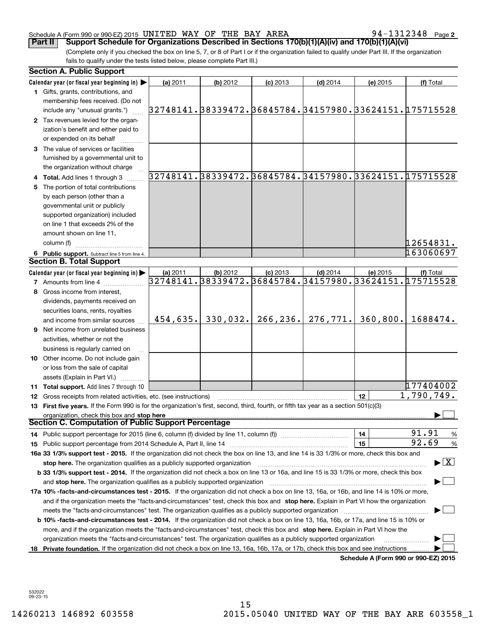**2**

(Complete only if you checked the box on line 5, 7, or 8 of Part I or if the organization failed to qualify under Part III. If the organization fails to qualify under the tests listed below, please complete Part III.) **Part II Support Schedule for Organizations Described in Sections 170(b)(1)(A)(iv) and 170(b)(1)(A)(vi)** 

|    | <b>Section A. Public Support</b>                                                                                                                                                                                               |          |          |            |            |          |                                                             |
|----|--------------------------------------------------------------------------------------------------------------------------------------------------------------------------------------------------------------------------------|----------|----------|------------|------------|----------|-------------------------------------------------------------|
|    | Calendar year (or fiscal year beginning in) $\blacktriangleright$                                                                                                                                                              | (a) 2011 | (b) 2012 | $(c)$ 2013 | $(d)$ 2014 | (e) 2015 | (f) Total                                                   |
|    | 1 Gifts, grants, contributions, and                                                                                                                                                                                            |          |          |            |            |          |                                                             |
|    | membership fees received. (Do not                                                                                                                                                                                              |          |          |            |            |          |                                                             |
|    | include any "unusual grants.")                                                                                                                                                                                                 |          |          |            |            |          | 32748141. 38339472. 36845784. 34157980. 33624151. 175715528 |
|    | 2 Tax revenues levied for the organ-                                                                                                                                                                                           |          |          |            |            |          |                                                             |
|    | ization's benefit and either paid to                                                                                                                                                                                           |          |          |            |            |          |                                                             |
|    | or expended on its behalf                                                                                                                                                                                                      |          |          |            |            |          |                                                             |
|    | 3 The value of services or facilities                                                                                                                                                                                          |          |          |            |            |          |                                                             |
|    | furnished by a governmental unit to                                                                                                                                                                                            |          |          |            |            |          |                                                             |
|    | the organization without charge                                                                                                                                                                                                |          |          |            |            |          |                                                             |
|    | 4 Total. Add lines 1 through 3                                                                                                                                                                                                 |          |          |            |            |          | 32748141.38339472.36845784.34157980.33624151.175715528      |
| 5. | The portion of total contributions                                                                                                                                                                                             |          |          |            |            |          |                                                             |
|    | by each person (other than a                                                                                                                                                                                                   |          |          |            |            |          |                                                             |
|    | governmental unit or publicly                                                                                                                                                                                                  |          |          |            |            |          |                                                             |
|    | supported organization) included                                                                                                                                                                                               |          |          |            |            |          |                                                             |
|    | on line 1 that exceeds 2% of the                                                                                                                                                                                               |          |          |            |            |          |                                                             |
|    | amount shown on line 11,                                                                                                                                                                                                       |          |          |            |            |          |                                                             |
|    | column (f)                                                                                                                                                                                                                     |          |          |            |            |          | 12654831.                                                   |
|    | 6 Public support. Subtract line 5 from line 4.                                                                                                                                                                                 |          |          |            |            |          | 163060697                                                   |
|    | <b>Section B. Total Support</b>                                                                                                                                                                                                |          |          |            |            |          |                                                             |
|    | Calendar year (or fiscal year beginning in)                                                                                                                                                                                    | (a) 2011 | (b) 2012 | $(c)$ 2013 | $(d)$ 2014 | (e) 2015 | (f) Total                                                   |
|    | <b>7</b> Amounts from line 4                                                                                                                                                                                                   |          |          |            |            |          | 32748141.38339472.36845784.34157980.33624151.175715528      |
| 8  | Gross income from interest,                                                                                                                                                                                                    |          |          |            |            |          |                                                             |
|    | dividends, payments received on                                                                                                                                                                                                |          |          |            |            |          |                                                             |
|    | securities loans, rents, royalties                                                                                                                                                                                             |          |          |            |            |          |                                                             |
|    | and income from similar sources                                                                                                                                                                                                | 454,635. | 330,032. | 266, 236.  | 276, 771.  | 360,800. | 1688474.                                                    |
|    | 9 Net income from unrelated business                                                                                                                                                                                           |          |          |            |            |          |                                                             |
|    | activities, whether or not the                                                                                                                                                                                                 |          |          |            |            |          |                                                             |
|    | business is regularly carried on                                                                                                                                                                                               |          |          |            |            |          |                                                             |
|    | 10 Other income. Do not include gain                                                                                                                                                                                           |          |          |            |            |          |                                                             |
|    | or loss from the sale of capital                                                                                                                                                                                               |          |          |            |            |          |                                                             |
|    | assets (Explain in Part VI.)                                                                                                                                                                                                   |          |          |            |            |          |                                                             |
|    | <b>11 Total support.</b> Add lines 7 through 10                                                                                                                                                                                |          |          |            |            |          | 177404002                                                   |
|    | <b>12</b> Gross receipts from related activities, etc. (see instructions)                                                                                                                                                      |          |          |            |            | 12       | $\overline{1,790}$ , 749.                                   |
|    | 13 First five years. If the Form 990 is for the organization's first, second, third, fourth, or fifth tax year as a section 501(c)(3)                                                                                          |          |          |            |            |          |                                                             |
|    | organization, check this box and stop here<br>Section C. Computation of Public Support Percentage                                                                                                                              |          |          |            |            |          |                                                             |
|    | 14 Public support percentage for 2015 (line 6, column (f) divided by line 11, column (f) <i>manumeronominimi</i> ng.                                                                                                           |          |          |            |            | 14       | 91.91<br>$\frac{9}{6}$                                      |
|    |                                                                                                                                                                                                                                |          |          |            |            | 15       | 92.69<br>$\frac{9}{6}$                                      |
|    | 16a 33 1/3% support test - 2015. If the organization did not check the box on line 13, and line 14 is 33 1/3% or more, check this box and                                                                                      |          |          |            |            |          |                                                             |
|    | stop here. The organization qualifies as a publicly supported organization                                                                                                                                                     |          |          |            |            |          | $\blacktriangleright$ $\boxed{\text{X}}$                    |
|    | b 33 1/3% support test - 2014. If the organization did not check a box on line 13 or 16a, and line 15 is 33 1/3% or more, check this box                                                                                       |          |          |            |            |          |                                                             |
|    | and stop here. The organization qualifies as a publicly supported organization [11] manuscription manuscription manuscription manuscription manuscription manuscription manuscription and an analyze of the organization manus |          |          |            |            |          |                                                             |
|    | 17a 10% -facts-and-circumstances test - 2015. If the organization did not check a box on line 13, 16a, or 16b, and line 14 is 10% or more,                                                                                     |          |          |            |            |          |                                                             |
|    | and if the organization meets the "facts-and-circumstances" test, check this box and stop here. Explain in Part VI how the organization                                                                                        |          |          |            |            |          |                                                             |
|    | meets the "facts-and-circumstances" test. The organization qualifies as a publicly supported organization <i>manumumumumumum</i>                                                                                               |          |          |            |            |          |                                                             |
|    | <b>b 10% -facts-and-circumstances test - 2014.</b> If the organization did not check a box on line 13, 16a, 16b, or 17a, and line 15 is 10% or                                                                                 |          |          |            |            |          |                                                             |
|    | more, and if the organization meets the "facts-and-circumstances" test, check this box and stop here. Explain in Part VI how the                                                                                               |          |          |            |            |          |                                                             |
|    | organization meets the "facts-and-circumstances" test. The organization qualifies as a publicly supported organization                                                                                                         |          |          |            |            |          |                                                             |
| 18 | Private foundation. If the organization did not check a box on line 13, 16a, 16b, 17a, or 17b, check this box and see instructions                                                                                             |          |          |            |            |          |                                                             |
|    |                                                                                                                                                                                                                                |          |          |            |            |          | Schedule A (Form 990 or 990-EZ) 2015                        |

**Schedule A (Form 990 or 990-EZ) 2015**

532022 09-23-15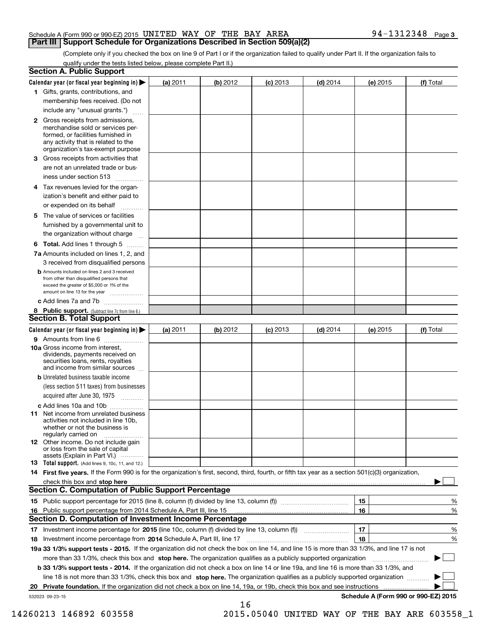# **Part III Support Schedule for Organizations Described in Section 509(a)(2)**

(Complete only if you checked the box on line 9 of Part I or if the organization failed to qualify under Part II. If the organization fails to qualify under the tests listed below, please complete Part II.)

| <b>Section A. Public Support</b>                                                                                                                                                                |          |          |                 |            |          |                                      |
|-------------------------------------------------------------------------------------------------------------------------------------------------------------------------------------------------|----------|----------|-----------------|------------|----------|--------------------------------------|
| Calendar year (or fiscal year beginning in) $\blacktriangleright$                                                                                                                               | (a) 2011 | (b) 2012 | <b>(c)</b> 2013 | $(d)$ 2014 | (e) 2015 | (f) Total                            |
| 1 Gifts, grants, contributions, and                                                                                                                                                             |          |          |                 |            |          |                                      |
| membership fees received. (Do not                                                                                                                                                               |          |          |                 |            |          |                                      |
| include any "unusual grants.")                                                                                                                                                                  |          |          |                 |            |          |                                      |
| <b>2</b> Gross receipts from admissions,<br>merchandise sold or services per-<br>formed, or facilities furnished in<br>any activity that is related to the<br>organization's tax-exempt purpose |          |          |                 |            |          |                                      |
| 3 Gross receipts from activities that                                                                                                                                                           |          |          |                 |            |          |                                      |
| are not an unrelated trade or bus-                                                                                                                                                              |          |          |                 |            |          |                                      |
| iness under section 513                                                                                                                                                                         |          |          |                 |            |          |                                      |
| 4 Tax revenues levied for the organ-                                                                                                                                                            |          |          |                 |            |          |                                      |
| ization's benefit and either paid to                                                                                                                                                            |          |          |                 |            |          |                                      |
| or expended on its behalf<br>.                                                                                                                                                                  |          |          |                 |            |          |                                      |
| 5 The value of services or facilities<br>furnished by a governmental unit to                                                                                                                    |          |          |                 |            |          |                                      |
| the organization without charge                                                                                                                                                                 |          |          |                 |            |          |                                      |
| <b>6 Total.</b> Add lines 1 through 5                                                                                                                                                           |          |          |                 |            |          |                                      |
| 7a Amounts included on lines 1, 2, and<br>3 received from disqualified persons                                                                                                                  |          |          |                 |            |          |                                      |
| <b>b</b> Amounts included on lines 2 and 3 received<br>from other than disqualified persons that<br>exceed the greater of \$5,000 or 1% of the<br>amount on line 13 for the year                |          |          |                 |            |          |                                      |
| c Add lines 7a and 7b                                                                                                                                                                           |          |          |                 |            |          |                                      |
| 8 Public support. (Subtract line 7c from line 6.)<br><b>Section B. Total Support</b>                                                                                                            |          |          |                 |            |          |                                      |
| Calendar year (or fiscal year beginning in)                                                                                                                                                     | (a) 2011 | (b) 2012 | <b>(c)</b> 2013 | $(d)$ 2014 | (e) 2015 | (f) Total                            |
| 9 Amounts from line 6                                                                                                                                                                           |          |          |                 |            |          |                                      |
| <b>10a</b> Gross income from interest,<br>dividends, payments received on<br>securities loans, rents, royalties<br>and income from similar sources                                              |          |          |                 |            |          |                                      |
| <b>b</b> Unrelated business taxable income                                                                                                                                                      |          |          |                 |            |          |                                      |
| (less section 511 taxes) from businesses<br>acquired after June 30, 1975                                                                                                                        |          |          |                 |            |          |                                      |
| c Add lines 10a and 10b                                                                                                                                                                         |          |          |                 |            |          |                                      |
| 11 Net income from unrelated business<br>activities not included in line 10b,<br>whether or not the business is<br>regularly carried on                                                         |          |          |                 |            |          |                                      |
| <b>12</b> Other income. Do not include gain<br>or loss from the sale of capital<br>assets (Explain in Part VI.)                                                                                 |          |          |                 |            |          |                                      |
| <b>13</b> Total support. (Add lines 9, 10c, 11, and 12.)                                                                                                                                        |          |          |                 |            |          |                                      |
| 14 First five years. If the Form 990 is for the organization's first, second, third, fourth, or fifth tax year as a section 501(c)(3) organization,                                             |          |          |                 |            |          |                                      |
| check this box and stop here with an intermediate and the control of the control of the control of the control o                                                                                |          |          |                 |            |          |                                      |
| <b>Section C. Computation of Public Support Percentage</b>                                                                                                                                      |          |          |                 |            |          |                                      |
|                                                                                                                                                                                                 |          |          |                 |            | 15       | %                                    |
| 16 Public support percentage from 2014 Schedule A, Part III, line 15                                                                                                                            |          |          |                 |            | 16       | %                                    |
| <b>Section D. Computation of Investment Income Percentage</b>                                                                                                                                   |          |          |                 |            |          |                                      |
| 17 Investment income percentage for 2015 (line 10c, column (f) divided by line 13, column (f))                                                                                                  |          |          |                 |            | 17       | %                                    |
| 18 Investment income percentage from 2014 Schedule A, Part III, line 17                                                                                                                         |          |          |                 |            | 18       | %                                    |
| 19a 33 1/3% support tests - 2015. If the organization did not check the box on line 14, and line 15 is more than 33 1/3%, and line 17 is not                                                    |          |          |                 |            |          |                                      |
| more than 33 1/3%, check this box and stop here. The organization qualifies as a publicly supported organization                                                                                |          |          |                 |            |          |                                      |
| b 33 1/3% support tests - 2014. If the organization did not check a box on line 14 or line 19a, and line 16 is more than 33 1/3%, and                                                           |          |          |                 |            |          |                                      |
| line 18 is not more than 33 1/3%, check this box and stop here. The organization qualifies as a publicly supported organization                                                                 |          |          |                 |            |          |                                      |
| 20 Private foundation. If the organization did not check a box on line 14, 19a, or 19b, check this box and see instructions                                                                     |          |          |                 |            |          | .                                    |
| 532023 09-23-15                                                                                                                                                                                 |          |          |                 |            |          | Schedule A (Form 990 or 990-EZ) 2015 |
|                                                                                                                                                                                                 |          | 16       |                 |            |          |                                      |

14260213 146892 603558 2015.05040 UNITED WAY OF THE BAY ARE 603558\_1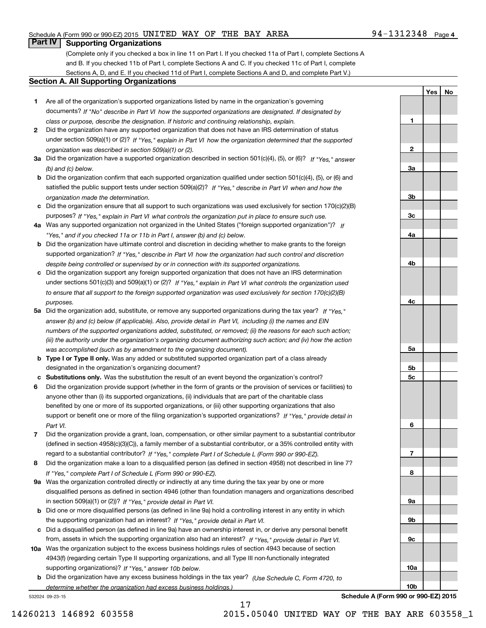# **Part IV Supporting Organizations**

(Complete only if you checked a box in line 11 on Part I. If you checked 11a of Part I, complete Sections A and B. If you checked 11b of Part I, complete Sections A and C. If you checked 11c of Part I, complete Sections A, D, and E. If you checked 11d of Part I, complete Sections A and D, and complete Part V.)

# **Section A. All Supporting Organizations**

- **1** Are all of the organization's supported organizations listed by name in the organization's governing *If "No" describe in how the supported organizations are designated. If designated by* documents? *Part VI class or purpose, describe the designation. If historic and continuing relationship, explain.*
- **2** Did the organization have any supported organization that does not have an IRS determination of status under section 509(a)(1) or (2)? If "Yes," explain in Part VI how the organization determined that the supported *organization was described in section 509(a)(1) or (2).*
- **3a** Did the organization have a supported organization described in section 501(c)(4), (5), or (6)? If "Yes," answer *(b) and (c) below.*
- **b** Did the organization confirm that each supported organization qualified under section 501(c)(4), (5), or (6) and satisfied the public support tests under section 509(a)(2)? If "Yes," describe in Part VI when and how the *organization made the determination.*
- **c**Did the organization ensure that all support to such organizations was used exclusively for section 170(c)(2)(B) purposes? If "Yes," explain in Part VI what controls the organization put in place to ensure such use.
- **4a***If* Was any supported organization not organized in the United States ("foreign supported organization")? *"Yes," and if you checked 11a or 11b in Part I, answer (b) and (c) below.*
- **b** Did the organization have ultimate control and discretion in deciding whether to make grants to the foreign supported organization? If "Yes," describe in Part VI how the organization had such control and discretion *despite being controlled or supervised by or in connection with its supported organizations.*
- **c** Did the organization support any foreign supported organization that does not have an IRS determination under sections 501(c)(3) and 509(a)(1) or (2)? If "Yes," explain in Part VI what controls the organization used *to ensure that all support to the foreign supported organization was used exclusively for section 170(c)(2)(B) purposes.*
- **5a** Did the organization add, substitute, or remove any supported organizations during the tax year? If "Yes," answer (b) and (c) below (if applicable). Also, provide detail in Part VI, including (i) the names and EIN *numbers of the supported organizations added, substituted, or removed; (ii) the reasons for each such action; (iii) the authority under the organization's organizing document authorizing such action; and (iv) how the action was accomplished (such as by amendment to the organizing document).*
- **b** Type I or Type II only. Was any added or substituted supported organization part of a class already designated in the organization's organizing document?
- **cSubstitutions only.**  Was the substitution the result of an event beyond the organization's control?
- **6** Did the organization provide support (whether in the form of grants or the provision of services or facilities) to *If "Yes," provide detail in* support or benefit one or more of the filing organization's supported organizations? anyone other than (i) its supported organizations, (ii) individuals that are part of the charitable class benefited by one or more of its supported organizations, or (iii) other supporting organizations that also *Part VI.*
- **7**Did the organization provide a grant, loan, compensation, or other similar payment to a substantial contributor *If "Yes," complete Part I of Schedule L (Form 990 or 990-EZ).* regard to a substantial contributor? (defined in section 4958(c)(3)(C)), a family member of a substantial contributor, or a 35% controlled entity with
- **8** Did the organization make a loan to a disqualified person (as defined in section 4958) not described in line 7? *If "Yes," complete Part I of Schedule L (Form 990 or 990-EZ).*
- **9a** Was the organization controlled directly or indirectly at any time during the tax year by one or more in section 509(a)(1) or (2))? If "Yes," *provide detail in Part VI.* disqualified persons as defined in section 4946 (other than foundation managers and organizations described
- **b** Did one or more disqualified persons (as defined in line 9a) hold a controlling interest in any entity in which the supporting organization had an interest? If "Yes," provide detail in Part VI.
- **c**Did a disqualified person (as defined in line 9a) have an ownership interest in, or derive any personal benefit from, assets in which the supporting organization also had an interest? If "Yes," provide detail in Part VI.
- **10a** Was the organization subject to the excess business holdings rules of section 4943 because of section supporting organizations)? If "Yes," answer 10b below. 4943(f) (regarding certain Type II supporting organizations, and all Type III non-functionally integrated
- **b** Did the organization have any excess business holdings in the tax year? (Use Schedule C, Form 4720, to *determine whether the organization had excess business holdings.)*

17

532024 09-23-15

**9c10a10bSchedule A (Form 990 or 990-EZ) 2015**

14260213 146892 603558 2015.05040 UNITED WAY OF THE BAY ARE 603558\_1

**1**

**2**

**3a**

**3b**

**3c**

**4a**

**4b**

**4c**

**5a**

**5b5c**

**6**

**7**

**8**

**9a**

**9b**

**YesNo**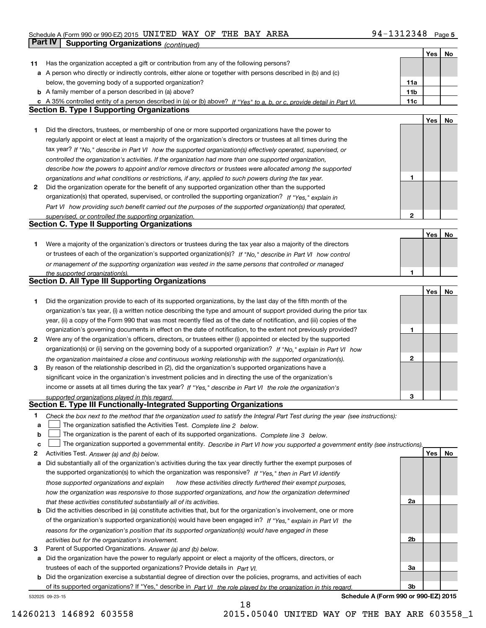# **5** Schedule A (Form 990 or 990-EZ) 2015 Page UNITED WAY OF THE BAY AREA 94‐1312348 **Part IV** Supporting Organizations *(continued)* **All and Systems** *Continued)*

|    |                                                                                                                                                                                                             |     | Yes        | No |
|----|-------------------------------------------------------------------------------------------------------------------------------------------------------------------------------------------------------------|-----|------------|----|
| 11 | Has the organization accepted a gift or contribution from any of the following persons?                                                                                                                     |     |            |    |
|    | a A person who directly or indirectly controls, either alone or together with persons described in (b) and (c)                                                                                              |     |            |    |
|    | below, the governing body of a supported organization?                                                                                                                                                      | 11a |            |    |
|    | <b>b</b> A family member of a person described in (a) above?                                                                                                                                                | 11b |            |    |
|    | A 35% controlled entity of a person described in (a) or (b) above? If "Yes" to a, b, or c, provide detail in Part VI.                                                                                       | 11c |            |    |
|    | <b>Section B. Type I Supporting Organizations</b>                                                                                                                                                           |     |            |    |
|    |                                                                                                                                                                                                             |     | <b>Yes</b> | No |
| 1  | Did the directors, trustees, or membership of one or more supported organizations have the power to                                                                                                         |     |            |    |
|    | regularly appoint or elect at least a majority of the organization's directors or trustees at all times during the                                                                                          |     |            |    |
|    | tax year? If "No," describe in Part VI how the supported organization(s) effectively operated, supervised, or                                                                                               |     |            |    |
|    | controlled the organization's activities. If the organization had more than one supported organization,                                                                                                     |     |            |    |
|    | describe how the powers to appoint and/or remove directors or trustees were allocated among the supported                                                                                                   |     |            |    |
|    | organizations and what conditions or restrictions, if any, applied to such powers during the tax year.                                                                                                      | 1   |            |    |
| 2  | Did the organization operate for the benefit of any supported organization other than the supported                                                                                                         |     |            |    |
|    | organization(s) that operated, supervised, or controlled the supporting organization? If "Yes," explain in                                                                                                  |     |            |    |
|    |                                                                                                                                                                                                             |     |            |    |
|    | Part VI how providing such benefit carried out the purposes of the supported organization(s) that operated,                                                                                                 |     |            |    |
|    | supervised, or controlled the supporting organization.<br><b>Section C. Type II Supporting Organizations</b>                                                                                                | 2   |            |    |
|    |                                                                                                                                                                                                             |     |            |    |
|    |                                                                                                                                                                                                             |     | Yes        | No |
| 1  | Were a majority of the organization's directors or trustees during the tax year also a majority of the directors                                                                                            |     |            |    |
|    | or trustees of each of the organization's supported organization(s)? If "No," describe in Part VI how control                                                                                               |     |            |    |
|    | or management of the supporting organization was vested in the same persons that controlled or managed                                                                                                      |     |            |    |
|    | the supported organization(s).                                                                                                                                                                              | 1   |            |    |
|    | <b>Section D. All Type III Supporting Organizations</b>                                                                                                                                                     |     |            |    |
|    |                                                                                                                                                                                                             |     | <b>Yes</b> | No |
| 1  | Did the organization provide to each of its supported organizations, by the last day of the fifth month of the                                                                                              |     |            |    |
|    | organization's tax year, (i) a written notice describing the type and amount of support provided during the prior tax                                                                                       |     |            |    |
|    | year, (ii) a copy of the Form 990 that was most recently filed as of the date of notification, and (iii) copies of the                                                                                      |     |            |    |
|    | organization's governing documents in effect on the date of notification, to the extent not previously provided?                                                                                            | 1   |            |    |
| 2  | Were any of the organization's officers, directors, or trustees either (i) appointed or elected by the supported                                                                                            |     |            |    |
|    | organization(s) or (ii) serving on the governing body of a supported organization? If "No," explain in Part VI how                                                                                          |     |            |    |
|    | the organization maintained a close and continuous working relationship with the supported organization(s).                                                                                                 | 2   |            |    |
| з  | By reason of the relationship described in (2), did the organization's supported organizations have a                                                                                                       |     |            |    |
|    | significant voice in the organization's investment policies and in directing the use of the organization's                                                                                                  |     |            |    |
|    | income or assets at all times during the tax year? If "Yes," describe in Part VI the role the organization's                                                                                                |     |            |    |
|    | supported organizations played in this regard.                                                                                                                                                              | 3   |            |    |
|    | Section E. Type III Functionally-Integrated Supporting Organizations                                                                                                                                        |     |            |    |
| 1  |                                                                                                                                                                                                             |     |            |    |
| a  | Check the box next to the method that the organization used to satisfy the Integral Part Test during the year (see instructions):<br>The organization satisfied the Activities Test. Complete line 2 below. |     |            |    |
| b  | The organization is the parent of each of its supported organizations. Complete line 3 below.                                                                                                               |     |            |    |
|    |                                                                                                                                                                                                             |     |            |    |
| c  | The organization supported a governmental entity. Describe in Part VI how you supported a government entity (see instructions).                                                                             |     | Yes        |    |
| 2  | Activities Test. Answer (a) and (b) below.                                                                                                                                                                  |     |            | No |
| а  | Did substantially all of the organization's activities during the tax year directly further the exempt purposes of                                                                                          |     |            |    |
|    | the supported organization(s) to which the organization was responsive? If "Yes," then in Part VI identify                                                                                                  |     |            |    |
|    | those supported organizations and explain<br>how these activities directly furthered their exempt purposes.                                                                                                 |     |            |    |
|    | how the organization was responsive to those supported organizations, and how the organization determined                                                                                                   |     |            |    |
|    | that these activities constituted substantially all of its activities.                                                                                                                                      | 2a  |            |    |
| b  | Did the activities described in (a) constitute activities that, but for the organization's involvement, one or more                                                                                         |     |            |    |
|    | of the organization's supported organization(s) would have been engaged in? If "Yes," explain in Part VI the                                                                                                |     |            |    |
|    | reasons for the organization's position that its supported organization(s) would have engaged in these                                                                                                      |     |            |    |
|    | activities but for the organization's involvement.                                                                                                                                                          | 2b  |            |    |
| з  | Parent of Supported Organizations. Answer (a) and (b) below.                                                                                                                                                |     |            |    |
| а  | Did the organization have the power to regularly appoint or elect a majority of the officers, directors, or                                                                                                 |     |            |    |
|    | trustees of each of the supported organizations? Provide details in Part VI.                                                                                                                                | За  |            |    |
| b  | Did the organization exercise a substantial degree of direction over the policies, programs, and activities of each                                                                                         |     |            |    |
|    | of its supported organizations? If "Yes," describe in Part VI the role played by the organization in this regard.                                                                                           | 3b  |            |    |
|    |                                                                                                                                                                                                             |     |            |    |

18

532025 09-23-15

**Schedule A (Form 990 or 990-EZ) 2015**

14260213 146892 603558 2015.05040 UNITED WAY OF THE BAY ARE 603558\_1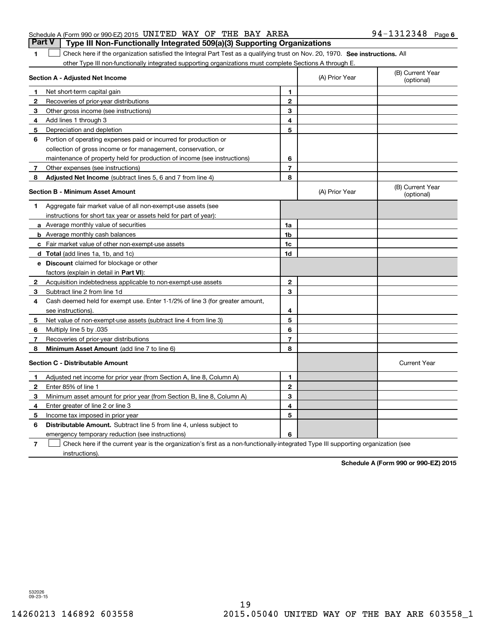|  | Schedule A (Form 990 or 990-EZ) 2015 UNITED WAY OF THE BAY AREA |  |                                                                                       | $94 - 1312348$ Page 6 |  |
|--|-----------------------------------------------------------------|--|---------------------------------------------------------------------------------------|-----------------------|--|
|  |                                                                 |  | <b>Part V</b> Type III Non-Functionally Integrated 509(a)(3) Supporting Organizations |                       |  |

1 Check here if the organization satisfied the Integral Part Test as a qualifying trust on Nov. 20, 1970. See instructions. All other Type III non-functionally integrated supporting organizations must complete Sections A through E.

|                | Section A - Adjusted Net Income                                                                                                   | (A) Prior Year | (B) Current Year<br>(optional) |                                |
|----------------|-----------------------------------------------------------------------------------------------------------------------------------|----------------|--------------------------------|--------------------------------|
| 1              | Net short-term capital gain                                                                                                       | 1.             |                                |                                |
| $\mathbf{2}$   | Recoveries of prior-year distributions                                                                                            | $\mathbf{2}$   |                                |                                |
| 3              | Other gross income (see instructions)                                                                                             | 3              |                                |                                |
| 4              | Add lines 1 through 3                                                                                                             | 4              |                                |                                |
| 5              | Depreciation and depletion                                                                                                        | 5              |                                |                                |
| 6              | Portion of operating expenses paid or incurred for production or                                                                  |                |                                |                                |
|                | collection of gross income or for management, conservation, or                                                                    |                |                                |                                |
|                | maintenance of property held for production of income (see instructions)                                                          | 6              |                                |                                |
| $\overline{7}$ | Other expenses (see instructions)                                                                                                 | $\overline{7}$ |                                |                                |
| 8              | Adjusted Net Income (subtract lines 5, 6 and 7 from line 4)                                                                       | 8              |                                |                                |
|                | <b>Section B - Minimum Asset Amount</b>                                                                                           |                | (A) Prior Year                 | (B) Current Year<br>(optional) |
| 1              | Aggregate fair market value of all non-exempt-use assets (see                                                                     |                |                                |                                |
|                | instructions for short tax year or assets held for part of year):                                                                 |                |                                |                                |
|                | <b>a</b> Average monthly value of securities                                                                                      | 1a             |                                |                                |
|                | <b>b</b> Average monthly cash balances                                                                                            | 1 <sub>b</sub> |                                |                                |
|                | c Fair market value of other non-exempt-use assets                                                                                | 1c             |                                |                                |
|                | d Total (add lines 1a, 1b, and 1c)                                                                                                | 1d             |                                |                                |
|                | <b>e</b> Discount claimed for blockage or other                                                                                   |                |                                |                                |
|                | factors (explain in detail in Part VI):                                                                                           |                |                                |                                |
| 2              | Acquisition indebtedness applicable to non-exempt-use assets                                                                      | $\mathbf{2}$   |                                |                                |
| З.             | Subtract line 2 from line 1d                                                                                                      | 3              |                                |                                |
| 4              | Cash deemed held for exempt use. Enter 1-1/2% of line 3 (for greater amount,                                                      |                |                                |                                |
|                | see instructions).                                                                                                                | 4              |                                |                                |
| 5              | Net value of non-exempt-use assets (subtract line 4 from line 3)                                                                  | 5              |                                |                                |
| 6              | Multiply line 5 by .035                                                                                                           | 6              |                                |                                |
| 7              | Recoveries of prior-year distributions                                                                                            | $\overline{7}$ |                                |                                |
| 8              | Minimum Asset Amount (add line 7 to line 6)                                                                                       | 8              |                                |                                |
|                | <b>Section C - Distributable Amount</b>                                                                                           |                |                                | <b>Current Year</b>            |
| 1.             | Adjusted net income for prior year (from Section A, line 8, Column A)                                                             | 1              |                                |                                |
| 2              | Enter 85% of line 1                                                                                                               | $\overline{2}$ |                                |                                |
| 3              | Minimum asset amount for prior year (from Section B, line 8, Column A)                                                            | 3              |                                |                                |
| 4              | Enter greater of line 2 or line 3                                                                                                 | 4              |                                |                                |
| 5              | Income tax imposed in prior year                                                                                                  | 5              |                                |                                |
| 6              | <b>Distributable Amount.</b> Subtract line 5 from line 4, unless subject to                                                       |                |                                |                                |
|                | emergency temporary reduction (see instructions)                                                                                  | 6              |                                |                                |
| 7              | Check here if the current year is the organization's first as a non-functionally-integrated Type III supporting organization (see |                |                                |                                |

instructions).

**Schedule A (Form 990 or 990-EZ) 2015**

532026 09-23-15

**1**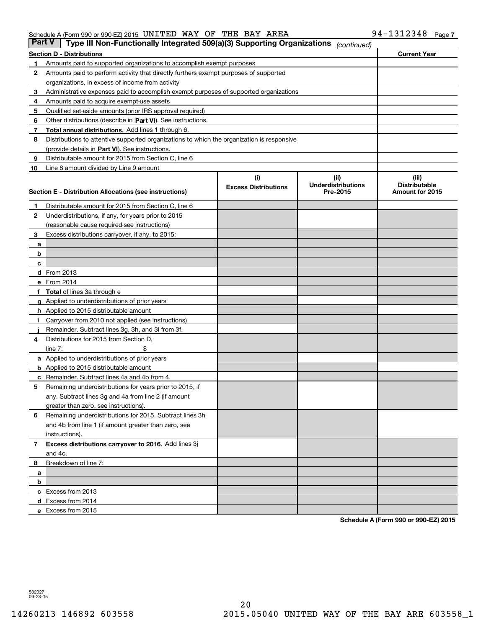| Part V | Type III Non-Functionally Integrated 509(a)(3) Supporting Organizations                    |                             | (continued)               |                        |
|--------|--------------------------------------------------------------------------------------------|-----------------------------|---------------------------|------------------------|
|        | <b>Section D - Distributions</b>                                                           |                             |                           | <b>Current Year</b>    |
| 1      | Amounts paid to supported organizations to accomplish exempt purposes                      |                             |                           |                        |
| 2      | Amounts paid to perform activity that directly furthers exempt purposes of supported       |                             |                           |                        |
|        | organizations, in excess of income from activity                                           |                             |                           |                        |
| 3      | Administrative expenses paid to accomplish exempt purposes of supported organizations      |                             |                           |                        |
| 4      | Amounts paid to acquire exempt-use assets                                                  |                             |                           |                        |
| 5      | Qualified set-aside amounts (prior IRS approval required)                                  |                             |                           |                        |
| 6      | Other distributions (describe in Part VI). See instructions.                               |                             |                           |                        |
| 7      | Total annual distributions. Add lines 1 through 6.                                         |                             |                           |                        |
| 8      | Distributions to attentive supported organizations to which the organization is responsive |                             |                           |                        |
|        | (provide details in Part VI). See instructions.                                            |                             |                           |                        |
| 9      | Distributable amount for 2015 from Section C, line 6                                       |                             |                           |                        |
| 10     | Line 8 amount divided by Line 9 amount                                                     |                             |                           |                        |
|        |                                                                                            | (i)                         | (iii)                     | (iii)                  |
|        |                                                                                            | <b>Excess Distributions</b> | <b>Underdistributions</b> | <b>Distributable</b>   |
|        | Section E - Distribution Allocations (see instructions)                                    |                             | Pre-2015                  | <b>Amount for 2015</b> |
| 1      | Distributable amount for 2015 from Section C, line 6                                       |                             |                           |                        |
| 2      | Underdistributions, if any, for years prior to 2015                                        |                             |                           |                        |
|        | (reasonable cause required-see instructions)                                               |                             |                           |                        |
| з      | Excess distributions carryover, if any, to 2015:                                           |                             |                           |                        |
| а      |                                                                                            |                             |                           |                        |
| b      |                                                                                            |                             |                           |                        |
| c      |                                                                                            |                             |                           |                        |
|        | d From 2013                                                                                |                             |                           |                        |
|        | e From 2014                                                                                |                             |                           |                        |
|        | Total of lines 3a through e                                                                |                             |                           |                        |
|        | <b>g</b> Applied to underdistributions of prior years                                      |                             |                           |                        |
|        | <b>h</b> Applied to 2015 distributable amount                                              |                             |                           |                        |
|        | Carryover from 2010 not applied (see instructions)                                         |                             |                           |                        |
|        | Remainder. Subtract lines 3g, 3h, and 3i from 3f.                                          |                             |                           |                        |
| 4      | Distributions for 2015 from Section D,                                                     |                             |                           |                        |
|        | line $7:$                                                                                  |                             |                           |                        |
|        | <b>a</b> Applied to underdistributions of prior years                                      |                             |                           |                        |
|        | <b>b</b> Applied to 2015 distributable amount                                              |                             |                           |                        |
| с      | Remainder. Subtract lines 4a and 4b from 4.                                                |                             |                           |                        |
| 5      | Remaining underdistributions for years prior to 2015, if                                   |                             |                           |                        |
|        | any. Subtract lines 3g and 4a from line 2 (if amount                                       |                             |                           |                        |
|        | greater than zero, see instructions).                                                      |                             |                           |                        |
| 6      | Remaining underdistributions for 2015. Subtract lines 3h                                   |                             |                           |                        |
|        | and 4b from line 1 (if amount greater than zero, see                                       |                             |                           |                        |
|        | instructions).                                                                             |                             |                           |                        |
| 7      | Excess distributions carryover to 2016. Add lines 3j                                       |                             |                           |                        |
|        | and 4c.                                                                                    |                             |                           |                        |
| 8      | Breakdown of line 7:                                                                       |                             |                           |                        |
| а      |                                                                                            |                             |                           |                        |
| b      |                                                                                            |                             |                           |                        |
|        | c Excess from 2013                                                                         |                             |                           |                        |
|        | <b>d</b> Excess from 2014                                                                  |                             |                           |                        |
|        | e Excess from 2015                                                                         |                             |                           |                        |

**Schedule A (Form 990 or 990-EZ) 2015**

532027 09-23-15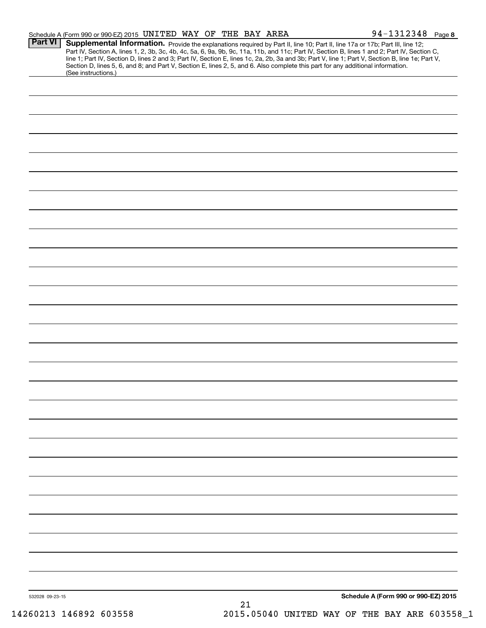|                 | Schedule A (Form 990 or 990-EZ) 2015 UNITED WAY OF THE BAY AREA                                                                                                                                                                                                                                                                                                                                                                                                                                   |  |    |  | 94-1312348 Page 8                    |  |
|-----------------|---------------------------------------------------------------------------------------------------------------------------------------------------------------------------------------------------------------------------------------------------------------------------------------------------------------------------------------------------------------------------------------------------------------------------------------------------------------------------------------------------|--|----|--|--------------------------------------|--|
| <b>Part VI</b>  | Supplemental Information. Provide the explanations required by Part II, line 10; Part II, line 17a or 17b; Part III, line 12;<br>Part IV, Section A, lines 1, 2, 3b, 3c, 4b, 4c, 5a, 6, 9a, 9b, 9c, 11a, 11b, and 11c; Part IV, Section B, lines 1 and 2; Part IV, Section C, line 1; Part IV, Section D, lines 2 and 3; Part IV, Section E, lines 1c, 2a, 2b,<br>Section D, lines 5, 6, and 8; and Part V, Section E, lines 2, 5, and 6. Also complete this part for any additional information. |  |    |  |                                      |  |
|                 | (See instructions.)                                                                                                                                                                                                                                                                                                                                                                                                                                                                               |  |    |  |                                      |  |
|                 |                                                                                                                                                                                                                                                                                                                                                                                                                                                                                                   |  |    |  |                                      |  |
|                 |                                                                                                                                                                                                                                                                                                                                                                                                                                                                                                   |  |    |  |                                      |  |
|                 |                                                                                                                                                                                                                                                                                                                                                                                                                                                                                                   |  |    |  |                                      |  |
|                 |                                                                                                                                                                                                                                                                                                                                                                                                                                                                                                   |  |    |  |                                      |  |
|                 |                                                                                                                                                                                                                                                                                                                                                                                                                                                                                                   |  |    |  |                                      |  |
|                 |                                                                                                                                                                                                                                                                                                                                                                                                                                                                                                   |  |    |  |                                      |  |
|                 |                                                                                                                                                                                                                                                                                                                                                                                                                                                                                                   |  |    |  |                                      |  |
|                 |                                                                                                                                                                                                                                                                                                                                                                                                                                                                                                   |  |    |  |                                      |  |
|                 |                                                                                                                                                                                                                                                                                                                                                                                                                                                                                                   |  |    |  |                                      |  |
|                 |                                                                                                                                                                                                                                                                                                                                                                                                                                                                                                   |  |    |  |                                      |  |
|                 |                                                                                                                                                                                                                                                                                                                                                                                                                                                                                                   |  |    |  |                                      |  |
|                 |                                                                                                                                                                                                                                                                                                                                                                                                                                                                                                   |  |    |  |                                      |  |
|                 |                                                                                                                                                                                                                                                                                                                                                                                                                                                                                                   |  |    |  |                                      |  |
|                 |                                                                                                                                                                                                                                                                                                                                                                                                                                                                                                   |  |    |  |                                      |  |
|                 |                                                                                                                                                                                                                                                                                                                                                                                                                                                                                                   |  |    |  |                                      |  |
|                 |                                                                                                                                                                                                                                                                                                                                                                                                                                                                                                   |  |    |  |                                      |  |
|                 |                                                                                                                                                                                                                                                                                                                                                                                                                                                                                                   |  |    |  |                                      |  |
|                 |                                                                                                                                                                                                                                                                                                                                                                                                                                                                                                   |  |    |  |                                      |  |
|                 |                                                                                                                                                                                                                                                                                                                                                                                                                                                                                                   |  |    |  |                                      |  |
|                 |                                                                                                                                                                                                                                                                                                                                                                                                                                                                                                   |  |    |  |                                      |  |
|                 |                                                                                                                                                                                                                                                                                                                                                                                                                                                                                                   |  |    |  |                                      |  |
|                 |                                                                                                                                                                                                                                                                                                                                                                                                                                                                                                   |  |    |  |                                      |  |
|                 |                                                                                                                                                                                                                                                                                                                                                                                                                                                                                                   |  |    |  |                                      |  |
|                 |                                                                                                                                                                                                                                                                                                                                                                                                                                                                                                   |  |    |  |                                      |  |
|                 |                                                                                                                                                                                                                                                                                                                                                                                                                                                                                                   |  |    |  |                                      |  |
|                 |                                                                                                                                                                                                                                                                                                                                                                                                                                                                                                   |  |    |  |                                      |  |
|                 |                                                                                                                                                                                                                                                                                                                                                                                                                                                                                                   |  |    |  |                                      |  |
|                 |                                                                                                                                                                                                                                                                                                                                                                                                                                                                                                   |  |    |  |                                      |  |
|                 |                                                                                                                                                                                                                                                                                                                                                                                                                                                                                                   |  |    |  |                                      |  |
|                 |                                                                                                                                                                                                                                                                                                                                                                                                                                                                                                   |  |    |  |                                      |  |
|                 |                                                                                                                                                                                                                                                                                                                                                                                                                                                                                                   |  |    |  |                                      |  |
|                 |                                                                                                                                                                                                                                                                                                                                                                                                                                                                                                   |  |    |  |                                      |  |
|                 |                                                                                                                                                                                                                                                                                                                                                                                                                                                                                                   |  |    |  |                                      |  |
|                 |                                                                                                                                                                                                                                                                                                                                                                                                                                                                                                   |  |    |  |                                      |  |
| 532028 09-23-15 |                                                                                                                                                                                                                                                                                                                                                                                                                                                                                                   |  | 21 |  | Schedule A (Form 990 or 990-EZ) 2015 |  |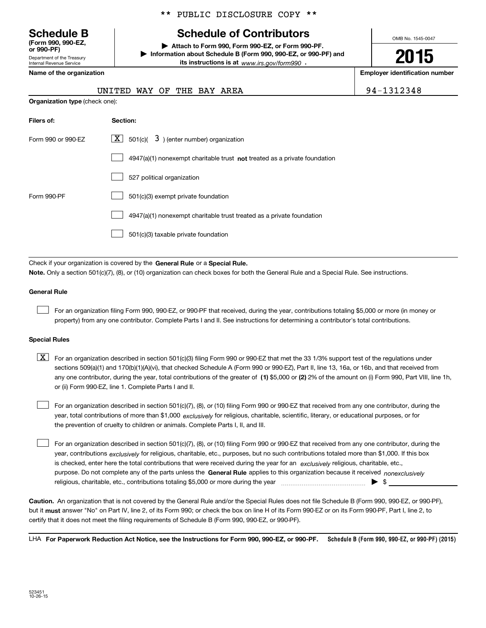Department of the Treasury Internal Revenue Service **(Form 990, 990-EZ, or 990-PF)**

\*\* PUBLIC DISCLOSURE COPY \*\*

# **Schedule B Schedule of Contributors**

**| Attach to Form 990, Form 990-EZ, or Form 990-PF. | Information about Schedule B (Form 990, 990-EZ, or 990-PF) and its instructions is at** www.irs.gov/form990  $\cdot$ 

**Name of the organization Employer identification number**

| Linployer identification |  |   |  |
|--------------------------|--|---|--|
|                          |  |   |  |
|                          |  | . |  |

OMB No. 1545-0047

**2015**

| UNITED WAY OF THE BAY AREA     |  |  | 94-1312348 |
|--------------------------------|--|--|------------|
| Organization type (check one): |  |  |            |

| Filers of:         | Section:                                                                    |
|--------------------|-----------------------------------------------------------------------------|
| Form 990 or 990-EZ | $\lfloor x \rfloor$ 501(c)( 3) (enter number) organization                  |
|                    | $4947(a)(1)$ nonexempt charitable trust not treated as a private foundation |
|                    | 527 political organization                                                  |
| Form 990-PF        | 501(c)(3) exempt private foundation                                         |
|                    | 4947(a)(1) nonexempt charitable trust treated as a private foundation       |
|                    | 501(c)(3) taxable private foundation                                        |

Check if your organization is covered by the **General Rule** or a **Special Rule. Note.**  Only a section 501(c)(7), (8), or (10) organization can check boxes for both the General Rule and a Special Rule. See instructions.

### **General Rule**

 $\mathcal{L}^{\text{max}}$ 

For an organization filing Form 990, 990-EZ, or 990-PF that received, during the year, contributions totaling \$5,000 or more (in money or property) from any one contributor. Complete Parts I and II. See instructions for determining a contributor's total contributions.

### **Special Rules**

 $\mathcal{L}^{\text{max}}$ 

any one contributor, during the year, total contributions of the greater of  $\,$  (1) \$5,000 or (2) 2% of the amount on (i) Form 990, Part VIII, line 1h,  $\boxed{\textbf{X}}$  For an organization described in section 501(c)(3) filing Form 990 or 990-EZ that met the 33 1/3% support test of the regulations under sections 509(a)(1) and 170(b)(1)(A)(vi), that checked Schedule A (Form 990 or 990-EZ), Part II, line 13, 16a, or 16b, and that received from or (ii) Form 990-EZ, line 1. Complete Parts I and II.

year, total contributions of more than \$1,000 *exclusively* for religious, charitable, scientific, literary, or educational purposes, or for For an organization described in section 501(c)(7), (8), or (10) filing Form 990 or 990-EZ that received from any one contributor, during the the prevention of cruelty to children or animals. Complete Parts I, II, and III.  $\mathcal{L}^{\text{max}}$ 

purpose. Do not complete any of the parts unless the **General Rule** applies to this organization because it received *nonexclusively* year, contributions <sub>exclusively</sub> for religious, charitable, etc., purposes, but no such contributions totaled more than \$1,000. If this box is checked, enter here the total contributions that were received during the year for an  $\;$ exclusively religious, charitable, etc., For an organization described in section 501(c)(7), (8), or (10) filing Form 990 or 990-EZ that received from any one contributor, during the religious, charitable, etc., contributions totaling \$5,000 or more during the year  $\Box$ — $\Box$   $\Box$ 

**Caution.**An organization that is not covered by the General Rule and/or the Special Rules does not file Schedule B (Form 990, 990-EZ, or 990-PF),  **must** but it answer "No" on Part IV, line 2, of its Form 990; or check the box on line H of its Form 990-EZ or on its Form 990-PF, Part I, line 2, to certify that it does not meet the filing requirements of Schedule B (Form 990, 990-EZ, or 990-PF).

**Schedule B (Form 990, 990-EZ, or 990-PF) (2015) For Paperwork Reduction Act Notice, see the Instructions for Form 990, 990-EZ, or 990-PF.** LHA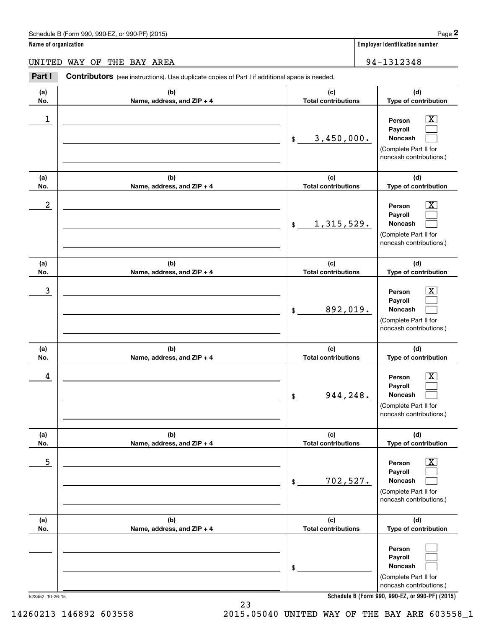**Name of organization Employer identification number**

UNITED WAY OF THE BAY AREA 194-1312348

**(a)No.(b)Name, address, and ZIP + 4 (c)Total contributions (d)Type of contribution PersonPayrollNoncash (a)No.(b)Name, address, and ZIP + 4 (c)Total contributions (d)Type of contribution PersonPayrollNoncash (a)No.(b)Name, address, and ZIP + 4 (c)Total contributions (d)Type of contribution PersonPayrollNoncash (a) No.(b) Name, address, and ZIP + 4 (c) Total contributions (d) Type of contribution PersonPayrollNoncash (a) No.(b) Name, address, and ZIP + 4 (c) Total contributions (d) Type of contribution PersonPayrollNoncash (a) No.(b)Name, address, and ZIP + 4 (c) Total contributions (d)Type of contribution PersonPayrollNoncash Contributors** (see instructions). Use duplicate copies of Part I if additional space is needed. \$(Complete Part II for noncash contributions.) \$(Complete Part II for noncash contributions.) \$(Complete Part II for noncash contributions.) \$(Complete Part II for noncash contributions.) \$(Complete Part II for noncash contributions.) \$(Complete Part II for noncash contributions.) Employer identification Page 2<br> **2** ame of organization<br> **PART I Contributors** (see instructions). Use duplicate copies of Part I if additional space is needed.<br> **PART I Contributors** (see instructions). Use duplicate  $|X|$  $\mathcal{L}^{\text{max}}$  $\mathcal{L}^{\text{max}}$  $\boxed{\text{X}}$  $\mathcal{L}^{\text{max}}$  $\mathcal{L}^{\text{max}}$  $|X|$  $\mathcal{L}^{\text{max}}$  $\mathcal{L}^{\text{max}}$  $\boxed{\text{X}}$  $\mathcal{L}^{\text{max}}$  $\mathcal{L}^{\text{max}}$  $\boxed{\text{X}}$  $\mathcal{L}^{\text{max}}$  $\mathcal{L}^{\text{max}}$  $\mathcal{L}^{\text{max}}$  $\mathcal{L}^{\text{max}}$  $\mathcal{L}^{\text{max}}$  $\begin{array}{c|c|c|c|c|c} 1 & \hspace{1.5cm} & \hspace{1.5cm} & \hspace{1.5cm} & \hspace{1.5cm} & \hspace{1.5cm} & \hspace{1.5cm} & \hspace{1.5cm} & \hspace{1.5cm} & \hspace{1.5cm} & \hspace{1.5cm} & \hspace{1.5cm} & \hspace{1.5cm} & \hspace{1.5cm} & \hspace{1.5cm} & \hspace{1.5cm} & \hspace{1.5cm} & \hspace{1.5cm} & \hspace{1.5cm} & \hspace{1.5cm} & \hspace{1.5cm} &$ 3,450,000.  $2$  | Person  $\overline{\text{X}}$ 1,315,529.  $\overline{3}$  | Person  $\overline{X}$ 892,019.  $4$  | Person  $\overline{\text{X}}$ 944,248.  $\sim$  5 | Person X 702,527.

**Schedule B (Form 990, 990-EZ, or 990-PF) (2015)**

523452 10-26-15

23 14260213 146892 603558 2015.05040 UNITED WAY OF THE BAY ARE 603558\_1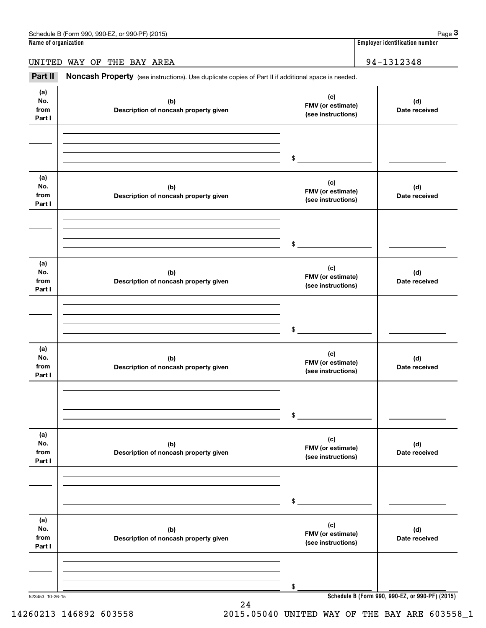# UNITED WAY OF THE BAY AREA 94–1312348

Employer identification number<br> **3Page 3**<br> **2Part II** Moncash Property (see instructions). Use duplicate copies of Part II if additional space is needed.<br> **Part II** Noncash Property (see instructions). Use duplicate copies

| (a)<br>No.<br>from<br>Part I | (b)<br>Description of noncash property given | (c)<br>FMV (or estimate)<br>(see instructions) | (d)<br>Date received                            |
|------------------------------|----------------------------------------------|------------------------------------------------|-------------------------------------------------|
|                              |                                              |                                                |                                                 |
|                              |                                              | \$                                             |                                                 |
| (a)<br>No.<br>from<br>Part I | (b)<br>Description of noncash property given | (c)<br>FMV (or estimate)<br>(see instructions) | (d)<br>Date received                            |
|                              |                                              |                                                |                                                 |
|                              |                                              | \$                                             |                                                 |
| (a)<br>No.<br>from<br>Part I | (b)<br>Description of noncash property given | (c)<br>FMV (or estimate)<br>(see instructions) | (d)<br>Date received                            |
|                              |                                              |                                                |                                                 |
|                              |                                              | $$^{\circ}$                                    |                                                 |
| (a)<br>No.<br>from<br>Part I | (b)<br>Description of noncash property given | (c)<br>FMV (or estimate)<br>(see instructions) | (d)<br>Date received                            |
|                              |                                              |                                                |                                                 |
|                              |                                              | \$                                             |                                                 |
| (a)<br>No.<br>from<br>Part I | (b)<br>Description of noncash property given | (c)<br>FMV (or estimate)<br>(see instructions) | (d)<br>Date received                            |
|                              |                                              |                                                |                                                 |
|                              |                                              | \$                                             |                                                 |
| (a)<br>No.<br>from<br>Part I | (b)<br>Description of noncash property given | (c)<br>FMV (or estimate)<br>(see instructions) | (d)<br>Date received                            |
|                              |                                              |                                                |                                                 |
|                              |                                              | \$                                             |                                                 |
| 523453 10-26-15              |                                              |                                                | Schedule B (Form 990, 990-EZ, or 990-PF) (2015) |

**Schedule B (Form 990, 990-EZ, or 990-PF) (2015)**

24 14260213 146892 603558 2015.05040 UNITED WAY OF THE BAY ARE 603558\_1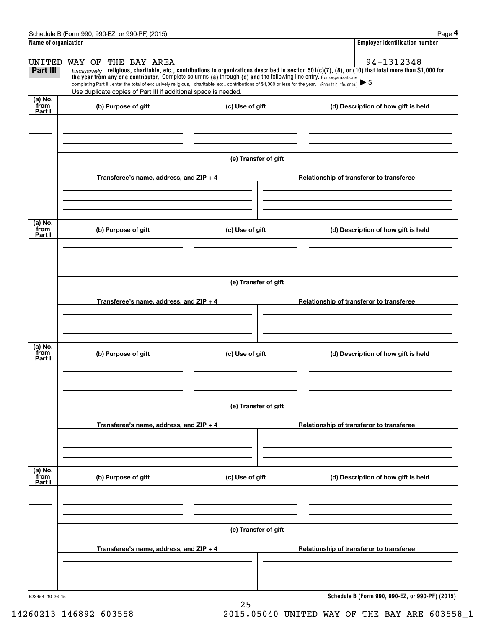|                      | Schedule B (Form 990, 990-EZ, or 990-PF) (2015)                                                                                                                                                                                                                                 |                      |                                          | Page 4                                          |
|----------------------|---------------------------------------------------------------------------------------------------------------------------------------------------------------------------------------------------------------------------------------------------------------------------------|----------------------|------------------------------------------|-------------------------------------------------|
| Name of organization |                                                                                                                                                                                                                                                                                 |                      |                                          | <b>Employer identification number</b>           |
|                      | UNITED WAY OF<br>THE BAY AREA                                                                                                                                                                                                                                                   |                      |                                          | 94-1312348                                      |
| <b>Part III</b>      | Exclusively religious, charitable, etc., contributions to organizations described in section $501(c)(7)$ , (8), or (10) that total more than \$1,000 for<br>the year from any one contributor. Complete columns (a) through (e) and the following line entry. For organizations |                      |                                          |                                                 |
|                      | completing Part III, enter the total of exclusively religious, charitable, etc., contributions of \$1,000 or less for the year. (Enter this info. once.) $\blacktriangleright$ \$                                                                                               |                      |                                          |                                                 |
| $(a)$ No.            | Use duplicate copies of Part III if additional space is needed.                                                                                                                                                                                                                 |                      |                                          |                                                 |
| from<br>Part I       | (b) Purpose of gift                                                                                                                                                                                                                                                             | (c) Use of gift      |                                          | (d) Description of how gift is held             |
|                      |                                                                                                                                                                                                                                                                                 |                      |                                          |                                                 |
|                      |                                                                                                                                                                                                                                                                                 |                      |                                          |                                                 |
|                      |                                                                                                                                                                                                                                                                                 |                      |                                          |                                                 |
|                      |                                                                                                                                                                                                                                                                                 | (e) Transfer of gift |                                          |                                                 |
|                      |                                                                                                                                                                                                                                                                                 |                      |                                          |                                                 |
|                      | Transferee's name, address, and $ZIP + 4$                                                                                                                                                                                                                                       |                      | Relationship of transferor to transferee |                                                 |
|                      |                                                                                                                                                                                                                                                                                 |                      |                                          |                                                 |
|                      |                                                                                                                                                                                                                                                                                 |                      |                                          |                                                 |
| (a) No.              |                                                                                                                                                                                                                                                                                 |                      |                                          |                                                 |
| from<br>Part I       | (b) Purpose of gift                                                                                                                                                                                                                                                             | (c) Use of gift      |                                          | (d) Description of how gift is held             |
|                      |                                                                                                                                                                                                                                                                                 |                      |                                          |                                                 |
|                      |                                                                                                                                                                                                                                                                                 |                      |                                          |                                                 |
|                      |                                                                                                                                                                                                                                                                                 |                      |                                          |                                                 |
|                      |                                                                                                                                                                                                                                                                                 | (e) Transfer of gift |                                          |                                                 |
|                      | Transferee's name, address, and ZIP + 4                                                                                                                                                                                                                                         |                      | Relationship of transferor to transferee |                                                 |
|                      |                                                                                                                                                                                                                                                                                 |                      |                                          |                                                 |
|                      |                                                                                                                                                                                                                                                                                 |                      |                                          |                                                 |
|                      |                                                                                                                                                                                                                                                                                 |                      |                                          |                                                 |
| (a) No.<br>from      | (b) Purpose of gift                                                                                                                                                                                                                                                             |                      |                                          |                                                 |
| Part I               |                                                                                                                                                                                                                                                                                 | (c) Use of gift      |                                          | (d) Description of how gift is held             |
|                      |                                                                                                                                                                                                                                                                                 |                      |                                          |                                                 |
|                      |                                                                                                                                                                                                                                                                                 |                      |                                          |                                                 |
|                      |                                                                                                                                                                                                                                                                                 |                      |                                          |                                                 |
|                      |                                                                                                                                                                                                                                                                                 | (e) Transfer of gift |                                          |                                                 |
|                      | Transferee's name, address, and ZIP + 4                                                                                                                                                                                                                                         |                      | Relationship of transferor to transferee |                                                 |
|                      |                                                                                                                                                                                                                                                                                 |                      |                                          |                                                 |
|                      |                                                                                                                                                                                                                                                                                 |                      |                                          |                                                 |
|                      |                                                                                                                                                                                                                                                                                 |                      |                                          |                                                 |
| (a) No.<br>from      | (b) Purpose of gift                                                                                                                                                                                                                                                             | (c) Use of gift      |                                          | (d) Description of how gift is held             |
| Part I               |                                                                                                                                                                                                                                                                                 |                      |                                          |                                                 |
|                      |                                                                                                                                                                                                                                                                                 |                      |                                          |                                                 |
|                      |                                                                                                                                                                                                                                                                                 |                      |                                          |                                                 |
|                      |                                                                                                                                                                                                                                                                                 | (e) Transfer of gift |                                          |                                                 |
|                      |                                                                                                                                                                                                                                                                                 |                      |                                          |                                                 |
|                      | Transferee's name, address, and ZIP + 4                                                                                                                                                                                                                                         |                      | Relationship of transferor to transferee |                                                 |
|                      |                                                                                                                                                                                                                                                                                 |                      |                                          |                                                 |
|                      |                                                                                                                                                                                                                                                                                 |                      |                                          |                                                 |
|                      |                                                                                                                                                                                                                                                                                 |                      |                                          |                                                 |
| 523454 10-26-15      |                                                                                                                                                                                                                                                                                 | 25                   |                                          | Schedule B (Form 990, 990-EZ, or 990-PF) (2015) |

14260213 146892 603558 2015.05040 UNITED WAY OF THE BAY ARE 603558\_1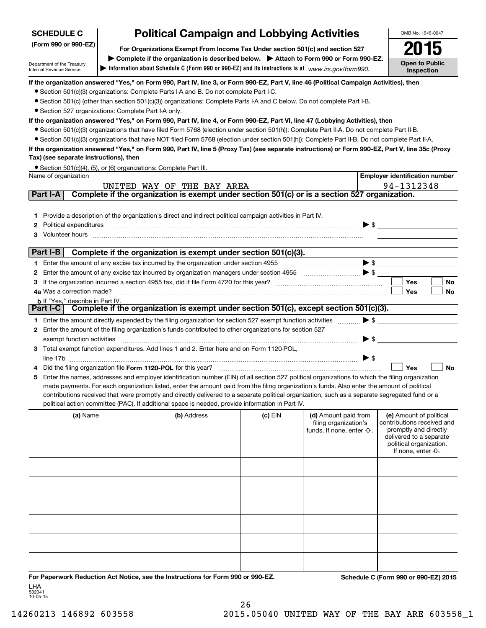| <b>SCHEDULE C</b>                                    | <b>Political Campaign and Lobbying Activities</b>                                                                                                                                                                                                                                             |           |                            | OMB No. 1545-0047                                |
|------------------------------------------------------|-----------------------------------------------------------------------------------------------------------------------------------------------------------------------------------------------------------------------------------------------------------------------------------------------|-----------|----------------------------|--------------------------------------------------|
| (Form 990 or 990-EZ)                                 | For Organizations Exempt From Income Tax Under section 501(c) and section 527                                                                                                                                                                                                                 |           |                            | 15                                               |
| Department of the Treasury                           | Complete if the organization is described below. > Attach to Form 990 or Form 990-EZ.<br>Information about Schedule C (Form 990 or 990-EZ) and its instructions is at www.irs.gov/form990.                                                                                                    |           |                            | <b>Open to Public</b>                            |
| Internal Revenue Service                             |                                                                                                                                                                                                                                                                                               |           |                            | Inspection                                       |
|                                                      | If the organization answered "Yes," on Form 990, Part IV, line 3, or Form 990-EZ, Part V, line 46 (Political Campaign Activities), then<br>• Section 501(c)(3) organizations: Complete Parts I-A and B. Do not complete Part I-C.                                                             |           |                            |                                                  |
|                                                      | • Section 501(c) (other than section 501(c)(3)) organizations: Complete Parts I-A and C below. Do not complete Part I-B.                                                                                                                                                                      |           |                            |                                                  |
| • Section 527 organizations: Complete Part I-A only. |                                                                                                                                                                                                                                                                                               |           |                            |                                                  |
|                                                      | If the organization answered "Yes," on Form 990, Part IV, line 4, or Form 990-EZ, Part VI, line 47 (Lobbying Activities), then                                                                                                                                                                |           |                            |                                                  |
|                                                      | • Section 501(c)(3) organizations that have filed Form 5768 (election under section 501(h)): Complete Part II-A. Do not complete Part II-B.                                                                                                                                                   |           |                            |                                                  |
|                                                      | • Section 501(c)(3) organizations that have NOT filed Form 5768 (election under section 501(h)): Complete Part II-B. Do not complete Part II-A.                                                                                                                                               |           |                            |                                                  |
| Tax) (see separate instructions), then               | If the organization answered "Yes," on Form 990, Part IV, line 5 (Proxy Tax) (see separate instructions) or Form 990-EZ, Part V, line 35c (Proxy                                                                                                                                              |           |                            |                                                  |
|                                                      | • Section 501(c)(4), (5), or (6) organizations: Complete Part III.                                                                                                                                                                                                                            |           |                            |                                                  |
| Name of organization                                 |                                                                                                                                                                                                                                                                                               |           |                            | <b>Employer identification number</b>            |
|                                                      | UNITED WAY OF THE BAY AREA                                                                                                                                                                                                                                                                    |           |                            | 94-1312348                                       |
| Part I-A                                             | Complete if the organization is exempt under section 501(c) or is a section 527 organization.                                                                                                                                                                                                 |           |                            |                                                  |
|                                                      |                                                                                                                                                                                                                                                                                               |           |                            |                                                  |
| 1.                                                   | Provide a description of the organization's direct and indirect political campaign activities in Part IV.                                                                                                                                                                                     |           |                            |                                                  |
| 2                                                    | Political expenditures <i>machine machine content and all experimental expenditures</i>                                                                                                                                                                                                       |           |                            | $\triangleright$ \$                              |
| 3                                                    | Volunteer hours with an accommodal contract to the contract of the contract of the contract of the contract of the contract of the contract of the contract of the contract of the contract of the contract of the contract of                                                                |           |                            |                                                  |
| Part I-B                                             | Complete if the organization is exempt under section 501(c)(3).                                                                                                                                                                                                                               |           |                            |                                                  |
|                                                      | 1 Enter the amount of any excise tax incurred by the organization under section 4955                                                                                                                                                                                                          |           |                            | $\blacktriangleright$ \$                         |
| 2                                                    | Enter the amount of any excise tax incurred by organization managers under section 4955                                                                                                                                                                                                       |           |                            |                                                  |
| з                                                    |                                                                                                                                                                                                                                                                                               |           |                            | Yes<br><b>No</b>                                 |
|                                                      |                                                                                                                                                                                                                                                                                               |           |                            | Yes<br>No                                        |
| <b>b</b> If "Yes," describe in Part IV.<br>Part I-C  | Complete if the organization is exempt under section $501(c)$ , except section $501(c)(3)$ .                                                                                                                                                                                                  |           |                            |                                                  |
|                                                      | 1 Enter the amount directly expended by the filing organization for section 527 exempt function activities                                                                                                                                                                                    |           | $\blacktriangleright$ \$   |                                                  |
| 2                                                    | Enter the amount of the filing organization's funds contributed to other organizations for section 527                                                                                                                                                                                        |           |                            |                                                  |
| exempt function activities                           |                                                                                                                                                                                                                                                                                               |           | $\blacktriangleright$ \$   |                                                  |
|                                                      | 3 Total exempt function expenditures. Add lines 1 and 2. Enter here and on Form 1120-POL,                                                                                                                                                                                                     |           |                            |                                                  |
|                                                      |                                                                                                                                                                                                                                                                                               |           | $\blacktriangleright$ \$   |                                                  |
|                                                      | Did the filing organization file Form 1120-POL for this year?                                                                                                                                                                                                                                 |           |                            | <b>No</b><br>Yes                                 |
| 5                                                    | Enter the names, addresses and employer identification number (EIN) of all section 527 political organizations to which the filing organization                                                                                                                                               |           |                            |                                                  |
|                                                      | made payments. For each organization listed, enter the amount paid from the filing organization's funds. Also enter the amount of political<br>contributions received that were promptly and directly delivered to a separate political organization, such as a separate segregated fund or a |           |                            |                                                  |
|                                                      | political action committee (PAC). If additional space is needed, provide information in Part IV.                                                                                                                                                                                              |           |                            |                                                  |
| (a) Name                                             | (b) Address                                                                                                                                                                                                                                                                                   | $(c)$ EIN | (d) Amount paid from       | (e) Amount of political                          |
|                                                      |                                                                                                                                                                                                                                                                                               |           | filing organization's      | contributions received and                       |
|                                                      |                                                                                                                                                                                                                                                                                               |           | funds. If none, enter -0-. | promptly and directly<br>delivered to a separate |
|                                                      |                                                                                                                                                                                                                                                                                               |           |                            | political organization.                          |
|                                                      |                                                                                                                                                                                                                                                                                               |           |                            | If none, enter -0-.                              |
|                                                      |                                                                                                                                                                                                                                                                                               |           |                            |                                                  |
|                                                      |                                                                                                                                                                                                                                                                                               |           |                            |                                                  |
|                                                      |                                                                                                                                                                                                                                                                                               |           |                            |                                                  |
|                                                      |                                                                                                                                                                                                                                                                                               |           |                            |                                                  |
|                                                      |                                                                                                                                                                                                                                                                                               |           |                            |                                                  |
|                                                      |                                                                                                                                                                                                                                                                                               |           |                            |                                                  |
|                                                      |                                                                                                                                                                                                                                                                                               |           |                            |                                                  |
|                                                      |                                                                                                                                                                                                                                                                                               |           |                            |                                                  |
|                                                      |                                                                                                                                                                                                                                                                                               |           |                            |                                                  |
|                                                      |                                                                                                                                                                                                                                                                                               |           |                            |                                                  |
|                                                      | For Paperwork Reduction Act Notice, see the Instructions for Form 990 or 990-EZ.                                                                                                                                                                                                              |           |                            | Schedule C (Form 990 or 990-EZ) 2015             |

532041 10-05-15 LHA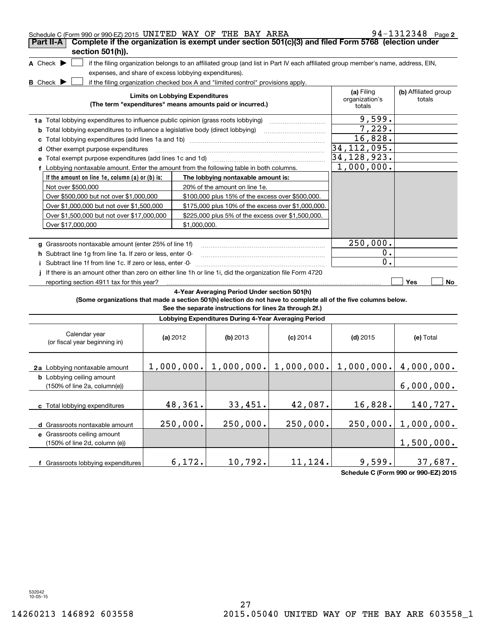| Schedule C (Form 990 or 990-EZ) 2015 UNITED WAY OF THE BAY AREA                                                 |                                                       |                                                                                                                                   |            |                                        | 94-1312348 Page 2              |
|-----------------------------------------------------------------------------------------------------------------|-------------------------------------------------------|-----------------------------------------------------------------------------------------------------------------------------------|------------|----------------------------------------|--------------------------------|
| Complete if the organization is exempt under section 501(c)(3) and filed Form 5768 (election under<br>Part II-A |                                                       |                                                                                                                                   |            |                                        |                                |
| section 501(h)).                                                                                                |                                                       |                                                                                                                                   |            |                                        |                                |
| A Check $\blacktriangleright$                                                                                   |                                                       | if the filing organization belongs to an affiliated group (and list in Part IV each affiliated group member's name, address, EIN, |            |                                        |                                |
|                                                                                                                 | expenses, and share of excess lobbying expenditures). |                                                                                                                                   |            |                                        |                                |
| <b>B</b> Check $\blacktriangleright$                                                                            |                                                       | if the filing organization checked box A and "limited control" provisions apply.                                                  |            |                                        |                                |
|                                                                                                                 | <b>Limits on Lobbying Expenditures</b>                | (The term "expenditures" means amounts paid or incurred.)                                                                         |            | (a) Filing<br>organization's<br>totals | (b) Affiliated group<br>totals |
| 1a Total lobbying expenditures to influence public opinion (grass roots lobbying)                               |                                                       |                                                                                                                                   |            | 9,599.                                 |                                |
| <b>b</b> Total lobbying expenditures to influence a legislative body (direct lobbying)                          |                                                       |                                                                                                                                   |            | 7,229.                                 |                                |
|                                                                                                                 |                                                       |                                                                                                                                   |            | 16,828.                                |                                |
| d Other exempt purpose expenditures                                                                             |                                                       |                                                                                                                                   |            | 34, 112, 095.                          |                                |
| e Total exempt purpose expenditures (add lines 1c and 1d) manufactured contains an example Total exempt purpose |                                                       |                                                                                                                                   |            | 34,128,923.                            |                                |
| f Lobbying nontaxable amount. Enter the amount from the following table in both columns.                        |                                                       |                                                                                                                                   |            | 1,000,000.                             |                                |
| If the amount on line 1e, column $(a)$ or $(b)$ is:                                                             |                                                       | The lobbying nontaxable amount is:                                                                                                |            |                                        |                                |
| Not over \$500,000                                                                                              |                                                       | 20% of the amount on line 1e.                                                                                                     |            |                                        |                                |
| Over \$500,000 but not over \$1,000,000                                                                         |                                                       | \$100,000 plus 15% of the excess over \$500,000.                                                                                  |            |                                        |                                |
| Over \$1,000,000 but not over \$1,500,000                                                                       |                                                       | \$175,000 plus 10% of the excess over \$1,000,000.                                                                                |            |                                        |                                |
| Over \$1,500,000 but not over \$17,000,000                                                                      |                                                       | \$225,000 plus 5% of the excess over \$1,500,000.                                                                                 |            |                                        |                                |
| Over \$17,000,000                                                                                               | \$1,000,000.                                          |                                                                                                                                   |            |                                        |                                |
|                                                                                                                 |                                                       |                                                                                                                                   |            |                                        |                                |
| g Grassroots nontaxable amount (enter 25% of line 1f)                                                           |                                                       |                                                                                                                                   |            | 250,000.                               |                                |
| h Subtract line 1g from line 1a. If zero or less, enter -0-                                                     |                                                       |                                                                                                                                   |            | $0$ .                                  |                                |
| i Subtract line 1f from line 1c. If zero or less, enter -0-                                                     |                                                       |                                                                                                                                   |            | 0.                                     |                                |
| If there is an amount other than zero on either line 1h or line 1i, did the organization file Form 4720         |                                                       |                                                                                                                                   |            |                                        |                                |
| reporting section 4911 tax for this year?                                                                       |                                                       |                                                                                                                                   |            |                                        | Yes<br>No                      |
|                                                                                                                 |                                                       | 4-Year Averaging Period Under section 501(h)                                                                                      |            |                                        |                                |
| (Some organizations that made a section 501(h) election do not have to complete all of the five columns below.  |                                                       | See the separate instructions for lines 2a through 2f.)                                                                           |            |                                        |                                |
|                                                                                                                 |                                                       | Lobbying Expenditures During 4-Year Averaging Period                                                                              |            |                                        |                                |
| Calendar year<br>(or fiscal year beginning in)                                                                  | (a) $2012$                                            | (b) 2013                                                                                                                          | $(c)$ 2014 | $(d)$ 2015                             | (e) Total                      |
| 2a Lobbying nontaxable amount                                                                                   |                                                       | $1,000,000$ , $1,000,000$ , $1,000,000$ , $1,000$ , $000$ , $4,000,000$ .                                                         |            |                                        |                                |
| <b>b</b> Lobbying ceiling amount<br>(150% of line 2a, column(e))                                                |                                                       |                                                                                                                                   |            |                                        | 6,000,000.                     |
| c Total lobbying expenditures                                                                                   | 48,361.                                               | 33,451.                                                                                                                           | 42,087.    | 16,828.                                | 140,727.                       |
| d Grassroots nontaxable amount                                                                                  | 250,000.                                              | 250,000.                                                                                                                          | 250,000.   | 250,000.                               | 1,000,000.                     |
| e Grassroots ceiling amount<br>(150% of line 2d, column (e))                                                    |                                                       |                                                                                                                                   |            |                                        | 1,500,000.                     |
| f Grassroots lobbying expenditures                                                                              | 6,172.                                                | 10,792.                                                                                                                           | 11,124.    | 9,599.                                 | 37,687.                        |

**Schedule C (Form 990 or 990-EZ) 2015**

532042 10-05-15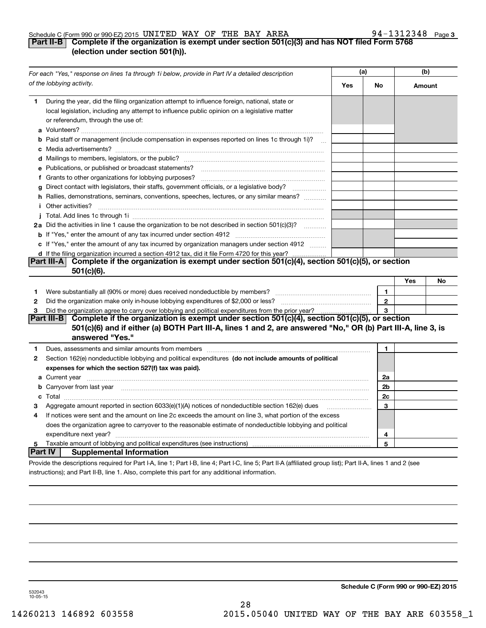## Schedule C (Form 990 or 990-EZ) 2015 <code>UNITED WAY OF THE BAY AREA</code>  $94-1312348$  <code>Page</code>

# **3**

# **Part II-B Complete if the organization is exempt under section 501(c)(3) and has NOT filed Form 5768 (election under section 501(h)).**

|                   | For each "Yes," response on lines 1a through 1i below, provide in Part IV a detailed description                                                                                                                                                                                                                                        | (a) |                | (b)    |    |
|-------------------|-----------------------------------------------------------------------------------------------------------------------------------------------------------------------------------------------------------------------------------------------------------------------------------------------------------------------------------------|-----|----------------|--------|----|
|                   | of the lobbying activity.                                                                                                                                                                                                                                                                                                               | Yes | No             | Amount |    |
| 1                 | During the year, did the filing organization attempt to influence foreign, national, state or<br>local legislation, including any attempt to influence public opinion on a legislative matter<br>or referendum, through the use of:                                                                                                     |     |                |        |    |
|                   | <b>b</b> Paid staff or management (include compensation in expenses reported on lines 1c through 1i)?<br>$\sim$                                                                                                                                                                                                                         |     |                |        |    |
|                   |                                                                                                                                                                                                                                                                                                                                         |     |                |        |    |
|                   | e Publications, or published or broadcast statements?                                                                                                                                                                                                                                                                                   |     |                |        |    |
|                   | f Grants to other organizations for lobbying purposes?                                                                                                                                                                                                                                                                                  |     |                |        |    |
| g                 | Direct contact with legislators, their staffs, government officials, or a legislative body?                                                                                                                                                                                                                                             |     |                |        |    |
|                   | h Rallies, demonstrations, seminars, conventions, speeches, lectures, or any similar means?<br><i>i</i> Other activities?                                                                                                                                                                                                               |     |                |        |    |
|                   |                                                                                                                                                                                                                                                                                                                                         |     |                |        |    |
|                   | 2a Did the activities in line 1 cause the organization to be not described in section 501(c)(3)?                                                                                                                                                                                                                                        |     |                |        |    |
|                   |                                                                                                                                                                                                                                                                                                                                         |     |                |        |    |
|                   | c If "Yes," enter the amount of any tax incurred by organization managers under section 4912                                                                                                                                                                                                                                            |     |                |        |    |
|                   | d If the filing organization incurred a section 4912 tax, did it file Form 4720 for this year?                                                                                                                                                                                                                                          |     |                |        |    |
|                   | Complete if the organization is exempt under section 501(c)(4), section 501(c)(5), or section<br> Part III-A <br>$501(c)(6)$ .                                                                                                                                                                                                          |     |                |        |    |
|                   |                                                                                                                                                                                                                                                                                                                                         |     |                | Yes    | No |
| 1                 | Were substantially all (90% or more) dues received nondeductible by members?                                                                                                                                                                                                                                                            |     | 1              |        |    |
| 2                 |                                                                                                                                                                                                                                                                                                                                         |     | $\bf 2$        |        |    |
| 3                 | Did the organization agree to carry over lobbying and political expenditures from the prior year?                                                                                                                                                                                                                                       |     | 3              |        |    |
|                   | Complete if the organization is exempt under section 501(c)(4), section 501(c)(5), or section<br> Part III-B                                                                                                                                                                                                                            |     |                |        |    |
|                   | 501(c)(6) and if either (a) BOTH Part III-A, lines 1 and 2, are answered "No," OR (b) Part III-A, line 3, is<br>answered "Yes."                                                                                                                                                                                                         |     |                |        |    |
|                   |                                                                                                                                                                                                                                                                                                                                         |     |                |        |    |
| 1<br>$\mathbf{2}$ | Dues, assessments and similar amounts from members [111] www.communicallyness.communicallyness.communicallyness.communicallyness.communicallyness.communicallyness.communicallyness.communicallyness.communicallyness.communic<br>Section 162(e) nondeductible lobbying and political expenditures (do not include amounts of political |     | 1              |        |    |
|                   | expenses for which the section 527(f) tax was paid).                                                                                                                                                                                                                                                                                    |     |                |        |    |
|                   |                                                                                                                                                                                                                                                                                                                                         |     | 2a             |        |    |
|                   | <b>b</b> Carryover from last year manufactured and contain the contract of the contract of the contract of the contract of the contract of the contract of the contract of the contract of the contract of the contract of the cont                                                                                                     |     | 2 <sub>b</sub> |        |    |
|                   |                                                                                                                                                                                                                                                                                                                                         |     | 2c             |        |    |
| з                 | Aggregate amount reported in section 6033(e)(1)(A) notices of nondeductible section 162(e) dues                                                                                                                                                                                                                                         |     | 3              |        |    |
| 4                 | If notices were sent and the amount on line 2c exceeds the amount on line 3, what portion of the excess                                                                                                                                                                                                                                 |     |                |        |    |
|                   | does the organization agree to carryover to the reasonable estimate of nondeductible lobbying and political                                                                                                                                                                                                                             |     |                |        |    |
|                   |                                                                                                                                                                                                                                                                                                                                         |     | 4              |        |    |
| 5                 |                                                                                                                                                                                                                                                                                                                                         |     | 5              |        |    |
| Part IV           | <b>Supplemental Information</b>                                                                                                                                                                                                                                                                                                         |     |                |        |    |
|                   | Provide the descriptions required for Part I-A, line 1; Part I-B, line 4; Part I-C, line 5; Part II-A (affiliated group list); Part II-A, lines 1 and 2 (see                                                                                                                                                                            |     |                |        |    |
|                   | instructions); and Part II-B, line 1. Also, complete this part for any additional information.                                                                                                                                                                                                                                          |     |                |        |    |

**Schedule C (Form 990 or 990-EZ) 2015**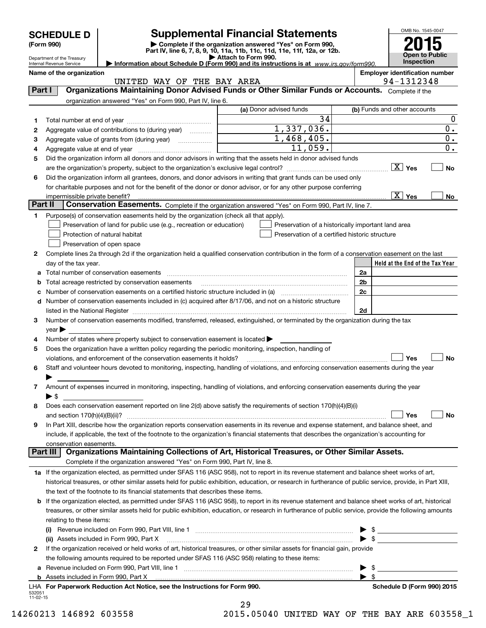Department of the Treasury

# **Supplemental Financial Statements**

(Form 990)<br>
Pepartment of the Treasury<br>
Department of the Treasury<br>
Department of the Treasury<br>
Information about Schedule D (Form 990) and its instructions is at www.irs.gov/form990.



Internal Revenue Service

**Name of the organization**<br>**Employer identification number NAY OF THE BAY AREA Employer identification number**<br>94-1312348 UNITED WAY OF THE BAY AREA

| Part I             | UNIIBD WAI OF INB DAI ARBA<br>Organizations Maintaining Donor Advised Funds or Other Similar Funds or Accounts. Complete if the                           |                                                |                                                    |
|--------------------|-----------------------------------------------------------------------------------------------------------------------------------------------------------|------------------------------------------------|----------------------------------------------------|
|                    | organization answered "Yes" on Form 990, Part IV, line 6.                                                                                                 |                                                |                                                    |
|                    |                                                                                                                                                           | (a) Donor advised funds                        | (b) Funds and other accounts                       |
| 1.                 |                                                                                                                                                           | $\overline{34}$                                | $\boldsymbol{0}$                                   |
| 2                  | Aggregate value of contributions to (during year)                                                                                                         | 1,337,036.                                     | $\mathbf 0$ .                                      |
| 3                  | Aggregate value of grants from (during year)                                                                                                              | 1,468,405.                                     | $\overline{\mathbf{0}}$ .                          |
| 4                  |                                                                                                                                                           | 11,059.                                        | $\overline{0}$ .                                   |
| 5                  | Did the organization inform all donors and donor advisors in writing that the assets held in donor advised funds                                          |                                                |                                                    |
|                    |                                                                                                                                                           |                                                | $\boxed{\text{X}}$ Yes<br><b>No</b>                |
| 6                  | Did the organization inform all grantees, donors, and donor advisors in writing that grant funds can be used only                                         |                                                |                                                    |
|                    | for charitable purposes and not for the benefit of the donor or donor advisor, or for any other purpose conferring                                        |                                                |                                                    |
| Part II            | impermissible private benefit?<br>Conservation Easements. Complete if the organization answered "Yes" on Form 990, Part IV, line 7.                       |                                                | $\boxed{\text{X}}$ Yes<br>No                       |
|                    |                                                                                                                                                           |                                                |                                                    |
| 1                  | Purpose(s) of conservation easements held by the organization (check all that apply).                                                                     |                                                |                                                    |
|                    | Preservation of land for public use (e.g., recreation or education)                                                                                       |                                                | Preservation of a historically important land area |
|                    | Protection of natural habitat<br>Preservation of open space                                                                                               | Preservation of a certified historic structure |                                                    |
| 2                  | Complete lines 2a through 2d if the organization held a qualified conservation contribution in the form of a conservation easement on the last            |                                                |                                                    |
|                    | day of the tax year.                                                                                                                                      |                                                | Held at the End of the Tax Year                    |
| а                  | Total number of conservation easements                                                                                                                    |                                                | 2a                                                 |
| b                  | Total acreage restricted by conservation easements                                                                                                        |                                                | 2b                                                 |
|                    |                                                                                                                                                           |                                                | 2c                                                 |
| d                  | Number of conservation easements included in (c) acquired after 8/17/06, and not on a historic structure                                                  |                                                |                                                    |
|                    | listed in the National Register                                                                                                                           |                                                | 2d                                                 |
| З                  | Number of conservation easements modified, transferred, released, extinguished, or terminated by the organization during the tax                          |                                                |                                                    |
|                    | year                                                                                                                                                      |                                                |                                                    |
| 4                  | Number of states where property subject to conservation easement is located                                                                               |                                                |                                                    |
| 5                  | Does the organization have a written policy regarding the periodic monitoring, inspection, handling of                                                    |                                                |                                                    |
|                    | violations, and enforcement of the conservation easements it holds?                                                                                       |                                                | Yes<br><b>No</b>                                   |
| 6                  | Staff and volunteer hours devoted to monitoring, inspecting, handling of violations, and enforcing conservation easements during the year                 |                                                |                                                    |
|                    |                                                                                                                                                           |                                                |                                                    |
| 7                  | Amount of expenses incurred in monitoring, inspecting, handling of violations, and enforcing conservation easements during the year                       |                                                |                                                    |
|                    | $\blacktriangleright$ \$                                                                                                                                  |                                                |                                                    |
| 8                  | Does each conservation easement reported on line 2(d) above satisfy the requirements of section 170(h)(4)(B)(i)                                           |                                                |                                                    |
|                    | and section $170(h)(4)(B)(ii)?$                                                                                                                           |                                                | Yes<br><b>No</b>                                   |
| 9                  | In Part XIII, describe how the organization reports conservation easements in its revenue and expense statement, and balance sheet, and                   |                                                |                                                    |
|                    | include, if applicable, the text of the footnote to the organization's financial statements that describes the organization's accounting for              |                                                |                                                    |
|                    | conservation easements.                                                                                                                                   |                                                |                                                    |
| Part III           | Organizations Maintaining Collections of Art, Historical Treasures, or Other Similar Assets.                                                              |                                                |                                                    |
|                    | Complete if the organization answered "Yes" on Form 990, Part IV, line 8.                                                                                 |                                                |                                                    |
|                    | 1a If the organization elected, as permitted under SFAS 116 (ASC 958), not to report in its revenue statement and balance sheet works of art,             |                                                |                                                    |
|                    | historical treasures, or other similar assets held for public exhibition, education, or research in furtherance of public service, provide, in Part XIII, |                                                |                                                    |
|                    | the text of the footnote to its financial statements that describes these items.                                                                          |                                                |                                                    |
| b                  | If the organization elected, as permitted under SFAS 116 (ASC 958), to report in its revenue statement and balance sheet works of art, historical         |                                                |                                                    |
|                    | treasures, or other similar assets held for public exhibition, education, or research in furtherance of public service, provide the following amounts     |                                                |                                                    |
|                    | relating to these items:                                                                                                                                  |                                                |                                                    |
|                    | (ii) Assets included in Form 990, Part X                                                                                                                  |                                                | $\triangleright$ \$<br>$\blacktriangleright$ \$    |
| 2                  | If the organization received or held works of art, historical treasures, or other similar assets for financial gain, provide                              |                                                |                                                    |
|                    | the following amounts required to be reported under SFAS 116 (ASC 958) relating to these items:                                                           |                                                |                                                    |
| а                  |                                                                                                                                                           |                                                | -\$<br>▶                                           |
| b                  |                                                                                                                                                           |                                                | $\blacktriangleright$ \$                           |
|                    | LHA For Paperwork Reduction Act Notice, see the Instructions for Form 990.                                                                                |                                                | Schedule D (Form 990) 2015                         |
| 532051<br>11-02-15 |                                                                                                                                                           |                                                |                                                    |

|  | ۰, |  |  |
|--|----|--|--|
|  |    |  |  |

14260213 146892 603558 2015.05040 UNITED WAY OF THE BAY ARE 603558\_1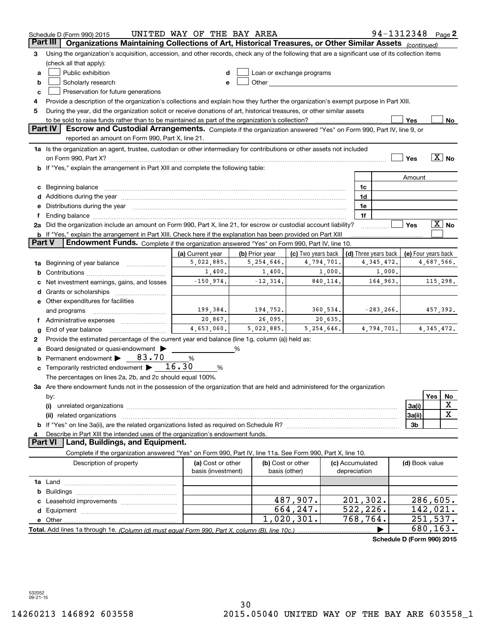|        | UNITED WAY OF THE BAY AREA<br>94-1312348 Page 2<br>Schedule D (Form 990) 2015                                                                                                                                                  |                    |                |                                                                                                                                                                                                                               |  |                 |                            |                     |                      |                       |
|--------|--------------------------------------------------------------------------------------------------------------------------------------------------------------------------------------------------------------------------------|--------------------|----------------|-------------------------------------------------------------------------------------------------------------------------------------------------------------------------------------------------------------------------------|--|-----------------|----------------------------|---------------------|----------------------|-----------------------|
|        | Part III<br>Organizations Maintaining Collections of Art, Historical Treasures, or Other Similar Assets (continued)                                                                                                            |                    |                |                                                                                                                                                                                                                               |  |                 |                            |                     |                      |                       |
| 3      | Using the organization's acquisition, accession, and other records, check any of the following that are a significant use of its collection items                                                                              |                    |                |                                                                                                                                                                                                                               |  |                 |                            |                     |                      |                       |
|        | (check all that apply):                                                                                                                                                                                                        |                    |                |                                                                                                                                                                                                                               |  |                 |                            |                     |                      |                       |
| a      | Public exhibition                                                                                                                                                                                                              |                    |                | Loan or exchange programs                                                                                                                                                                                                     |  |                 |                            |                     |                      |                       |
| b      | Scholarly research                                                                                                                                                                                                             |                    |                | Other and the contract of the contract of the contract of the contract of the contract of the contract of the contract of the contract of the contract of the contract of the contract of the contract of the contract of the |  |                 |                            |                     |                      |                       |
| с      | Preservation for future generations                                                                                                                                                                                            |                    |                |                                                                                                                                                                                                                               |  |                 |                            |                     |                      |                       |
| 4      | Provide a description of the organization's collections and explain how they further the organization's exempt purpose in Part XIII.                                                                                           |                    |                |                                                                                                                                                                                                                               |  |                 |                            |                     |                      |                       |
| 5      | During the year, did the organization solicit or receive donations of art, historical treasures, or other similar assets                                                                                                       |                    |                |                                                                                                                                                                                                                               |  |                 |                            |                     |                      |                       |
|        | to be sold to raise funds rather than to be maintained as part of the organization's collection?                                                                                                                               |                    |                |                                                                                                                                                                                                                               |  |                 |                            | Yes                 |                      | No                    |
|        | Escrow and Custodial Arrangements. Complete if the organization answered "Yes" on Form 990, Part IV, line 9, or<br><b>Part IV</b>                                                                                              |                    |                |                                                                                                                                                                                                                               |  |                 |                            |                     |                      |                       |
|        | reported an amount on Form 990, Part X, line 21.                                                                                                                                                                               |                    |                |                                                                                                                                                                                                                               |  |                 |                            |                     |                      |                       |
|        | 1a Is the organization an agent, trustee, custodian or other intermediary for contributions or other assets not included                                                                                                       |                    |                |                                                                                                                                                                                                                               |  |                 |                            |                     |                      |                       |
|        |                                                                                                                                                                                                                                |                    |                |                                                                                                                                                                                                                               |  |                 |                            | Yes                 |                      | $\boxed{\text{X}}$ No |
|        | <b>b</b> If "Yes," explain the arrangement in Part XIII and complete the following table:                                                                                                                                      |                    |                |                                                                                                                                                                                                                               |  |                 |                            |                     |                      |                       |
|        |                                                                                                                                                                                                                                |                    |                |                                                                                                                                                                                                                               |  |                 |                            | Amount              |                      |                       |
|        | c Beginning balance measurements and the contract of the contract of the contract of the contract of the contract of the contract of the contract of the contract of the contract of the contract of the contract of the contr |                    |                |                                                                                                                                                                                                                               |  | 1c              |                            |                     |                      |                       |
|        | d Additions during the year measurement contains and a state of the year measurement of the year measurement of                                                                                                                |                    |                |                                                                                                                                                                                                                               |  | 1d              |                            |                     |                      |                       |
|        | e Distributions during the year manufactured and continuum and contract the year manufactured and contract the                                                                                                                 |                    |                |                                                                                                                                                                                                                               |  | 1e              |                            |                     |                      |                       |
|        | 2a Did the organization include an amount on Form 990, Part X, line 21, for escrow or custodial account liability?                                                                                                             |                    |                |                                                                                                                                                                                                                               |  | 1f              |                            | Yes                 |                      | $X$ No                |
|        | <b>b</b> If "Yes," explain the arrangement in Part XIII. Check here if the explanation has been provided on Part XIII                                                                                                          |                    |                |                                                                                                                                                                                                                               |  |                 |                            |                     |                      |                       |
| Part V | Endowment Funds. Complete if the organization answered "Yes" on Form 990, Part IV, line 10.                                                                                                                                    |                    |                |                                                                                                                                                                                                                               |  |                 |                            |                     |                      |                       |
|        |                                                                                                                                                                                                                                | (a) Current year   | (b) Prior year | (c) Two years back                                                                                                                                                                                                            |  |                 | (d) Three years back       | (e) Four years back |                      |                       |
|        | 1a Beginning of year balance                                                                                                                                                                                                   | 5,022,885.         | 5,254,646.     | 4,794,701.                                                                                                                                                                                                                    |  |                 | 4, 345, 472.               |                     | 4,687,566.           |                       |
| b      |                                                                                                                                                                                                                                | 1,400.             | 1,400.         | 1,000.                                                                                                                                                                                                                        |  |                 | 1,000.                     |                     |                      |                       |
|        | Net investment earnings, gains, and losses                                                                                                                                                                                     | $-150,974.$        | $-12, 314.$    | 840,114.                                                                                                                                                                                                                      |  |                 | 164,963.                   |                     |                      | 115,298.              |
|        |                                                                                                                                                                                                                                |                    |                |                                                                                                                                                                                                                               |  |                 |                            |                     |                      |                       |
|        | e Other expenditures for facilities                                                                                                                                                                                            |                    |                |                                                                                                                                                                                                                               |  |                 |                            |                     |                      |                       |
|        | and programs                                                                                                                                                                                                                   | 199,384.           | 194,752.       | 360,534.                                                                                                                                                                                                                      |  |                 | $-283, 266.$               |                     |                      | 457,392.              |
|        | f Administrative expenses <i></i>                                                                                                                                                                                              | 20,867.            | 26,095.        | 20,635.                                                                                                                                                                                                                       |  |                 |                            |                     |                      |                       |
| g      | End of year balance                                                                                                                                                                                                            | 4,653,060.         | 5,022,885.     | 5, 254, 646.                                                                                                                                                                                                                  |  |                 | 4,794,701.                 |                     | 4, 345, 472.         |                       |
| 2      | Provide the estimated percentage of the current year end balance (line 1g, column (a)) held as:                                                                                                                                |                    |                |                                                                                                                                                                                                                               |  |                 |                            |                     |                      |                       |
| a      | Board designated or quasi-endowment                                                                                                                                                                                            |                    | %              |                                                                                                                                                                                                                               |  |                 |                            |                     |                      |                       |
|        | <b>b</b> Permanent endowment $\triangleright$ 83.70                                                                                                                                                                            | %                  |                |                                                                                                                                                                                                                               |  |                 |                            |                     |                      |                       |
|        | <b>c</b> Temporarily restricted endowment $\blacktriangleright$ 16.30                                                                                                                                                          | %                  |                |                                                                                                                                                                                                                               |  |                 |                            |                     |                      |                       |
|        | The percentages on lines 2a, 2b, and 2c should equal 100%.                                                                                                                                                                     |                    |                |                                                                                                                                                                                                                               |  |                 |                            |                     |                      |                       |
|        | 3a Are there endowment funds not in the possession of the organization that are held and administered for the organization                                                                                                     |                    |                |                                                                                                                                                                                                                               |  |                 |                            |                     |                      |                       |
|        | by:                                                                                                                                                                                                                            |                    |                |                                                                                                                                                                                                                               |  |                 |                            |                     | Yes                  | No                    |
|        | (i)                                                                                                                                                                                                                            |                    |                |                                                                                                                                                                                                                               |  |                 |                            | 3a(i)               |                      | х                     |
|        |                                                                                                                                                                                                                                |                    |                |                                                                                                                                                                                                                               |  |                 |                            | 3a(ii)              |                      | Χ                     |
|        |                                                                                                                                                                                                                                |                    |                |                                                                                                                                                                                                                               |  |                 |                            | 3b                  |                      |                       |
|        | Describe in Part XIII the intended uses of the organization's endowment funds.                                                                                                                                                 |                    |                |                                                                                                                                                                                                                               |  |                 |                            |                     |                      |                       |
|        | Land, Buildings, and Equipment.<br><b>Part VI</b>                                                                                                                                                                              |                    |                |                                                                                                                                                                                                                               |  |                 |                            |                     |                      |                       |
|        | Complete if the organization answered "Yes" on Form 990, Part IV, line 11a. See Form 990, Part X, line 10.                                                                                                                     |                    |                |                                                                                                                                                                                                                               |  |                 |                            |                     |                      |                       |
|        | Description of property                                                                                                                                                                                                        | (a) Cost or other  |                | (b) Cost or other                                                                                                                                                                                                             |  | (c) Accumulated |                            | (d) Book value      |                      |                       |
|        |                                                                                                                                                                                                                                | basis (investment) |                | basis (other)                                                                                                                                                                                                                 |  | depreciation    |                            |                     |                      |                       |
|        |                                                                                                                                                                                                                                |                    |                |                                                                                                                                                                                                                               |  |                 |                            |                     |                      |                       |
| b      |                                                                                                                                                                                                                                |                    |                |                                                                                                                                                                                                                               |  | 201, 302.       |                            |                     |                      |                       |
|        |                                                                                                                                                                                                                                |                    |                | 487,907.<br>664,247.                                                                                                                                                                                                          |  | 522,226.        |                            |                     | 286,605.<br>142,021. |                       |
|        |                                                                                                                                                                                                                                |                    |                | 1,020,301.                                                                                                                                                                                                                    |  | 768,764.        |                            |                     | 251,537.             |                       |
|        |                                                                                                                                                                                                                                |                    |                |                                                                                                                                                                                                                               |  |                 |                            |                     | 680,163.             |                       |
|        |                                                                                                                                                                                                                                |                    |                |                                                                                                                                                                                                                               |  |                 | Schadula D (Form 990) 2015 |                     |                      |                       |

**Schedule D (Form 990) 2015**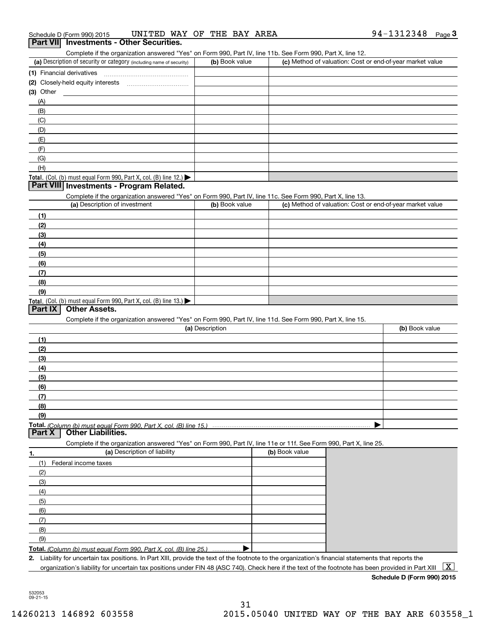Complete if the organization answered "Yes" on Form 990, Part IV, line 11b. See Form 990, Part X, line 12.

| (a) Description of security or category (including name of security)                   | (b) Book value | (c) Method of valuation: Cost or end-of-year market value |
|----------------------------------------------------------------------------------------|----------------|-----------------------------------------------------------|
| (1) Financial derivatives                                                              |                |                                                           |
| (2) Closely-held equity interests                                                      |                |                                                           |
| $(3)$ Other                                                                            |                |                                                           |
| (A)                                                                                    |                |                                                           |
| (B)                                                                                    |                |                                                           |
| (C)                                                                                    |                |                                                           |
| (D)                                                                                    |                |                                                           |
| (E)                                                                                    |                |                                                           |
| (F)                                                                                    |                |                                                           |
| (G)                                                                                    |                |                                                           |
| (H)                                                                                    |                |                                                           |
| Total. (Col. (b) must equal Form 990, Part X, col. (B) line 12.) $\blacktriangleright$ |                |                                                           |

## **Part VIII Investments - Program Related.**

Complete if the organization answered "Yes" on Form 990, Part IV, line 11c. See Form 990, Part X, line 13.

| (a) Description of investment                                       | (b) Book value | (c) Method of valuation: Cost or end-of-year market value |
|---------------------------------------------------------------------|----------------|-----------------------------------------------------------|
| (1)                                                                 |                |                                                           |
| (2)                                                                 |                |                                                           |
| $\frac{1}{2}$                                                       |                |                                                           |
| (4)                                                                 |                |                                                           |
| $\left(5\right)$                                                    |                |                                                           |
| (6)                                                                 |                |                                                           |
| (7)                                                                 |                |                                                           |
| (8)                                                                 |                |                                                           |
| (9)                                                                 |                |                                                           |
| Total. (Col. (b) must equal Form 990, Part X, col. (B) line $13.$ ) |                |                                                           |

# **Part IX Other Assets.**

Complete if the organization answered "Yes" on Form 990, Part IV, line 11d. See Form 990, Part X, line 15.

| (a) Description | (b) Book value |
|-----------------|----------------|
| (1)             |                |
| (2)             |                |
| $\frac{1}{2}$   |                |
| (4)             |                |
| $\frac{1}{2}$   |                |
| (6)             |                |
| (7)             |                |
| (8)             |                |
| (9)             |                |
|                 |                |

### **Part X Other Liabilities.**

Complete if the organization answered "Yes" on Form 990, Part IV, line 11e or 11f. See Form 990, Part X, line 25.

| 1.  | (a) Description of liability                                     | (b) Book value |
|-----|------------------------------------------------------------------|----------------|
| (1) | Federal income taxes                                             |                |
| (2) |                                                                  |                |
| (3) |                                                                  |                |
| (4) |                                                                  |                |
| (5) |                                                                  |                |
| (6) |                                                                  |                |
|     |                                                                  |                |
| (8) |                                                                  |                |
| (9) |                                                                  |                |
|     | $Total (Column/h) must equal Form 000. Part V, and (D) line 251$ |                |

**Total.**  *(Column (b) must equal Form 990, Part X, col. (B) line 25.)* . . . . . . . . . . . . . . . …. ▶

**2.**Liability for uncertain tax positions. In Part XIII, provide the text of the footnote to the organization's financial statements that reports the organization's liability for uncertain tax positions under FIN 48 (ASC 740). Check here if the text of the footnote has been provided in Part XIII  $~\boxed{\rm X}$ 

**Schedule D (Form 990) 2015**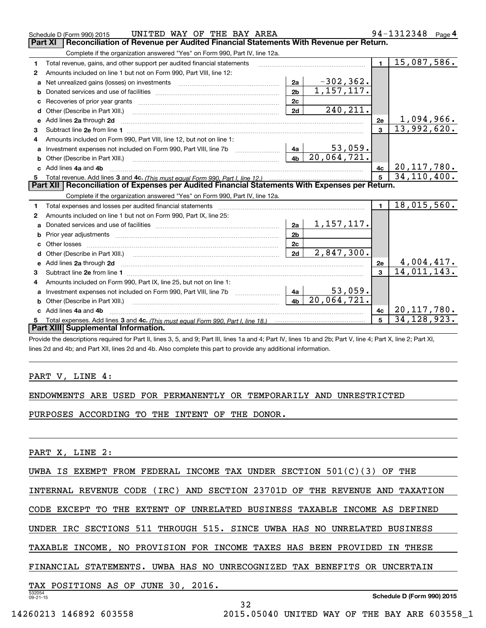|                                                                                                | UNITED WAY OF THE BAY AREA<br>Schedule D (Form 990) 2015                                                                                                                                                                      |                |                           |                         | 94-1312348<br>Page 4             |  |  |  |  |
|------------------------------------------------------------------------------------------------|-------------------------------------------------------------------------------------------------------------------------------------------------------------------------------------------------------------------------------|----------------|---------------------------|-------------------------|----------------------------------|--|--|--|--|
| Part XI<br>Reconciliation of Revenue per Audited Financial Statements With Revenue per Return. |                                                                                                                                                                                                                               |                |                           |                         |                                  |  |  |  |  |
| Complete if the organization answered "Yes" on Form 990, Part IV, line 12a.                    |                                                                                                                                                                                                                               |                |                           |                         |                                  |  |  |  |  |
| 1                                                                                              | Total revenue, gains, and other support per audited financial statements                                                                                                                                                      | $\blacksquare$ | 15,087,586.               |                         |                                  |  |  |  |  |
| 2                                                                                              | Amounts included on line 1 but not on Form 990, Part VIII, line 12:                                                                                                                                                           |                |                           |                         |                                  |  |  |  |  |
| a                                                                                              |                                                                                                                                                                                                                               | 2a             | $-302, 362.$              |                         |                                  |  |  |  |  |
| b                                                                                              |                                                                                                                                                                                                                               | 2 <sub>b</sub> | $\overline{1,157,117}$ .  |                         |                                  |  |  |  |  |
|                                                                                                |                                                                                                                                                                                                                               | 2c             |                           |                         |                                  |  |  |  |  |
| d                                                                                              |                                                                                                                                                                                                                               | 2d             | 240, 211.                 |                         |                                  |  |  |  |  |
| e                                                                                              | Add lines 2a through 2d                                                                                                                                                                                                       |                |                           | 2e                      | $\frac{1,094,966.}{13,992,620.}$ |  |  |  |  |
| 3                                                                                              |                                                                                                                                                                                                                               |                |                           | $\overline{3}$          |                                  |  |  |  |  |
| 4                                                                                              | Amounts included on Form 990, Part VIII, line 12, but not on line 1:                                                                                                                                                          |                |                           |                         |                                  |  |  |  |  |
| a                                                                                              | Investment expenses not included on Form 990, Part VIII, line 7b [111] [11] Investment expenses not included on Form 990, Part VIII, line 7b                                                                                  | 4a             | $53,059$ .                |                         |                                  |  |  |  |  |
|                                                                                                | Other (Describe in Part XIII.) <b>Construction Contract Construction</b> Chern Construction Construction Construction                                                                                                         | 4 <sub>b</sub> | 20,064,721.               |                         |                                  |  |  |  |  |
|                                                                                                | Add lines 4a and 4b                                                                                                                                                                                                           | 4c             | 20, 117, 780.             |                         |                                  |  |  |  |  |
| 5                                                                                              |                                                                                                                                                                                                                               |                |                           |                         | 34, 110, 400.                    |  |  |  |  |
|                                                                                                | Part XII   Reconciliation of Expenses per Audited Financial Statements With Expenses per Return.                                                                                                                              |                |                           |                         |                                  |  |  |  |  |
|                                                                                                | Complete if the organization answered "Yes" on Form 990, Part IV, line 12a.                                                                                                                                                   |                |                           |                         |                                  |  |  |  |  |
| 1                                                                                              |                                                                                                                                                                                                                               |                |                           | $\mathbf{1}$            |                                  |  |  |  |  |
|                                                                                                |                                                                                                                                                                                                                               |                |                           |                         | 18,015,560.                      |  |  |  |  |
| 2                                                                                              | Amounts included on line 1 but not on Form 990, Part IX, line 25:                                                                                                                                                             |                |                           |                         |                                  |  |  |  |  |
| a                                                                                              |                                                                                                                                                                                                                               | 2a             | <u>1,157,117.</u>         |                         |                                  |  |  |  |  |
| b                                                                                              | Prior year adjustments manufactured and contract and contract and contract and contract and contract and contract and contract and contract and contract and contract and contract and contract and contract and contract and | 2 <sub>b</sub> |                           |                         |                                  |  |  |  |  |
|                                                                                                | Other losses                                                                                                                                                                                                                  | 2c             |                           |                         |                                  |  |  |  |  |
| d                                                                                              | Other (Describe in Part XIII.) (COLORGIAL CONSERVISTION) (CONSERVISTION) (CONSERVISTION)                                                                                                                                      | 2d             | 2,847,300.                |                         |                                  |  |  |  |  |
| e                                                                                              | Add lines 2a through 2d                                                                                                                                                                                                       |                |                           | 2e                      |                                  |  |  |  |  |
| з                                                                                              |                                                                                                                                                                                                                               |                |                           | $\overline{\mathbf{3}}$ | $\frac{4,004,417.}{14,011,143.}$ |  |  |  |  |
|                                                                                                | Amounts included on Form 990, Part IX, line 25, but not on line 1:                                                                                                                                                            |                |                           |                         |                                  |  |  |  |  |
| a                                                                                              | Investment expenses not included on Form 990, Part VIII, line 7b                                                                                                                                                              | 4a             | 53,059.                   |                         |                                  |  |  |  |  |
| b                                                                                              | Other (Describe in Part XIII.)                                                                                                                                                                                                | 4 <sub>b</sub> | $\overline{20,064,721}$ . |                         |                                  |  |  |  |  |
|                                                                                                | Add lines 4a and 4b                                                                                                                                                                                                           |                |                           | 4c                      | 20, 117, 780.                    |  |  |  |  |
| 5.                                                                                             |                                                                                                                                                                                                                               |                |                           |                         | 34, 128, 923.                    |  |  |  |  |
|                                                                                                | Part XIII Supplemental Information.<br><u>is put of the unit as tap the distribution of the street opini</u>                                                                                                                  |                |                           |                         |                                  |  |  |  |  |

Provide the descriptions required for Part II, lines 3, 5, and 9; Part III, lines 1a and 4; Part IV, lines 1b and 2b; Part V, line 4; Part X, line 2; Part XI, lines 2d and 4b; and Part XII, lines 2d and 4b. Also complete this part to provide any additional information.

# PART V, LINE 4:

# ENDOWMENTS ARE USED FOR PERMANENTLY OR TEMPORARILY AND UNRESTRICTED

PURPOSES ACCORDING TO THE INTENT OF THE DONOR.

PART X, LINE 2:

|  |  |  |  |  |  |  |  | UWBA IS EXEMPT FROM FEDERAL INCOME TAX UNDER SECTION $501(C)(3)$ OF THE |  |  |  |  |
|--|--|--|--|--|--|--|--|-------------------------------------------------------------------------|--|--|--|--|
|--|--|--|--|--|--|--|--|-------------------------------------------------------------------------|--|--|--|--|

INTERNAL REVENUE CODE (IRC) AND SECTION 23701D OF THE REVENUE AND TAXATION

CODE EXCEPT TO THE EXTENT OF UNRELATED BUSINESS TAXABLE INCOME AS DEFINED

UNDER IRC SECTIONS 511 THROUGH 515. SINCE UWBA HAS NO UNRELATED BUSINESS

TAXABLE INCOME, NO PROVISION FOR INCOME TAXES HAS BEEN PROVIDED IN THESE

FINANCIAL STATEMENTS. UWBA HAS NO UNRECOGNIZED TAX BENEFITS OR UNCERTAIN

TAX POSITIONS AS OF JUNE 30, 2016.

532054 09-21-15

**Schedule D (Form 990) 2015**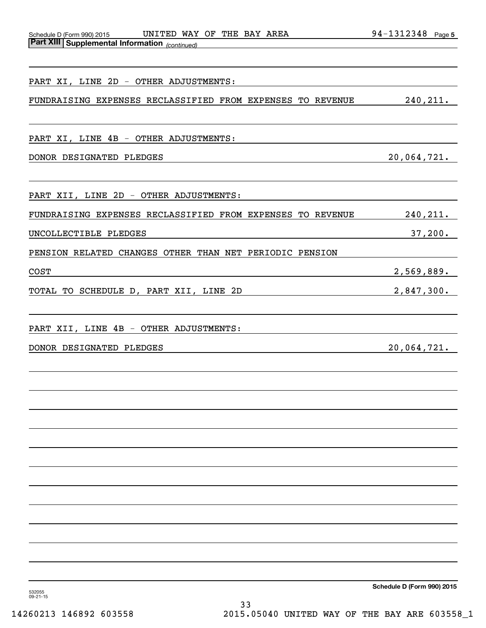| UNITED WAY OF THE BAY AREA<br>Schedule D (Form 990) 2015   | 94-1312348 Page 5 |
|------------------------------------------------------------|-------------------|
| <b>Part XIII Supplemental Information</b> (continued)      |                   |
|                                                            |                   |
|                                                            |                   |
| PART XI, LINE 2D - OTHER ADJUSTMENTS:                      |                   |
| FUNDRAISING EXPENSES RECLASSIFIED FROM EXPENSES TO REVENUE | 240, 211.         |
|                                                            |                   |
| PART XI, LINE 4B - OTHER ADJUSTMENTS:                      |                   |
|                                                            |                   |
| DONOR DESIGNATED PLEDGES                                   | 20,064,721.       |
|                                                            |                   |
| PART XII, LINE 2D - OTHER ADJUSTMENTS:                     |                   |
|                                                            |                   |
| FUNDRAISING EXPENSES RECLASSIFIED FROM EXPENSES TO REVENUE | 240, 211.         |
| UNCOLLECTIBLE PLEDGES                                      | 37,200.           |
| PENSION RELATED CHANGES OTHER THAN NET PERIODIC PENSION    |                   |
|                                                            |                   |
| <b>COST</b>                                                | 2,569,889.        |
| TOTAL TO SCHEDULE D, PART XII, LINE 2D                     | 2,847,300.        |
|                                                            |                   |
| PART XII, LINE 4B - OTHER ADJUSTMENTS:                     |                   |
| DONOR DESIGNATED PLEDGES                                   | 20,064,721.       |
|                                                            |                   |
|                                                            |                   |
|                                                            |                   |
|                                                            |                   |
|                                                            |                   |
|                                                            |                   |
|                                                            |                   |
|                                                            |                   |
|                                                            |                   |
|                                                            |                   |
|                                                            |                   |
|                                                            |                   |
|                                                            |                   |
|                                                            |                   |
|                                                            |                   |
|                                                            |                   |

**Schedule D (Form 990) 2015**

532055 09-21-15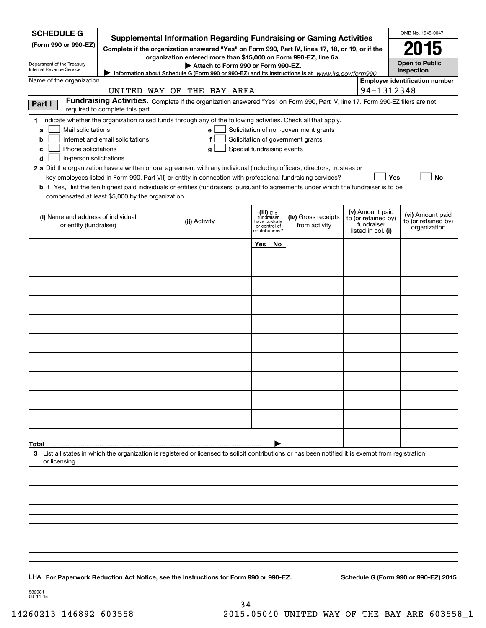| <b>SCHEDULE G</b>                                                                                                                                                                                      |                                  |                                                                                                                                                    |                                 |                         |                                       |  |                                        | OMB No. 1545-0047                       |  |
|--------------------------------------------------------------------------------------------------------------------------------------------------------------------------------------------------------|----------------------------------|----------------------------------------------------------------------------------------------------------------------------------------------------|---------------------------------|-------------------------|---------------------------------------|--|----------------------------------------|-----------------------------------------|--|
| <b>Supplemental Information Regarding Fundraising or Gaming Activities</b><br>(Form 990 or 990-EZ)<br>Complete if the organization answered "Yes" on Form 990, Part IV, lines 17, 18, or 19, or if the |                                  |                                                                                                                                                    |                                 |                         |                                       |  |                                        | 015                                     |  |
| Department of the Treasury                                                                                                                                                                             |                                  | organization entered more than \$15,000 on Form 990-EZ, line 6a.<br>Attach to Form 990 or Form 990-EZ.                                             |                                 |                         |                                       |  |                                        | <b>Open to Public</b>                   |  |
| Internal Revenue Service                                                                                                                                                                               |                                  | Information about Schedule G (Form 990 or 990-EZ) and its instructions is at www.irs.gov/form990.                                                  |                                 |                         |                                       |  |                                        | Inspection                              |  |
| Name of the organization                                                                                                                                                                               |                                  | UNITED WAY OF THE BAY AREA                                                                                                                         |                                 |                         |                                       |  | 94-1312348                             | <b>Employer identification number</b>   |  |
| Part I                                                                                                                                                                                                 |                                  | Fundraising Activities. Complete if the organization answered "Yes" on Form 990, Part IV, line 17. Form 990-EZ filers are not                      |                                 |                         |                                       |  |                                        |                                         |  |
|                                                                                                                                                                                                        | required to complete this part.  |                                                                                                                                                    |                                 |                         |                                       |  |                                        |                                         |  |
| Mail solicitations<br>a                                                                                                                                                                                |                                  | 1 Indicate whether the organization raised funds through any of the following activities. Check all that apply.<br>e l                             |                                 |                         | Solicitation of non-government grants |  |                                        |                                         |  |
| b                                                                                                                                                                                                      | Internet and email solicitations | f                                                                                                                                                  |                                 |                         | Solicitation of government grants     |  |                                        |                                         |  |
| Phone solicitations<br>с                                                                                                                                                                               |                                  | Special fundraising events<br>g                                                                                                                    |                                 |                         |                                       |  |                                        |                                         |  |
| d<br>In-person solicitations                                                                                                                                                                           |                                  | 2 a Did the organization have a written or oral agreement with any individual (including officers, directors, trustees or                          |                                 |                         |                                       |  |                                        |                                         |  |
|                                                                                                                                                                                                        |                                  | key employees listed in Form 990, Part VII) or entity in connection with professional fundraising services?                                        |                                 |                         |                                       |  |                                        | Yes<br>No                               |  |
|                                                                                                                                                                                                        |                                  | <b>b</b> If "Yes," list the ten highest paid individuals or entities (fundraisers) pursuant to agreements under which the fundraiser is to be      |                                 |                         |                                       |  |                                        |                                         |  |
| compensated at least \$5,000 by the organization.                                                                                                                                                      |                                  |                                                                                                                                                    |                                 |                         |                                       |  |                                        |                                         |  |
| (i) Name and address of individual                                                                                                                                                                     |                                  | (ii) Activity                                                                                                                                      | have custody                    | (iii) Did<br>fundraiser | (iv) Gross receipts                   |  | (v) Amount paid<br>to (or retained by) | (vi) Amount paid<br>to (or retained by) |  |
| or entity (fundraiser)                                                                                                                                                                                 |                                  |                                                                                                                                                    | or control of<br>contributions? |                         | from activity                         |  | fundraiser<br>listed in col. (i)       | organization                            |  |
|                                                                                                                                                                                                        |                                  |                                                                                                                                                    | Yes                             | No                      |                                       |  |                                        |                                         |  |
|                                                                                                                                                                                                        |                                  |                                                                                                                                                    |                                 |                         |                                       |  |                                        |                                         |  |
|                                                                                                                                                                                                        |                                  |                                                                                                                                                    |                                 |                         |                                       |  |                                        |                                         |  |
|                                                                                                                                                                                                        |                                  |                                                                                                                                                    |                                 |                         |                                       |  |                                        |                                         |  |
|                                                                                                                                                                                                        |                                  |                                                                                                                                                    |                                 |                         |                                       |  |                                        |                                         |  |
|                                                                                                                                                                                                        |                                  |                                                                                                                                                    |                                 |                         |                                       |  |                                        |                                         |  |
|                                                                                                                                                                                                        |                                  |                                                                                                                                                    |                                 |                         |                                       |  |                                        |                                         |  |
|                                                                                                                                                                                                        |                                  |                                                                                                                                                    |                                 |                         |                                       |  |                                        |                                         |  |
|                                                                                                                                                                                                        |                                  |                                                                                                                                                    |                                 |                         |                                       |  |                                        |                                         |  |
|                                                                                                                                                                                                        |                                  |                                                                                                                                                    |                                 |                         |                                       |  |                                        |                                         |  |
|                                                                                                                                                                                                        |                                  |                                                                                                                                                    |                                 |                         |                                       |  |                                        |                                         |  |
|                                                                                                                                                                                                        |                                  |                                                                                                                                                    |                                 |                         |                                       |  |                                        |                                         |  |
| Total                                                                                                                                                                                                  |                                  |                                                                                                                                                    |                                 |                         |                                       |  |                                        |                                         |  |
|                                                                                                                                                                                                        |                                  | 3 List all states in which the organization is registered or licensed to solicit contributions or has been notified it is exempt from registration |                                 |                         |                                       |  |                                        |                                         |  |
| or licensing.                                                                                                                                                                                          |                                  |                                                                                                                                                    |                                 |                         |                                       |  |                                        |                                         |  |
|                                                                                                                                                                                                        |                                  |                                                                                                                                                    |                                 |                         |                                       |  |                                        |                                         |  |
|                                                                                                                                                                                                        |                                  |                                                                                                                                                    |                                 |                         |                                       |  |                                        |                                         |  |
|                                                                                                                                                                                                        |                                  |                                                                                                                                                    |                                 |                         |                                       |  |                                        |                                         |  |
|                                                                                                                                                                                                        |                                  |                                                                                                                                                    |                                 |                         |                                       |  |                                        |                                         |  |
|                                                                                                                                                                                                        |                                  |                                                                                                                                                    |                                 |                         |                                       |  |                                        |                                         |  |
|                                                                                                                                                                                                        |                                  |                                                                                                                                                    |                                 |                         |                                       |  |                                        |                                         |  |
|                                                                                                                                                                                                        |                                  |                                                                                                                                                    |                                 |                         |                                       |  |                                        |                                         |  |
|                                                                                                                                                                                                        |                                  | LHA For Paperwork Reduction Act Notice, see the Instructions for Form 990 or 990-EZ.                                                               |                                 |                         |                                       |  |                                        | Schedule G (Form 990 or 990-EZ) 2015    |  |
| 532081<br>09-14-15                                                                                                                                                                                     |                                  |                                                                                                                                                    |                                 |                         |                                       |  |                                        |                                         |  |

34 14260213 146892 603558 2015.05040 UNITED WAY OF THE BAY ARE 603558\_1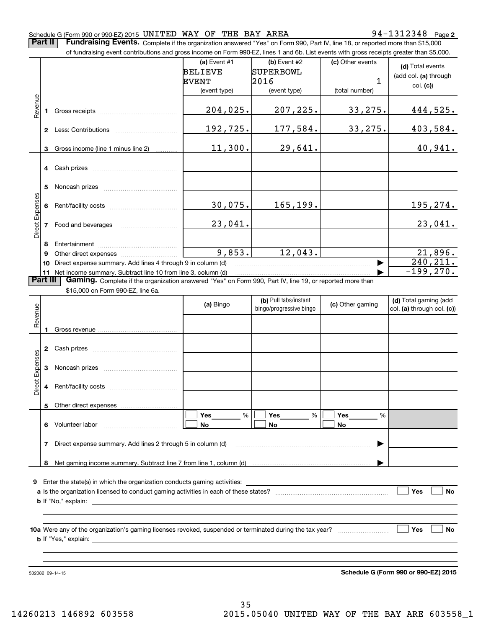### Schedule G (Form 990 or 990-EZ) 2015 <code>UNITED WAY OF THE BAY AREA</code>  $94-1312348$  <code>Page</code>

**2**

**Part II** | Fundraising Events. Complete if the organization answered "Yes" on Form 990, Part IV, line 18, or reported more than \$15,000

|                 |          | of fundraising event contributions and gross income on Form 990-EZ, lines 1 and 6b. List events with gross receipts greater than \$5,000. |                           |                                                  |                  |                                                     |  |  |  |  |  |  |
|-----------------|----------|-------------------------------------------------------------------------------------------------------------------------------------------|---------------------------|--------------------------------------------------|------------------|-----------------------------------------------------|--|--|--|--|--|--|
|                 |          |                                                                                                                                           | (a) Event $#1$<br>BELIEVE | (b) Event #2<br>SUPERBOWL                        | (c) Other events | (d) Total events<br>(add col. (a) through           |  |  |  |  |  |  |
|                 |          |                                                                                                                                           | EVENT                     | 2016                                             | 1                | col. (c)                                            |  |  |  |  |  |  |
|                 |          |                                                                                                                                           | (event type)              | (event type)                                     | (total number)   |                                                     |  |  |  |  |  |  |
| Revenue         |          |                                                                                                                                           | 204,025.                  | 207,225.                                         | 33, 275.         | 444,525.                                            |  |  |  |  |  |  |
|                 |          |                                                                                                                                           | 192,725.                  | 177,584.                                         | 33,275.          | 403,584.                                            |  |  |  |  |  |  |
|                 |          | 3 Gross income (line 1 minus line 2)                                                                                                      | 11,300.                   | 29,641.                                          |                  | 40,941.                                             |  |  |  |  |  |  |
|                 |          | 4 Cash prizes                                                                                                                             |                           |                                                  |                  |                                                     |  |  |  |  |  |  |
|                 | 5.       |                                                                                                                                           |                           |                                                  |                  |                                                     |  |  |  |  |  |  |
|                 |          |                                                                                                                                           | 30,075.                   | 165, 199.                                        |                  | 195, 274.                                           |  |  |  |  |  |  |
| Direct Expenses |          | 7 Food and beverages                                                                                                                      | 23,041.                   |                                                  |                  | 23,041.                                             |  |  |  |  |  |  |
|                 |          |                                                                                                                                           | 9,853.                    |                                                  |                  |                                                     |  |  |  |  |  |  |
|                 | 9        |                                                                                                                                           |                           | 12,043.                                          |                  | 21,896.<br>240, 211.                                |  |  |  |  |  |  |
|                 |          | 10 Direct expense summary. Add lines 4 through 9 in column (d)<br>11 Net income summary. Subtract line 10 from line 3, column (d)         |                           |                                                  |                  | $-199, 270.$                                        |  |  |  |  |  |  |
|                 | Part III | Gaming. Complete if the organization answered "Yes" on Form 990, Part IV, line 19, or reported more than                                  |                           |                                                  |                  |                                                     |  |  |  |  |  |  |
|                 |          | \$15,000 on Form 990-EZ, line 6a.                                                                                                         |                           |                                                  |                  |                                                     |  |  |  |  |  |  |
| Revenue         |          |                                                                                                                                           | (a) Bingo                 | (b) Pull tabs/instant<br>bingo/progressive bingo | (c) Other gaming | (d) Total gaming (add<br>col. (a) through col. (c)) |  |  |  |  |  |  |
|                 |          |                                                                                                                                           |                           |                                                  |                  |                                                     |  |  |  |  |  |  |
|                 |          |                                                                                                                                           |                           |                                                  |                  |                                                     |  |  |  |  |  |  |
| Expenses        |          |                                                                                                                                           |                           |                                                  |                  |                                                     |  |  |  |  |  |  |
| Direct          |          |                                                                                                                                           |                           |                                                  |                  |                                                     |  |  |  |  |  |  |
|                 | 5.       | Other direct expenses                                                                                                                     |                           |                                                  |                  |                                                     |  |  |  |  |  |  |
|                 | 6        | Volunteer labor                                                                                                                           | Yes<br>%<br>No            | Yes<br>%<br>No                                   | Yes<br>%<br>No   |                                                     |  |  |  |  |  |  |
|                 | 7        | Direct expense summary. Add lines 2 through 5 in column (d)                                                                               |                           |                                                  |                  |                                                     |  |  |  |  |  |  |
|                 | 8        |                                                                                                                                           |                           |                                                  |                  |                                                     |  |  |  |  |  |  |
|                 |          | 9 Enter the state(s) in which the organization conducts gaming activities:                                                                |                           |                                                  |                  |                                                     |  |  |  |  |  |  |
|                 |          |                                                                                                                                           |                           |                                                  |                  | Yes<br>No                                           |  |  |  |  |  |  |
|                 |          |                                                                                                                                           |                           |                                                  |                  |                                                     |  |  |  |  |  |  |
|                 |          | 10a Were any of the organization's gaming licenses revoked, suspended or terminated during the tax year?                                  |                           |                                                  |                  | Yes<br>No                                           |  |  |  |  |  |  |

**b** If "Yes," explain:

532082 09-14-15

**Schedule G (Form 990 or 990-EZ) 2015**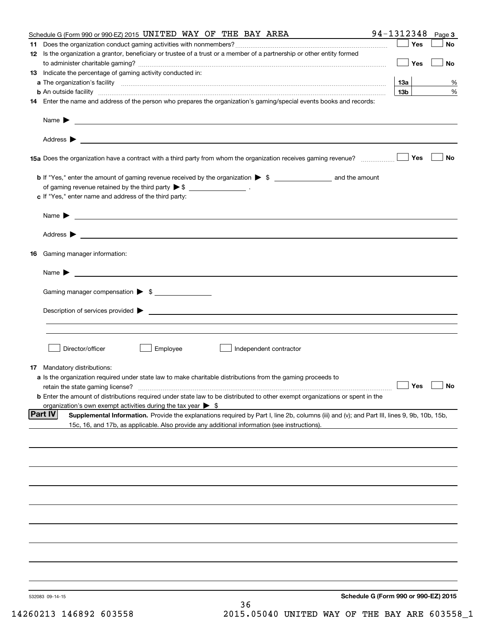|     | Schedule G (Form 990 or 990-EZ) 2015 UNITED WAY OF THE BAY AREA                                                                                                                                                                         | 94-1312348      | Page 3    |
|-----|-----------------------------------------------------------------------------------------------------------------------------------------------------------------------------------------------------------------------------------------|-----------------|-----------|
| 11. |                                                                                                                                                                                                                                         | Yes             | No        |
|     | 12 Is the organization a grantor, beneficiary or trustee of a trust or a member of a partnership or other entity formed                                                                                                                 |                 |           |
|     |                                                                                                                                                                                                                                         | Yes             | No        |
|     | 13 Indicate the percentage of gaming activity conducted in:                                                                                                                                                                             |                 |           |
|     |                                                                                                                                                                                                                                         | <b>13a</b>      | %         |
|     | <b>b</b> An outside facility <i>www.communicality www.communicality.communicality www.communicality www.communicality.com</i>                                                                                                           | 13 <sub>b</sub> | %         |
|     | 14 Enter the name and address of the person who prepares the organization's gaming/special events books and records:                                                                                                                    |                 |           |
|     |                                                                                                                                                                                                                                         |                 |           |
|     |                                                                                                                                                                                                                                         |                 |           |
|     |                                                                                                                                                                                                                                         |                 |           |
|     |                                                                                                                                                                                                                                         | Yes             | No        |
|     |                                                                                                                                                                                                                                         |                 |           |
|     | of gaming revenue retained by the third party $\triangleright$ \$ ___________________.                                                                                                                                                  |                 |           |
|     | c If "Yes," enter name and address of the third party:                                                                                                                                                                                  |                 |           |
|     | Name $\blacktriangleright$                                                                                                                                                                                                              |                 |           |
|     |                                                                                                                                                                                                                                         |                 |           |
|     |                                                                                                                                                                                                                                         |                 |           |
|     | 16 Gaming manager information:                                                                                                                                                                                                          |                 |           |
|     |                                                                                                                                                                                                                                         |                 |           |
|     | Name $\blacktriangleright$ $\lrcorner$                                                                                                                                                                                                  |                 |           |
|     | Gaming manager compensation > \$                                                                                                                                                                                                        |                 |           |
|     |                                                                                                                                                                                                                                         |                 |           |
|     | $Description of services provided$ $\triangleright$                                                                                                                                                                                     |                 |           |
|     |                                                                                                                                                                                                                                         |                 |           |
|     |                                                                                                                                                                                                                                         |                 |           |
|     | Director/officer<br>Employee<br>Independent contractor                                                                                                                                                                                  |                 |           |
|     | <b>17</b> Mandatory distributions:                                                                                                                                                                                                      |                 |           |
|     | a Is the organization required under state law to make charitable distributions from the gaming proceeds to                                                                                                                             |                 |           |
|     | retain the state gaming license?                                                                                                                                                                                                        | $\Box$ Yes      | $\Box$ No |
|     | <b>b</b> Enter the amount of distributions required under state law to be distributed to other exempt organizations or spent in the                                                                                                     |                 |           |
|     | organization's own exempt activities during the tax year $\triangleright$ \$<br> Part IV<br>Supplemental Information. Provide the explanations required by Part I, line 2b, columns (iii) and (v); and Part III, lines 9, 9b, 10b, 15b, |                 |           |
|     | 15c, 16, and 17b, as applicable. Also provide any additional information (see instructions).                                                                                                                                            |                 |           |
|     |                                                                                                                                                                                                                                         |                 |           |
|     |                                                                                                                                                                                                                                         |                 |           |
|     |                                                                                                                                                                                                                                         |                 |           |
|     |                                                                                                                                                                                                                                         |                 |           |
|     |                                                                                                                                                                                                                                         |                 |           |
|     |                                                                                                                                                                                                                                         |                 |           |
|     |                                                                                                                                                                                                                                         |                 |           |
|     |                                                                                                                                                                                                                                         |                 |           |
|     |                                                                                                                                                                                                                                         |                 |           |
|     |                                                                                                                                                                                                                                         |                 |           |
|     |                                                                                                                                                                                                                                         |                 |           |
|     |                                                                                                                                                                                                                                         |                 |           |
|     | Schedule G (Form 990 or 990-EZ) 2015<br>532083 09-14-15                                                                                                                                                                                 |                 |           |
|     | 36                                                                                                                                                                                                                                      |                 |           |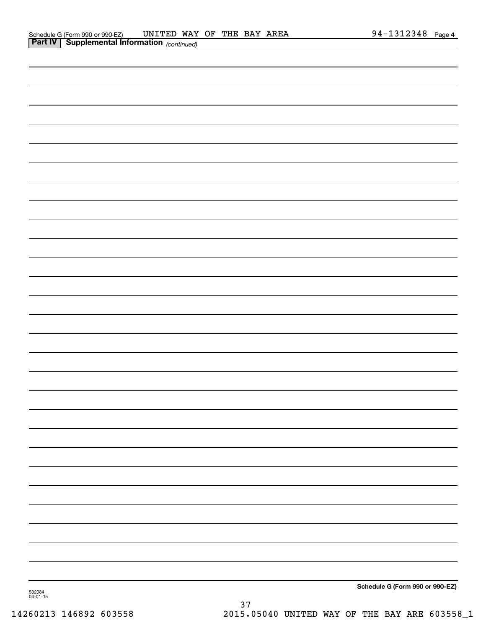| 532084<br>04-01-15 | Schedule G (Form 990 or 990-EZ) |
|--------------------|---------------------------------|
|                    |                                 |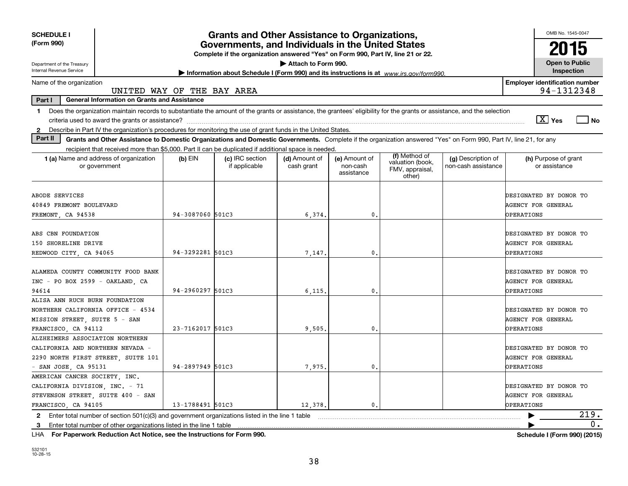| <b>SCHEDULE I</b><br><b>Grants and Other Assistance to Organizations,</b>                                                                                                                                                                                                                                       |                  |                                                                                         |                             |                                         |                                                                |                                           | OMB No. 1545-0047                                                        |  |  |  |  |  |
|-----------------------------------------------------------------------------------------------------------------------------------------------------------------------------------------------------------------------------------------------------------------------------------------------------------------|------------------|-----------------------------------------------------------------------------------------|-----------------------------|-----------------------------------------|----------------------------------------------------------------|-------------------------------------------|--------------------------------------------------------------------------|--|--|--|--|--|
| (Form 990)<br>Governments, and Individuals in the United States<br>Complete if the organization answered "Yes" on Form 990, Part IV, line 21 or 22.                                                                                                                                                             |                  |                                                                                         |                             |                                         |                                                                |                                           |                                                                          |  |  |  |  |  |
| Department of the Treasury<br><b>Internal Revenue Service</b>                                                                                                                                                                                                                                                   |                  | Information about Schedule I (Form 990) and its instructions is at www.irs.gov/form990. | Attach to Form 990.         |                                         |                                                                |                                           | <b>Open to Public</b><br>Inspection                                      |  |  |  |  |  |
| Name of the organization                                                                                                                                                                                                                                                                                        |                  |                                                                                         |                             |                                         |                                                                |                                           | <b>Employer identification number</b><br>94-1312348                      |  |  |  |  |  |
| UNITED WAY OF THE BAY AREA<br>Part I<br><b>General Information on Grants and Assistance</b>                                                                                                                                                                                                                     |                  |                                                                                         |                             |                                         |                                                                |                                           |                                                                          |  |  |  |  |  |
| Does the organization maintain records to substantiate the amount of the grants or assistance, the grantees' eligibility for the grants or assistance, and the selection<br>1.<br>Describe in Part IV the organization's procedures for monitoring the use of grant funds in the United States.<br>$\mathbf{2}$ |                  |                                                                                         |                             |                                         |                                                                |                                           | $\boxed{\text{X}}$ Yes<br>  No                                           |  |  |  |  |  |
| Part II<br>Grants and Other Assistance to Domestic Organizations and Domestic Governments. Complete if the organization answered "Yes" on Form 990, Part IV, line 21, for any                                                                                                                                   |                  |                                                                                         |                             |                                         |                                                                |                                           |                                                                          |  |  |  |  |  |
| recipient that received more than \$5,000. Part II can be duplicated if additional space is needed.                                                                                                                                                                                                             |                  |                                                                                         |                             |                                         |                                                                |                                           |                                                                          |  |  |  |  |  |
| 1 (a) Name and address of organization<br>or government                                                                                                                                                                                                                                                         | $(b)$ EIN        | (c) IRC section<br>if applicable                                                        | (d) Amount of<br>cash grant | (e) Amount of<br>non-cash<br>assistance | (f) Method of<br>valuation (book,<br>FMV, appraisal,<br>other) | (g) Description of<br>non-cash assistance | (h) Purpose of grant<br>or assistance                                    |  |  |  |  |  |
| ABODE SERVICES                                                                                                                                                                                                                                                                                                  |                  |                                                                                         |                             |                                         |                                                                |                                           | DESIGNATED BY DONOR TO                                                   |  |  |  |  |  |
| 40849 FREMONT BOULEVARD                                                                                                                                                                                                                                                                                         |                  |                                                                                         |                             |                                         |                                                                |                                           | <b>AGENCY FOR GENERAL</b>                                                |  |  |  |  |  |
| FREMONT, CA 94538                                                                                                                                                                                                                                                                                               | 94-3087060 501C3 |                                                                                         | 6,374.                      | 0.                                      |                                                                |                                           | <b>OPERATIONS</b>                                                        |  |  |  |  |  |
| ABS CBN FOUNDATION<br>150 SHORELINE DRIVE                                                                                                                                                                                                                                                                       |                  |                                                                                         |                             |                                         |                                                                |                                           | DESIGNATED BY DONOR TO<br><b>AGENCY FOR GENERAL</b>                      |  |  |  |  |  |
| REDWOOD CITY, CA 94065                                                                                                                                                                                                                                                                                          | 94-3292281 501C3 |                                                                                         | 7,147.                      | 0                                       |                                                                |                                           | <b>OPERATIONS</b>                                                        |  |  |  |  |  |
| ALAMEDA COUNTY COMMUNITY FOOD BANK<br>INC - PO BOX 2599 - OAKLAND, CA<br>94614                                                                                                                                                                                                                                  | 94-2960297 501C3 |                                                                                         | 6.115.                      | 0.                                      |                                                                |                                           | DESIGNATED BY DONOR TO<br><b>AGENCY FOR GENERAL</b><br><b>OPERATIONS</b> |  |  |  |  |  |
| ALISA ANN RUCH BURN FOUNDATION<br>NORTHERN CALIFORNIA OFFICE - 4534<br>MISSION STREET, SUITE 5 - SAN<br>FRANCISCO, CA 94112                                                                                                                                                                                     | 23-7162017 501C3 |                                                                                         | 9,505                       | $\mathbf{0}$ .                          |                                                                |                                           | DESIGNATED BY DONOR TO<br><b>AGENCY FOR GENERAL</b><br><b>OPERATIONS</b> |  |  |  |  |  |
| ALZHEIMERS ASSOCIATION NORTHERN<br>CALIFORNIA AND NORTHERN NEVADA -<br>2290 NORTH FIRST STREET, SUITE 101<br>- SAN JOSE, CA 95131                                                                                                                                                                               | 94-2897949 501C3 |                                                                                         | 7,975.                      | 0.                                      |                                                                |                                           | DESIGNATED BY DONOR TO<br><b>AGENCY FOR GENERAL</b><br>OPERATIONS        |  |  |  |  |  |
| AMERICAN CANCER SOCIETY INC.<br>CALIFORNIA DIVISION, INC. - 71<br>STEVENSON STREET, SUITE 400 - SAN<br>FRANCISCO, CA 94105                                                                                                                                                                                      | 13-1788491 501C3 |                                                                                         | 12.378.                     | $\mathbf{0}$ .                          |                                                                |                                           | DESIGNATED BY DONOR TO<br><b>AGENCY FOR GENERAL</b><br>OPERATIONS        |  |  |  |  |  |
| 2 Enter total number of section $501(c)(3)$ and government organizations listed in the line 1 table<br>Enter total number of other organizations listed in the line 1 table<br>3                                                                                                                                |                  |                                                                                         |                             |                                         |                                                                |                                           | 219.<br>0.                                                               |  |  |  |  |  |

**For Paperwork Reduction Act Notice, see the Instructions for Form 990. Schedule I (Form 990) (2015)** LHA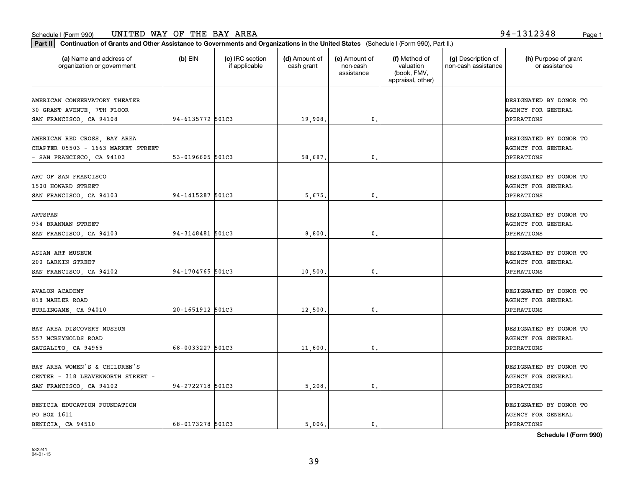organization or government

**Part II Continuation of Grants and Other Assistance to Governments and Organizations in the United States**  (Schedule I (Form 990), Part II.)

if applicable

 $(b)$  EIN  $(c)$  IRC section

**(a) (b) (c) (d) (e) (f) (g) (h)** Name and address of

(d) Amount of cash grant

(e) Amount of non-cash

(f) Method of valuation

(g) Description of non-cash assistance

|                                                                                                 |                  |         | assistance       | (book, FMV,<br>appraisal, other) |                                                                          |
|-------------------------------------------------------------------------------------------------|------------------|---------|------------------|----------------------------------|--------------------------------------------------------------------------|
| AMERICAN CONSERVATORY THEATER<br>30 GRANT AVENUE, 7TH FLOOR<br>SAN FRANCISCO, CA 94108          | 94-6135772 501C3 | 19,908. | 0.               |                                  | DESIGNATED BY DONOR TO<br><b>AGENCY FOR GENERAL</b><br><b>OPERATIONS</b> |
| AMERICAN RED CROSS, BAY AREA<br>CHAPTER 05503 - 1663 MARKET STREET<br>- SAN FRANCISCO, CA 94103 | 53-0196605 501C3 | 58,687. | 0.               |                                  | DESIGNATED BY DONOR TO<br><b>AGENCY FOR GENERAL</b><br><b>OPERATIONS</b> |
| ARC OF SAN FRANCISCO<br>1500 HOWARD STREET<br>SAN FRANCISCO, CA 94103                           | 94-1415287 501C3 | 5,675.  | 0.               |                                  | DESIGNATED BY DONOR TO<br>AGENCY FOR GENERAL<br><b>OPERATIONS</b>        |
| ARTSPAN<br>934 BRANNAN STREET<br>SAN FRANCISCO, CA 94103                                        | 94-3148481 501C3 | 8,800,  | 0.               |                                  | DESIGNATED BY DONOR TO<br>AGENCY FOR GENERAL<br><b>OPERATIONS</b>        |
| ASIAN ART MUSEUM<br>200 LARKIN STREET<br>SAN FRANCISCO, CA 94102                                | 94-1704765 501C3 | 10,500. | 0.               |                                  | DESIGNATED BY DONOR TO<br>AGENCY FOR GENERAL<br><b>OPERATIONS</b>        |
| <b>AVALON ACADEMY</b><br>818 MAHLER ROAD<br>BURLINGAME, CA 94010                                | 20-1651912 501C3 | 12,500. | 0.               |                                  | DESIGNATED BY DONOR TO<br><b>AGENCY FOR GENERAL</b><br><b>OPERATIONS</b> |
| BAY AREA DISCOVERY MUSEUM<br>557 MCREYNOLDS ROAD<br>SAUSALITO, CA 94965                         | 68-0033227 501C3 | 11,600. | 0.               |                                  | DESIGNATED BY DONOR TO<br><b>AGENCY FOR GENERAL</b><br><b>OPERATIONS</b> |
| BAY AREA WOMEN'S & CHILDREN'S<br>CENTER - 318 LEAVENWORTH STREET -<br>SAN FRANCISCO, CA 94102   | 94-2722718 501C3 | 5,208.  | $\mathfrak{o}$ . |                                  | DESIGNATED BY DONOR TO<br><b>AGENCY FOR GENERAL</b><br><b>OPERATIONS</b> |
| BENICIA EDUCATION FOUNDATION<br>PO BOX 1611<br>BENICIA, CA 94510                                | 68-0173278 501C3 | 5,006.  | 0.               |                                  | DESIGNATED BY DONOR TO<br><b>AGENCY FOR GENERAL</b><br><b>OPERATIONS</b> |

**Schedule I (Form 990)**

(h) Purpose of grant or assistance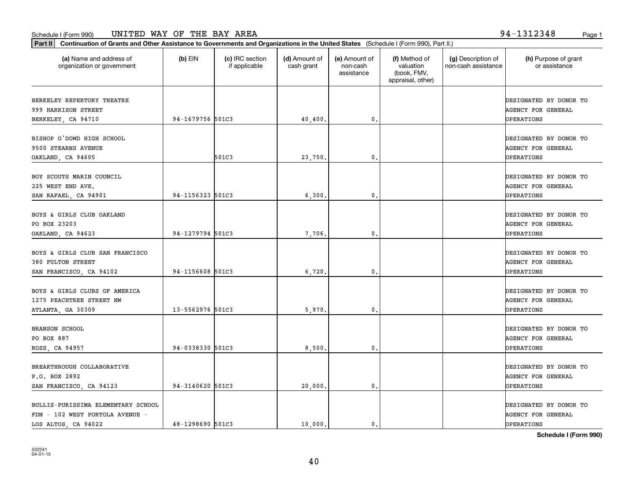| (a) Name and address of<br>organization or government                                        | $(b)$ EIN        | (c) IRC section<br>if applicable | (d) Amount of<br>cash grant | (e) Amount of<br>non-cash<br>assistance | (f) Method of<br>valuation<br>(book, FMV,<br>appraisal, other) | (g) Description of<br>non-cash assistance | (h) Purpose of grant<br>or assistance                                    |
|----------------------------------------------------------------------------------------------|------------------|----------------------------------|-----------------------------|-----------------------------------------|----------------------------------------------------------------|-------------------------------------------|--------------------------------------------------------------------------|
| BERKELEY REPERTORY THEATRE<br>999 HARRISON STREET                                            |                  |                                  |                             |                                         |                                                                |                                           | DESIGNATED BY DONOR TO<br>AGENCY FOR GENERAL                             |
| BERKELEY, CA 94710                                                                           | 94-1679756 501C3 |                                  | 40,400.                     | $\mathbf{0}$ .                          |                                                                |                                           | <b>OPERATIONS</b>                                                        |
| BISHOP O'DOWD HIGH SCHOOL<br>9500 STEARNS AVENUE<br>OAKLAND, CA 94605                        |                  | 501C3                            | 23,750                      | 0.                                      |                                                                |                                           | DESIGNATED BY DONOR TO<br><b>AGENCY FOR GENERAL</b><br><b>OPERATIONS</b> |
| BOY SCOUTS MARIN COUNCIL<br>225 WEST END AVE.<br>SAN RAFAEL, CA 94901                        | 94-1156323 501C3 |                                  | 6,300.                      | $\mathbf{0}$ .                          |                                                                |                                           | DESIGNATED BY DONOR TO<br><b>AGENCY FOR GENERAL</b><br>OPERATIONS        |
| BOYS & GIRLS CLUB OAKLAND<br>PO BOX 23203<br>OAKLAND, CA 94623                               | 94-1279794 501C3 |                                  | 7,706                       | 0.                                      |                                                                |                                           | DESIGNATED BY DONOR TO<br><b>AGENCY FOR GENERAL</b><br><b>OPERATIONS</b> |
| BOYS & GIRLS CLUB SAN FRANCISCO<br>380 FULTON STREET<br>SAN FRANCISCO, CA 94102              | 94-1156608 501C3 |                                  | 6,720                       | 0.                                      |                                                                |                                           | DESIGNATED BY DONOR TO<br><b>AGENCY FOR GENERAL</b><br>OPERATIONS        |
| BOYS & GIRLS CLUBS OF AMERICA<br>1275 PEACHTREE STREET NW<br>ATLANTA, GA 30309               | 13-5562976 501C3 |                                  | 5,970                       | 0.                                      |                                                                |                                           | DESIGNATED BY DONOR TO<br><b>AGENCY FOR GENERAL</b><br><b>OPERATIONS</b> |
| <b>BRANSON SCHOOL</b><br>PO BOX 887<br>ROSS, CA 94957                                        | 94-0338330 501C3 |                                  | 8,500                       | $\mathbf{0}$ .                          |                                                                |                                           | DESIGNATED BY DONOR TO<br><b>AGENCY FOR GENERAL</b><br>OPERATIONS        |
| BREAKTHROUGH COLLABORATIVE<br>P.O. BOX 2892<br>SAN FRANCISCO, CA 94123                       | 94-3140620 501C3 |                                  | 20,000.                     | $\mathbf{0}$ .                          |                                                                |                                           | DESIGNATED BY DONOR TO<br><b>AGENCY FOR GENERAL</b><br>OPERATIONS        |
| BULLIS-PURISSIMA ELEMENTARY SCHOOL<br>FDN - 102 WEST PORTOLA AVENUE -<br>LOS ALTOS, CA 94022 | 48-1298690 501C3 |                                  | 10,000.                     | $\mathbf{0}$ .                          |                                                                |                                           | DESIGNATED BY DONOR TO<br><b>AGENCY FOR GENERAL</b><br><b>OPERATIONS</b> |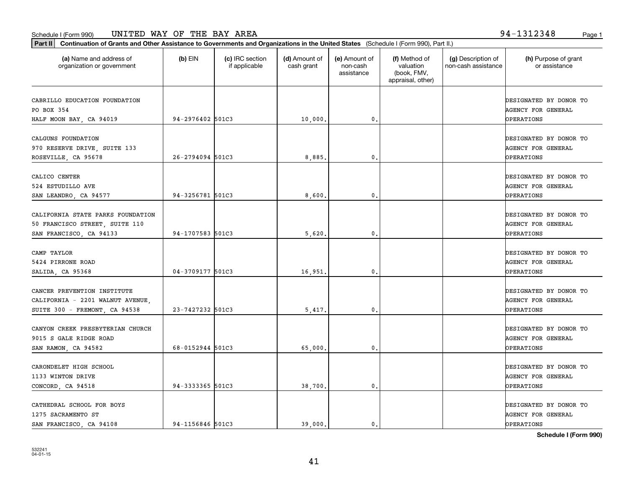**Part II Continuation of Grants and Other Assistance to Governments and Organizations in the United States**  (Schedule I (Form 990), Part II.)

| (a) Name and address of<br>organization or government                                            | $(b)$ EIN        | (c) IRC section<br>if applicable | (d) Amount of<br>cash grant | (e) Amount of<br>non-cash<br>assistance | (f) Method of<br>valuation<br>(book, FMV,<br>appraisal, other) | (g) Description of<br>non-cash assistance | (h) Purpose of grant<br>or assistance                                    |
|--------------------------------------------------------------------------------------------------|------------------|----------------------------------|-----------------------------|-----------------------------------------|----------------------------------------------------------------|-------------------------------------------|--------------------------------------------------------------------------|
| CABRILLO EDUCATION FOUNDATION<br>PO BOX 354<br>HALF MOON BAY, CA 94019                           | 94-2976402 501C3 |                                  | 10,000.                     | 0.                                      |                                                                |                                           | DESIGNATED BY DONOR TO<br><b>AGENCY FOR GENERAL</b><br>OPERATIONS        |
| CALGUNS FOUNDATION<br>970 RESERVE DRIVE, SUITE 133<br>ROSEVILLE, CA 95678                        | 26-2794094 501C3 |                                  | 8,885.                      | 0.                                      |                                                                |                                           | DESIGNATED BY DONOR TO<br><b>AGENCY FOR GENERAL</b><br><b>OPERATIONS</b> |
| CALICO CENTER<br>524 ESTUDILLO AVE<br>SAN LEANDRO, CA 94577                                      | 94-3256781 501C3 |                                  | 8,600.                      | $\mathfrak o$ .                         |                                                                |                                           | DESIGNATED BY DONOR TO<br><b>AGENCY FOR GENERAL</b><br><b>OPERATIONS</b> |
| CALIFORNIA STATE PARKS FOUNDATION<br>50 FRANCISCO STREET, SUITE 110<br>SAN FRANCISCO, CA 94133   | 94-1707583 501C3 |                                  | 5,620.                      | 0.                                      |                                                                |                                           | DESIGNATED BY DONOR TO<br><b>AGENCY FOR GENERAL</b><br><b>OPERATIONS</b> |
| CAMP TAYLOR<br>5424 PIRRONE ROAD<br>SALIDA, CA 95368                                             | 04-3709177 501C3 |                                  | 16,951.                     | 0.                                      |                                                                |                                           | DESIGNATED BY DONOR TO<br>AGENCY FOR GENERAL<br><b>OPERATIONS</b>        |
| CANCER PREVENTION INSTITUTE<br>CALIFORNIA - 2201 WALNUT AVENUE,<br>SUITE 300 - FREMONT, CA 94538 | 23-7427232 501C3 |                                  | 5,417.                      | 0.                                      |                                                                |                                           | DESIGNATED BY DONOR TO<br><b>AGENCY FOR GENERAL</b><br><b>OPERATIONS</b> |
| CANYON CREEK PRESBYTERIAN CHURCH<br>9015 S GALE RIDGE ROAD<br>SAN RAMON, CA 94582                | 68-0152944 501C3 |                                  | 65,000.                     | 0.                                      |                                                                |                                           | DESIGNATED BY DONOR TO<br><b>AGENCY FOR GENERAL</b><br>OPERATIONS        |
| CARONDELET HIGH SCHOOL<br>1133 WINTON DRIVE<br>CONCORD, CA 94518                                 | 94-3333365 501C3 |                                  | 38,700.                     | 0.                                      |                                                                |                                           | DESIGNATED BY DONOR TO<br><b>AGENCY FOR GENERAL</b><br>OPERATIONS        |
| CATHEDRAL SCHOOL FOR BOYS<br>1275 SACRAMENTO ST                                                  |                  |                                  |                             |                                         |                                                                |                                           | DESIGNATED BY DONOR TO<br><b>AGENCY FOR GENERAL</b>                      |

**Schedule I (Form 990)**

SAN FRANCISCO, CA 94108 94-1156846 501C3 (39,000. 0. OPERATIONS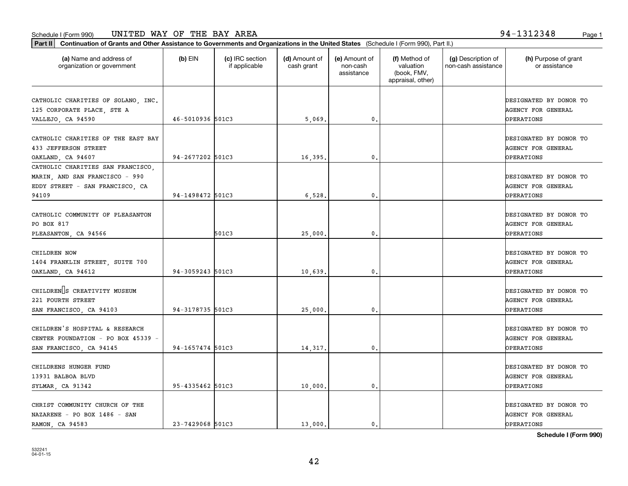**Part II Continuation of Grants and Other Assistance to Governments and Organizations in the United States**  (Schedule I (Form 990), Part II.)

| (a) Name and address of<br>organization or government                                                           | $(b)$ EIN        | (c) IRC section<br>if applicable | (d) Amount of<br>cash grant | (e) Amount of<br>non-cash<br>assistance | (f) Method of<br>valuation<br>(book, FMV,<br>appraisal, other) | (g) Description of<br>non-cash assistance | (h) Purpose of grant<br>or assistance                                    |
|-----------------------------------------------------------------------------------------------------------------|------------------|----------------------------------|-----------------------------|-----------------------------------------|----------------------------------------------------------------|-------------------------------------------|--------------------------------------------------------------------------|
| CATHOLIC CHARITIES OF SOLANO, INC.<br>125 CORPORATE PLACE, STE A                                                |                  |                                  |                             |                                         |                                                                |                                           | DESIGNATED BY DONOR TO<br><b>AGENCY FOR GENERAL</b>                      |
| VALLEJO, CA 94590                                                                                               | 46-5010936 501C3 |                                  | 5,069.                      | 0.                                      |                                                                |                                           | <b>OPERATIONS</b>                                                        |
| CATHOLIC CHARITIES OF THE EAST BAY<br>433 JEFFERSON STREET<br>OAKLAND, CA 94607                                 | 94-2677202 501C3 |                                  | 16,395.                     | 0.                                      |                                                                |                                           | DESIGNATED BY DONOR TO<br>AGENCY FOR GENERAL<br>OPERATIONS               |
| CATHOLIC CHARITIES SAN FRANCISCO.<br>MARIN, AND SAN FRANCISCO - 990<br>EDDY STREET - SAN FRANCISCO, CA<br>94109 | 94-1498472 501C3 |                                  | 6,528.                      | $\mathfrak o$ .                         |                                                                |                                           | DESIGNATED BY DONOR TO<br><b>AGENCY FOR GENERAL</b><br><b>OPERATIONS</b> |
| CATHOLIC COMMUNITY OF PLEASANTON<br>PO BOX 817<br>PLEASANTON, CA 94566                                          |                  | 501C3                            | 25,000.                     | $\mathbf{0}$ .                          |                                                                |                                           | DESIGNATED BY DONOR TO<br><b>AGENCY FOR GENERAL</b><br><b>OPERATIONS</b> |
| CHILDREN NOW<br>1404 FRANKLIN STREET, SUITE 700<br>OAKLAND, CA 94612                                            | 94-3059243 501C3 |                                  | 10,639.                     | 0.                                      |                                                                |                                           | DESIGNATED BY DONOR TO<br>AGENCY FOR GENERAL<br>OPERATIONS               |
| CHILDREN S CREATIVITY MUSEUM<br>221 FOURTH STREET<br>SAN FRANCISCO, CA 94103                                    | 94-3178735 501C3 |                                  | 25,000.                     | $\mathbf{0}$ .                          |                                                                |                                           | DESIGNATED BY DONOR TO<br><b>AGENCY FOR GENERAL</b><br><b>OPERATIONS</b> |
| CHILDREN'S HOSPITAL & RESEARCH<br>CENTER FOUNDATION - PO BOX 45339 -<br>SAN FRANCISCO, CA 94145                 | 94-1657474 501C3 |                                  | 14,317.                     | $\mathbf{0}$ .                          |                                                                |                                           | DESIGNATED BY DONOR TO<br>AGENCY FOR GENERAL<br><b>OPERATIONS</b>        |
| CHILDRENS HUNGER FUND<br>13931 BALBOA BLVD<br>SYLMAR, CA 91342                                                  | 95-4335462 501C3 |                                  | 10,000.                     | 0.                                      |                                                                |                                           | DESIGNATED BY DONOR TO<br>AGENCY FOR GENERAL<br><b>OPERATIONS</b>        |
| CHRIST COMMUNITY CHURCH OF THE<br>NAZARENE - PO BOX 1486 - SAN<br>RAMON, CA 94583                               | 23-7429068 501C3 |                                  | 13,000.                     | 0.                                      |                                                                |                                           | DESIGNATED BY DONOR TO<br><b>AGENCY FOR GENERAL</b><br>OPERATIONS        |

**Schedule I (Form 990)**

42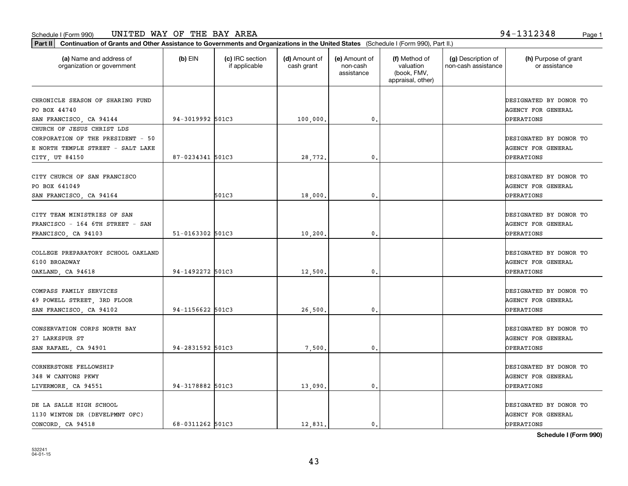**Part II Continuation of Grants and Other Assistance to Governments and Organizations in the United States**  (Schedule I (Form 990), Part II.)

**Schedule I (Form 990)**

| (a) Name and address of<br>organization or government  | $(b)$ EIN        | (c) IRC section<br>if applicable | (d) Amount of<br>cash grant | (e) Amount of<br>non-cash<br>assistance | (f) Method of<br>valuation<br>(book, FMV,<br>appraisal, other) | (g) Description of<br>non-cash assistance | (h) Purpose of grant<br>or assistance               |
|--------------------------------------------------------|------------------|----------------------------------|-----------------------------|-----------------------------------------|----------------------------------------------------------------|-------------------------------------------|-----------------------------------------------------|
| CHRONICLE SEASON OF SHARING FUND<br>PO BOX 44740       |                  |                                  |                             |                                         |                                                                |                                           | DESIGNATED BY DONOR TO<br><b>AGENCY FOR GENERAL</b> |
| SAN FRANCISCO, CA 94144                                | 94-3019992 501C3 |                                  | 100,000.                    | $^{\circ}$ .                            |                                                                |                                           | OPERATIONS                                          |
| CHURCH OF JESUS CHRIST LDS                             |                  |                                  |                             |                                         |                                                                |                                           |                                                     |
| CORPORATION OF THE PRESIDENT - 50                      |                  |                                  |                             |                                         |                                                                |                                           | DESIGNATED BY DONOR TO                              |
| E NORTH TEMPLE STREET - SALT LAKE                      |                  |                                  |                             |                                         |                                                                |                                           | AGENCY FOR GENERAL                                  |
| CITY, UT 84150                                         | 87-0234341 501C3 |                                  | 28,772.                     | 0.                                      |                                                                |                                           | OPERATIONS                                          |
| CITY CHURCH OF SAN FRANCISCO                           |                  |                                  |                             |                                         |                                                                |                                           | DESIGNATED BY DONOR TO                              |
| PO BOX 641049                                          |                  |                                  |                             |                                         |                                                                |                                           | <b>AGENCY FOR GENERAL</b>                           |
| SAN FRANCISCO, CA 94164                                |                  | 501C3                            | 18,000                      | 0.                                      |                                                                |                                           | OPERATIONS                                          |
|                                                        |                  |                                  |                             |                                         |                                                                |                                           |                                                     |
| CITY TEAM MINISTRIES OF SAN                            |                  |                                  |                             |                                         |                                                                |                                           | DESIGNATED BY DONOR TO                              |
| FRANCISCO - 164 6TH STREET - SAN                       |                  |                                  |                             |                                         |                                                                |                                           | <b>AGENCY FOR GENERAL</b>                           |
| FRANCISCO, CA 94103                                    | 51-0163302 501C3 |                                  | 10,200                      | $\mathfrak{o}$ .                        |                                                                |                                           | OPERATIONS                                          |
|                                                        |                  |                                  |                             |                                         |                                                                |                                           |                                                     |
| COLLEGE PREPARATORY SCHOOL OAKLAND                     |                  |                                  |                             |                                         |                                                                |                                           | DESIGNATED BY DONOR TO                              |
| 6100 BROADWAY                                          |                  |                                  |                             |                                         |                                                                |                                           | <b>AGENCY FOR GENERAL</b>                           |
| OAKLAND, CA 94618                                      | 94-1492272 501C3 |                                  | 12,500                      | $\mathbf{0}$ .                          |                                                                |                                           | <b>OPERATIONS</b>                                   |
| COMPASS FAMILY SERVICES                                |                  |                                  |                             |                                         |                                                                |                                           | DESIGNATED BY DONOR TO                              |
|                                                        |                  |                                  |                             |                                         |                                                                |                                           | <b>AGENCY FOR GENERAL</b>                           |
| 49 POWELL STREET, 3RD FLOOR<br>SAN FRANCISCO, CA 94102 | 94-1156622 501C3 |                                  | 26,500                      | 0.                                      |                                                                |                                           | OPERATIONS                                          |
|                                                        |                  |                                  |                             |                                         |                                                                |                                           |                                                     |
| CONSERVATION CORPS NORTH BAY                           |                  |                                  |                             |                                         |                                                                |                                           | DESIGNATED BY DONOR TO                              |
| 27 LARKSPUR ST                                         |                  |                                  |                             |                                         |                                                                |                                           | <b>AGENCY FOR GENERAL</b>                           |
| SAN RAFAEL, CA 94901                                   | 94-2831592 501C3 |                                  | 7,500                       | 0.                                      |                                                                |                                           | OPERATIONS                                          |
|                                                        |                  |                                  |                             |                                         |                                                                |                                           |                                                     |
| CORNERSTONE FELLOWSHIP                                 |                  |                                  |                             |                                         |                                                                |                                           | DESIGNATED BY DONOR TO                              |
| 348 W CANYONS PKWY                                     |                  |                                  |                             |                                         |                                                                |                                           | <b>AGENCY FOR GENERAL</b>                           |
| LIVERMORE, CA 94551                                    | 94-3178882 501C3 |                                  | 13,090                      | 0.                                      |                                                                |                                           | OPERATIONS                                          |
| DE LA SALLE HIGH SCHOOL                                |                  |                                  |                             |                                         |                                                                |                                           | DESIGNATED BY DONOR TO                              |
| 1130 WINTON DR (DEVELPMNT OFC)                         |                  |                                  |                             |                                         |                                                                |                                           | AGENCY FOR GENERAL                                  |
| CONCORD CA 94518                                       | 68-0311262 501C3 |                                  | 12,831.                     | $\mathbf{0}$ .                          |                                                                |                                           | <b>OPERATIONS</b>                                   |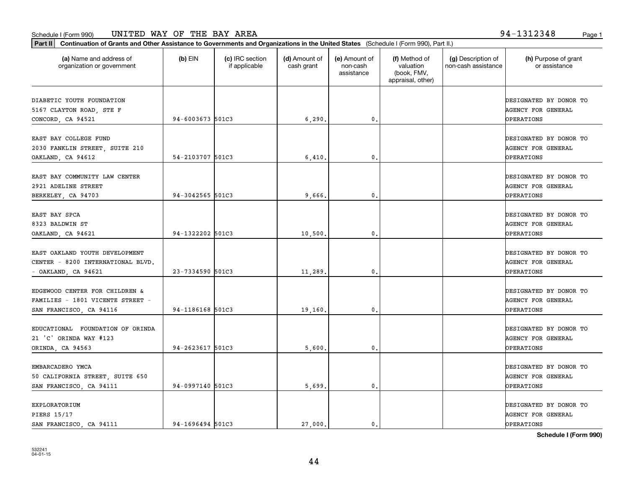532241 04-01-15

| 2030 FANKLIN STREET, SUITE 210    |                  |         |                 | <b>AGENCY FOR GENERAL</b> |
|-----------------------------------|------------------|---------|-----------------|---------------------------|
| OAKLAND, CA 94612                 | 54-2103707 501C3 | 6,410.  | $\mathfrak o$ . | OPERATIONS                |
| EAST BAY COMMUNITY LAW CENTER     |                  |         |                 | DESIGNATED BY DONOR TO    |
| 2921 ADELINE STREET               |                  |         |                 | AGENCY FOR GENERAL        |
| BERKELEY, CA 94703                | 94-3042565 501C3 | 9,666.  | $\mathbf{0}$    | <b>OPERATIONS</b>         |
|                                   |                  |         |                 |                           |
| EAST BAY SPCA                     |                  |         |                 | DESIGNATED BY DONOR TO    |
| 8323 BALDWIN ST                   |                  |         |                 | <b>AGENCY FOR GENERAL</b> |
| OAKLAND, CA 94621                 | 94-1322202 501C3 | 10,500. | 0.              | OPERATIONS                |
| EAST OAKLAND YOUTH DEVELOPMENT    |                  |         |                 | DESIGNATED BY DONOR TO    |
|                                   |                  |         |                 |                           |
| CENTER - 8200 INTERNATIONAL BLVD. |                  |         |                 | AGENCY FOR GENERAL        |
| $-$ OAKLAND, CA 94621             | 23-7334590 501C3 | 11,289. | 0.              | <b>OPERATIONS</b>         |
| EDGEWOOD CENTER FOR CHILDREN &    |                  |         |                 | DESIGNATED BY DONOR TO    |
| FAMILIES - 1801 VICENTE STREET -  |                  |         |                 | AGENCY FOR GENERAL        |
| SAN FRANCISCO, CA 94116           | 94-1186168 501C3 | 19,160. | 0.              | OPERATIONS                |
|                                   |                  |         |                 |                           |
| EDUCATIONAL FOUNDATION OF ORINDA  |                  |         |                 | DESIGNATED BY DONOR TO    |
| 21 'C' ORINDA WAY #123            |                  |         |                 | AGENCY FOR GENERAL        |
| ORINDA, CA 94563                  | 94-2623617 501C3 | 5,600   | $\mathfrak o$ . | <b>OPERATIONS</b>         |
| EMBARCADERO YMCA                  |                  |         |                 | DESIGNATED BY DONOR TO    |
| 50 CALIFORNIA STREET, SUITE 650   |                  |         |                 | <b>AGENCY FOR GENERAL</b> |
| SAN FRANCISCO, CA 94111           | 94-0997140 501C3 | 5,699.  | $\mathbf{0}$ .  | OPERATIONS                |
|                                   |                  |         |                 |                           |
| EXPLORATORIUM                     |                  |         |                 | DESIGNATED BY DONOR TO    |
| PIERS 15/17                       |                  |         |                 | <b>AGENCY FOR GENERAL</b> |
| SAN FRANCISCO, CA 94111           | 94-1696494 501C3 | 27,000. | 0.              | OPERATIONS                |

| Part II | Continuation of Grants and Other Assistance to Governments and Organizations in the United States (Schedule I (Form 990), Part II.) |         |                                  |                             |                                         |                                                                |                                             |                                       |  |  |  |  |
|---------|-------------------------------------------------------------------------------------------------------------------------------------|---------|----------------------------------|-----------------------------|-----------------------------------------|----------------------------------------------------------------|---------------------------------------------|---------------------------------------|--|--|--|--|
|         | (a) Name and address of<br>organization or government                                                                               | (b) EIN | (c) IRC section<br>if applicable | (d) Amount of<br>cash grant | (e) Amount of<br>non-cash<br>assistance | (f) Method of<br>valuation<br>(book, FMV,<br>appraisal, other) | (g) Description of<br>I non-cash assistance | (h) Purpose of grant<br>or assistance |  |  |  |  |
|         | DIABETIC YOUTH FOUNDATION                                                                                                           |         |                                  |                             |                                         |                                                                |                                             | DESIGNATED BY DONOR TO                |  |  |  |  |

CONCORD, CA 94521 | 94-6003673 501C3 | 6,290. 0. 0. | 0. | DPERATIONS

5167 CLAYTON ROAD, STE F SALL BETWEEN TO BE AGENCY FOR GENERAL AGENCY FOR GENERAL

EAST BAY COLLEGE FUND  $\begin{vmatrix} \cdot & \cdot & \cdot \\ \cdot & \cdot & \cdot \\ \cdot & \cdot & \cdot \end{vmatrix}$  besignated by DONOR TO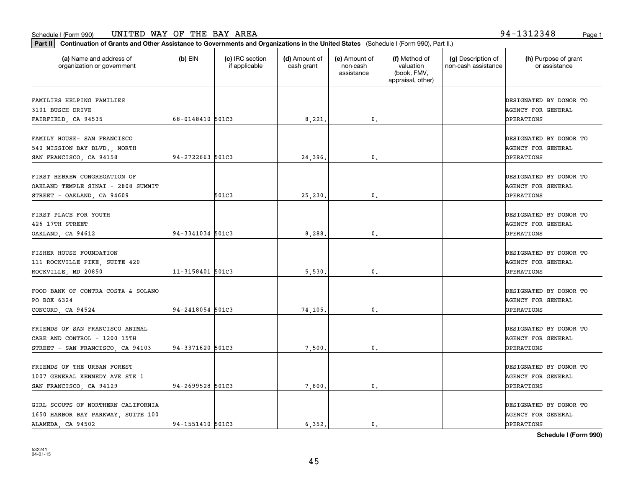| Part II   Continuation of Grants and Other Assistance to Governments and Organizations in the United States (Schedule I (Form 990), Part II.) |                  |                                  |                             |                                         |                                                                |                                           |                                                                                               |
|-----------------------------------------------------------------------------------------------------------------------------------------------|------------------|----------------------------------|-----------------------------|-----------------------------------------|----------------------------------------------------------------|-------------------------------------------|-----------------------------------------------------------------------------------------------|
| (a) Name and address of<br>organization or government                                                                                         | $(b)$ EIN        | (c) IRC section<br>if applicable | (d) Amount of<br>cash grant | (e) Amount of<br>non-cash<br>assistance | (f) Method of<br>valuation<br>(book, FMV,<br>appraisal, other) | (g) Description of<br>non-cash assistance | (h) Purpose of grant<br>or assistance                                                         |
| FAMILIES HELPING FAMILIES                                                                                                                     |                  |                                  |                             |                                         |                                                                |                                           | DESIGNATED BY DONOR TO                                                                        |
| 3101 BUSCH DRIVE<br>FAIRFIELD, CA 94535                                                                                                       | 68-0148410 501C3 |                                  | 8,221.                      | 0.                                      |                                                                |                                           | <b>AGENCY FOR GENERAL</b><br><b>OPERATIONS</b>                                                |
| FAMILY HOUSE- SAN FRANCISCO<br>540 MISSION BAY BLVD., NORTH<br>SAN FRANCISCO, CA 94158                                                        | 94-2722663 501C3 |                                  | 24,396.                     | $\mathfrak{o}$ .                        |                                                                |                                           | DESIGNATED BY DONOR TO<br><b>AGENCY FOR GENERAL</b><br><b>OPERATIONS</b>                      |
| FIRST HEBREW CONGREGATION OF<br>OAKLAND TEMPLE SINAI - 2808 SUMMIT<br>STREET - OAKLAND, CA 94609                                              |                  | 501C3                            | 25,230.                     | $\mathfrak{o}$ .                        |                                                                |                                           | DESIGNATED BY DONOR TO<br>AGENCY FOR GENERAL<br>OPERATIONS                                    |
| FIRST PLACE FOR YOUTH<br>426 17TH STREET<br>OAKLAND, CA 94612                                                                                 | 94-3341034 501C3 |                                  | 8,288                       | 0.                                      |                                                                |                                           | DESIGNATED BY DONOR TO<br><b>AGENCY FOR GENERAL</b><br><b>OPERATIONS</b>                      |
| FISHER HOUSE FOUNDATION<br>111 ROCKVILLE PIKE, SUITE 420                                                                                      | 11-3158401 501C3 |                                  |                             |                                         |                                                                |                                           | DESIGNATED BY DONOR TO<br><b>AGENCY FOR GENERAL</b>                                           |
| ROCKVILLE, MD 20850<br>FOOD BANK OF CONTRA COSTA & SOLANO<br>PO BOX 6324<br>CONCORD, CA 94524                                                 | 94-2418054 501C3 |                                  | 5,530<br>74,105.            | 0.<br>0.                                |                                                                |                                           | <b>OPERATIONS</b><br>DESIGNATED BY DONOR TO<br><b>AGENCY FOR GENERAL</b><br><b>OPERATIONS</b> |
| FRIENDS OF SAN FRANCISCO ANIMAL<br>CARE AND CONTROL - 1200 15TH<br>STREET - SAN FRANCISCO, CA 94103                                           | 94-3371620 501C3 |                                  | 7,500                       | $\mathfrak{o}$ .                        |                                                                |                                           | DESIGNATED BY DONOR TO<br><b>AGENCY FOR GENERAL</b><br>OPERATIONS                             |
| FRIENDS OF THE URBAN FOREST<br>1007 GENERAL KENNEDY AVE STE 1<br>SAN FRANCISCO, CA 94129                                                      | 94-2699528 501C3 |                                  | 7,800.                      | $\mathfrak o$ .                         |                                                                |                                           | DESIGNATED BY DONOR TO<br><b>AGENCY FOR GENERAL</b><br><b>OPERATIONS</b>                      |
| GIRL SCOUTS OF NORTHERN CALIFORNIA<br>1650 HARBOR BAY PARKWAY, SUITE 100<br>ALAMEDA, CA 94502                                                 | 94-1551410 501C3 |                                  | 6.352.                      | $\mathbf{0}$ .                          |                                                                |                                           | DESIGNATED BY DONOR TO<br><b>AGENCY FOR GENERAL</b><br><b>OPERATIONS</b>                      |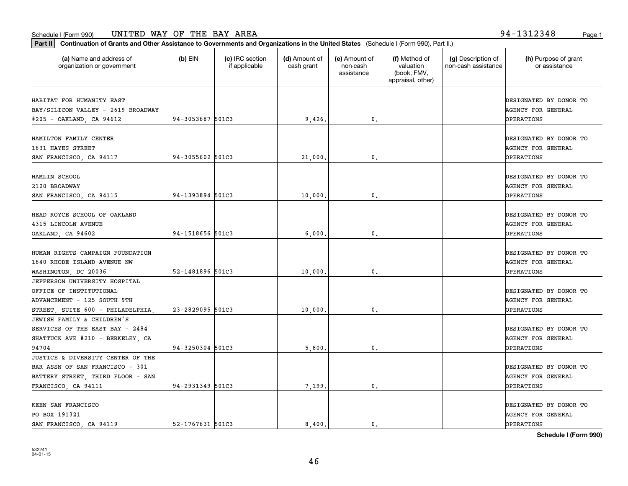**Part II Continuation of Grants and Other Assistance to Governments and Organizations in the United States**  (Schedule I (Form 990), Part II.)

| (a) Name and address of<br>organization or government | $(b)$ EIN        | (c) IRC section<br>if applicable | (d) Amount of<br>cash grant | (e) Amount of<br>non-cash<br>assistance | (f) Method of<br>valuation<br>(book, FMV,<br>appraisal, other) | (g) Description of<br>non-cash assistance | (h) Purpose of grant<br>or assistance |
|-------------------------------------------------------|------------------|----------------------------------|-----------------------------|-----------------------------------------|----------------------------------------------------------------|-------------------------------------------|---------------------------------------|
| HABITAT FOR HUMANITY EAST                             |                  |                                  |                             |                                         |                                                                |                                           | DESIGNATED BY DONOR TO                |
| BAY/SILICON VALLEY - 2619 BROADWAY                    |                  |                                  |                             |                                         |                                                                |                                           | AGENCY FOR GENERAL                    |
| #205 - OAKLAND, CA 94612                              | 94-3053687 501C3 |                                  | 9,426.                      | $\mathbf{0}$                            |                                                                |                                           | OPERATIONS                            |
| HAMILTON FAMILY CENTER                                |                  |                                  |                             |                                         |                                                                |                                           | DESIGNATED BY DONOR TO                |
| 1631 HAYES STREET                                     |                  |                                  |                             |                                         |                                                                |                                           | AGENCY FOR GENERAL                    |
| SAN FRANCISCO, CA 94117                               | 94-3055602 501C3 |                                  | 21,000.                     | $\mathbf{0}$                            |                                                                |                                           | <b>OPERATIONS</b>                     |
|                                                       |                  |                                  |                             |                                         |                                                                |                                           |                                       |
| HAMLIN SCHOOL                                         |                  |                                  |                             |                                         |                                                                |                                           | DESIGNATED BY DONOR TO                |
| 2120 BROADWAY                                         |                  |                                  |                             |                                         |                                                                |                                           | <b>AGENCY FOR GENERAL</b>             |
| SAN FRANCISCO, CA 94115                               | 94-1393894 501C3 |                                  | 10,000,                     | $\mathbf{0}$                            |                                                                |                                           | <b>OPERATIONS</b>                     |
| HEAD ROYCE SCHOOL OF OAKLAND                          |                  |                                  |                             |                                         |                                                                |                                           | DESIGNATED BY DONOR TO                |
| 4315 LINCOLN AVENUE                                   |                  |                                  |                             |                                         |                                                                |                                           | AGENCY FOR GENERAL                    |
| OAKLAND, CA 94602                                     | 94-1518656 501C3 |                                  | 6,000,                      | 0.                                      |                                                                |                                           | OPERATIONS                            |
|                                                       |                  |                                  |                             |                                         |                                                                |                                           |                                       |
| HUMAN RIGHTS CAMPAIGN FOUNDATION                      |                  |                                  |                             |                                         |                                                                |                                           | DESIGNATED BY DONOR TO                |
| 1640 RHODE ISLAND AVENUE NW                           |                  |                                  |                             |                                         |                                                                |                                           | AGENCY FOR GENERAL                    |
| WASHINGTON, DC 20036                                  | 52-1481896 501C3 |                                  | 10,000,                     | 0.                                      |                                                                |                                           | OPERATIONS                            |
| JEFFERSON UNIVERSITY HOSPITAL                         |                  |                                  |                             |                                         |                                                                |                                           |                                       |
| OFFICE OF INSTITUTIONAL                               |                  |                                  |                             |                                         |                                                                |                                           | DESIGNATED BY DONOR TO                |
| ADVANCEMENT - 125 SOUTH 9TH                           |                  |                                  |                             |                                         |                                                                |                                           | <b>AGENCY FOR GENERAL</b>             |
| STREET, SUITE 600 - PHILADELPHIA,                     | 23-2829095 501C3 |                                  | 10,000,                     | 0.                                      |                                                                |                                           | <b>OPERATIONS</b>                     |
| JEWISH FAMILY & CHILDREN'S                            |                  |                                  |                             |                                         |                                                                |                                           |                                       |
| SERVICES OF THE EAST BAY - 2484                       |                  |                                  |                             |                                         |                                                                |                                           | DESIGNATED BY DONOR TO                |
| SHATTUCK AVE #210 - BERKELEY, CA                      |                  |                                  |                             |                                         |                                                                |                                           | <b>AGENCY FOR GENERAL</b>             |
| 94704                                                 | 94-3250304 501C3 |                                  | 5,800                       | 0.                                      |                                                                |                                           | OPERATIONS                            |
| JUSTICE & DIVERSITY CENTER OF THE                     |                  |                                  |                             |                                         |                                                                |                                           |                                       |
| BAR ASSN OF SAN FRANCISCO - 301                       |                  |                                  |                             |                                         |                                                                |                                           | DESIGNATED BY DONOR TO                |
| BATTERY STREET, THIRD FLOOR - SAN                     |                  |                                  |                             |                                         |                                                                |                                           | <b>AGENCY FOR GENERAL</b>             |
| FRANCISCO, CA 94111                                   | 94-2931349 501C3 |                                  | 7,199.                      | 0.                                      |                                                                |                                           | <b>OPERATIONS</b>                     |
| KEEN SAN FRANCISCO                                    |                  |                                  |                             |                                         |                                                                |                                           | DESIGNATED BY DONOR TO                |
| PO BOX 191321                                         |                  |                                  |                             |                                         |                                                                |                                           | AGENCY FOR GENERAL                    |
| SAN FRANCISCO, CA 94119                               | 52-1767631 501C3 |                                  | 8,400.                      | $\mathbf{0}$ .                          |                                                                |                                           | OPERATIONS                            |
|                                                       |                  |                                  |                             |                                         |                                                                |                                           |                                       |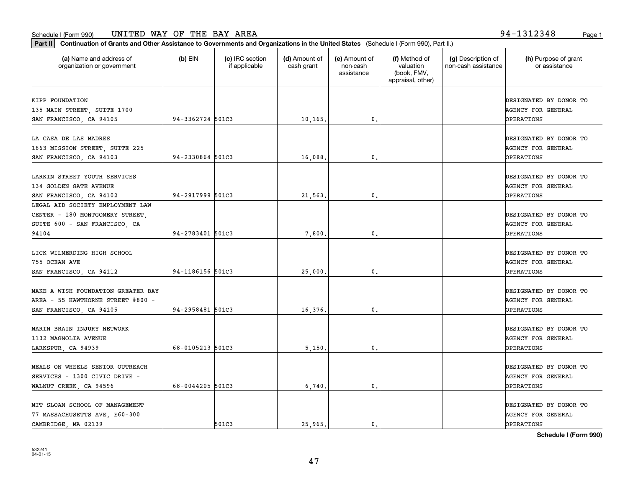**Part II Continuation of Grants and Other Assistance to Governments and Organizations in the United States**  (Schedule I (Form 990), Part II.)

532241 04-01-15

| (a) Name and address of<br>organization or government                                                         | $(b)$ EIN        | (c) IRC section<br>if applicable | (d) Amount of<br>cash grant | (e) Amount of<br>non-cash<br>assistance | (f) Method of<br>valuation<br>(book, FMV,<br>appraisal, other) | (g) Description of<br>non-cash assistance | (h) Purpose of grant<br>or assistance                                    |
|---------------------------------------------------------------------------------------------------------------|------------------|----------------------------------|-----------------------------|-----------------------------------------|----------------------------------------------------------------|-------------------------------------------|--------------------------------------------------------------------------|
| KIPP FOUNDATION<br>135 MAIN STREET, SUITE 1700<br>SAN FRANCISCO, CA 94105                                     | 94-3362724 501C3 |                                  | 10, 165.                    | 0.                                      |                                                                |                                           | DESIGNATED BY DONOR TO<br><b>AGENCY FOR GENERAL</b><br>OPERATIONS        |
| LA CASA DE LAS MADRES<br>1663 MISSION STREET, SUITE 225<br>SAN FRANCISCO, CA 94103                            | 94-2330864 501C3 |                                  | 16,088                      | 0.                                      |                                                                |                                           | DESIGNATED BY DONOR TO<br><b>AGENCY FOR GENERAL</b><br><b>OPERATIONS</b> |
| LARKIN STREET YOUTH SERVICES<br>134 GOLDEN GATE AVENUE<br>SAN FRANCISCO, CA 94102                             | 94-2917999 501C3 |                                  | 21,563                      | 0.                                      |                                                                |                                           | DESIGNATED BY DONOR TO<br><b>AGENCY FOR GENERAL</b><br>OPERATIONS        |
| LEGAL AID SOCIETY EMPLOYMENT LAW<br>CENTER - 180 MONTGOMERY STREET,<br>SUITE 600 - SAN FRANCISCO, CA<br>94104 | 94-2783401 501C3 |                                  | 7,800                       | $\mathbf 0$ .                           |                                                                |                                           | DESIGNATED BY DONOR TO<br><b>AGENCY FOR GENERAL</b><br>OPERATIONS        |
| LICK WILMERDING HIGH SCHOOL<br>755 OCEAN AVE<br>SAN FRANCISCO, CA 94112                                       | 94-1186156 501C3 |                                  | 25,000                      | $\mathbf{0}$ .                          |                                                                |                                           | DESIGNATED BY DONOR TO<br>AGENCY FOR GENERAL<br>OPERATIONS               |
| MAKE A WISH FOUNDATION GREATER BAY<br>AREA - 55 HAWTHORNE STREET #800 -<br>SAN FRANCISCO, CA 94105            | 94-2958481 501C3 |                                  | 16,376.                     | 0.                                      |                                                                |                                           | DESIGNATED BY DONOR TO<br>AGENCY FOR GENERAL<br>OPERATIONS               |
| MARIN BRAIN INJURY NETWORK<br>1132 MAGNOLIA AVENUE<br>LARKSPUR, CA 94939                                      | 68-0105213 501C3 |                                  | 5,150                       | 0.                                      |                                                                |                                           | DESIGNATED BY DONOR TO<br><b>AGENCY FOR GENERAL</b><br>OPERATIONS        |
| MEALS ON WHEELS SENIOR OUTREACH<br>SERVICES - 1300 CIVIC DRIVE -<br>WALNUT CREEK, CA 94596                    | 68-0044205 501C3 |                                  | 6,740                       | $\mathbf{0}$ .                          |                                                                |                                           | DESIGNATED BY DONOR TO<br>AGENCY FOR GENERAL<br>OPERATIONS               |
| MIT SLOAN SCHOOL OF MANAGEMENT<br>77 MASSACHUSETTS AVE, E60-300<br>CAMBRIDGE, MA 02139                        |                  | 501C3                            | 25,965.                     | 0.                                      |                                                                |                                           | DESIGNATED BY DONOR TO<br><b>AGENCY FOR GENERAL</b><br><b>OPERATIONS</b> |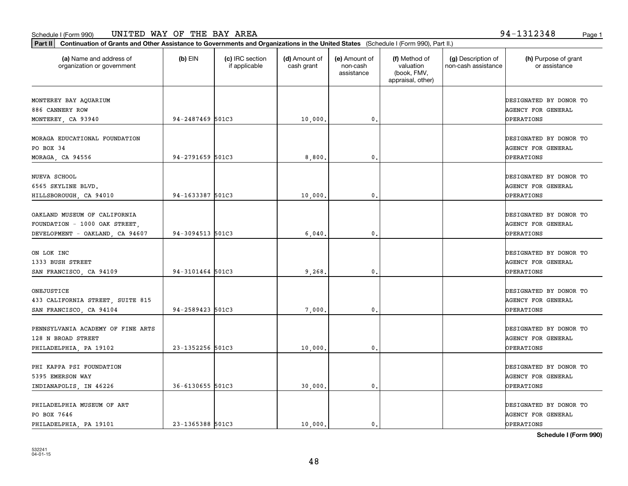**Schedule I (Form 990)**

DESIGNATED BY DONOR TO

ONEJUSTICE

| Continuation of Grants and Other Assistance to Governments and Organizations in the United States (Schedule I (Form 990), Part II.)<br>Part II |                  |                                  |                             |                                         |                                                                |                                           |                                                                   |
|------------------------------------------------------------------------------------------------------------------------------------------------|------------------|----------------------------------|-----------------------------|-----------------------------------------|----------------------------------------------------------------|-------------------------------------------|-------------------------------------------------------------------|
| (a) Name and address of<br>organization or government                                                                                          | $(b)$ EIN        | (c) IRC section<br>if applicable | (d) Amount of<br>cash grant | (e) Amount of<br>non-cash<br>assistance | (f) Method of<br>valuation<br>(book, FMV,<br>appraisal, other) | (g) Description of<br>non-cash assistance | (h) Purpose of grant<br>or assistance                             |
| MONTEREY BAY AQUARIUM                                                                                                                          |                  |                                  |                             |                                         |                                                                |                                           | DESIGNATED BY DONOR TO                                            |
| 886 CANNERY ROW                                                                                                                                |                  |                                  |                             |                                         |                                                                |                                           | <b>AGENCY FOR GENERAL</b>                                         |
| MONTEREY, CA 93940                                                                                                                             | 94-2487469 501C3 |                                  | 10,000.                     | $\mathbf{0}$ .                          |                                                                |                                           | <b>OPERATIONS</b>                                                 |
| MORAGA EDUCATIONAL FOUNDATION<br>PO BOX 34<br>MORAGA, CA 94556                                                                                 | 94-2791659 501C3 |                                  | 8,800.                      | 0.                                      |                                                                |                                           | DESIGNATED BY DONOR TO<br><b>AGENCY FOR GENERAL</b><br>OPERATIONS |
| NUEVA SCHOOL<br>6565 SKYLINE BLVD.<br>HILLSBOROUGH, CA 94010                                                                                   | 94-1633387 501C3 |                                  | 10,000.                     | $\mathfrak{o}$ .                        |                                                                |                                           | DESIGNATED BY DONOR TO<br><b>AGENCY FOR GENERAL</b><br>OPERATIONS |
| OAKLAND MUSEUM OF CALIFORNIA                                                                                                                   |                  |                                  |                             |                                         |                                                                |                                           | DESIGNATED BY DONOR TO                                            |

FOUNDATION - 1000 OAK STREET, AGENCY FOR GENERAL AGENCY FOR GENERAL REGISTER AGENCY FOR GENERAL REGISTERS OF SAGENCY FOR GENERAL AGENCY FOR GENERAL AGENCY FOR GENERAL AGENCY FOR GENERAL REGISTERS OF SAGENCY AGENCY OF SAGEN

433 CALIFORNIA STREET, SUITE 815 AGENCY FOR GENERAL

PENNSYLVANIA ACADEMY OF FINE ARTS DESIGNATED BY DONOR TO 128 N BROAD STREET AGENCY FOR GENERAL AGENCY FOR GENERAL AGENCY FOR GENERAL AGENCY FOR GENERAL

PHI KAPPA PSI FOUNDATION DESIGNATED BY DONOR TO 5395 EMERSON WAY AGENCY FOR GENERAL

PHILADELPHIA MUSEUM OF ART DESIGNATED BY DONOR TO

ON LOK INC DESIGNATED BY DONOR TO 1333 BUSH STREET AGENCY FOR GENERAL REGISTER AGENCY FOR GENERAL REGISTER AGENCY FOR GENERAL REGISTER AGENCY FOR GENERAL

DEVELOPMENT - OAKLAND, CA 94607 94-3094513 501C3 6,040. 0. OPERATIONS

SAN FRANCISCO, CA 94109 94-3101464 501C3 9,268. 0. 0.

SAN FRANCISCO, CA 94104 94-2589423 501C3 (7,000. 0. 0. OPERATIONS

PHILADELPHIA, PA 19102 23-1352256 501C3 10,000. 0. OPERATIONS

INDIANAPOLIS, IN 46226 36-6130655 501C3 (30,000. 0. 0. OPERATIONS

PHILADELPHIA, PA 19101 23-1365388 501C3 10,000. 0. 0. OPERATIONS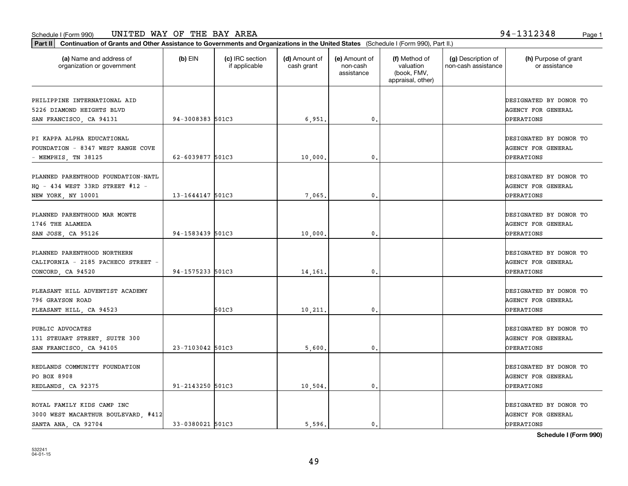**Part II Continuation of Grants and Other Assistance to Governments and Organizations in the United States**  (Schedule I (Form 990), Part II.)

532241 04-01-15

| (a) Name and address of<br>organization or government                                       | $(b)$ EIN        | (c) IRC section<br>if applicable | (d) Amount of<br>cash grant | (e) Amount of<br>non-cash<br>assistance | (f) Method of<br>valuation<br>(book, FMV,<br>appraisal, other) | (g) Description of<br>non-cash assistance | (h) Purpose of grant<br>or assistance                                    |
|---------------------------------------------------------------------------------------------|------------------|----------------------------------|-----------------------------|-----------------------------------------|----------------------------------------------------------------|-------------------------------------------|--------------------------------------------------------------------------|
| PHILIPPINE INTERNATIONAL AID<br>5226 DIAMOND HEIGHTS BLVD<br>SAN FRANCISCO, CA 94131        | 94-3008383 501C3 |                                  | 6,951.                      | 0.                                      |                                                                |                                           | DESIGNATED BY DONOR TO<br><b>AGENCY FOR GENERAL</b><br>OPERATIONS        |
| PI KAPPA ALPHA EDUCATIONAL<br>FOUNDATION - 8347 WEST RANGE COVE<br>- MEMPHIS, TN 38125      | 62-6039877 501C3 |                                  | 10,000.                     | $\mathbf{0}$ .                          |                                                                |                                           | DESIGNATED BY DONOR TO<br>AGENCY FOR GENERAL<br><b>OPERATIONS</b>        |
| PLANNED PARENTHOOD FOUNDATION-NATL<br>HQ - 434 WEST 33RD STREET #12 -<br>NEW YORK, NY 10001 | 13-1644147 501C3 |                                  | 7,065.                      | 0.                                      |                                                                |                                           | DESIGNATED BY DONOR TO<br><b>AGENCY FOR GENERAL</b><br>OPERATIONS        |
| PLANNED PARENTHOOD MAR MONTE<br>1746 THE ALAMEDA<br>SAN JOSE, CA 95126                      | 94-1583439 501C3 |                                  | 10,000.                     | $\mathbf{0}$ .                          |                                                                |                                           | DESIGNATED BY DONOR TO<br>AGENCY FOR GENERAL<br>OPERATIONS               |
| PLANNED PARENTHOOD NORTHERN<br>CALIFORNIA - 2185 PACHECO STREET -<br>CONCORD, CA 94520      | 94-1575233 501C3 |                                  | 14, 161.                    | 0.                                      |                                                                |                                           | DESIGNATED BY DONOR TO<br><b>AGENCY FOR GENERAL</b><br><b>OPERATIONS</b> |
| PLEASANT HILL ADVENTIST ACADEMY<br>796 GRAYSON ROAD<br>PLEASANT HILL, CA 94523              |                  | 501C3                            | 10,211.                     | 0.                                      |                                                                |                                           | DESIGNATED BY DONOR TO<br>AGENCY FOR GENERAL<br>OPERATIONS               |
| PUBLIC ADVOCATES<br>131 STEUART STREET, SUITE 300<br>SAN FRANCISCO, CA 94105                | 23-7103042 501C3 |                                  | 5,600.                      | 0.                                      |                                                                |                                           | DESIGNATED BY DONOR TO<br>AGENCY FOR GENERAL<br>OPERATIONS               |
| REDLANDS COMMUNITY FOUNDATION<br>PO BOX 8908<br>REDLANDS, CA 92375                          | 91-2143250 501C3 |                                  | 10, 504.                    | 0.                                      |                                                                |                                           | DESIGNATED BY DONOR TO<br><b>AGENCY FOR GENERAL</b><br><b>OPERATIONS</b> |
| ROYAL FAMILY KIDS CAMP INC<br>3000 WEST MACARTHUR BOULEVARD, #412 <br>SANTA ANA, CA 92704   | 33-0380021 501C3 |                                  | 5.596.                      | $\mathbf{0}$ .                          |                                                                |                                           | DESIGNATED BY DONOR TO<br>AGENCY FOR GENERAL<br>OPERATIONS               |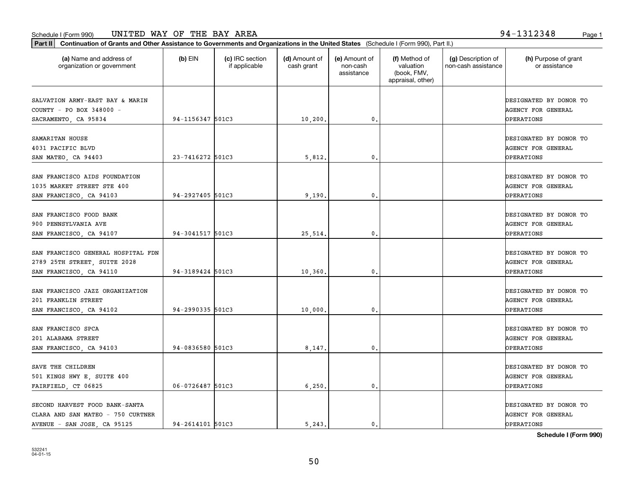| Part II   Continuation of Grants and Other Assistance to Governments and Organizations in the United States (Schedule I (Form 990), Part II.) |                  |                                  |                             |                                         |                                                                |                                           |                                                                          |
|-----------------------------------------------------------------------------------------------------------------------------------------------|------------------|----------------------------------|-----------------------------|-----------------------------------------|----------------------------------------------------------------|-------------------------------------------|--------------------------------------------------------------------------|
| (a) Name and address of<br>organization or government                                                                                         | $(b)$ EIN        | (c) IRC section<br>if applicable | (d) Amount of<br>cash grant | (e) Amount of<br>non-cash<br>assistance | (f) Method of<br>valuation<br>(book, FMV,<br>appraisal, other) | (g) Description of<br>non-cash assistance | (h) Purpose of grant<br>or assistance                                    |
| SALVATION ARMY-EAST BAY & MARIN<br>COUNTY - PO BOX 348000 -<br>SACRAMENTO, CA 95834                                                           | 94-1156347 501C3 |                                  | 10, 200.                    | $\mathfrak o$ .                         |                                                                |                                           | DESIGNATED BY DONOR TO<br>AGENCY FOR GENERAL<br><b>OPERATIONS</b>        |
| SAMARITAN HOUSE<br>4031 PACIFIC BLVD<br>SAN MATEO, CA 94403                                                                                   | 23-7416272 501C3 |                                  | 5,812.                      | 0.                                      |                                                                |                                           | DESIGNATED BY DONOR TO<br>AGENCY FOR GENERAL<br>OPERATIONS               |
| SAN FRANCISCO AIDS FOUNDATION<br>1035 MARKET STREET STE 400<br>SAN FRANCISCO, CA 94103                                                        | 94-2927405 501C3 |                                  | 9,190.                      | $\mathbf{0}$ .                          |                                                                |                                           | DESIGNATED BY DONOR TO<br><b>AGENCY FOR GENERAL</b><br>OPERATIONS        |
| SAN FRANCISCO FOOD BANK<br>900 PENNSYLVANIA AVE<br>SAN FRANCISCO, CA 94107                                                                    | 94-3041517 501C3 |                                  | 25,514.                     | 0.                                      |                                                                |                                           | DESIGNATED BY DONOR TO<br><b>AGENCY FOR GENERAL</b><br>OPERATIONS        |
| SAN FRANCISCO GENERAL HOSPITAL FDN<br>2789 25TH STREET, SUITE 2028<br>SAN FRANCISCO, CA 94110                                                 | 94-3189424 501C3 |                                  | 10,360.                     | 0.                                      |                                                                |                                           | DESIGNATED BY DONOR TO<br>AGENCY FOR GENERAL<br>OPERATIONS               |
| SAN FRANCISCO JAZZ ORGANIZATION<br>201 FRANKLIN STREET<br>SAN FRANCISCO, CA 94102                                                             | 94-2990335 501C3 |                                  | 10,000.                     | 0.                                      |                                                                |                                           | DESIGNATED BY DONOR TO<br>AGENCY FOR GENERAL<br>OPERATIONS               |
| SAN FRANCISCO SPCA<br>201 ALABAMA STREET<br>SAN FRANCISCO, CA 94103                                                                           | 94-0836580 501C3 |                                  | 8,147.                      | $^{\circ}$ .                            |                                                                |                                           | DESIGNATED BY DONOR TO<br><b>AGENCY FOR GENERAL</b><br><b>OPERATIONS</b> |
| SAVE THE CHILDREN<br>501 KINGS HWY E, SUITE 400<br>FAIRFIELD, CT 06825                                                                        | 06-0726487 501C3 |                                  | 6, 250.                     | $\mathbf{0}$ .                          |                                                                |                                           | DESIGNATED BY DONOR TO<br>AGENCY FOR GENERAL<br>OPERATIONS               |
| SECOND HARVEST FOOD BANK-SANTA<br>CLARA AND SAN MATEO - 750 CURTNER<br>AVENUE - SAN JOSE, CA 95125                                            | 94-2614101 501C3 |                                  | 5.243.                      | $\mathfrak{o}$ .                        |                                                                |                                           | DESIGNATED BY DONOR TO<br><b>AGENCY FOR GENERAL</b><br>OPERATIONS        |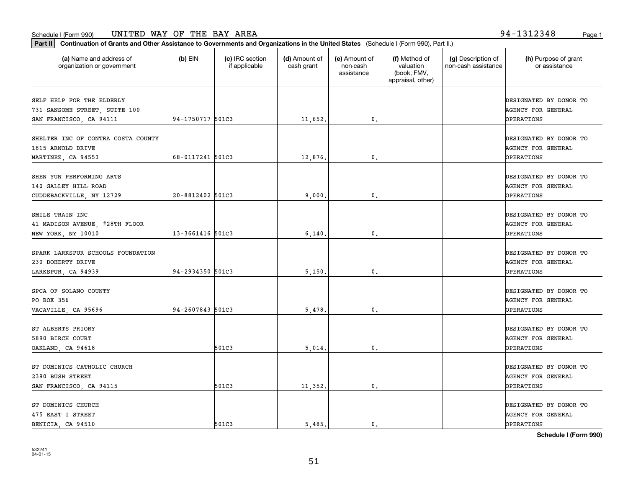organization or government

**Part II Continuation of Grants and Other Assistance to Governments and Organizations in the United States**  (Schedule I (Form 990), Part II.)

if applicable

 $(b)$  EIN  $(c)$  IRC section

**(a) (b) (c) (d) (e) (f) (g) (h)** Name and address of

(d) Amount of cash grant

(e) Amount of non-cash

(f) Method of valuation

(g) Description of non-cash assistance

|                                                                                       |                  |       |         | assistance     | (book, FMV,<br>appraisal, other) |                                                                          |
|---------------------------------------------------------------------------------------|------------------|-------|---------|----------------|----------------------------------|--------------------------------------------------------------------------|
| SELF HELP FOR THE ELDERLY<br>731 SANSOME STREET, SUITE 100<br>SAN FRANCISCO, CA 94111 | 94-1750717 501C3 |       | 11,652. | 0.             |                                  | DESIGNATED BY DONOR TO<br><b>AGENCY FOR GENERAL</b><br><b>OPERATIONS</b> |
| SHELTER INC OF CONTRA COSTA COUNTY<br>1815 ARNOLD DRIVE<br>MARTINEZ, CA 94553         | 68-0117241 501C3 |       | 12,876. | 0.             |                                  | DESIGNATED BY DONOR TO<br>AGENCY FOR GENERAL<br><b>OPERATIONS</b>        |
| SHEN YUN PERFORMING ARTS<br>140 GALLEY HILL ROAD<br>CUDDEBACKVILLE, NY 12729          | 20-8812402 501C3 |       | 9,000   | 0.             |                                  | DESIGNATED BY DONOR TO<br>AGENCY FOR GENERAL<br><b>OPERATIONS</b>        |
| SMILE TRAIN INC<br>41 MADISON AVENUE, #28TH FLOOR<br>NEW YORK, NY 10010               | 13-3661416 501C3 |       | 6,140   | $\mathbf{0}$ . |                                  | DESIGNATED BY DONOR TO<br>AGENCY FOR GENERAL<br><b>OPERATIONS</b>        |
| SPARK LARKSPUR SCHOOLS FOUNDATION<br>230 DOHERTY DRIVE<br>LARKSPUR, CA 94939          | 94-2934350 501C3 |       | 5,150   | $\mathbf{0}$ . |                                  | DESIGNATED BY DONOR TO<br><b>AGENCY FOR GENERAL</b><br><b>OPERATIONS</b> |
| SPCA OF SOLANO COUNTY<br>PO BOX 356<br>VACAVILLE, CA 95696                            | 94-2607843 501C3 |       | 5,478   | $\mathbf{0}$ . |                                  | DESIGNATED BY DONOR TO<br><b>AGENCY FOR GENERAL</b><br>OPERATIONS        |
| ST ALBERTS PRIORY<br>5890 BIRCH COURT<br>OAKLAND, CA 94618                            |                  | 501C3 | 5,014   | 0.             |                                  | DESIGNATED BY DONOR TO<br><b>AGENCY FOR GENERAL</b><br>OPERATIONS        |
| ST DOMINICS CATHOLIC CHURCH<br>2390 BUSH STREET<br>SAN FRANCISCO, CA 94115            |                  | 501C3 | 11,352. | $\mathbf{0}$ . |                                  | DESIGNATED BY DONOR TO<br><b>AGENCY FOR GENERAL</b><br><b>OPERATIONS</b> |
| ST DOMINICS CHURCH<br>475 EAST I STREET<br>BENICIA, CA 94510                          |                  | 501C3 | 5,485.  | $\mathbf{0}$ . |                                  | DESIGNATED BY DONOR TO<br><b>AGENCY FOR GENERAL</b><br>OPERATIONS        |

**Schedule I (Form 990)**

(h) Purpose of grant or assistance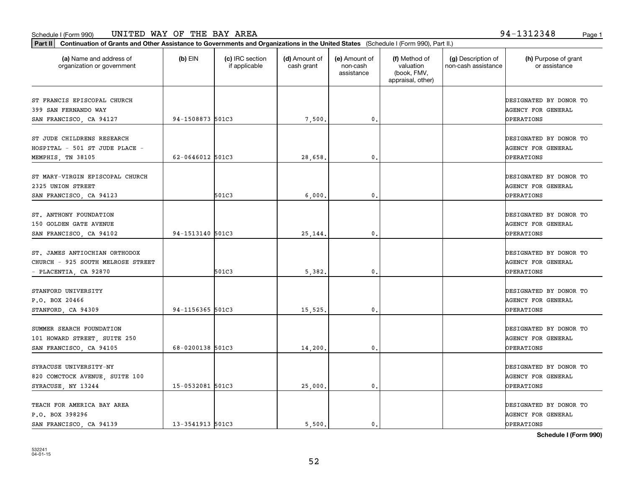| UNITED WAY OF THE BAY AREA<br>Schedule I (Form 990)                                                                                           |         |                                  |                             |                                         |                                                                |                                           | 94-1312348<br>Page 1                  |  |
|-----------------------------------------------------------------------------------------------------------------------------------------------|---------|----------------------------------|-----------------------------|-----------------------------------------|----------------------------------------------------------------|-------------------------------------------|---------------------------------------|--|
| Part II   Continuation of Grants and Other Assistance to Governments and Organizations in the United States (Schedule I (Form 990), Part II.) |         |                                  |                             |                                         |                                                                |                                           |                                       |  |
| (a) Name and address of<br>organization or government                                                                                         | (b) EIN | (c) IRC section<br>if applicable | (d) Amount of<br>cash grant | (e) Amount of<br>non-cash<br>assistance | (f) Method of<br>valuation<br>(book, FMV,<br>appraisal, other) | (g) Description of<br>non-cash assistance | (h) Purpose of grant<br>or assistance |  |
| ST FRANCIS EPISCOPAL CHURCH<br>----------------                                                                                               |         |                                  |                             |                                         |                                                                |                                           | DESIGNATED BY DONOR TO                |  |

| (a) Name and address of<br>organization or government                                       | $(b)$ EIN        | (c) IRC section<br>if applicable | (d) Amount of<br>cash grant | (e) Amount of<br>non-cash<br>assistance | (f) Method of<br>valuation<br>(book, FMV,<br>appraisal, other) | (g) Description of<br>non-cash assistance | (h) Purpose of grant<br>or assistance                                                     |
|---------------------------------------------------------------------------------------------|------------------|----------------------------------|-----------------------------|-----------------------------------------|----------------------------------------------------------------|-------------------------------------------|-------------------------------------------------------------------------------------------|
| ST FRANCIS EPISCOPAL CHURCH<br>399 SAN FERNANDO WAY<br>SAN FRANCISCO, CA 94127              | 94-1508873 501C3 |                                  | 7,500.                      | 0.                                      |                                                                |                                           | DESIGNATED BY DONOR TO<br><b>AGENCY FOR GENERAL</b><br>OPERATIONS                         |
| ST JUDE CHILDRENS RESEARCH<br>HOSPITAL - 501 ST JUDE PLACE -<br>MEMPHIS, TN 38105           | 62-0646012 501C3 |                                  | 28,658.                     | $\mathbf{0}$                            |                                                                |                                           | DESIGNATED BY DONOR TO<br><b>AGENCY FOR GENERAL</b><br>OPERATIONS                         |
| ST MARY-VIRGIN EPISCOPAL CHURCH<br>2325 UNION STREET<br>SAN FRANCISCO, CA 94123             |                  | 501C3                            | 6,000.                      | 0.                                      |                                                                |                                           | DESIGNATED BY DONOR TO<br>AGENCY FOR GENERAL<br>OPERATIONS                                |
| ST. ANTHONY FOUNDATION<br>150 GOLDEN GATE AVENUE<br>SAN FRANCISCO, CA 94102                 | 94-1513140 501C3 |                                  | 25,144.                     | $\mathbf{0}$ .                          |                                                                |                                           | DESIGNATED BY DONOR TO<br><b>AGENCY FOR GENERAL</b><br>OPERATIONS                         |
| ST. JAMES ANTIOCHIAN ORTHODOX<br>CHURCH - 925 SOUTH MELROSE STREET<br>- PLACENTIA, CA 92870 |                  | 501C3                            | 5,382.                      | $\mathfrak{o}$ .                        |                                                                |                                           | DESIGNATED BY DONOR TO<br><b>AGENCY FOR GENERAL</b><br>OPERATIONS                         |
| STANFORD UNIVERSITY<br>P.O. BOX 20466<br>STANFORD, CA 94309                                 | 94-1156365 501C3 |                                  | 15,525.                     | 0.                                      |                                                                |                                           | DESIGNATED BY DONOR TO<br>AGENCY FOR GENERAL<br>OPERATIONS                                |
| SUMMER SEARCH FOUNDATION<br>101 HOWARD STREET, SUITE 250<br>SAN FRANCISCO, CA 94105         | 68-0200138 501C3 |                                  | 14,200.                     | 0.                                      |                                                                |                                           | DESIGNATED BY DONOR TO<br>AGENCY FOR GENERAL<br>OPERATIONS                                |
| SYRACUSE UNIVERSITY-NY<br>820 COMCTOCK AVENUE, SUITE 100<br>SYRACUSE, NY 13244              | 15-0532081 501C3 |                                  | 25,000.                     | $\mathfrak{o}$ .                        |                                                                |                                           | DESIGNATED BY DONOR TO<br><b>AGENCY FOR GENERAL</b><br>OPERATIONS                         |
| TEACH FOR AMERICA BAY AREA<br>P.O. BOX 398296<br>SAN FRANCISCO, CA 94139                    | 13-3541913 501C3 |                                  | 5,500.                      | $\mathfrak{o}$ .                        |                                                                |                                           | DESIGNATED BY DONOR TO<br>AGENCY FOR GENERAL<br>OPERATIONS<br>$\alpha$ i i i $\alpha$ and |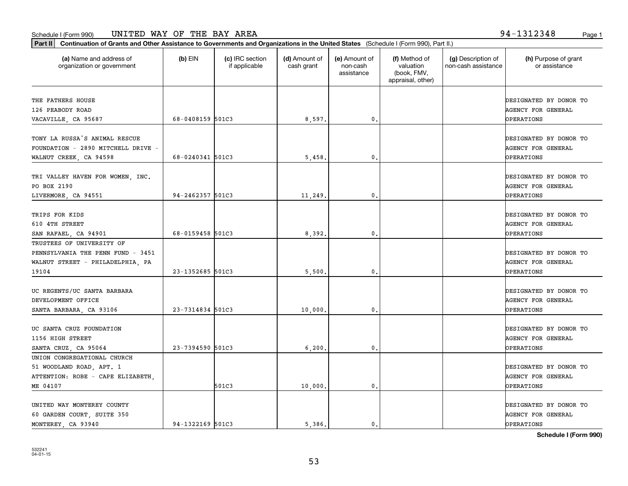**Part II Continuation of Grants and Other Assistance to Governments and Organizations in the United States**  (Schedule I (Form 990), Part II.)

**Schedule I (Form 990)**

532241 04-01-15

| (a) Name and address of<br>organization or government                                                       | $(b)$ EIN        | (c) IRC section<br>if applicable | (d) Amount of<br>cash grant | (e) Amount of<br>non-cash<br>assistance | (f) Method of<br>valuation<br>(book, FMV,<br>appraisal, other) | (g) Description of<br>non-cash assistance | (h) Purpose of grant<br>or assistance                                    |
|-------------------------------------------------------------------------------------------------------------|------------------|----------------------------------|-----------------------------|-----------------------------------------|----------------------------------------------------------------|-------------------------------------------|--------------------------------------------------------------------------|
| THE FATHERS HOUSE<br>126 PEABODY ROAD<br>VACAVILLE, CA 95687                                                | 68-0408159 501C3 |                                  | 8,597.                      | $\mathbf{0}$ .                          |                                                                |                                           | DESIGNATED BY DONOR TO<br><b>AGENCY FOR GENERAL</b><br>OPERATIONS        |
| TONY LA RUSSA'S ANIMAL RESCUE<br>FOUNDATION - 2890 MITCHELL DRIVE -<br>WALNUT CREEK, CA 94598               | 68-0240341 501C3 |                                  | 5,458.                      | $\mathbf{0}$ .                          |                                                                |                                           | DESIGNATED BY DONOR TO<br>AGENCY FOR GENERAL<br>OPERATIONS               |
| TRI VALLEY HAVEN FOR WOMEN, INC.<br>PO BOX 2190<br>LIVERMORE, CA 94551                                      | 94-2462357 501C3 |                                  | 11,249.                     | $\mathbf 0$ .                           |                                                                |                                           | DESIGNATED BY DONOR TO<br>AGENCY FOR GENERAL<br>OPERATIONS               |
| TRIPS FOR KIDS<br>610 4TH STREET<br>SAN RAFAEL, CA 94901                                                    | 68-0159458 501C3 |                                  | 8,392.                      | $\mathbf{0}$ .                          |                                                                |                                           | DESIGNATED BY DONOR TO<br><b>AGENCY FOR GENERAL</b><br><b>OPERATIONS</b> |
| TRUSTEES OF UNIVERSITY OF<br>PENNSYLVANIA THE PENN FUND - 3451<br>WALNUT STREET - PHILADELPHIA, PA<br>19104 | 23-1352685 501C3 |                                  | 5,500.                      | 0                                       |                                                                |                                           | DESIGNATED BY DONOR TO<br>AGENCY FOR GENERAL<br><b>OPERATIONS</b>        |
| UC REGENTS/UC SANTA BARBARA<br>DEVELOPMENT OFFICE<br>SANTA BARBARA, CA 93106                                | 23-7314834 501C3 |                                  | 10,000                      | 0.                                      |                                                                |                                           | DESIGNATED BY DONOR TO<br>AGENCY FOR GENERAL<br>OPERATIONS               |
| UC SANTA CRUZ FOUNDATION<br>1156 HIGH STREET<br>SANTA CRUZ, CA 95064                                        | 23-7394590 501C3 |                                  | 6,200                       | $\mathbf{0}$ .                          |                                                                |                                           | DESIGNATED BY DONOR TO<br><b>AGENCY FOR GENERAL</b><br><b>OPERATIONS</b> |
| UNION CONGREGATIONAL CHURCH<br>51 WOODLAND ROAD, APT. 1<br>ATTENTION: ROBE - CAPE ELIZABETH,<br>ME 04107    |                  | 501C3                            | 10,000                      | 0.                                      |                                                                |                                           | DESIGNATED BY DONOR TO<br>AGENCY FOR GENERAL<br><b>OPERATIONS</b>        |
| UNITED WAY MONTEREY COUNTY<br>60 GARDEN COURT, SUITE 350<br>MONTEREY CA 93940                               | 94-1322169 501C3 |                                  | 5.386.                      | 0.                                      |                                                                |                                           | DESIGNATED BY DONOR TO<br><b>AGENCY FOR GENERAL</b><br><b>OPERATIONS</b> |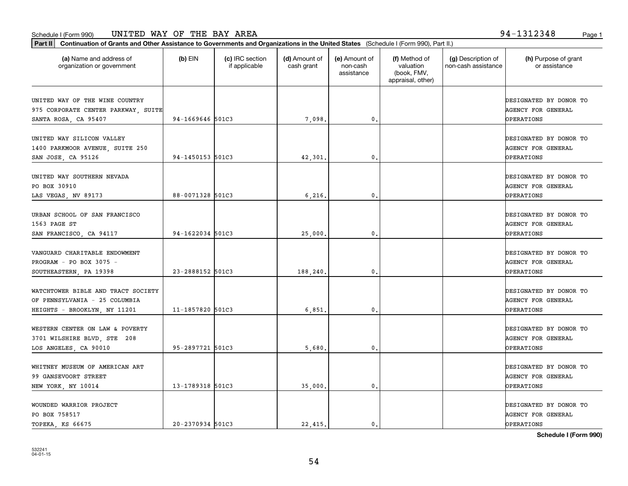| Part II   Continuation of Grants and Other Assistance to Governments and Organizations in the United States (Schedule I (Form 990), Part II.) |                  |                                  |                             |                                         |                                                                |                                           |                                                                          |
|-----------------------------------------------------------------------------------------------------------------------------------------------|------------------|----------------------------------|-----------------------------|-----------------------------------------|----------------------------------------------------------------|-------------------------------------------|--------------------------------------------------------------------------|
| (a) Name and address of<br>organization or government                                                                                         | $(b)$ EIN        | (c) IRC section<br>if applicable | (d) Amount of<br>cash grant | (e) Amount of<br>non-cash<br>assistance | (f) Method of<br>valuation<br>(book, FMV,<br>appraisal, other) | (g) Description of<br>non-cash assistance | (h) Purpose of grant<br>or assistance                                    |
| UNITED WAY OF THE WINE COUNTRY<br>975 CORPORATE CENTER PARKWAY, SUITE<br>SANTA ROSA, CA 95407                                                 | 94-1669646 501C3 |                                  | 7,098.                      | $\mathsf{0}$ .                          |                                                                |                                           | DESIGNATED BY DONOR TO<br><b>AGENCY FOR GENERAL</b><br><b>OPERATIONS</b> |
| UNITED WAY SILICON VALLEY<br>1400 PARKMOOR AVENUE, SUITE 250<br>SAN JOSE, CA 95126                                                            | 94-1450153 501C3 |                                  | 42,301                      | 0.                                      |                                                                |                                           | DESIGNATED BY DONOR TO<br><b>AGENCY FOR GENERAL</b><br>OPERATIONS        |
| UNITED WAY SOUTHERN NEVADA<br>PO BOX 30910<br>LAS VEGAS, NV 89173                                                                             | 88-0071328 501C3 |                                  | 6,216,                      | $\mathfrak{o}$ .                        |                                                                |                                           | DESIGNATED BY DONOR TO<br><b>AGENCY FOR GENERAL</b><br>OPERATIONS        |
| URBAN SCHOOL OF SAN FRANCISCO<br>1563 PAGE ST<br>SAN FRANCISCO, CA 94117                                                                      | 94-1622034 501C3 |                                  | 25,000                      | 0.                                      |                                                                |                                           | DESIGNATED BY DONOR TO<br><b>AGENCY FOR GENERAL</b><br>OPERATIONS        |
| VANGUARD CHARITABLE ENDOWMENT<br>PROGRAM - PO BOX 3075 -<br>SOUTHEASTERN, PA 19398                                                            | 23-2888152 501C3 |                                  | 188,240                     | 0                                       |                                                                |                                           | DESIGNATED BY DONOR TO<br><b>AGENCY FOR GENERAL</b><br>OPERATIONS        |
| WATCHTOWER BIBLE AND TRACT SOCIETY<br>OF PENNSYLVANIA - 25 COLUMBIA<br>HEIGHTS - BROOKLYN, NY 11201                                           | 11-1857820 501C3 |                                  | 6,851                       | $\mathbf{0}$                            |                                                                |                                           | DESIGNATED BY DONOR TO<br><b>AGENCY FOR GENERAL</b><br>OPERATIONS        |
| WESTERN CENTER ON LAW & POVERTY<br>3701 WILSHIRE BLVD, STE 208<br>LOS ANGELES, CA 90010                                                       | 95-2897721 501C3 |                                  | 5,680                       | $\mathbf{0}$ .                          |                                                                |                                           | DESIGNATED BY DONOR TO<br><b>AGENCY FOR GENERAL</b><br>OPERATIONS        |
| WHITNEY MUSEUM OF AMERICAN ART<br>99 GANSEVOORT STREET<br>NEW YORK, NY 10014                                                                  | 13-1789318 501C3 |                                  | 35,000.                     | $\mathfrak{o}$ .                        |                                                                |                                           | DESIGNATED BY DONOR TO<br><b>AGENCY FOR GENERAL</b><br>OPERATIONS        |
| WOUNDED WARRIOR PROJECT<br>PO BOX 758517<br>TOPEKA, KS 66675                                                                                  | 20-2370934 501C3 |                                  | 22.415.                     | $\mathfrak{o}$ .                        |                                                                |                                           | DESIGNATED BY DONOR TO<br><b>AGENCY FOR GENERAL</b><br><b>OPERATIONS</b> |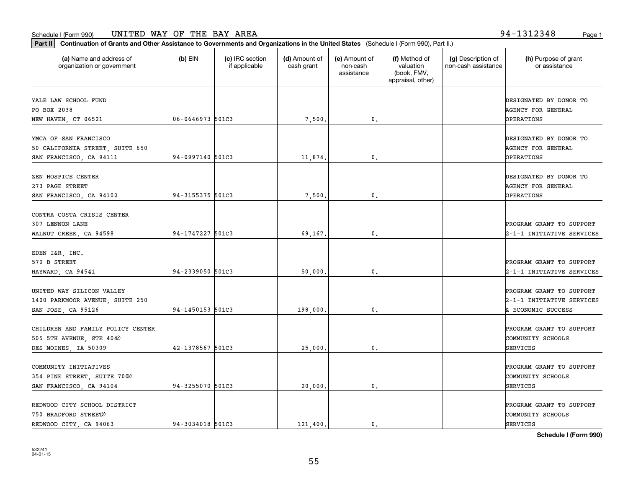**Part II Continuation of Grants and Other Assistance to Governments and Organizations in the United States**  (Schedule I (Form 990), Part II.)

 $(b)$  EIN  $(c)$  IRC section

| organization or government                                                            |                  | if applicable | cash grant | non-cash<br>assistance | valuation<br>(book, FMV,<br>appraisal, other) | non-cash assistance | or assistance                                                               |
|---------------------------------------------------------------------------------------|------------------|---------------|------------|------------------------|-----------------------------------------------|---------------------|-----------------------------------------------------------------------------|
| YALE LAW SCHOOL FUND<br>PO BOX 2038<br>NEW HAVEN, CT 06521                            | 06-0646973 501C3 |               | 7,500.     | 0.                     |                                               |                     | DESIGNATED BY DONOR TO<br><b>AGENCY FOR GENERAL</b><br>OPERATIONS           |
| YMCA OF SAN FRANCISCO<br>50 CALIFORNIA STREET, SUITE 650<br>SAN FRANCISCO, CA 94111   | 94-0997140 501C3 |               | 11,874.    | 0.                     |                                               |                     | DESIGNATED BY DONOR TO<br><b>AGENCY FOR GENERAL</b><br>OPERATIONS           |
| ZEN HOSPICE CENTER<br>273 PAGE STREET<br>SAN FRANCISCO, CA 94102                      | 94-3155375 501C3 |               | 7,500.     | 0.                     |                                               |                     | DESIGNATED BY DONOR TO<br>AGENCY FOR GENERAL<br>OPERATIONS                  |
| CONTRA COSTA CRISIS CENTER<br>307 LENNON LANE<br>WALNUT CREEK, CA 94598               | 94-1747227 501C3 |               | 69,167.    | 0.                     |                                               |                     | PROGRAM GRANT TO SUPPORT<br>2-1-1 INITIATIVE SERVICES                       |
| EDEN I&R, INC.<br>570 B STREET<br>HAYWARD, CA 94541                                   | 94-2339050 501C3 |               | 50,000.    | 0.                     |                                               |                     | PROGRAM GRANT TO SUPPORT<br>2-1-1 INITIATIVE SERVICES                       |
| UNITED WAY SILICON VALLEY<br>1400 PARKMOOR AVENUE, SUITE 250<br>SAN JOSE, CA 95126    | 94-1450153 501C3 |               | 198,000.   | 0.                     |                                               |                     | PROGRAM GRANT TO SUPPORT<br>2-1-1 INITIATIVE SERVICES<br>& ECONOMIC SUCCESS |
| CHILDREN AND FAMILY POLICY CENTER<br>505 5TH AVENUE, STE 4040<br>DES MOINES, IA 50309 | 42-1378567 501C3 |               | 25,000.    | 0.                     |                                               |                     | PROGRAM GRANT TO SUPPORT<br>COMMUNITY SCHOOLS<br>SERVICES                   |
| COMMUNITY INITIATIVES<br>354 PINE STREET, SUITE 7000<br>SAN FRANCISCO, CA 94104       | 94-3255070 501C3 |               | 20,000.    | 0.                     |                                               |                     | PROGRAM GRANT TO SUPPORT<br>COMMUNITY SCHOOLS<br><b>SERVICES</b>            |
| REDWOOD CITY SCHOOL DISTRICT<br>750 BRADFORD STREET0<br>REDWOOD CITY, CA 94063        | 94-3034018 501C3 |               | 121,400.   | $\mathbf{0}$ .         |                                               |                     | PROGRAM GRANT TO SUPPORT<br>COMMUNITY SCHOOLS<br><b>SERVICES</b>            |

**(a) (b) (c) (d) (e) (f) (g) (h)** Name and address of

(d) Amount of cash grant

(e) Amount of

(f) Method of

(g) Description of non-cash assistance

**Schedule I (Form 990)**

(h) Purpose of grant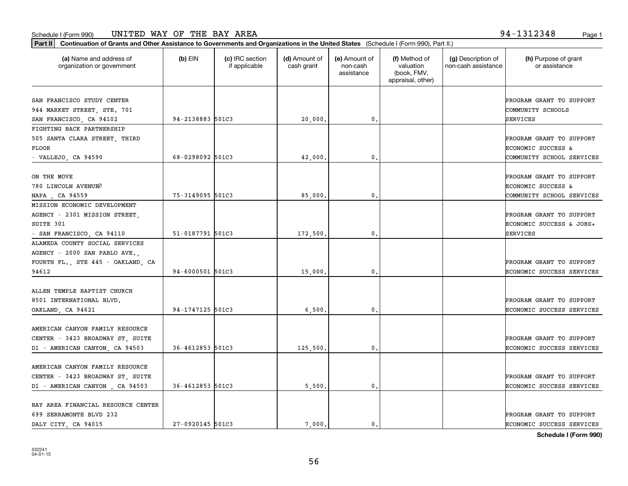**Part II Continuation of Grants and Other Assistance to Governments and Organizations in the United States**  (Schedule I (Form 990), Part II.)

 $(b)$  EIN  $\qquad$   $(c)$  IRC section

| organization or government         |                  | if applicable | cash grant | non-cash<br>assistance | valuation<br>(book, FMV,<br>appraisal, other) | non-cash assistance | or assistance             |
|------------------------------------|------------------|---------------|------------|------------------------|-----------------------------------------------|---------------------|---------------------------|
| SAN FRANCISCO STUDY CENTER         |                  |               |            |                        |                                               |                     | PROGRAM GRANT TO SUPPORT  |
| 944 MARKET STREET, STE. 701        |                  |               |            |                        |                                               |                     | COMMUNITY SCHOOLS         |
| SAN FRANCISCO, CA 94102            | 94-2138883 501C3 |               | 20,000     | 0.                     |                                               |                     | SERVICES                  |
| FIGHTING BACK PARTNERSHIP          |                  |               |            |                        |                                               |                     |                           |
| 505 SANTA CLARA STREET, THIRD      |                  |               |            |                        |                                               |                     | PROGRAM GRANT TO SUPPORT  |
| FLOOR                              |                  |               |            |                        |                                               |                     | ECONOMIC SUCCESS &        |
| $-$ VALLEJO, CA 94590              | 68-0298092 501C3 |               | 42,000     | 0.                     |                                               |                     | COMMUNITY SCHOOL SERVICES |
| ON THE MOVE                        |                  |               |            |                        |                                               |                     | PROGRAM GRANT TO SUPPORT  |
| 780 LINCOLN AVENUEO                |                  |               |            |                        |                                               |                     | ECONOMIC SUCCESS &        |
| NAPA, CA 94559                     | 75-3149095 501C3 |               | 85,000     | 0.                     |                                               |                     | COMMUNITY SCHOOL SERVICES |
| MISSION ECONOMIC DEVELOPMENT       |                  |               |            |                        |                                               |                     |                           |
| AGENCY - 2301 MISSION STREET,      |                  |               |            |                        |                                               |                     | PROGRAM GRANT TO SUPPORT  |
| SUITE 301                          |                  |               |            |                        |                                               |                     | ECONOMIC SUCCESS & JOBS+  |
| - SAN FRANCISCO, CA 94110          | 51-0187791 501C3 |               | 172,500.   | 0.                     |                                               |                     | SERVICES                  |
| ALAMEDA COUNTY SOCIAL SERVICES     |                  |               |            |                        |                                               |                     |                           |
| AGENCY - 2000 SAN PABLO AVE.       |                  |               |            |                        |                                               |                     |                           |
| FOURTH FL., STE 445 - OAKLAND, CA  |                  |               |            |                        |                                               |                     | PROGRAM GRANT TO SUPPORT  |
| 94612                              | 94-6000501 501C3 |               | 15,000.    | 0.                     |                                               |                     | ECONOMIC SUCCESS SERVICES |
| ALLEN TEMPLE BAPTIST CHURCH        |                  |               |            |                        |                                               |                     |                           |
| 8501 INTERNATIONAL BLVD.           |                  |               |            |                        |                                               |                     | PROGRAM GRANT TO SUPPORT  |
| OAKLAND, CA 94621                  | 94-1747125 501C3 |               | 6,500.     | 0.                     |                                               |                     | ECONOMIC SUCCESS SERVICES |
|                                    |                  |               |            |                        |                                               |                     |                           |
| AMERICAN CANYON FAMILY RESOURCE    |                  |               |            |                        |                                               |                     |                           |
| CENTER - 3423 BROADWAY ST, SUITE   |                  |               |            |                        |                                               |                     | PROGRAM GRANT TO SUPPORT  |
| D1 - AMERICAN CANYON, CA 94503     | 36-4612853 501C3 |               | 125,500.   | 0.                     |                                               |                     | ECONOMIC SUCCESS SERVICES |
| AMERICAN CANYON FAMILY RESOURCE    |                  |               |            |                        |                                               |                     |                           |
| CENTER - 3423 BROADWAY ST, SUITE   |                  |               |            |                        |                                               |                     | PROGRAM GRANT TO SUPPORT  |
| D1 - AMERICAN CANYON, CA 94503     | 36-4612853 501C3 |               | 5,500.     | 0.                     |                                               |                     | ECONOMIC SUCCESS SERVICES |
| BAY AREA FINANCIAL RESOURCE CENTER |                  |               |            |                        |                                               |                     |                           |
| 699 SERRAMONTE BLVD 232            |                  |               |            |                        |                                               |                     | PROGRAM GRANT TO SUPPORT  |

**(a) (b) (c) (d) (e) (f) (g) (h)** Name and address of

(d) Amount of

(e) Amount of

(f) Method of

(g) Description of

DALY CITY, CA 94015 27-0920145 501C3 1 7,000. 0. 0. 2010 2020 2020 2020 2020 2030 2020 2030 2020 2020 2030 2020

(h) Purpose of grant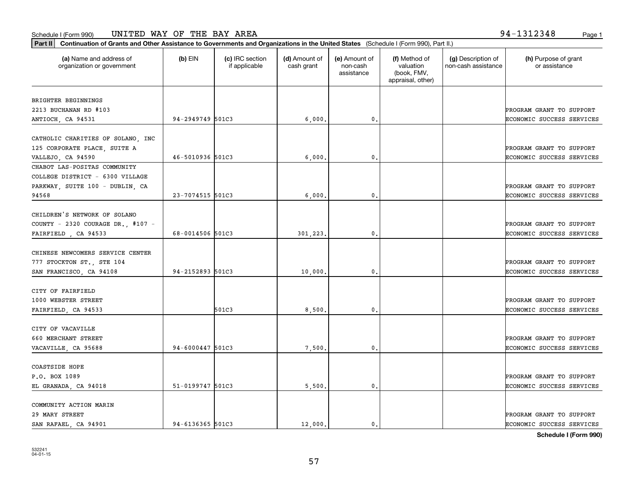organization or government

COMMUNITY ACTION MARIN

COASTSIDE HOPE

532241 04-01-15

| BRIGHTER BEGINNINGS               |                  |       |          |                  |                                  |
|-----------------------------------|------------------|-------|----------|------------------|----------------------------------|
| 2213 BUCHANAN RD #103             |                  |       |          |                  | PROGRAM GRANT TO SUPPORT         |
| ANTIOCH, CA 94531                 | 94-2949749 501C3 |       | 6,000.   | $\mathfrak{o}$ . | ECONOMIC SUCCESS SERVICES        |
|                                   |                  |       |          |                  |                                  |
| CATHOLIC CHARITIES OF SOLANO, INC |                  |       |          |                  |                                  |
| 125 CORPORATE PLACE, SUITE A      |                  |       |          |                  | PROGRAM GRANT TO SUPPORT         |
| VALLEJO, CA 94590                 | 46-5010936 501C3 |       | 6,000.   | 0.               | ECONOMIC SUCCESS SERVICES        |
| CHABOT LAS-POSITAS COMMUNITY      |                  |       |          |                  |                                  |
| COLLEGE DISTRICT - 6300 VILLAGE   |                  |       |          |                  |                                  |
| PARKWAY, SUITE 100 - DUBLIN, CA   |                  |       |          |                  | PROGRAM GRANT TO SUPPORT         |
| 94568                             | 23-7074515 501C3 |       | 6,000.   | 0.               | ECONOMIC SUCCESS SERVICES        |
|                                   |                  |       |          |                  |                                  |
| CHILDREN'S NETWORK OF SOLANO      |                  |       |          |                  |                                  |
| COUNTY - 2320 COURAGE DR., #107 - |                  |       |          |                  | PROGRAM GRANT TO SUPPORT         |
| FAIRFIELD, CA 94533               | 68-0014506 501C3 |       | 301,223. | 0.               | <b>ECONOMIC SUCCESS SERVICES</b> |
|                                   |                  |       |          |                  |                                  |
| CHINESE NEWCOMERS SERVICE CENTER  |                  |       |          |                  |                                  |
| 777 STOCKTON ST., STE 104         |                  |       |          |                  | PROGRAM GRANT TO SUPPORT         |
| SAN FRANCISCO, CA 94108           | 94-2152893 501C3 |       | 10,000.  | $\mathfrak{o}$ . | <b>ECONOMIC SUCCESS SERVICES</b> |
|                                   |                  |       |          |                  |                                  |
| CITY OF FAIRFIELD                 |                  |       |          |                  |                                  |
| 1000 WEBSTER STREET               |                  |       |          |                  | PROGRAM GRANT TO SUPPORT         |
| FAIRFIELD, CA 94533               |                  | 501C3 | 8,500.   | 0.               | <b>ECONOMIC SUCCESS SERVICES</b> |
|                                   |                  |       |          |                  |                                  |
| CITY OF VACAVILLE                 |                  |       |          |                  |                                  |
| 660 MERCHANT STREET               | 94-6000447 501C3 |       |          |                  | PROGRAM GRANT TO SUPPORT         |
| VACAVILLE, CA 95688               |                  |       | 7,500.   | $^{\circ}$ .     | ECONOMIC SUCCESS SERVICES        |

**(a) (b) (c) (d) (e) (f) (g) (h)** Name and address of

(d) Amount of cash grant

(e) Amount of non-cashassistance

(f) Method of valuation (book, FMV, appraisal, other)

(g) Description of non-cash assistance

**Part II Continuation of Grants and Other Assistance to Governments and Organizations in the United States**  (Schedule I (Form 990), Part II.)  $(b)$  EIN  $(c)$  IRC section

if applicable

(h) Purpose of grant or assistance

**Schedule I (Form 990)**

P.O. BOX 1089 PROGRAM GRANT TO SUPPORT EL GRANADA, CA 94018 **51-0199747** 501C3 | 5,500. 0. 0. CONOMIC SUCCESS SERVICES

29 MARY STREET PROGRAM GRANT TO SUPPORT SAN RAFAEL, CA 94901 94-6136365 501C3 (12,000. 0. 0. THE CONOMIC SUCCESS SERVICES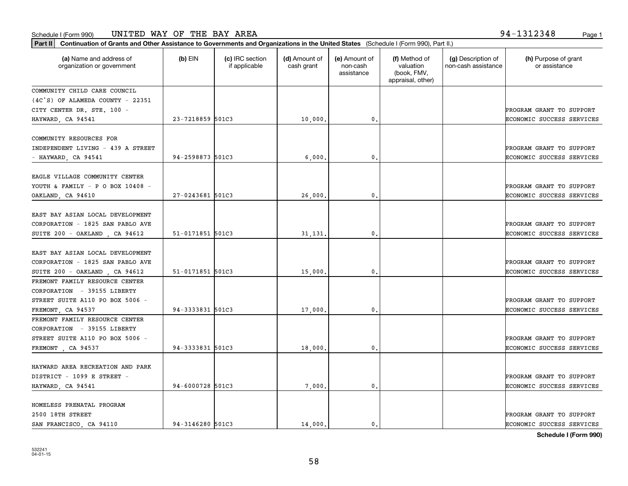**Part II Continuation of Grants and Other Assistance to Governments and Organizations in the United States**  (Schedule I (Form 990), Part II.)

| (a) Name and address of<br>organization or government | $(b)$ EIN        | (c) IRC section<br>if applicable | (d) Amount of<br>cash grant | (e) Amount of<br>non-cash<br>assistance | (f) Method of<br>valuation<br>(book, FMV,<br>appraisal, other) | (g) Description of<br>non-cash assistance | (h) Purpose of grant<br>or assistance |
|-------------------------------------------------------|------------------|----------------------------------|-----------------------------|-----------------------------------------|----------------------------------------------------------------|-------------------------------------------|---------------------------------------|
| COMMUNITY CHILD CARE COUNCIL                          |                  |                                  |                             |                                         |                                                                |                                           |                                       |
| $(4C'S)$ OF ALAMEDA COUNTY - 22351                    |                  |                                  |                             |                                         |                                                                |                                           |                                       |
| CITY CENTER DR. STE. 100 -                            |                  |                                  |                             |                                         |                                                                |                                           | PROGRAM GRANT TO SUPPORT              |
| HAYWARD, CA 94541                                     | 23-7218859 501C3 |                                  | 10,000.                     | 0.                                      |                                                                |                                           | ECONOMIC SUCCESS SERVICES             |
| COMMUNITY RESOURCES FOR                               |                  |                                  |                             |                                         |                                                                |                                           |                                       |
| INDEPENDENT LIVING - 439 A STREET                     |                  |                                  |                             |                                         |                                                                |                                           | PROGRAM GRANT TO SUPPORT              |
| - HAYWARD, CA 94541                                   | 94-2598873 501C3 |                                  | 6,000.                      | $\mathbf{0}$ .                          |                                                                |                                           | ECONOMIC SUCCESS SERVICES             |
|                                                       |                  |                                  |                             |                                         |                                                                |                                           |                                       |
| EAGLE VILLAGE COMMUNITY CENTER                        |                  |                                  |                             |                                         |                                                                |                                           |                                       |
| YOUTH & FAMILY - P O BOX $10408$ -                    |                  |                                  |                             |                                         |                                                                |                                           | PROGRAM GRANT TO SUPPORT              |
| OAKLAND, CA 94610                                     | 27-0243681 501C3 |                                  | 26,000.                     | 0                                       |                                                                |                                           | ECONOMIC SUCCESS SERVICES             |
| EAST BAY ASIAN LOCAL DEVELOPMENT                      |                  |                                  |                             |                                         |                                                                |                                           |                                       |
| CORPORATION - 1825 SAN PABLO AVE                      |                  |                                  |                             |                                         |                                                                |                                           | PROGRAM GRANT TO SUPPORT              |
| SUITE 200 - OAKLAND, CA 94612                         | 51-0171851 501C3 |                                  | 31,131.                     | $\mathfrak{o}$ .                        |                                                                |                                           | ECONOMIC SUCCESS SERVICES             |
|                                                       |                  |                                  |                             |                                         |                                                                |                                           |                                       |
| EAST BAY ASIAN LOCAL DEVELOPMENT                      |                  |                                  |                             |                                         |                                                                |                                           |                                       |
| CORPORATION - 1825 SAN PABLO AVE                      |                  |                                  |                             |                                         |                                                                |                                           | PROGRAM GRANT TO SUPPORT              |
| SUITE 200 - OAKLAND, CA 94612                         | 51-0171851 501C3 |                                  | 15,000.                     | $\mathbf 0$ .                           |                                                                |                                           | ECONOMIC SUCCESS SERVICES             |
| FREMONT FAMILY RESOURCE CENTER                        |                  |                                  |                             |                                         |                                                                |                                           |                                       |
| CORPORATION - 39155 LIBERTY                           |                  |                                  |                             |                                         |                                                                |                                           |                                       |
| STREET SUITE A110 PO BOX 5006 -                       |                  |                                  |                             |                                         |                                                                |                                           | PROGRAM GRANT TO SUPPORT              |
| FREMONT, CA 94537                                     | 94-3333831 501C3 |                                  | 17,000.                     | 0.                                      |                                                                |                                           | ECONOMIC SUCCESS SERVICES             |
| FREMONT FAMILY RESOURCE CENTER                        |                  |                                  |                             |                                         |                                                                |                                           |                                       |
| CORPORATION - 39155 LIBERTY                           |                  |                                  |                             |                                         |                                                                |                                           |                                       |
| STREET SUITE A110 PO BOX 5006 -                       |                  |                                  |                             |                                         |                                                                |                                           | PROGRAM GRANT TO SUPPORT              |
| FREMONT, CA 94537                                     | 94-3333831 501C3 |                                  | 18,000.                     | $\mathfrak{o}$ .                        |                                                                |                                           | ECONOMIC SUCCESS SERVICES             |
|                                                       |                  |                                  |                             |                                         |                                                                |                                           |                                       |
| HAYWARD AREA RECREATION AND PARK                      |                  |                                  |                             |                                         |                                                                |                                           |                                       |
| DISTRICT - 1099 E STREET -                            |                  |                                  |                             |                                         |                                                                |                                           | PROGRAM GRANT TO SUPPORT              |
| HAYWARD, CA 94541                                     | 94-6000728 501C3 |                                  | 7,000.                      | 0.                                      |                                                                |                                           | ECONOMIC SUCCESS SERVICES             |
| HOMELESS PRENATAL PROGRAM                             |                  |                                  |                             |                                         |                                                                |                                           |                                       |
| 2500 18TH STREET                                      |                  |                                  |                             |                                         |                                                                |                                           | PROGRAM GRANT TO SUPPORT              |
| SAN FRANCISCO, CA 94110                               | 94-3146280 501C3 |                                  | 14,000.                     | 0.                                      |                                                                |                                           | ECONOMIC SUCCESS SERVICES             |
|                                                       |                  |                                  |                             |                                         |                                                                |                                           |                                       |

 $\mathbf{I}$ 

58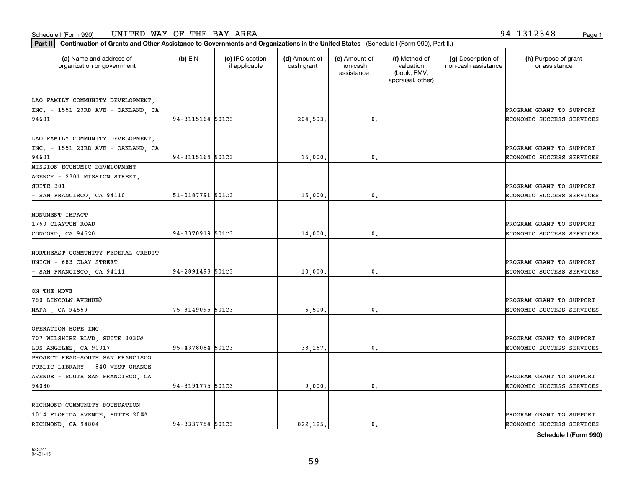**Part II Continuation of Grants and Other Assistance to Governments and Organizations in the United States**  (Schedule I (Form 990), Part II.)

| (a) Name and address of<br>organization or government | $(b)$ EIN        | (c) IRC section<br>if applicable | (d) Amount of<br>cash grant | (e) Amount of<br>non-cash<br>assistance | (f) Method of<br>valuation<br>(book, FMV,<br>appraisal, other) | (g) Description of<br>non-cash assistance | (h) Purpose of grant<br>or assistance |
|-------------------------------------------------------|------------------|----------------------------------|-----------------------------|-----------------------------------------|----------------------------------------------------------------|-------------------------------------------|---------------------------------------|
| LAO FAMILY COMMUNITY DEVELOPMENT,                     |                  |                                  |                             |                                         |                                                                |                                           |                                       |
| INC. - 1551 23RD AVE - OAKLAND, CA                    |                  |                                  |                             |                                         |                                                                |                                           | PROGRAM GRANT TO SUPPORT              |
| 94601                                                 | 94-3115164 501C3 |                                  | 204,593.                    | 0.                                      |                                                                |                                           | ECONOMIC SUCCESS SERVICES             |
|                                                       |                  |                                  |                             |                                         |                                                                |                                           |                                       |
| LAO FAMILY COMMUNITY DEVELOPMENT,                     |                  |                                  |                             |                                         |                                                                |                                           | PROGRAM GRANT TO SUPPORT              |
| INC. - 1551 23RD AVE - OAKLAND, CA<br>94601           | 94-3115164 501C3 |                                  |                             | $\mathbf{0}$                            |                                                                |                                           | ECONOMIC SUCCESS SERVICES             |
| MISSION ECONOMIC DEVELOPMENT                          |                  |                                  | 15,000.                     |                                         |                                                                |                                           |                                       |
| AGENCY - 2301 MISSION STREET,                         |                  |                                  |                             |                                         |                                                                |                                           |                                       |
| SUITE 301                                             |                  |                                  |                             |                                         |                                                                |                                           | PROGRAM GRANT TO SUPPORT              |
| - SAN FRANCISCO, CA 94110                             | 51-0187791 501C3 |                                  | 15,000                      | $\mathbf{0}$                            |                                                                |                                           | ECONOMIC SUCCESS SERVICES             |
|                                                       |                  |                                  |                             |                                         |                                                                |                                           |                                       |
| MONUMENT IMPACT                                       |                  |                                  |                             |                                         |                                                                |                                           |                                       |
| 1760 CLAYTON ROAD                                     |                  |                                  |                             |                                         |                                                                |                                           | PROGRAM GRANT TO SUPPORT              |
| CONCORD, CA 94520                                     | 94-3370919 501C3 |                                  | 14,000.                     | $\mathbf{0}$                            |                                                                |                                           | ECONOMIC SUCCESS SERVICES             |
|                                                       |                  |                                  |                             |                                         |                                                                |                                           |                                       |
| NORTHEAST COMMUNITY FEDERAL CREDIT                    |                  |                                  |                             |                                         |                                                                |                                           |                                       |
| UNION - 683 CLAY STREET                               |                  |                                  |                             |                                         |                                                                |                                           | PROGRAM GRANT TO SUPPORT              |
| - SAN FRANCISCO, CA 94111                             | 94-2891498 501C3 |                                  | 10,000.                     | $\mathbf{0}$ .                          |                                                                |                                           | ECONOMIC SUCCESS SERVICES             |
|                                                       |                  |                                  |                             |                                         |                                                                |                                           |                                       |
| ON THE MOVE                                           |                  |                                  |                             |                                         |                                                                |                                           |                                       |
| 780 LINCOLN AVENUEO                                   |                  |                                  |                             |                                         |                                                                |                                           | PROGRAM GRANT TO SUPPORT              |
| NAPA, CA 94559                                        | 75-3149095 501C3 |                                  | 6,500                       | $\mathbf{0}$                            |                                                                |                                           | ECONOMIC SUCCESS SERVICES             |
|                                                       |                  |                                  |                             |                                         |                                                                |                                           |                                       |
| OPERATION HOPE INC                                    |                  |                                  |                             |                                         |                                                                |                                           |                                       |
| 707 WILSHIRE BLVD, SUITE 30300                        |                  |                                  |                             |                                         |                                                                |                                           | PROGRAM GRANT TO SUPPORT              |
| LOS ANGELES, CA 90017                                 | 95-4378084 501C3 |                                  | 33,167.                     | 0.                                      |                                                                |                                           | ECONOMIC SUCCESS SERVICES             |
| PROJECT READ-SOUTH SAN FRANCISCO                      |                  |                                  |                             |                                         |                                                                |                                           |                                       |
| PUBLIC LIBRARY - 840 WEST ORANGE                      |                  |                                  |                             |                                         |                                                                |                                           |                                       |
| AVENUE - SOUTH SAN FRANCISCO, CA                      |                  |                                  |                             |                                         |                                                                |                                           | PROGRAM GRANT TO SUPPORT              |
| 94080                                                 | 94-3191775 501C3 |                                  | 9,000.                      | $\mathbf{0}$                            |                                                                |                                           | ECONOMIC SUCCESS SERVICES             |
|                                                       |                  |                                  |                             |                                         |                                                                |                                           |                                       |
| RICHMOND COMMUNITY FOUNDATION                         |                  |                                  |                             |                                         |                                                                |                                           |                                       |
| 1014 FLORIDA AVENUE SUITE 2000                        |                  |                                  |                             |                                         |                                                                |                                           | PROGRAM GRANT TO SUPPORT              |

RICHMOND, CA 94804 94-3337754 501C3 822,125. 0. 0.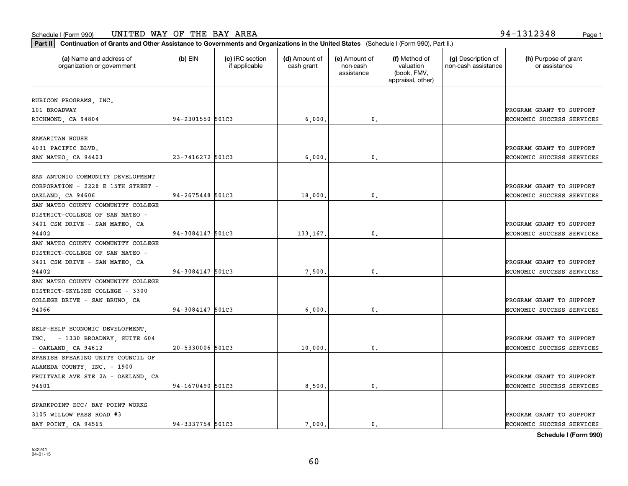SPARKPOINT ECC/ BAY POINT WORKS

| Continuation of Grants and Other Assistance to Governments and Organizations in the United States (Schedule I (Form 990), Part II.)<br>  Part II |                  |                                  |                             |                                         |                                                                |                                           |                                       |
|--------------------------------------------------------------------------------------------------------------------------------------------------|------------------|----------------------------------|-----------------------------|-----------------------------------------|----------------------------------------------------------------|-------------------------------------------|---------------------------------------|
| (a) Name and address of<br>organization or government                                                                                            | $(b)$ EIN        | (c) IRC section<br>if applicable | (d) Amount of<br>cash grant | (e) Amount of<br>non-cash<br>assistance | (f) Method of<br>valuation<br>(book, FMV,<br>appraisal, other) | (g) Description of<br>non-cash assistance | (h) Purpose of grant<br>or assistance |
|                                                                                                                                                  |                  |                                  |                             |                                         |                                                                |                                           |                                       |
| RUBICON PROGRAMS, INC.<br>101 BROADWAY                                                                                                           |                  |                                  |                             |                                         |                                                                |                                           | PROGRAM GRANT TO SUPPORT              |
| RICHMOND, CA 94804                                                                                                                               | 94-2301550 501C3 |                                  | 6,000.                      | 0.                                      |                                                                |                                           | ECONOMIC SUCCESS SERVICES             |
|                                                                                                                                                  |                  |                                  |                             |                                         |                                                                |                                           |                                       |
| SAMARITAN HOUSE                                                                                                                                  |                  |                                  |                             |                                         |                                                                |                                           |                                       |
| 4031 PACIFIC BLVD.                                                                                                                               |                  |                                  |                             |                                         |                                                                |                                           | PROGRAM GRANT TO SUPPORT              |
| SAN MATEO, CA 94403                                                                                                                              | 23-7416272 501C3 |                                  | 6,000.                      | 0.                                      |                                                                |                                           | ECONOMIC SUCCESS SERVICES             |
|                                                                                                                                                  |                  |                                  |                             |                                         |                                                                |                                           |                                       |
| SAN ANTONIO COMMUNITY DEVELOPMENT                                                                                                                |                  |                                  |                             |                                         |                                                                |                                           |                                       |
| CORPORATION - 2228 E 15TH STREET -                                                                                                               |                  |                                  |                             |                                         |                                                                |                                           | PROGRAM GRANT TO SUPPORT              |
| OAKLAND, CA 94606                                                                                                                                | 94-2675448 501C3 |                                  | 18,000.                     | 0.                                      |                                                                |                                           | ECONOMIC SUCCESS SERVICES             |
| SAN MATEO COUNTY COMMUNITY COLLEGE                                                                                                               |                  |                                  |                             |                                         |                                                                |                                           |                                       |
| DISTRICT-COLLEGE OF SAN MATEO -                                                                                                                  |                  |                                  |                             |                                         |                                                                |                                           |                                       |
| 3401 CSM DRIVE - SAN MATEO, CA                                                                                                                   |                  |                                  |                             |                                         |                                                                |                                           | PROGRAM GRANT TO SUPPORT              |
| 94402                                                                                                                                            | 94-3084147 501C3 |                                  | 133,167.                    | 0.                                      |                                                                |                                           | ECONOMIC SUCCESS SERVICES             |
| SAN MATEO COUNTY COMMUNITY COLLEGE                                                                                                               |                  |                                  |                             |                                         |                                                                |                                           |                                       |
| DISTRICT-COLLEGE OF SAN MATEO -                                                                                                                  |                  |                                  |                             |                                         |                                                                |                                           |                                       |
| 3401 CSM DRIVE - SAN MATEO, CA                                                                                                                   |                  |                                  |                             |                                         |                                                                |                                           | PROGRAM GRANT TO SUPPORT              |
| 94402                                                                                                                                            | 94-3084147 501C3 |                                  | 7,500.                      | 0.                                      |                                                                |                                           | ECONOMIC SUCCESS SERVICES             |
| SAN MATEO COUNTY COMMUNITY COLLEGE                                                                                                               |                  |                                  |                             |                                         |                                                                |                                           |                                       |
| DISTRICT-SKYLINE COLLEGE - 3300                                                                                                                  |                  |                                  |                             |                                         |                                                                |                                           |                                       |
| COLLEGE DRIVE - SAN BRUNO, CA                                                                                                                    |                  |                                  |                             |                                         |                                                                |                                           | PROGRAM GRANT TO SUPPORT              |
| 94066                                                                                                                                            | 94-3084147 501C3 |                                  | 6,000,                      | 0.                                      |                                                                |                                           | ECONOMIC SUCCESS SERVICES             |
|                                                                                                                                                  |                  |                                  |                             |                                         |                                                                |                                           |                                       |
| SELF-HELP ECONOMIC DEVELOPMENT,                                                                                                                  |                  |                                  |                             |                                         |                                                                |                                           |                                       |
| INC. - 1330 BROADWAY, SUITE 604                                                                                                                  |                  |                                  |                             |                                         |                                                                |                                           | PROGRAM GRANT TO SUPPORT              |
| $-$ OAKLAND, CA 94612                                                                                                                            | 20-5330006 501C3 |                                  | 10,000.                     | 0.                                      |                                                                |                                           | ECONOMIC SUCCESS SERVICES             |
| SPANISH SPEAKING UNITY COUNCIL OF                                                                                                                |                  |                                  |                             |                                         |                                                                |                                           |                                       |
| ALAMEDA COUNTY, INC. - 1900                                                                                                                      |                  |                                  |                             |                                         |                                                                |                                           |                                       |
| FRUITVALE AVE STE 2A - OAKLAND, CA                                                                                                               |                  |                                  |                             |                                         |                                                                |                                           | PROGRAM GRANT TO SUPPORT              |
| 94601                                                                                                                                            | 94-1670490 501C3 |                                  | 8,500.                      | $\mathbf{0}$ .                          |                                                                |                                           | ECONOMIC SUCCESS SERVICES             |

**Schedule I (Form 990)**

3105 WILLOW PASS ROAD #3 PROGRAM GRANT TO SUPPORT BAY POINT, CA 94565 94-3337754 501C3 7,000. 0. ECONOMIC SUCCESS SERVICES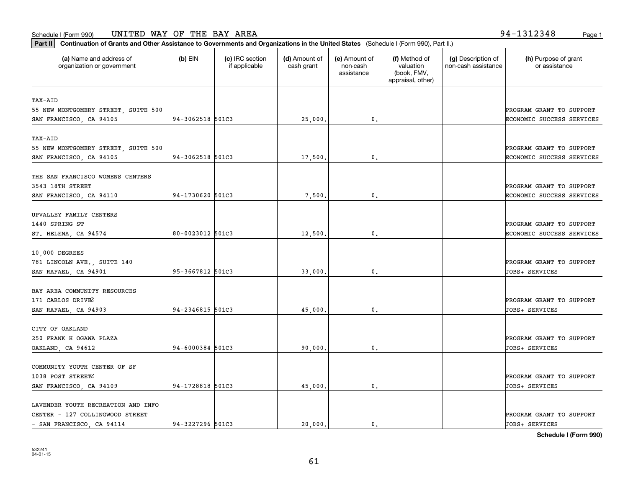Ι.

**Part II Continuation of Grants and Other Assistance to Governments and Organizations in the United States**  (Schedule I (Form 990), Part II.)

| (a) Name and address of<br>organization or government | (b) EIN              | (c) IRC section<br>if applicable | (d) Amount of<br>cash grant | (e) Amount of<br>non-cash<br>assistance | (f) Method of<br>valuation<br>(book, FMV,<br>appraisal, other) | (g) Description of<br>non-cash assistance | (h) Purpose of grant<br>or assistance      |
|-------------------------------------------------------|----------------------|----------------------------------|-----------------------------|-----------------------------------------|----------------------------------------------------------------|-------------------------------------------|--------------------------------------------|
| TAX-AID                                               |                      |                                  |                             |                                         |                                                                |                                           |                                            |
| 55 NEW MONTGOMERY STREET, SUITE 500                   |                      |                                  |                             |                                         |                                                                |                                           | PROGRAM GRANT TO SUPPORT                   |
| SAN FRANCISCO, CA 94105                               | 94-3062518 501C3     |                                  | 25,000.                     | 0.                                      |                                                                |                                           | ECONOMIC SUCCESS SERVICES                  |
| TAX-AID                                               |                      |                                  |                             |                                         |                                                                |                                           |                                            |
| 55 NEW MONTGOMERY STREET, SUITE 500                   |                      |                                  |                             |                                         |                                                                |                                           | PROGRAM GRANT TO SUPPORT                   |
| SAN FRANCISCO, CA 94105                               | 94-3062518 501C3     |                                  | 17,500.                     | 0.                                      |                                                                |                                           | ECONOMIC SUCCESS SERVICES                  |
| THE SAN FRANCISCO WOMENS CENTERS                      |                      |                                  |                             |                                         |                                                                |                                           |                                            |
| 3543 18TH STREET                                      |                      |                                  |                             |                                         |                                                                |                                           | PROGRAM GRANT TO SUPPORT                   |
| SAN FRANCISCO, CA 94110                               | 94-1730620 501C3     |                                  | 7,500.                      | 0.                                      |                                                                |                                           | ECONOMIC SUCCESS SERVICES                  |
| UPVALLEY FAMILY CENTERS                               |                      |                                  |                             |                                         |                                                                |                                           |                                            |
| 1440 SPRING ST                                        |                      |                                  |                             |                                         |                                                                |                                           | PROGRAM GRANT TO SUPPORT                   |
| ST. HELENA, CA 94574                                  | 80-0023012 501C3     |                                  | 12,500.                     | $\mathfrak o$ .                         |                                                                |                                           | ECONOMIC SUCCESS SERVICES                  |
| 10,000 DEGREES                                        |                      |                                  |                             |                                         |                                                                |                                           |                                            |
| 781 LINCOLN AVE., SUITE 140                           |                      |                                  |                             |                                         |                                                                |                                           | PROGRAM GRANT TO SUPPORT                   |
| SAN RAFAEL, CA 94901                                  | 95-3667812 501C3     |                                  | 33,000.                     | 0.                                      |                                                                |                                           | JOBS+ SERVICES                             |
|                                                       |                      |                                  |                             |                                         |                                                                |                                           |                                            |
| BAY AREA COMMUNITY RESOURCES                          |                      |                                  |                             |                                         |                                                                |                                           |                                            |
| 171 CARLOS DRIVEO<br>SAN RAFAEL, CA 94903             | 94-2346815 501C3     |                                  | 45,000.                     | 0.                                      |                                                                |                                           | PROGRAM GRANT TO SUPPORT<br>JOBS+ SERVICES |
|                                                       |                      |                                  |                             |                                         |                                                                |                                           |                                            |
| CITY OF OAKLAND                                       |                      |                                  |                             |                                         |                                                                |                                           |                                            |
| 250 FRANK H OGAWA PLAZA                               |                      |                                  |                             |                                         |                                                                |                                           | PROGRAM GRANT TO SUPPORT                   |
| OAKLAND, CA 94612                                     | $94 - 6000384$ 501C3 |                                  | 90,000.                     | 0.                                      |                                                                |                                           | JOBS+ SERVICES                             |
| COMMUNITY YOUTH CENTER OF SF                          |                      |                                  |                             |                                         |                                                                |                                           |                                            |
| 1038 POST STREET0                                     |                      |                                  |                             |                                         |                                                                |                                           | PROGRAM GRANT TO SUPPORT                   |
| SAN FRANCISCO, CA 94109                               | 94-1728818 501C3     |                                  | 45,000                      | 0.                                      |                                                                |                                           | JOBS+ SERVICES                             |
| LAVENDER YOUTH RECREATION AND INFO                    |                      |                                  |                             |                                         |                                                                |                                           |                                            |
| CENTER - 127 COLLINGWOOD STREET                       |                      |                                  |                             |                                         |                                                                |                                           | PROGRAM GRANT TO SUPPORT                   |

 $\mathbf{I}$ 

**Schedule I (Form 990)**

- SAN FRANCISCO, CA 94114 94-3227296 501C3 20,000. 0. JOBS+ SERVICES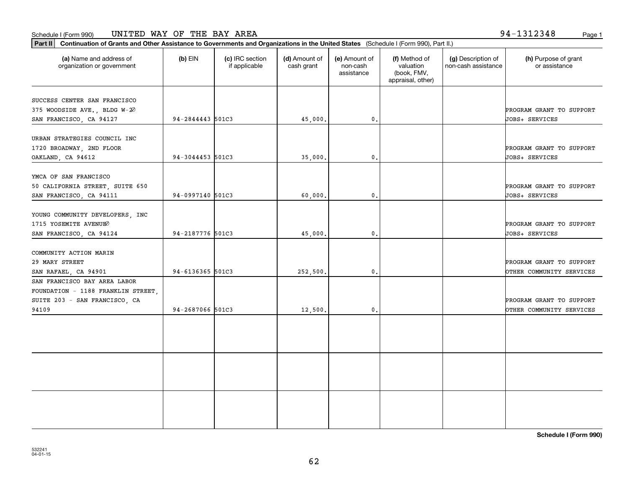#### Schedule I (Form 990) Page 1 UNITED WAY OF THE BAY AREA

**Part II Continuation of Grants and Other Assistance to Governments and Organizations in the United States**  (Schedule I (Form 990), Part II.)

| (a) Name and address of<br>organization or government                                                        | (b) EIN          | (c) IRC section<br>if applicable | (d) Amount of<br>cash grant | (e) Amount of<br>non-cash<br>assistance | (f) Method of<br>valuation<br>(book, FMV,<br>appraisal, other) | (g) Description of<br>non-cash assistance | (h) Purpose of grant<br>or assistance                |
|--------------------------------------------------------------------------------------------------------------|------------------|----------------------------------|-----------------------------|-----------------------------------------|----------------------------------------------------------------|-------------------------------------------|------------------------------------------------------|
| SUCCESS CENTER SAN FRANCISCO<br>375 WOODSIDE AVE., BLDG W-20<br>SAN FRANCISCO, CA 94127                      | 94-2844443 501C3 |                                  | 45,000.                     | 0.                                      |                                                                |                                           | PROGRAM GRANT TO SUPPORT<br>JOBS+ SERVICES           |
| URBAN STRATEGIES COUNCIL INC<br>1720 BROADWAY, 2ND FLOOR<br>OAKLAND, CA 94612                                | 94-3044453 501C3 |                                  | 35,000.                     | 0.                                      |                                                                |                                           | PROGRAM GRANT TO SUPPORT<br>JOBS+ SERVICES           |
| YMCA OF SAN FRANCISCO<br>50 CALIFORNIA STREET, SUITE 650<br>SAN FRANCISCO, CA 94111                          | 94-0997140 501C3 |                                  | 60,000,                     | 0.                                      |                                                                |                                           | PROGRAM GRANT TO SUPPORT<br>JOBS+ SERVICES           |
| YOUNG COMMUNITY DEVELOPERS, INC<br>1715 YOSEMITE AVENUEO<br>SAN FRANCISCO, CA 94124                          | 94-2187776 501C3 |                                  | 45,000.                     | 0.                                      |                                                                |                                           | PROGRAM GRANT TO SUPPORT<br>JOBS+ SERVICES           |
| COMMUNITY ACTION MARIN<br>29 MARY STREET<br>SAN RAFAEL, CA 94901                                             | 94-6136365 501C3 |                                  | 252,500.                    | 0.                                      |                                                                |                                           | PROGRAM GRANT TO SUPPORT<br>OTHER COMMUNITY SERVICES |
| SAN FRANCISCO BAY AREA LABOR<br>FOUNDATION - 1188 FRANKLIN STREET,<br>SUITE 203 - SAN FRANCISCO, CA<br>94109 | 94-2687066 501C3 |                                  | 12,500.                     | 0.                                      |                                                                |                                           | PROGRAM GRANT TO SUPPORT<br>OTHER COMMUNITY SERVICES |
|                                                                                                              |                  |                                  |                             |                                         |                                                                |                                           |                                                      |
|                                                                                                              |                  |                                  |                             |                                         |                                                                |                                           |                                                      |
|                                                                                                              |                  |                                  |                             |                                         |                                                                |                                           |                                                      |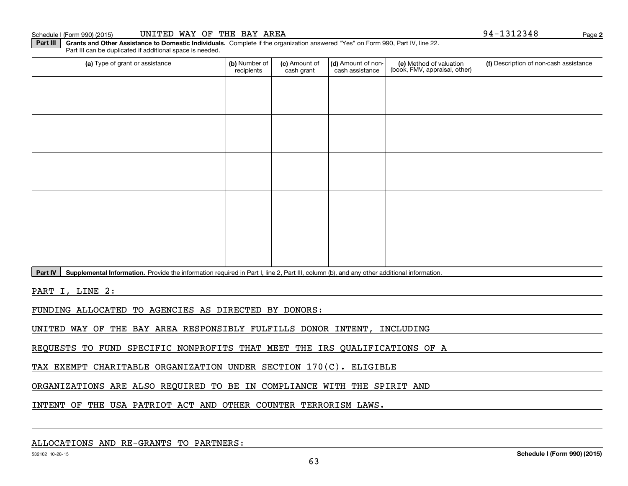#### Schedule I (Form 990) (2015) Page UNITED WAY OF THE BAY AREA 94‐1312348

**Part III | Grants and Other Assistance to Domestic Individuals. Complete if the organization answered "Yes" on Form 990, Part IV, line 22.** Part III can be duplicated if additional space is needed.

| (a) Type of grant or assistance | (b) Number of<br>recipients | (c) Amount of<br>cash grant | (d) Amount of non-<br>cash assistance | (e) Method of valuation<br>(book, FMV, appraisal, other) | (f) Description of non-cash assistance |
|---------------------------------|-----------------------------|-----------------------------|---------------------------------------|----------------------------------------------------------|----------------------------------------|
|                                 |                             |                             |                                       |                                                          |                                        |
|                                 |                             |                             |                                       |                                                          |                                        |
|                                 |                             |                             |                                       |                                                          |                                        |
|                                 |                             |                             |                                       |                                                          |                                        |
|                                 |                             |                             |                                       |                                                          |                                        |
|                                 |                             |                             |                                       |                                                          |                                        |
|                                 |                             |                             |                                       |                                                          |                                        |
|                                 |                             |                             |                                       |                                                          |                                        |
|                                 |                             |                             |                                       |                                                          |                                        |
|                                 |                             |                             |                                       |                                                          |                                        |

Part IV | Supplemental Information. Provide the information required in Part I, line 2, Part III, column (b), and any other additional information.

PART I, LINE 2:

FUNDING ALLOCATED TO AGENCIES AS DIRECTED BY DONORS:

UNITED WAY OF THE BAY AREA RESPONSIBLY FULFILLS DONOR INTENT, INCLUDING

REQUESTS TO FUND SPECIFIC NONPROFITS THAT MEET THE IRS QUALIFICATIONS OF A

TAX EXEMPT CHARITABLE ORGANIZATION UNDER SECTION 170(C). ELIGIBLE

ORGANIZATIONS ARE ALSO REQUIRED TO BE IN COMPLIANCE WITH THE SPIRIT AND

INTENT OF THE USA PATRIOT ACT AND OTHER COUNTER TERRORISM LAWS.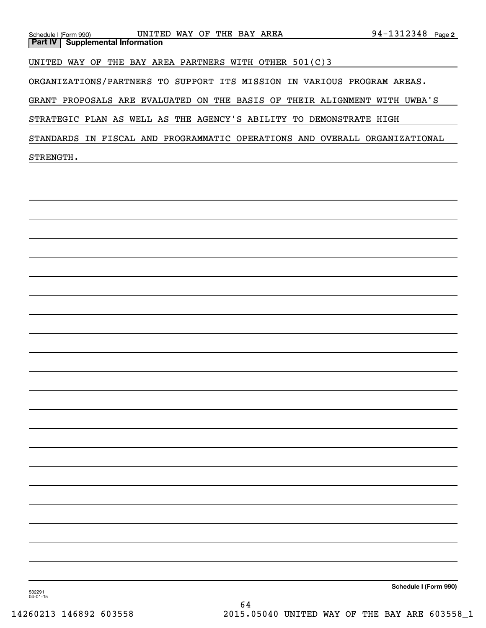| UNITED WAY OF THE BAY AREA<br>Schedule I (Form 990)<br><b>Part IV   Supplemental Information</b> | 94-1312348 Page 2     |
|--------------------------------------------------------------------------------------------------|-----------------------|
|                                                                                                  |                       |
| UNITED WAY OF THE BAY AREA PARTNERS WITH OTHER 501(C)3                                           |                       |
| ORGANIZATIONS/PARTNERS TO SUPPORT ITS MISSION IN VARIOUS PROGRAM AREAS.                          |                       |
| GRANT PROPOSALS ARE EVALUATED ON THE BASIS OF THEIR ALIGNMENT WITH UWBA'S                        |                       |
| STRATEGIC PLAN AS WELL AS THE AGENCY'S ABILITY TO DEMONSTRATE HIGH                               |                       |
| STANDARDS IN FISCAL AND PROGRAMMATIC OPERATIONS AND OVERALL ORGANIZATIONAL                       |                       |
| STRENGTH.                                                                                        |                       |
|                                                                                                  |                       |
|                                                                                                  |                       |
|                                                                                                  |                       |
|                                                                                                  |                       |
|                                                                                                  |                       |
|                                                                                                  |                       |
|                                                                                                  |                       |
|                                                                                                  |                       |
|                                                                                                  |                       |
|                                                                                                  |                       |
|                                                                                                  |                       |
|                                                                                                  |                       |
|                                                                                                  |                       |
|                                                                                                  |                       |
|                                                                                                  |                       |
|                                                                                                  |                       |
|                                                                                                  |                       |
|                                                                                                  |                       |
|                                                                                                  |                       |
|                                                                                                  |                       |
|                                                                                                  |                       |
|                                                                                                  |                       |
|                                                                                                  |                       |
| 532291<br>$04 - 01 - 15$<br>64                                                                   | Schedule I (Form 990) |
|                                                                                                  |                       |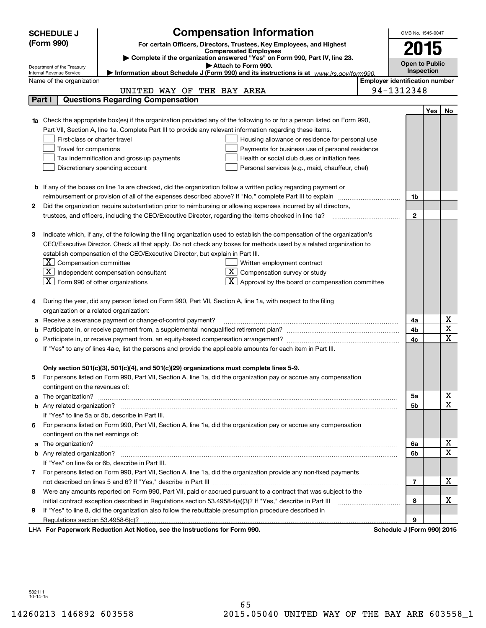|    | <b>SCHEDULE J</b>                                      | <b>Compensation Information</b>                                                                                                                                                                                                    |                                       | OMB No. 1545-0047     |            |                                     |
|----|--------------------------------------------------------|------------------------------------------------------------------------------------------------------------------------------------------------------------------------------------------------------------------------------------|---------------------------------------|-----------------------|------------|-------------------------------------|
|    | (Form 990)                                             | For certain Officers, Directors, Trustees, Key Employees, and Highest                                                                                                                                                              |                                       |                       |            |                                     |
|    |                                                        | <b>Compensated Employees</b>                                                                                                                                                                                                       |                                       | 2015                  |            |                                     |
|    |                                                        | Complete if the organization answered "Yes" on Form 990, Part IV, line 23.<br>Attach to Form 990.                                                                                                                                  |                                       | <b>Open to Public</b> |            |                                     |
|    | Department of the Treasury<br>Internal Revenue Service | Information about Schedule J (Form 990) and its instructions is at www.irs.gov/form990.                                                                                                                                            |                                       | Inspection            |            |                                     |
|    | Name of the organization                               |                                                                                                                                                                                                                                    | <b>Employer identification number</b> |                       |            |                                     |
|    |                                                        | UNITED WAY OF THE BAY AREA                                                                                                                                                                                                         |                                       | 94-1312348            |            |                                     |
|    | Part I                                                 | <b>Questions Regarding Compensation</b>                                                                                                                                                                                            |                                       |                       |            |                                     |
|    |                                                        |                                                                                                                                                                                                                                    |                                       |                       | <b>Yes</b> | No                                  |
|    |                                                        | <b>1a</b> Check the appropriate box(es) if the organization provided any of the following to or for a person listed on Form 990,                                                                                                   |                                       |                       |            |                                     |
|    |                                                        | Part VII, Section A, line 1a. Complete Part III to provide any relevant information regarding these items.                                                                                                                         |                                       |                       |            |                                     |
|    | First-class or charter travel                          | Housing allowance or residence for personal use                                                                                                                                                                                    |                                       |                       |            |                                     |
|    | Travel for companions                                  | Payments for business use of personal residence                                                                                                                                                                                    |                                       |                       |            |                                     |
|    |                                                        | Tax indemnification and gross-up payments<br>Health or social club dues or initiation fees                                                                                                                                         |                                       |                       |            |                                     |
|    |                                                        | Discretionary spending account<br>Personal services (e.g., maid, chauffeur, chef)                                                                                                                                                  |                                       |                       |            |                                     |
|    |                                                        |                                                                                                                                                                                                                                    |                                       |                       |            |                                     |
|    |                                                        | <b>b</b> If any of the boxes on line 1a are checked, did the organization follow a written policy regarding payment or<br>reimbursement or provision of all of the expenses described above? If "No," complete Part III to explain |                                       |                       |            |                                     |
|    |                                                        |                                                                                                                                                                                                                                    |                                       | 1b                    |            |                                     |
| 2  |                                                        | Did the organization require substantiation prior to reimbursing or allowing expenses incurred by all directors,                                                                                                                   |                                       | $\mathbf{2}$          |            |                                     |
|    |                                                        | trustees, and officers, including the CEO/Executive Director, regarding the items checked in line 1a?                                                                                                                              |                                       |                       |            |                                     |
| з  |                                                        | Indicate which, if any, of the following the filing organization used to establish the compensation of the organization's                                                                                                          |                                       |                       |            |                                     |
|    |                                                        | CEO/Executive Director. Check all that apply. Do not check any boxes for methods used by a related organization to                                                                                                                 |                                       |                       |            |                                     |
|    |                                                        | establish compensation of the CEO/Executive Director, but explain in Part III.                                                                                                                                                     |                                       |                       |            |                                     |
|    | $\boxed{\textbf{X}}$ Compensation committee            | Written employment contract                                                                                                                                                                                                        |                                       |                       |            |                                     |
|    |                                                        | $ \mathbf{X} $ Independent compensation consultant<br>Compensation survey or study                                                                                                                                                 |                                       |                       |            |                                     |
|    | $\boxed{\textbf{X}}$ Form 990 of other organizations   | Approval by the board or compensation committee                                                                                                                                                                                    |                                       |                       |            |                                     |
|    |                                                        |                                                                                                                                                                                                                                    |                                       |                       |            |                                     |
|    |                                                        | During the year, did any person listed on Form 990, Part VII, Section A, line 1a, with respect to the filing                                                                                                                       |                                       |                       |            |                                     |
|    | organization or a related organization:                |                                                                                                                                                                                                                                    |                                       |                       |            |                                     |
|    |                                                        | Receive a severance payment or change-of-control payment?                                                                                                                                                                          |                                       | 4a                    |            | x                                   |
|    |                                                        |                                                                                                                                                                                                                                    |                                       | 4b                    |            | $\overline{\text{x}}$               |
|    |                                                        |                                                                                                                                                                                                                                    |                                       | 4c                    |            | $\overline{\text{x}}$               |
|    |                                                        | If "Yes" to any of lines 4a-c, list the persons and provide the applicable amounts for each item in Part III.                                                                                                                      |                                       |                       |            |                                     |
|    |                                                        |                                                                                                                                                                                                                                    |                                       |                       |            |                                     |
|    |                                                        | Only section 501(c)(3), 501(c)(4), and 501(c)(29) organizations must complete lines 5-9.                                                                                                                                           |                                       |                       |            |                                     |
| 5. |                                                        | For persons listed on Form 990, Part VII, Section A, line 1a, did the organization pay or accrue any compensation                                                                                                                  |                                       |                       |            |                                     |
|    | contingent on the revenues of:                         |                                                                                                                                                                                                                                    |                                       |                       |            |                                     |
|    |                                                        | a The organization? <b>Manual Community Community</b> Community Community Community Community Community Community Community                                                                                                        |                                       | 5a                    |            | <u>x</u><br>$\overline{\mathbf{x}}$ |
|    |                                                        |                                                                                                                                                                                                                                    |                                       | 5b                    |            |                                     |
|    |                                                        | If "Yes" to line 5a or 5b, describe in Part III.                                                                                                                                                                                   |                                       |                       |            |                                     |
| 6. |                                                        | For persons listed on Form 990, Part VII, Section A, line 1a, did the organization pay or accrue any compensation                                                                                                                  |                                       |                       |            |                                     |
|    | contingent on the net earnings of:                     |                                                                                                                                                                                                                                    |                                       | 6a                    |            | <u>x</u>                            |
|    |                                                        |                                                                                                                                                                                                                                    |                                       | 6b                    |            | $\overline{\mathbf{x}}$             |
|    |                                                        | If "Yes" on line 6a or 6b, describe in Part III.                                                                                                                                                                                   |                                       |                       |            |                                     |
|    |                                                        | 7 For persons listed on Form 990, Part VII, Section A, line 1a, did the organization provide any non-fixed payments                                                                                                                |                                       |                       |            |                                     |
|    |                                                        |                                                                                                                                                                                                                                    |                                       | $\overline{7}$        |            | х                                   |
| 8  |                                                        | Were any amounts reported on Form 990, Part VII, paid or accrued pursuant to a contract that was subject to the                                                                                                                    |                                       |                       |            |                                     |
|    |                                                        |                                                                                                                                                                                                                                    |                                       | 8                     |            | х                                   |
| 9  |                                                        | If "Yes" to line 8, did the organization also follow the rebuttable presumption procedure described in                                                                                                                             |                                       |                       |            |                                     |
|    |                                                        |                                                                                                                                                                                                                                    |                                       | 9                     |            |                                     |
|    |                                                        | auli Dedication, Ant Nation, and the Instructions for Form 000                                                                                                                                                                     | Calcadola 1/Fa                        |                       |            |                                     |

LHA For Paperwork Reduction Act Notice, see the Instructions for Form 990. Schedule J (Form 990) 2015

532111 10-14-15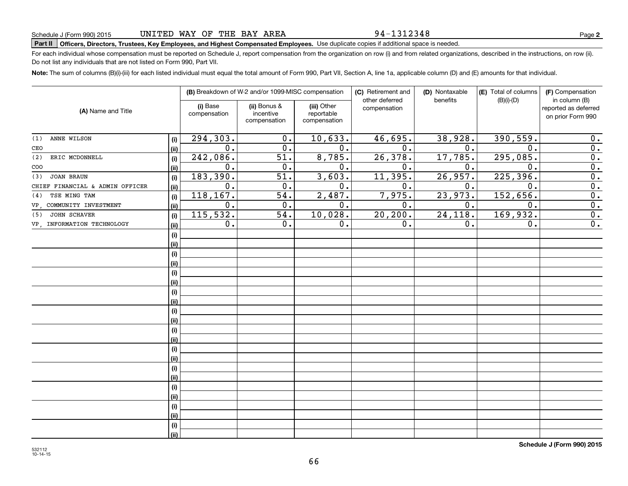# **Part II Officers, Directors, Trustees, Key Employees, and Highest Compensated Employees.**  Schedule J (Form 990) 2015 Page Use duplicate copies if additional space is needed.

For each individual whose compensation must be reported on Schedule J, report compensation from the organization on row (i) and from related organizations, described in the instructions, on row (ii). Do not list any individuals that are not listed on Form 990, Part VII.

**Note:**  The sum of columns (B)(i)-(iii) for each listed individual must equal the total amount of Form 990, Part VII, Section A, line 1a, applicable column (D) and (E) amounts for that individual.

|                                 |      |                          | (B) Breakdown of W-2 and/or 1099-MISC compensation |                                           | (C) Retirement and<br>other deferred | (D) Nontaxable<br>benefits | (E) Total of columns<br>$(B)(i)-(D)$ | (F) Compensation<br>in column (B)         |
|---------------------------------|------|--------------------------|----------------------------------------------------|-------------------------------------------|--------------------------------------|----------------------------|--------------------------------------|-------------------------------------------|
| (A) Name and Title              |      | (i) Base<br>compensation | (ii) Bonus &<br>incentive<br>compensation          | (iii) Other<br>reportable<br>compensation | compensation                         |                            |                                      | reported as deferred<br>on prior Form 990 |
| ANNE WILSON<br>(1)              | (i)  | 294,303.                 | 0.                                                 | 10,633.                                   | 46,695.                              | 38,928.                    | 390,559.                             | 0.                                        |
| CEO                             | (ii) | $\overline{0}$ .         | $\overline{0}$ .                                   | $\overline{0}$ .                          | $\overline{0}$ .                     | 0.                         | $\overline{0}$                       | 0.                                        |
| ERIC MCDONNELL<br>(2)           | (i)  | 242,086.                 | 51.                                                | 8,785.                                    | 26,378.                              | 17,785.                    | 295,085.                             | $\overline{0}$ .                          |
| $\rm{COO}$                      | (ii) | 0.                       | 0.                                                 | $\overline{0}$ .                          | 0.                                   | 0.                         | $\overline{0}$ .                     | $\overline{0}$ .                          |
| JOAN BRAUN<br>(3)               | (i)  | 183,390.                 | 51.                                                | 3,603.                                    | 11, 395.                             | 26,957.                    | 225,396.                             | $\overline{0}$ .                          |
| CHIEF FINANCIAL & ADMIN OFFICER | (ii) | $0$ .                    | 0.                                                 | $\overline{0}$ .                          | 0.                                   | 0.                         | $\mathbf 0$ .                        | $\overline{0}$ .                          |
| TSE MING TAM<br>(4)             | (i)  | 118, 167.                | 54.                                                | 2,487.                                    | 7,975.                               | 23,973.                    | 152,656.                             | $\overline{0}$ .                          |
| VP, COMMUNITY INVESTMENT        | (ii) | 0.                       | 0.                                                 | $\overline{0}$ .                          | 0.                                   | 0.                         | 0.                                   | $\overline{0}$ .                          |
| JOHN SCHAVER<br>(5)             | (i)  | 115,532.                 | $\overline{54}$ .                                  | 10,028.                                   | 20, 200.                             | 24,118.                    | 169,932.                             | $\overline{0}$ .                          |
| VP, INFORMATION TECHNOLOGY      | (ii) | 0.                       | 0.                                                 | 0.                                        | 0.                                   | 0.                         | 0.                                   | $\overline{0}$ .                          |
|                                 | (i)  |                          |                                                    |                                           |                                      |                            |                                      |                                           |
|                                 | (ii) |                          |                                                    |                                           |                                      |                            |                                      |                                           |
|                                 | (i)  |                          |                                                    |                                           |                                      |                            |                                      |                                           |
|                                 | (ii) |                          |                                                    |                                           |                                      |                            |                                      |                                           |
|                                 | (i)  |                          |                                                    |                                           |                                      |                            |                                      |                                           |
|                                 | (ii) |                          |                                                    |                                           |                                      |                            |                                      |                                           |
|                                 | (i)  |                          |                                                    |                                           |                                      |                            |                                      |                                           |
|                                 | (ii) |                          |                                                    |                                           |                                      |                            |                                      |                                           |
|                                 | (i)  |                          |                                                    |                                           |                                      |                            |                                      |                                           |
|                                 | (ii) |                          |                                                    |                                           |                                      |                            |                                      |                                           |
|                                 | (i)  |                          |                                                    |                                           |                                      |                            |                                      |                                           |
|                                 | (ii) |                          |                                                    |                                           |                                      |                            |                                      |                                           |
|                                 | (i)  |                          |                                                    |                                           |                                      |                            |                                      |                                           |
|                                 | (ii) |                          |                                                    |                                           |                                      |                            |                                      |                                           |
|                                 | (i)  |                          |                                                    |                                           |                                      |                            |                                      |                                           |
|                                 | (ii) |                          |                                                    |                                           |                                      |                            |                                      |                                           |
|                                 | (i)  |                          |                                                    |                                           |                                      |                            |                                      |                                           |
|                                 | (ii) |                          |                                                    |                                           |                                      |                            |                                      |                                           |
|                                 | (i)  |                          |                                                    |                                           |                                      |                            |                                      |                                           |
|                                 | (ii) |                          |                                                    |                                           |                                      |                            |                                      |                                           |
|                                 | (i)  |                          |                                                    |                                           |                                      |                            |                                      |                                           |
|                                 | (ii) |                          |                                                    |                                           |                                      |                            |                                      |                                           |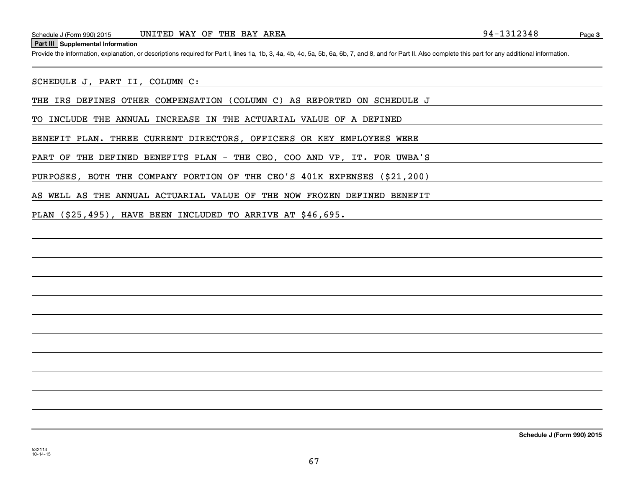#### **Part III Supplemental Information**

Schedule J (Form 990) 2015 UNITED WAY OF THE BAY AREA<br>
Part III Supplemental Information<br>
Provide the information, explanation, or descriptions required for Part I, lines 1a, 1b, 3, 4a, 4b, 4c, 5a, 5b, 6a, 6b, 7, and 8, an

SCHEDULE J, PART II, COLUMN C:

THE IRS DEFINES OTHER COMPENSATION (COLUMN C) AS REPORTED ON SCHEDULE J

TO INCLUDE THE ANNUAL INCREASE IN THE ACTUARIAL VALUE OF A DEFINED

BENEFIT PLAN. THREE CURRENT DIRECTORS, OFFICERS OR KEY EMPLOYEES WERE

PART OF THE DEFINED BENEFITS PLAN - THE CEO, COO AND VP, IT. FOR UWBA'S

PURPOSES, BOTH THE COMPANY PORTION OF THE CEO'S 401K EXPENSES (\$21,200)

AS WELL AS THE ANNUAL ACTUARIAL VALUE OF THE NOW FROZEN DEFINED BENEFIT

PLAN (\$25,495), HAVE BEEN INCLUDED TO ARRIVE AT \$46,695.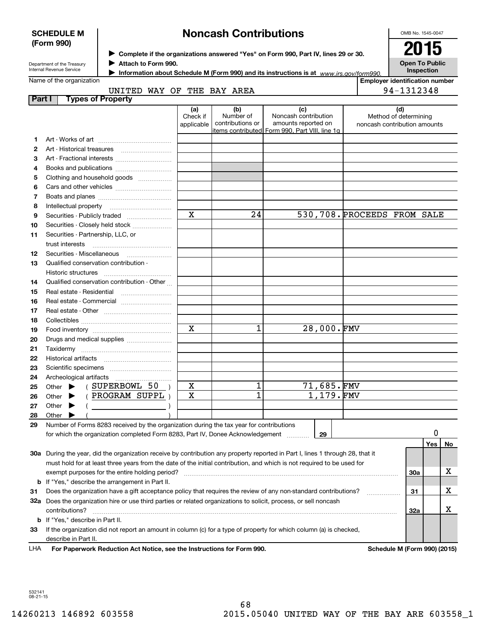| <b>SCHEDULE M</b>                                                                                                                                                                   |                                                                                                                                | <b>Noncash Contributions</b> |  |                         |                               |                                                                                               |            |                             |                                                       | OMB No. 1545-0047 |    |  |
|-------------------------------------------------------------------------------------------------------------------------------------------------------------------------------------|--------------------------------------------------------------------------------------------------------------------------------|------------------------------|--|-------------------------|-------------------------------|-----------------------------------------------------------------------------------------------|------------|-----------------------------|-------------------------------------------------------|-------------------|----|--|
| (Form 990)<br>> Complete if the organizations answered "Yes" on Form 990, Part IV, lines 29 or 30.<br>Attach to Form 990.<br>Department of the Treasury<br>Internal Revenue Service |                                                                                                                                |                              |  |                         | 2015                          |                                                                                               |            |                             |                                                       |                   |    |  |
|                                                                                                                                                                                     |                                                                                                                                |                              |  |                         |                               |                                                                                               |            |                             |                                                       |                   |    |  |
|                                                                                                                                                                                     |                                                                                                                                |                              |  |                         |                               | <b>Open To Public</b><br>Inspection                                                           |            |                             |                                                       |                   |    |  |
|                                                                                                                                                                                     | Name of the organization                                                                                                       |                              |  |                         |                               | Information about Schedule M (Form 990) and its instructions is at $www.irs.gov/form990$ .    |            |                             | <b>Employer identification number</b>                 |                   |    |  |
|                                                                                                                                                                                     |                                                                                                                                |                              |  |                         | UNITED WAY OF THE BAY AREA    |                                                                                               |            |                             | 94-1312348                                            |                   |    |  |
| Part I                                                                                                                                                                              |                                                                                                                                | <b>Types of Property</b>     |  |                         |                               |                                                                                               |            |                             |                                                       |                   |    |  |
|                                                                                                                                                                                     |                                                                                                                                |                              |  | (a)                     | (b)                           | (c)                                                                                           |            |                             | (d)                                                   |                   |    |  |
|                                                                                                                                                                                     |                                                                                                                                |                              |  | Check if<br>applicable  | Number of<br>contributions or | Noncash contribution<br>amounts reported on<br>items contributed Form 990, Part VIII, line 1q |            |                             | Method of determining<br>noncash contribution amounts |                   |    |  |
| 1                                                                                                                                                                                   |                                                                                                                                |                              |  |                         |                               |                                                                                               |            |                             |                                                       |                   |    |  |
| 2                                                                                                                                                                                   |                                                                                                                                |                              |  |                         |                               |                                                                                               |            |                             |                                                       |                   |    |  |
| З                                                                                                                                                                                   |                                                                                                                                |                              |  |                         |                               |                                                                                               |            |                             |                                                       |                   |    |  |
| 4                                                                                                                                                                                   | Books and publications                                                                                                         |                              |  |                         |                               |                                                                                               |            |                             |                                                       |                   |    |  |
| 5                                                                                                                                                                                   | Clothing and household goods                                                                                                   |                              |  |                         |                               |                                                                                               |            |                             |                                                       |                   |    |  |
| 6                                                                                                                                                                                   |                                                                                                                                |                              |  |                         |                               |                                                                                               |            |                             |                                                       |                   |    |  |
| 7                                                                                                                                                                                   |                                                                                                                                |                              |  |                         |                               |                                                                                               |            |                             |                                                       |                   |    |  |
| 8                                                                                                                                                                                   | Intellectual property                                                                                                          |                              |  |                         |                               |                                                                                               |            |                             |                                                       |                   |    |  |
| 9                                                                                                                                                                                   | Securities - Publicly traded                                                                                                   |                              |  | $\overline{\mathbf{x}}$ | 24                            |                                                                                               |            | 530,708. PROCEEDS FROM SALE |                                                       |                   |    |  |
| 10                                                                                                                                                                                  | Securities - Closely held stock                                                                                                |                              |  |                         |                               |                                                                                               |            |                             |                                                       |                   |    |  |
| 11                                                                                                                                                                                  | Securities - Partnership, LLC, or                                                                                              |                              |  |                         |                               |                                                                                               |            |                             |                                                       |                   |    |  |
|                                                                                                                                                                                     | trust interests                                                                                                                |                              |  |                         |                               |                                                                                               |            |                             |                                                       |                   |    |  |
| 12                                                                                                                                                                                  | Securities Miscellaneous<br>Qualified conservation contribution -                                                              |                              |  |                         |                               |                                                                                               |            |                             |                                                       |                   |    |  |
| 13                                                                                                                                                                                  |                                                                                                                                |                              |  |                         |                               |                                                                                               |            |                             |                                                       |                   |    |  |
| 14                                                                                                                                                                                  | Historic structures<br>Qualified conservation contribution - Other                                                             |                              |  |                         |                               |                                                                                               |            |                             |                                                       |                   |    |  |
| 15                                                                                                                                                                                  | Real estate - Residential                                                                                                      |                              |  |                         |                               |                                                                                               |            |                             |                                                       |                   |    |  |
| 16                                                                                                                                                                                  | Real estate - Commercial                                                                                                       |                              |  |                         |                               |                                                                                               |            |                             |                                                       |                   |    |  |
| 17                                                                                                                                                                                  |                                                                                                                                |                              |  |                         |                               |                                                                                               |            |                             |                                                       |                   |    |  |
| 18                                                                                                                                                                                  |                                                                                                                                |                              |  |                         |                               |                                                                                               |            |                             |                                                       |                   |    |  |
| 19                                                                                                                                                                                  |                                                                                                                                |                              |  | $\mathbf X$             | 1                             |                                                                                               | 28,000.FMV |                             |                                                       |                   |    |  |
| 20                                                                                                                                                                                  | Drugs and medical supplies                                                                                                     |                              |  |                         |                               |                                                                                               |            |                             |                                                       |                   |    |  |
| 21                                                                                                                                                                                  |                                                                                                                                |                              |  |                         |                               |                                                                                               |            |                             |                                                       |                   |    |  |
| 22                                                                                                                                                                                  | Historical artifacts                                                                                                           |                              |  |                         |                               |                                                                                               |            |                             |                                                       |                   |    |  |
| 23                                                                                                                                                                                  |                                                                                                                                |                              |  |                         |                               |                                                                                               |            |                             |                                                       |                   |    |  |
| 24                                                                                                                                                                                  |                                                                                                                                |                              |  |                         |                               |                                                                                               |            |                             |                                                       |                   |    |  |
| 25                                                                                                                                                                                  | Other                                                                                                                          | SUPERBOWL 50                 |  | х                       | 1                             |                                                                                               | 71,685.FMV |                             |                                                       |                   |    |  |
| 26                                                                                                                                                                                  | Other                                                                                                                          | PROGRAM SUPPL )              |  | X                       | $\overline{\mathbb{1}}$       |                                                                                               | 1,179.FMV  |                             |                                                       |                   |    |  |
| 27                                                                                                                                                                                  | Other                                                                                                                          |                              |  |                         |                               |                                                                                               |            |                             |                                                       |                   |    |  |
| 28                                                                                                                                                                                  | Other                                                                                                                          |                              |  |                         |                               |                                                                                               |            |                             |                                                       |                   |    |  |
| 29                                                                                                                                                                                  | Number of Forms 8283 received by the organization during the tax year for contributions                                        |                              |  |                         |                               |                                                                                               |            |                             |                                                       |                   |    |  |
|                                                                                                                                                                                     | for which the organization completed Form 8283, Part IV, Donee Acknowledgement                                                 |                              |  |                         |                               |                                                                                               | 29         |                             |                                                       | 0                 |    |  |
|                                                                                                                                                                                     |                                                                                                                                |                              |  |                         |                               |                                                                                               |            |                             |                                                       | Yes               | No |  |
|                                                                                                                                                                                     | 30a During the year, did the organization receive by contribution any property reported in Part I, lines 1 through 28, that it |                              |  |                         |                               |                                                                                               |            |                             |                                                       |                   |    |  |
|                                                                                                                                                                                     | must hold for at least three years from the date of the initial contribution, and which is not required to be used for         |                              |  |                         |                               |                                                                                               |            |                             |                                                       |                   |    |  |
|                                                                                                                                                                                     | exempt purposes for the entire holding period?                                                                                 |                              |  |                         |                               |                                                                                               |            |                             | 30a                                                   |                   | x  |  |
|                                                                                                                                                                                     | <b>b</b> If "Yes," describe the arrangement in Part II.                                                                        |                              |  |                         |                               |                                                                                               |            |                             |                                                       |                   |    |  |
| 31                                                                                                                                                                                  | Does the organization have a gift acceptance policy that requires the review of any non-standard contributions?                |                              |  |                         |                               |                                                                                               |            |                             | 31                                                    |                   | x  |  |
|                                                                                                                                                                                     | 32a Does the organization hire or use third parties or related organizations to solicit, process, or sell noncash              |                              |  |                         |                               |                                                                                               |            |                             |                                                       |                   |    |  |
|                                                                                                                                                                                     | contributions?                                                                                                                 |                              |  |                         |                               |                                                                                               |            |                             | 32a                                                   |                   | х  |  |
|                                                                                                                                                                                     | <b>b</b> If "Yes," describe in Part II.                                                                                        |                              |  |                         |                               |                                                                                               |            |                             |                                                       |                   |    |  |
| 33                                                                                                                                                                                  | If the organization did not report an amount in column (c) for a type of property for which column (a) is checked,             |                              |  |                         |                               |                                                                                               |            |                             |                                                       |                   |    |  |
|                                                                                                                                                                                     | describe in Part II.                                                                                                           |                              |  |                         |                               |                                                                                               |            |                             |                                                       |                   |    |  |

532141 08-21-15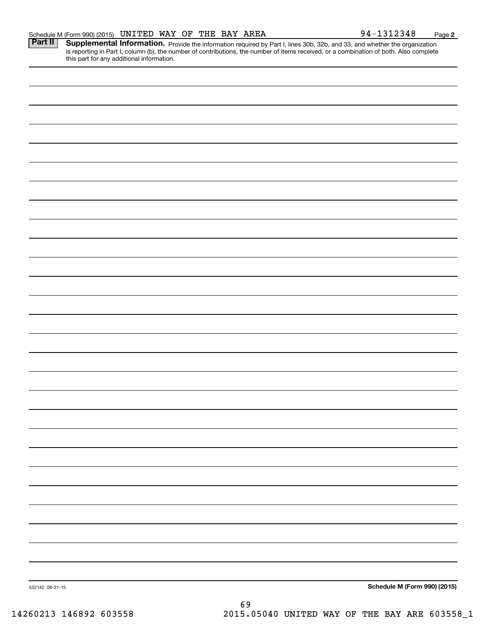|  | Schedule M (Form 990) (2015) | UNITED | WAY | OF | THE | BAY | <b>AREA</b> | ⊥2348 | Page |  |
|--|------------------------------|--------|-----|----|-----|-----|-------------|-------|------|--|
|--|------------------------------|--------|-----|----|-----|-----|-------------|-------|------|--|

Provide the information required by Part I, lines 30b, 32b, and 33, and whether the organization is reporting in Part I, column (b), the number of contributions, the number of items received, or a combination of both. Also complete this part for any additional information. **Part II Supplemental Information.** 

| 532142 08-21-15 |    | Schedule M (Form 990) (2015) |
|-----------------|----|------------------------------|
|                 |    |                              |
|                 | 69 |                              |

14260213 146892 603558 2015.05040 UNITED WAY OF THE BAY ARE 603558\_1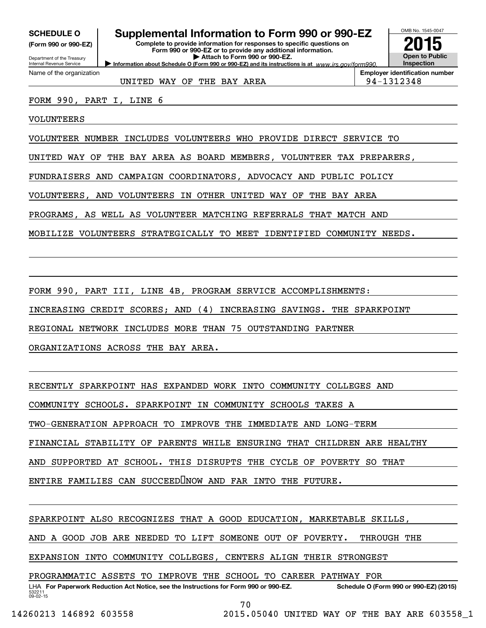**(Form 990 or 990-EZ)**

Department of the Treasury Internal Revenue Service Name of the organization

## **SCHEDULE O Supplemental Information to Form 990 or 990-EZ**

**Information about Schedule O (Form 990 or 990-EZ) and its instructions is at**  $www.irs.gov/form990.$ **Complete to provide information for responses to specific questions on Form 990 or 990-EZ or to provide any additional information. | Attach to Form 990 or 990-EZ.**



UNITED WAY OF THE BAY AREA **194-1312348** 

**Employer identification number**

FORM 990, PART I, LINE 6

VOLUNTEERS

VOLUNTEER NUMBER INCLUDES VOLUNTEERS WHO PROVIDE DIRECT SERVICE TO

UNITED WAY OF THE BAY AREA AS BOARD MEMBERS, VOLUNTEER TAX PREPARERS,

FUNDRAISERS AND CAMPAIGN COORDINATORS, ADVOCACY AND PUBLIC POLICY

VOLUNTEERS, AND VOLUNTEERS IN OTHER UNITED WAY OF THE BAY AREA

PROGRAMS, AS WELL AS VOLUNTEER MATCHING REFERRALS THAT MATCH AND

MOBILIZE VOLUNTEERS STRATEGICALLY TO MEET IDENTIFIED COMMUNITY NEEDS.

FORM 990, PART III, LINE 4B, PROGRAM SERVICE ACCOMPLISHMENTS:

INCREASING CREDIT SCORES; AND (4) INCREASING SAVINGS. THE SPARKPOINT

REGIONAL NETWORK INCLUDES MORE THAN 75 OUTSTANDING PARTNER

ORGANIZATIONS ACROSS THE BAY AREA.

RECENTLY SPARKPOINT HAS EXPANDED WORK INTO COMMUNITY COLLEGES AND

COMMUNITY SCHOOLS. SPARKPOINT IN COMMUNITY SCHOOLS TAKES A

TWO‐GENERATION APPROACH TO IMPROVE THE IMMEDIATE AND LONG‐TERM

FINANCIAL STABILITY OF PARENTS WHILE ENSURING THAT CHILDREN ARE HEALTHY

AND SUPPORTED AT SCHOOL. THIS DISRUPTS THE CYCLE OF POVERTY SO THAT

ENTIRE FAMILIES CAN SUCCEEDLINOW AND FAR INTO THE FUTURE.

SPARKPOINT ALSO RECOGNIZES THAT A GOOD EDUCATION, MARKETABLE SKILLS,

AND A GOOD JOB ARE NEEDED TO LIFT SOMEONE OUT OF POVERTY. THROUGH THE

EXPANSION INTO COMMUNITY COLLEGES, CENTERS ALIGN THEIR STRONGEST

PROGRAMMATIC ASSETS TO IMPROVE THE SCHOOL TO CAREER PATHWAY FOR

532211 09-02-15 LHA For Paperwork Reduction Act Notice, see the Instructions for Form 990 or 990-EZ. Schedule O (Form 990 or 990-EZ) (2015)

70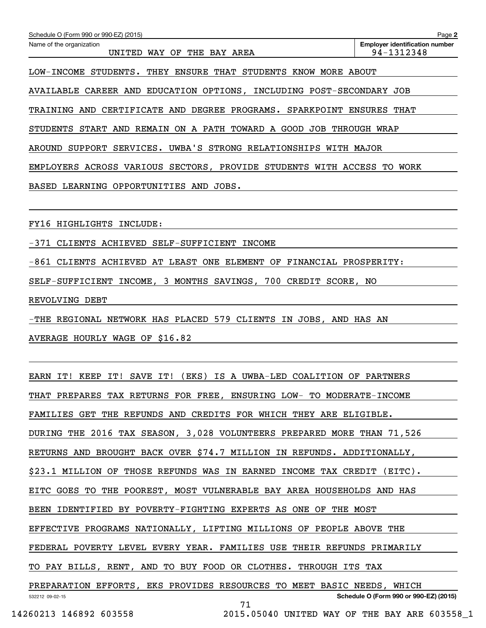| Schedule O (Form 990 or 990-EZ) (2015)<br>Name of the organization<br>UNITED WAY OF THE BAY AREA | <b>Employer identification number</b><br>94-1312348 | Page 2 |
|--------------------------------------------------------------------------------------------------|-----------------------------------------------------|--------|
| LOW-INCOME STUDENTS.<br>THEY ENSURE THAT STUDENTS KNOW MORE ABOUT                                |                                                     |        |
| AVAILABLE CAREER AND EDUCATION OPTIONS, INCLUDING POST-SECONDARY JOB                             |                                                     |        |
| TRAINING AND CERTIFICATE AND DEGREE PROGRAMS. SPARKPOINT ENSURES THAT                            |                                                     |        |
| STUDENTS START AND REMAIN ON A PATH TOWARD A GOOD JOB THROUGH WRAP                               |                                                     |        |
| AROUND SUPPORT SERVICES. UWBA'S STRONG RELATIONSHIPS WITH MAJOR                                  |                                                     |        |
| EMPLOYERS ACROSS VARIOUS SECTORS, PROVIDE STUDENTS WITH ACCESS TO WORK                           |                                                     |        |
| BASED LEARNING OPPORTUNITIES AND JOBS.                                                           |                                                     |        |
|                                                                                                  |                                                     |        |
| FY16 HIGHLIGHTS INCLUDE:                                                                         |                                                     |        |
| -371 CLIENTS ACHIEVED SELF-SUFFICIENT INCOME                                                     |                                                     |        |
| -861 CLIENTS ACHIEVED AT LEAST ONE ELEMENT OF FINANCIAL PROSPERITY:                              |                                                     |        |
| SELF-SUFFICIENT INCOME, 3 MONTHS SAVINGS, 700 CREDIT SCORE, NO                                   |                                                     |        |
| REVOLVING DEBT                                                                                   |                                                     |        |
| -THE REGIONAL NETWORK HAS PLACED 579 CLIENTS IN JOBS, AND HAS AN                                 |                                                     |        |
| AVERAGE HOURLY WAGE OF \$16.82                                                                   |                                                     |        |
|                                                                                                  |                                                     |        |
| EARN<br>KEEP<br>IT!<br>SAVE IT!<br>(EKS)<br>IS A UWBA-LED COALITION OF PARTNERS<br>IT!           |                                                     |        |
| THAT PREPARES TAX RETURNS FOR FREE, ENSURING LOW- TO MODERATE-INCOME                             |                                                     |        |

FAMILIES GET THE REFUNDS AND CREDITS FOR WHICH THEY ARE ELIGIBLE.

DURING THE 2016 TAX SEASON, 3,028 VOLUNTEERS PREPARED MORE THAN 71,526

RETURNS AND BROUGHT BACK OVER \$74.7 MILLION IN REFUNDS. ADDITIONALLY,

\$23.1 MILLION OF THOSE REFUNDS WAS IN EARNED INCOME TAX CREDIT (EITC).

EITC GOES TO THE POOREST, MOST VULNERABLE BAY AREA HOUSEHOLDS AND HAS

BEEN IDENTIFIED BY POVERTY‐FIGHTING EXPERTS AS ONE OF THE MOST

EFFECTIVE PROGRAMS NATIONALLY, LIFTING MILLIONS OF PEOPLE ABOVE THE

FEDERAL POVERTY LEVEL EVERY YEAR. FAMILIES USE THEIR REFUNDS PRIMARILY

TO PAY BILLS, RENT, AND TO BUY FOOD OR CLOTHES. THROUGH ITS TAX

532212 09-02-15 **Schedule O (Form 990 or 990-EZ) (2015)** PREPARATION EFFORTS, EKS PROVIDES RESOURCES TO MEET BASIC NEEDS, WHICH

71

14260213 146892 603558 2015.05040 UNITED WAY OF THE BAY ARE 603558\_1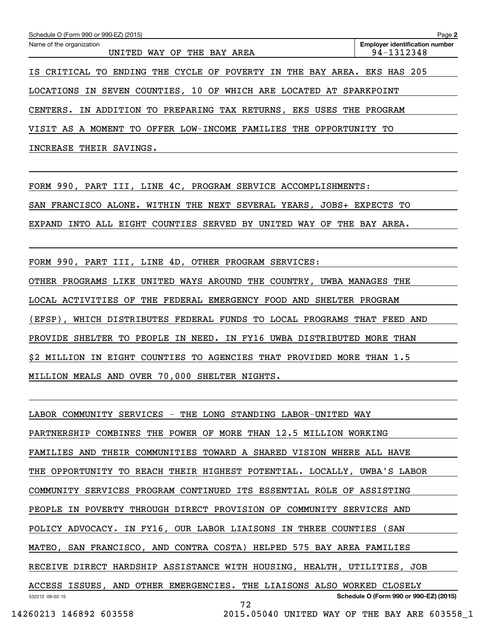| Schedule O (Form 990 or 990-EZ) (2015)                                     | Page 2                                              |
|----------------------------------------------------------------------------|-----------------------------------------------------|
| Name of the organization<br>UNITED<br>WAY OF THE BAY AREA                  | <b>Employer identification number</b><br>94-1312348 |
| TO ENDING THE CYCLE OF POVERTY IN THE BAY AREA. EKS HAS 205<br>IS CRITICAL |                                                     |
| IN SEVEN COUNTIES, 10 OF WHICH ARE LOCATED AT SPARKPOINT<br>LOCATIONS      |                                                     |
| CENTERS. IN ADDITION TO PREPARING TAX RETURNS, EKS USES THE PROGRAM        |                                                     |
| VISIT AS A MOMENT TO OFFER LOW-INCOME FAMILIES THE OPPORTUNITY TO          |                                                     |
| INCREASE THEIR<br>SAVINGS.                                                 |                                                     |

FORM 990, PART III, LINE 4C, PROGRAM SERVICE ACCOMPLISHMENTS: SAN FRANCISCO ALONE. WITHIN THE NEXT SEVERAL YEARS, JOBS+ EXPECTS TO EXPAND INTO ALL EIGHT COUNTIES SERVED BY UNITED WAY OF THE BAY AREA.

FORM 990, PART III, LINE 4D, OTHER PROGRAM SERVICES: OTHER PROGRAMS LIKE UNITED WAYS AROUND THE COUNTRY, UWBA MANAGES THE LOCAL ACTIVITIES OF THE FEDERAL EMERGENCY FOOD AND SHELTER PROGRAM (EFSP), WHICH DISTRIBUTES FEDERAL FUNDS TO LOCAL PROGRAMS THAT FEED AND PROVIDE SHELTER TO PEOPLE IN NEED. IN FY16 UWBA DISTRIBUTED MORE THAN \$2 MILLION IN EIGHT COUNTIES TO AGENCIES THAT PROVIDED MORE THAN 1.5 MILLION MEALS AND OVER 70,000 SHELTER NIGHTS.

532212 09-02-15 **Schedule O (Form 990 or 990-EZ) (2015)** LABOR COMMUNITY SERVICES ‐ THE LONG STANDING LABOR‐UNITED WAY PARTNERSHIP COMBINES THE POWER OF MORE THAN 12.5 MILLION WORKING FAMILIES AND THEIR COMMUNITIES TOWARD A SHARED VISION WHERE ALL HAVE THE OPPORTUNITY TO REACH THEIR HIGHEST POTENTIAL. LOCALLY, UWBA'S LABOR COMMUNITY SERVICES PROGRAM CONTINUED ITS ESSENTIAL ROLE OF ASSISTING PEOPLE IN POVERTY THROUGH DIRECT PROVISION OF COMMUNITY SERVICES AND POLICY ADVOCACY. IN FY16, OUR LABOR LIAISONS IN THREE COUNTIES (SAN MATEO, SAN FRANCISCO, AND CONTRA COSTA) HELPED 575 BAY AREA FAMILIES RECEIVE DIRECT HARDSHIP ASSISTANCE WITH HOUSING, HEALTH, UTILITIES, JOB ACCESS ISSUES, AND OTHER EMERGENCIES. THE LIAISONS ALSO WORKED CLOSELY 72

14260213 146892 603558 2015.05040 UNITED WAY OF THE BAY ARE 603558\_1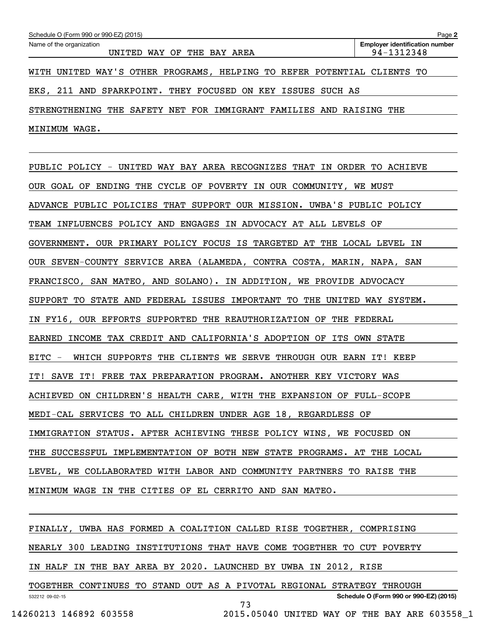| Schedule O (Form 990 or 990-EZ) (2015)                                  | Page 2                                |
|-------------------------------------------------------------------------|---------------------------------------|
| Name of the organization                                                | <b>Employer identification number</b> |
| UNITED WAY OF THE BAY AREA                                              | 94-1312348                            |
|                                                                         |                                       |
| WITH UNITED WAY'S OTHER PROGRAMS, HELPING TO REFER POTENTIAL CLIENTS TO |                                       |
|                                                                         |                                       |
| EKS, 211 AND SPARKPOINT. THEY FOCUSED ON KEY ISSUES SUCH AS             |                                       |
|                                                                         |                                       |
| STRENGTHENING THE SAFETY NET FOR IMMIGRANT FAMILIES AND RAISING THE     |                                       |
|                                                                         |                                       |
| WAGE.<br>MINIMUM                                                        |                                       |

PUBLIC POLICY ‐ UNITED WAY BAY AREA RECOGNIZES THAT IN ORDER TO ACHIEVE OUR GOAL OF ENDING THE CYCLE OF POVERTY IN OUR COMMUNITY, WE MUST ADVANCE PUBLIC POLICIES THAT SUPPORT OUR MISSION. UWBA'S PUBLIC POLICY TEAM INFLUENCES POLICY AND ENGAGES IN ADVOCACY AT ALL LEVELS OF GOVERNMENT. OUR PRIMARY POLICY FOCUS IS TARGETED AT THE LOCAL LEVEL IN OUR SEVEN‐COUNTY SERVICE AREA (ALAMEDA, CONTRA COSTA, MARIN, NAPA, SAN FRANCISCO, SAN MATEO, AND SOLANO). IN ADDITION, WE PROVIDE ADVOCACY SUPPORT TO STATE AND FEDERAL ISSUES IMPORTANT TO THE UNITED WAY SYSTEM. IN FY16, OUR EFFORTS SUPPORTED THE REAUTHORIZATION OF THE FEDERAL EARNED INCOME TAX CREDIT AND CALIFORNIA'S ADOPTION OF ITS OWN STATE EITC ‐ WHICH SUPPORTS THE CLIENTS WE SERVE THROUGH OUR EARN IT! KEEP IT! SAVE IT! FREE TAX PREPARATION PROGRAM. ANOTHER KEY VICTORY WAS ACHIEVED ON CHILDREN'S HEALTH CARE, WITH THE EXPANSION OF FULL‐SCOPE MEDI‐CAL SERVICES TO ALL CHILDREN UNDER AGE 18, REGARDLESS OF IMMIGRATION STATUS. AFTER ACHIEVING THESE POLICY WINS, WE FOCUSED ON THE SUCCESSFUL IMPLEMENTATION OF BOTH NEW STATE PROGRAMS. AT THE LOCAL LEVEL, WE COLLABORATED WITH LABOR AND COMMUNITY PARTNERS TO RAISE THE MINIMUM WAGE IN THE CITIES OF EL CERRITO AND SAN MATEO.

532212 09-02-15 **Schedule O (Form 990 or 990-EZ) (2015)** FINALLY, UWBA HAS FORMED A COALITION CALLED RISE TOGETHER, COMPRISING NEARLY 300 LEADING INSTITUTIONS THAT HAVE COME TOGETHER TO CUT POVERTY IN HALF IN THE BAY AREA BY 2020. LAUNCHED BY UWBA IN 2012, RISE TOGETHER CONTINUES TO STAND OUT AS A PIVOTAL REGIONAL STRATEGY THROUGH

73

14260213 146892 603558 2015.05040 UNITED WAY OF THE BAY ARE 603558\_1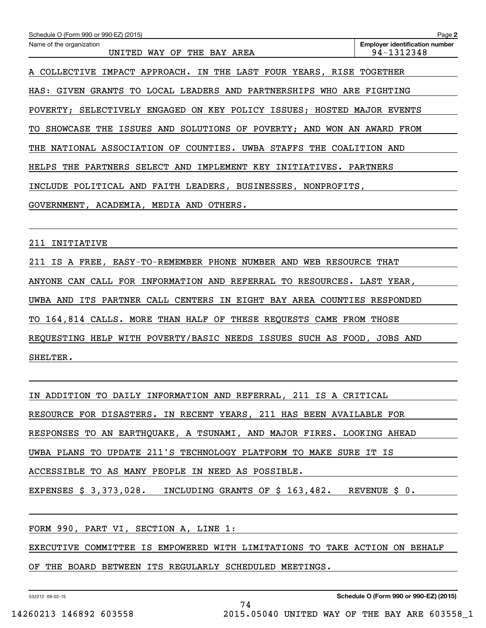| Schedule O (Form 990 or 990-EZ) (2015)                                     | Page 2                                              |
|----------------------------------------------------------------------------|-----------------------------------------------------|
| Name of the organization<br>WAY OF THE BAY AREA<br>UNITED                  | <b>Employer identification number</b><br>94-1312348 |
| A COLLECTIVE IMPACT APPROACH. IN THE LAST FOUR YEARS, RISE TOGETHER        |                                                     |
| HAS: GIVEN GRANTS TO LOCAL LEADERS AND PARTNERSHIPS WHO ARE FIGHTING       |                                                     |
| POVERTY; SELECTIVELY ENGAGED ON KEY POLICY ISSUES; HOSTED MAJOR EVENTS     |                                                     |
| TO SHOWCASE THE ISSUES AND SOLUTIONS OF POVERTY; AND WON AN AWARD FROM     |                                                     |
| THE NATIONAL ASSOCIATION OF COUNTIES. UWBA STAFFS THE COALITION AND        |                                                     |
| PARTNERS SELECT AND IMPLEMENT<br>HELPS THE<br>KEY<br>INITIATIVES. PARTNERS |                                                     |
| INCLUDE POLITICAL AND FAITH LEADERS, BUSINESSES, NONPROFITS,               |                                                     |
| GOVERNMENT, ACADEMIA, MEDIA AND OTHERS.                                    |                                                     |

211 INITIATIVE

211 IS A FREE, EASY‐TO‐REMEMBER PHONE NUMBER AND WEB RESOURCE THAT ANYONE CAN CALL FOR INFORMATION AND REFERRAL TO RESOURCES. LAST YEAR, UWBA AND ITS PARTNER CALL CENTERS IN EIGHT BAY AREA COUNTIES RESPONDED TO 164,814 CALLS. MORE THAN HALF OF THESE REQUESTS CAME FROM THOSE REQUESTING HELP WITH POVERTY/BASIC NEEDS ISSUES SUCH AS FOOD, JOBS AND SHELTER.

IN ADDITION TO DAILY INFORMATION AND REFERRAL, 211 IS A CRITICAL RESOURCE FOR DISASTERS. IN RECENT YEARS, 211 HAS BEEN AVAILABLE FOR RESPONSES TO AN EARTHQUAKE, A TSUNAMI, AND MAJOR FIRES. LOOKING AHEAD UWBA PLANS TO UPDATE 211'S TECHNOLOGY PLATFORM TO MAKE SURE IT IS ACCESSIBLE TO AS MANY PEOPLE IN NEED AS POSSIBLE. EXPENSES \$ 3,373,028. INCLUDING GRANTS OF \$ 163,482. REVENUE \$ 0.

FORM 990, PART VI, SECTION A, LINE 1:

EXECUTIVE COMMITTEE IS EMPOWERED WITH LIMITATIONS TO TAKE ACTION ON BEHALF

74

OF THE BOARD BETWEEN ITS REGULARLY SCHEDULED MEETINGS.

532212 09-02-15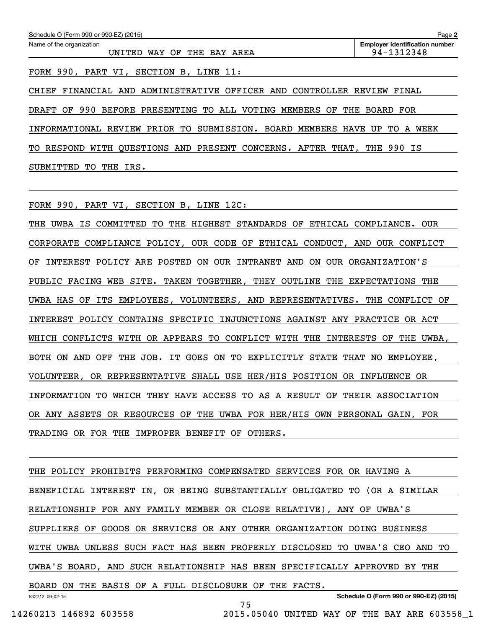| Schedule O (Form 990 or 990-EZ) (2015)                                      | Page 2                                              |
|-----------------------------------------------------------------------------|-----------------------------------------------------|
| Name of the organization<br>UNITED WAY OF THE BAY AREA                      | <b>Employer identification number</b><br>94-1312348 |
| FORM 990, PART VI, SECTION B, LINE 11:                                      |                                                     |
| CHIEF FINANCIAL AND ADMINISTRATIVE OFFICER AND CONTROLLER REVIEW FINAL      |                                                     |
| BEFORE PRESENTING TO ALL VOTING MEMBERS OF THE BOARD FOR<br>990<br>DRAFT OF |                                                     |
| PRIOR TO SUBMISSION. BOARD<br>REVIEW<br>MEMBERS HAVE UP<br>INFORMATIONAL    | TO A<br>WEEK                                        |

TO RESPOND WITH QUESTIONS AND PRESENT CONCERNS. AFTER THAT, THE 990 IS SUBMITTED TO THE IRS.

FORM 990, PART VI, SECTION B, LINE 12C:

THE UWBA IS COMMITTED TO THE HIGHEST STANDARDS OF ETHICAL COMPLIANCE. OUR CORPORATE COMPLIANCE POLICY, OUR CODE OF ETHICAL CONDUCT, AND OUR CONFLICT OF INTEREST POLICY ARE POSTED ON OUR INTRANET AND ON OUR ORGANIZATION'S PUBLIC FACING WEB SITE. TAKEN TOGETHER, THEY OUTLINE THE EXPECTATIONS THE UWBA HAS OF ITS EMPLOYEES, VOLUNTEERS, AND REPRESENTATIVES. THE CONFLICT OF INTEREST POLICY CONTAINS SPECIFIC INJUNCTIONS AGAINST ANY PRACTICE OR ACT WHICH CONFLICTS WITH OR APPEARS TO CONFLICT WITH THE INTERESTS OF THE UWBA, BOTH ON AND OFF THE JOB. IT GOES ON TO EXPLICITLY STATE THAT NO EMPLOYEE, VOLUNTEER, OR REPRESENTATIVE SHALL USE HER/HIS POSITION OR INFLUENCE OR INFORMATION TO WHICH THEY HAVE ACCESS TO AS A RESULT OF THEIR ASSOCIATION OR ANY ASSETS OR RESOURCES OF THE UWBA FOR HER/HIS OWN PERSONAL GAIN, FOR TRADING OR FOR THE IMPROPER BENEFIT OF OTHERS.

532212 09-02-15 THE POLICY PROHIBITS PERFORMING COMPENSATED SERVICES FOR OR HAVING A BENEFICIAL INTEREST IN, OR BEING SUBSTANTIALLY OBLIGATED TO (OR A SIMILAR RELATIONSHIP FOR ANY FAMILY MEMBER OR CLOSE RELATIVE), ANY OF UWBA'S SUPPLIERS OF GOODS OR SERVICES OR ANY OTHER ORGANIZATION DOING BUSINESS WITH UWBA UNLESS SUCH FACT HAS BEEN PROPERLY DISCLOSED TO UWBA'S CEO AND TO UWBA'S BOARD, AND SUCH RELATIONSHIP HAS BEEN SPECIFICALLY APPROVED BY THE BOARD ON THE BASIS OF A FULL DISCLOSURE OF THE FACTS.

75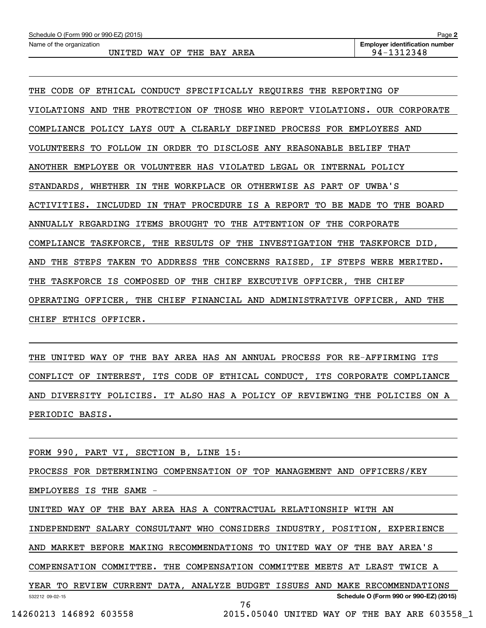| Schedule O (Form 990 or 990-EZ) (2015) | Page 2                                |
|----------------------------------------|---------------------------------------|
| Name of the organization               | <b>Employer identification number</b> |
| WAY OF THE BAY AREA<br>UNITED          | 94-1312348                            |

THE CODE OF ETHICAL CONDUCT SPECIFICALLY REQUIRES THE REPORTING OF VIOLATIONS AND THE PROTECTION OF THOSE WHO REPORT VIOLATIONS. OUR CORPORATE COMPLIANCE POLICY LAYS OUT A CLEARLY DEFINED PROCESS FOR EMPLOYEES AND VOLUNTEERS TO FOLLOW IN ORDER TO DISCLOSE ANY REASONABLE BELIEF THAT ANOTHER EMPLOYEE OR VOLUNTEER HAS VIOLATED LEGAL OR INTERNAL POLICY STANDARDS, WHETHER IN THE WORKPLACE OR OTHERWISE AS PART OF UWBA'S ACTIVITIES. INCLUDED IN THAT PROCEDURE IS A REPORT TO BE MADE TO THE BOARD ANNUALLY REGARDING ITEMS BROUGHT TO THE ATTENTION OF THE CORPORATE COMPLIANCE TASKFORCE, THE RESULTS OF THE INVESTIGATION THE TASKFORCE DID, AND THE STEPS TAKEN TO ADDRESS THE CONCERNS RAISED, IF STEPS WERE MERITED. THE TASKFORCE IS COMPOSED OF THE CHIEF EXECUTIVE OFFICER, THE CHIEF OPERATING OFFICER, THE CHIEF FINANCIAL AND ADMINISTRATIVE OFFICER, AND THE CHIEF ETHICS OFFICER.

THE UNITED WAY OF THE BAY AREA HAS AN ANNUAL PROCESS FOR RE‐AFFIRMING ITS CONFLICT OF INTEREST, ITS CODE OF ETHICAL CONDUCT, ITS CORPORATE COMPLIANCE AND DIVERSITY POLICIES. IT ALSO HAS A POLICY OF REVIEWING THE POLICIES ON A PERIODIC BASIS.

FORM 990, PART VI, SECTION B, LINE 15:

PROCESS FOR DETERMINING COMPENSATION OF TOP MANAGEMENT AND OFFICERS/KEY EMPLOYEES IS THE SAME ‐ UNITED WAY OF THE BAY AREA HAS A CONTRACTUAL RELATIONSHIP WITH AN INDEPENDENT SALARY CONSULTANT WHO CONSIDERS INDUSTRY, POSITION, EXPERIENCE

AND MARKET BEFORE MAKING RECOMMENDATIONS TO UNITED WAY OF THE BAY AREA'S

COMPENSATION COMMITTEE. THE COMPENSATION COMMITTEE MEETS AT LEAST TWICE A

532212 09-02-15 **Schedule O (Form 990 or 990-EZ) (2015)** YEAR TO REVIEW CURRENT DATA, ANALYZE BUDGET ISSUES AND MAKE RECOMMENDATIONS 76

14260213 146892 603558 2015.05040 UNITED WAY OF THE BAY ARE 603558\_1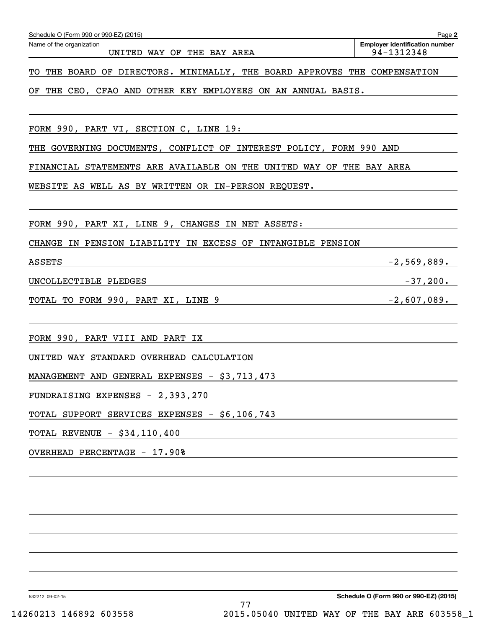| Schedule O (Form 990 or 990-EZ) (2015)                                                                                                                | Page 2                                              |
|-------------------------------------------------------------------------------------------------------------------------------------------------------|-----------------------------------------------------|
| Name of the organization<br>UNITED WAY OF THE BAY AREA                                                                                                | <b>Employer identification number</b><br>94-1312348 |
| THE BOARD OF DIRECTORS. MINIMALLY, THE BOARD APPROVES THE COMPENSATION<br>TО                                                                          |                                                     |
| THE CEO, CFAO AND OTHER KEY EMPLOYEES ON AN ANNUAL BASIS.<br>ΟF                                                                                       |                                                     |
|                                                                                                                                                       |                                                     |
| FORM 990, PART VI, SECTION C, LINE 19:                                                                                                                |                                                     |
| GOVERNING DOCUMENTS, CONFLICT OF INTEREST POLICY, FORM 990 AND<br>THE                                                                                 |                                                     |
| FINANCIAL STATEMENTS ARE AVAILABLE ON THE UNITED WAY OF THE BAY AREA                                                                                  |                                                     |
| WEBSITE AS WELL AS BY WRITTEN OR IN-PERSON REQUEST.                                                                                                   |                                                     |
|                                                                                                                                                       |                                                     |
| FORM 990, PART XI, LINE 9, CHANGES IN NET ASSETS:                                                                                                     |                                                     |
| CHANGE IN PENSION LIABILITY IN EXCESS OF<br>INTANGIBLE PENSION                                                                                        |                                                     |
| <b>ASSETS</b>                                                                                                                                         | $-2,569,889.$                                       |
| UNCOLLECTIBLE PLEDGES                                                                                                                                 | $-37,200.$                                          |
| TOTAL TO FORM 990, PART XI, LINE 9                                                                                                                    | $-2,607,089.$                                       |
|                                                                                                                                                       |                                                     |
| FORM 990, PART VIII AND PART<br>IX                                                                                                                    |                                                     |
| UNITED WAY STANDARD OVERHEAD CALCULATION                                                                                                              |                                                     |
| MANAGEMENT AND GENERAL EXPENSES - \$3,713,473                                                                                                         |                                                     |
| FUNDRAISING EXPENSES - 2,393,270<br>and the control of the control of the control of the control of the control of the control of the control of the  |                                                     |
| TOTAL SUPPORT SERVICES EXPENSES - \$6,106,743                                                                                                         |                                                     |
| TOTAL REVENUE - \$34,110,400<br><u> 1989 - Johann Stoff, deutscher Stoff, der Stoff, der Stoff, der Stoff, der Stoff, der Stoff, der Stoff, der S</u> |                                                     |
| OVERHEAD PERCENTAGE - 17.90%                                                                                                                          |                                                     |
|                                                                                                                                                       |                                                     |
|                                                                                                                                                       |                                                     |
|                                                                                                                                                       |                                                     |
|                                                                                                                                                       |                                                     |
|                                                                                                                                                       |                                                     |
|                                                                                                                                                       |                                                     |
|                                                                                                                                                       |                                                     |

532212 09-02-15